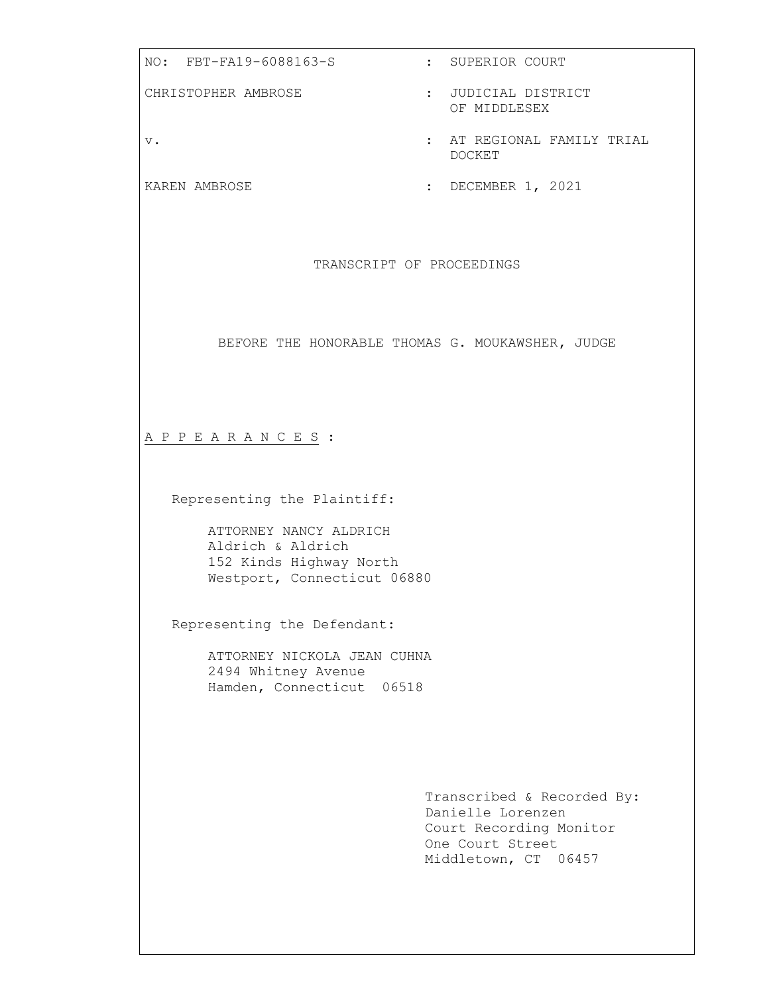NO: FBT-FA19-6088163-S : SUPERIOR COURT CHRISTOPHER AMBROSE : JUDICIAL DISTRICT OF MIDDLESEX v. : AT REGIONAL FAMILY TRIAL DOCKET KAREN AMBROSE : DECEMBER 1, 2021 TRANSCRIPT OF PROCEEDINGS BEFORE THE HONORABLE THOMAS G. MOUKAWSHER**,** JUDGE A P P E A R A N C E S : Representing the Plaintiff: ATTORNEY NANCY ALDRICH Aldrich & Aldrich 152 Kinds Highway North Westport, Connecticut 06880 Representing the Defendant: ATTORNEY NICKOLA JEAN CUHNA 2494 Whitney Avenue Hamden, Connecticut 06518 Transcribed & Recorded By: Danielle Lorenzen Court Recording Monitor One Court Street Middletown, CT 06457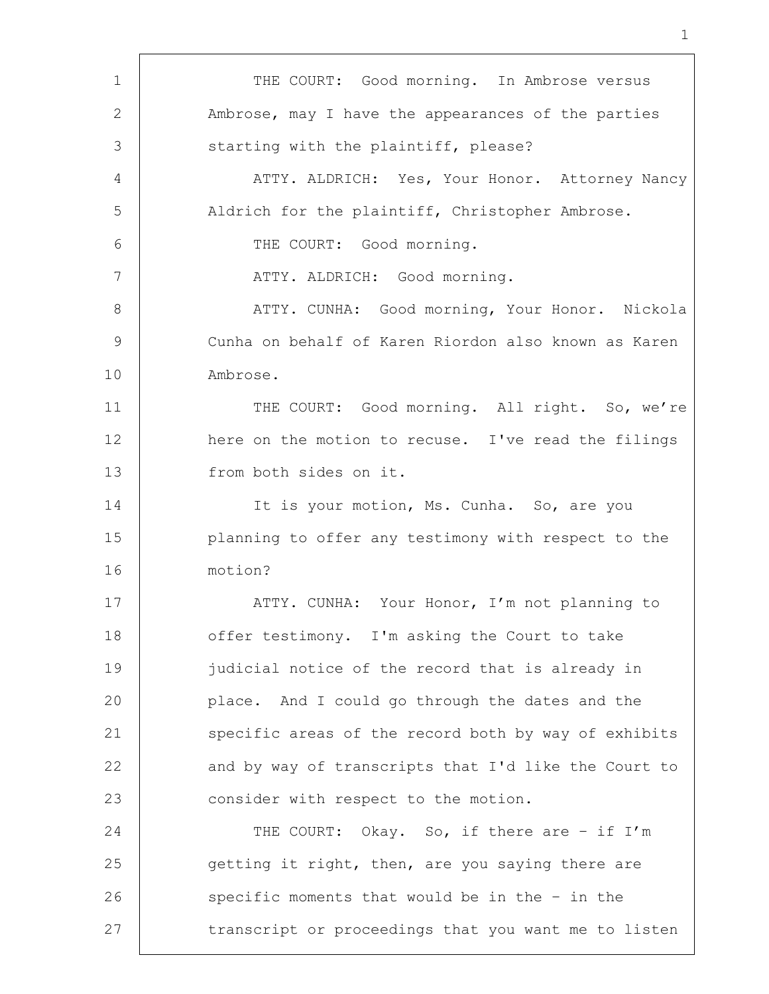1 | THE COURT: Good morning. In Ambrose versus 2 Ambrose, may I have the appearances of the parties 3 Starting with the plaintiff, please? 4 | ATTY. ALDRICH: Yes, Your Honor. Attorney Nancy 5 Aldrich for the plaintiff, Christopher Ambrose. 6 | THE COURT: Good morning. 7 | ATTY. ALDRICH: Good morning. 8 | ATTY. CUNHA: Good morning, Your Honor. Nickola 9 Cunha on behalf of Karen Riordon also known as Karen 10 Ambrose. 11 | THE COURT: Good morning. All right. So, we're 12 | here on the motion to recuse. I've read the filings 13 from both sides on it. 14 It is your motion, Ms. Cunha. So, are you 15 | planning to offer any testimony with respect to the 16 motion? 17 | ATTY. CUNHA: Your Honor, I'm not planning to 18 offer testimony. I'm asking the Court to take 19 judicial notice of the record that is already in 20 place. And I could go through the dates and the 21 specific areas of the record both by way of exhibits 22 and by way of transcripts that I'd like the Court to 23 consider with respect to the motion. 24 THE COURT: Okay. So, if there are - if I'm 25 getting it right, then, are you saying there are 26 specific moments that would be in the - in the 27 | transcript or proceedings that you want me to listen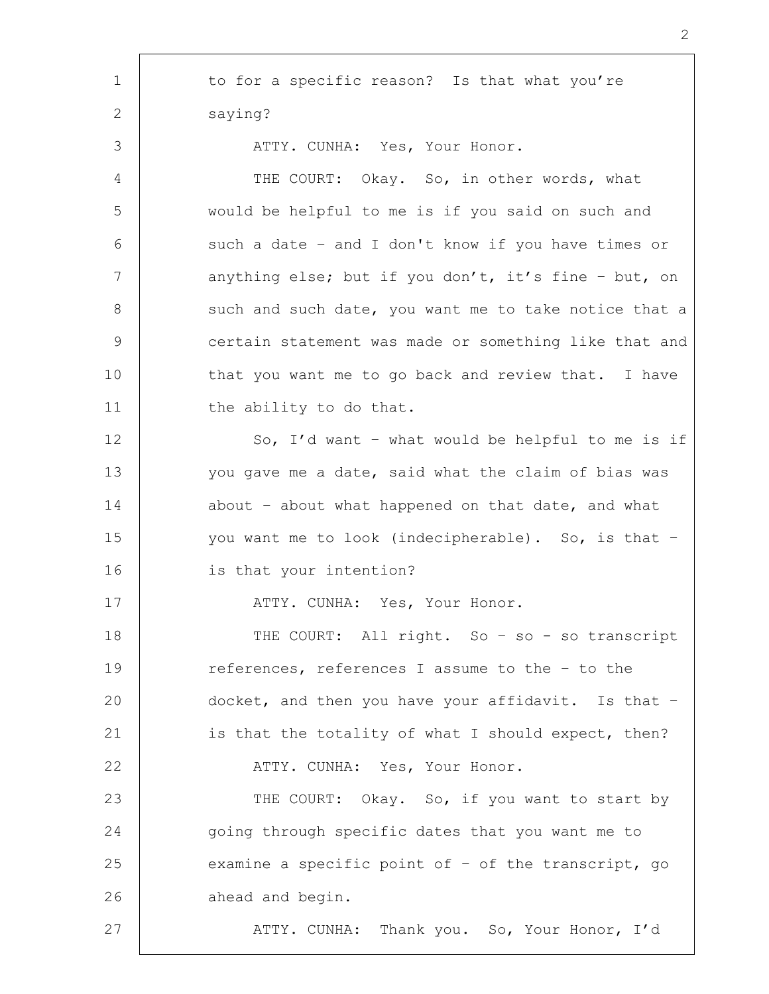1 to for a specific reason? Is that what you're 2 saying? 3 | ATTY. CUNHA: Yes, Your Honor. 4 THE COURT: Okay. So, in other words, what 5 would be helpful to me is if you said on such and 6 such a date - and I don't know if you have times or 7 | anything else; but if you don't, it's fine - but, on 8 | such and such date, you want me to take notice that a 9 certain statement was made or something like that and 10 | that you want me to go back and review that. I have 11 | the ability to do that. 12 So, I'd want - what would be helpful to me is if 13 you gave me a date, said what the claim of bias was 14 about - about what happened on that date, and what 15 you want me to look (indecipherable). So, is that -16 is that your intention? 17 | ATTY. CUNHA: Yes, Your Honor. 18 | THE COURT: All right. So - so - so transcript 19 references, references I assume to the – to the 20 docket, and then you have your affidavit. Is that – 21 is that the totality of what I should expect, then? 22 | ATTY. CUNHA: Yes, Your Honor. 23 | THE COURT: Okay. So, if you want to start by 24 going through specific dates that you want me to 25 examine a specific point of - of the transcript, go 26 ahead and begin. 27 ATTY. CUNHA: Thank you. So, Your Honor, I'd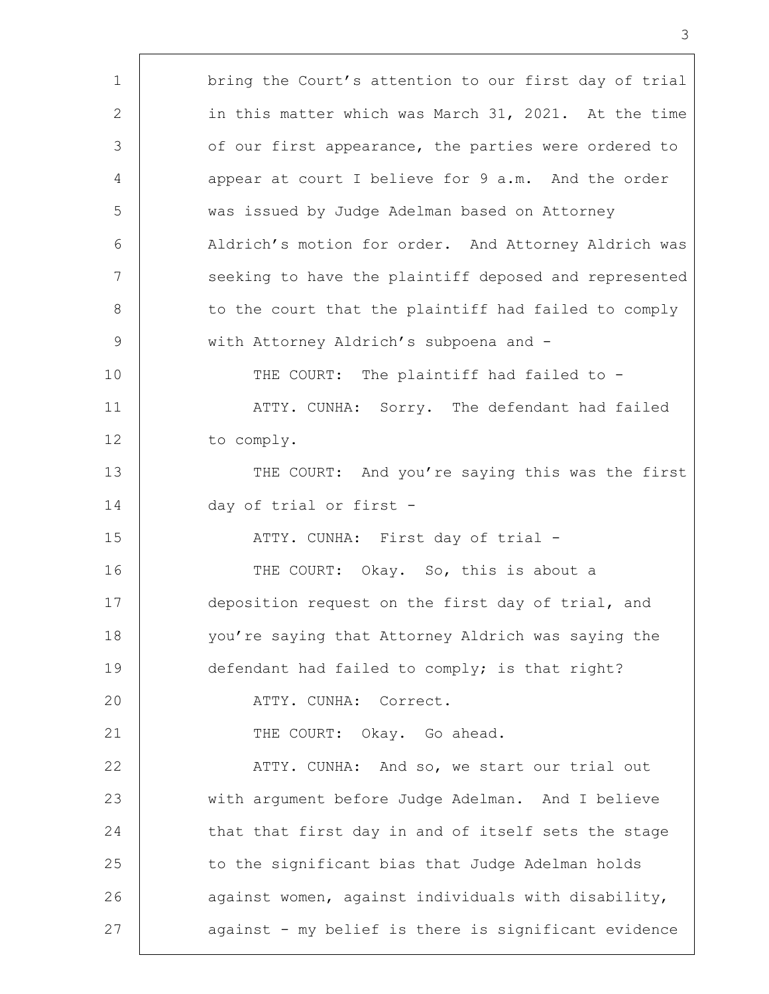1 bring the Court's attention to our first day of trial 2 in this matter which was March 31, 2021. At the time 3 of our first appearance, the parties were ordered to 4 appear at court I believe for 9 a.m. And the order 5 was issued by Judge Adelman based on Attorney 6 Aldrich's motion for order. And Attorney Aldrich was 7 | seeking to have the plaintiff deposed and represented 8 | to the court that the plaintiff had failed to comply 9 | with Attorney Aldrich's subpoena and -10 | THE COURT: The plaintiff had failed to -11 | ATTY. CUNHA: Sorry. The defendant had failed 12 to comply. 13 THE COURT: And you're saying this was the first 14 day of trial or first - 15 | ATTY. CUNHA: First day of trial -16 THE COURT: Okay. So, this is about a 17 deposition request on the first day of trial, and 18 you're saying that Attorney Aldrich was saying the 19 defendant had failed to comply; is that right? 20 ATTY. CUNHA: Correct. 21 | THE COURT: Okay. Go ahead. 22 | ATTY. CUNHA: And so, we start our trial out 23 with argument before Judge Adelman. And I believe 24 that that first day in and of itself sets the stage 25 to the significant bias that Judge Adelman holds 26 | against women, against individuals with disability, 27 against - my belief is there is significant evidence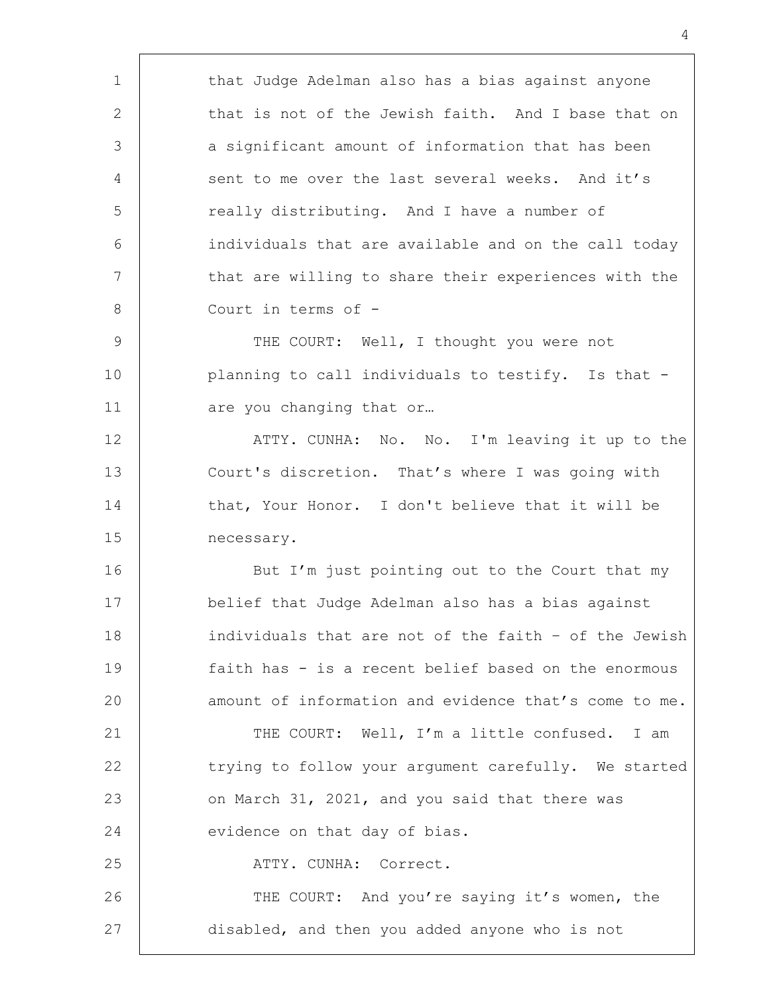| that Judge Adelman also has a bias against anyone     |
|-------------------------------------------------------|
| that is not of the Jewish faith. And I base that on   |
| a significant amount of information that has been     |
| sent to me over the last several weeks. And it's      |
| really distributing. And I have a number of           |
| individuals that are available and on the call today  |
| that are willing to share their experiences with the  |
| Court in terms of -                                   |
| THE COURT: Well, I thought you were not               |
| planning to call individuals to testify. Is that -    |
| are you changing that or                              |
| ATTY. CUNHA: No. No. I'm leaving it up to the         |
| Court's discretion. That's where I was going with     |
| that, Your Honor. I don't believe that it will be     |
| necessary.                                            |
| But I'm just pointing out to the Court that my        |
| belief that Judge Adelman also has a bias against     |
| individuals that are not of the faith - of the Jewish |
| faith has - is a recent belief based on the enormous  |
| amount of information and evidence that's come to me. |
| THE COURT: Well, I'm a little confused. I am          |
| trying to follow your argument carefully. We started  |
| on March 31, 2021, and you said that there was        |
| evidence on that day of bias.                         |
| ATTY. CUNHA: Correct.                                 |
| THE COURT: And you're saying it's women, the          |
| disabled, and then you added anyone who is not        |
|                                                       |

'n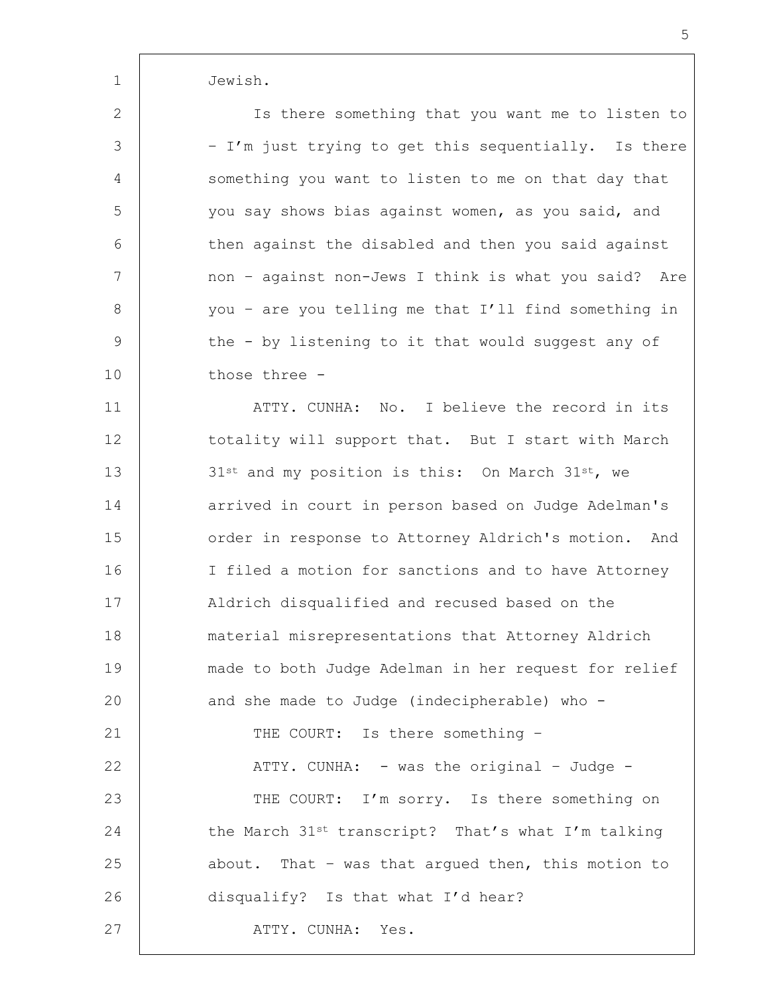1 Jewish.

2 | Solution Is there something that you want me to listen to 3 | - I'm just trying to get this sequentially. Is there 4 something you want to listen to me on that day that 5 you say shows bias against women, as you said, and 6 then against the disabled and then you said against 7 | mon - against non-Jews I think is what you said? Are 8 you - are you telling me that I'll find something in 9 the - by listening to it that would suggest any of 10 those three -

11 | ATTY. CUNHA: No. I believe the record in its 12 totality will support that. But I start with March 13  $\vert$  31st and my position is this: On March 31st, we 14 arrived in court in person based on Judge Adelman's 15 | order in response to Attorney Aldrich's motion. And 16 I filed a motion for sanctions and to have Attorney 17 Aldrich disqualified and recused based on the 18 material misrepresentations that Attorney Aldrich 19 made to both Judge Adelman in her request for relief 20 and she made to Judge (indecipherable) who -21 | THE COURT: Is there something -22 | ATTY. CUNHA: - was the original - Judge -23 | THE COURT: I'm sorry. Is there something on 24 the March  $31^{st}$  transcript? That's what I'm talking 25 about. That – was that arqued then, this motion to 26 | disqualify? Is that what I'd hear? 27 | ATTY. CUNHA: Yes.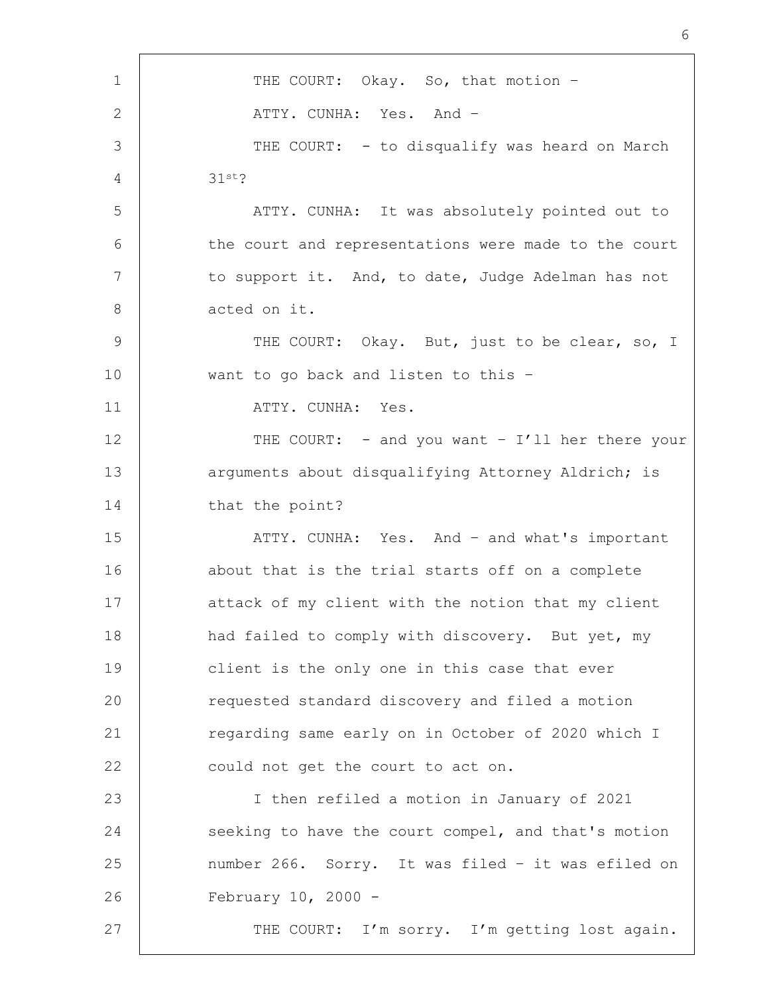1 | THE COURT: Okay. So, that motion -2 | ATTY. CUNHA: Yes. And -3 THE COURT: - to disqualify was heard on March 4 31st? 5 | ATTY. CUNHA: It was absolutely pointed out to 6 the court and representations were made to the court 7 to support it. And, to date, Judge Adelman has not 8 acted on it. 9 | THE COURT: Okay. But, just to be clear, so, I 10 want to go back and listen to this – 11 | ATTY. CUNHA: Yes. 12 | THE COURT: - and you want - I'll her there your 13 arguments about disqualifying Attorney Aldrich; is 14 that the point? 15 | ATTY. CUNHA: Yes. And - and what's important 16 about that is the trial starts off on a complete 17 attack of my client with the notion that my client 18 | had failed to comply with discovery. But yet, my 19 client is the only one in this case that ever 20 requested standard discovery and filed a motion 21 | regarding same early on in October of 2020 which I 22 could not get the court to act on. 23 I then refiled a motion in January of 2021 24 seeking to have the court compel, and that's motion 25 number 266. Sorry. It was filed – it was efiled on 26 February 10, 2000 - 27 | THE COURT: I'm sorry. I'm getting lost again.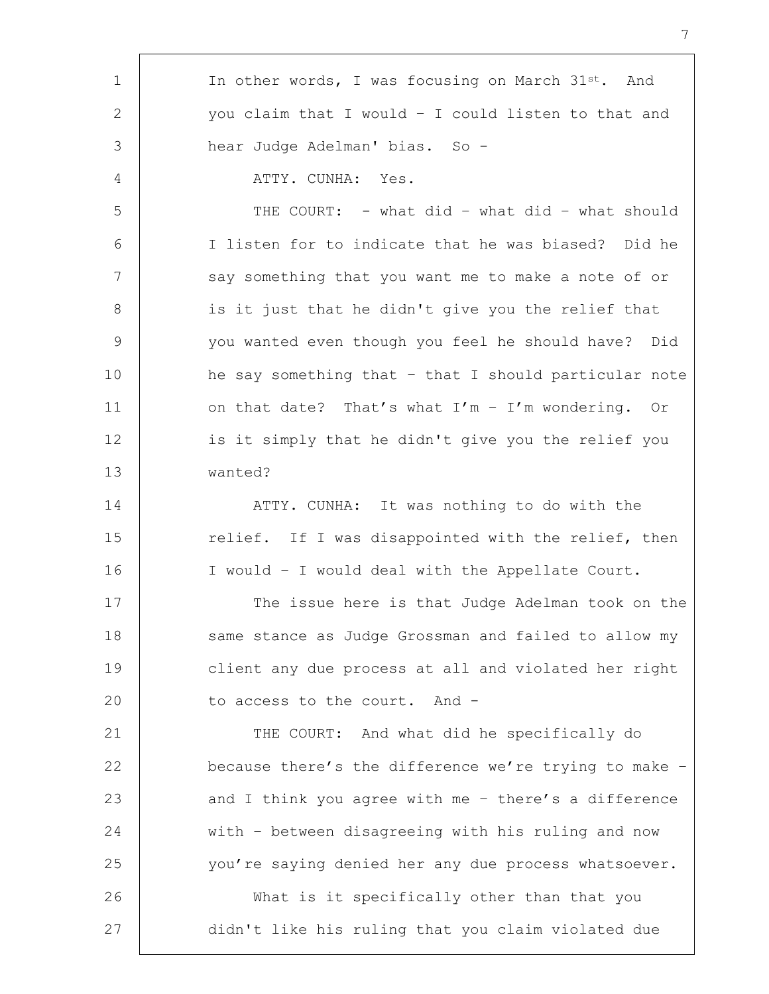| $\mathbf 1$     | In other words, I was focusing on March 31st. And     |
|-----------------|-------------------------------------------------------|
| 2               | you claim that I would - I could listen to that and   |
| 3               | hear Judge Adelman' bias. So -                        |
| 4               | ATTY. CUNHA: Yes.                                     |
| 5               | THE COURT: - what did - what did - what should        |
| 6               | I listen for to indicate that he was biased? Did he   |
| $7\phantom{.0}$ | say something that you want me to make a note of or   |
| 8               | is it just that he didn't give you the relief that    |
| $\mathsf 9$     | you wanted even though you feel he should have? Did   |
| 10              | he say something that - that I should particular note |
| 11              | on that date? That's what $I'm - I'm$ wondering. Or   |
| 12              | is it simply that he didn't give you the relief you   |
| 13              | wanted?                                               |
| 14              | ATTY. CUNHA: It was nothing to do with the            |
| 15              | relief. If I was disappointed with the relief, then   |
| 16              | I would - I would deal with the Appellate Court.      |
| 17              | The issue here is that Judge Adelman took on the      |
| 18              | same stance as Judge Grossman and failed to allow my  |
| 19              | client any due process at all and violated her right  |
| 20              | to access to the court. And -                         |
| 21              | THE COURT: And what did he specifically do            |
| 22              | because there's the difference we're trying to make - |
| 23              | and I think you agree with me - there's a difference  |
| 24              | with - between disagreeing with his ruling and now    |
| 25              | you're saying denied her any due process whatsoever.  |
| 26              | What is it specifically other than that you           |
| 27              | didn't like his ruling that you claim violated due    |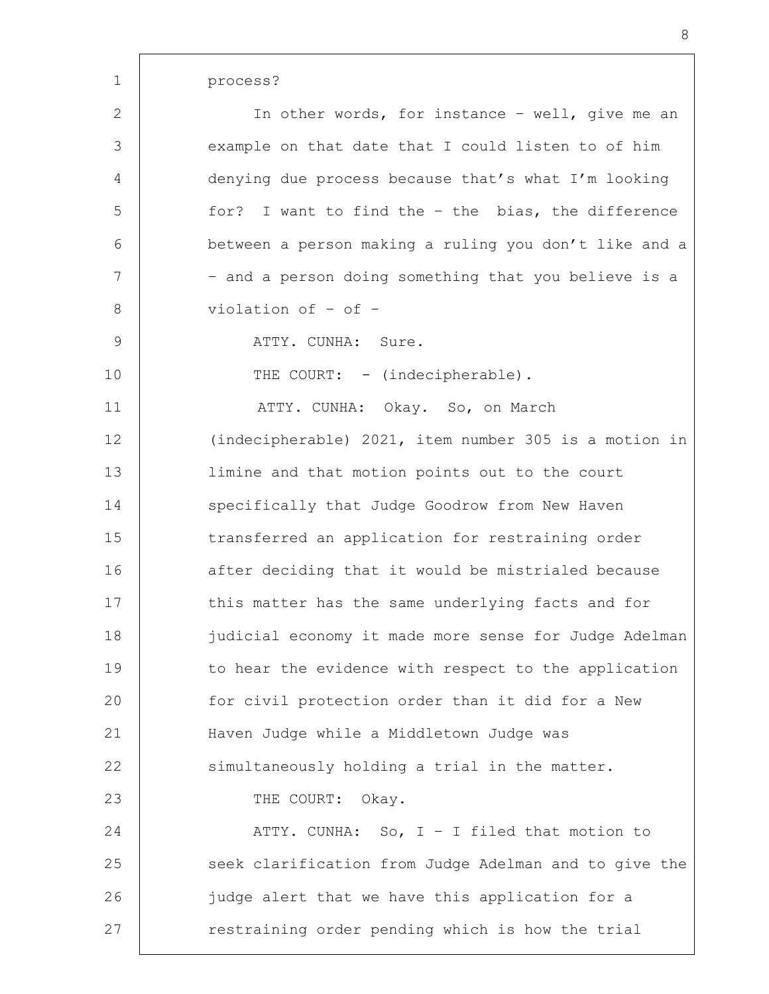| $\mathbf{2}$   | In other words, for instance - well, give me an       |
|----------------|-------------------------------------------------------|
| $\mathfrak{Z}$ | example on that date that I could listen to of him    |
| 4              | denying due process because that's what I'm looking   |
| 5              | for? I want to find the - the bias, the difference    |
| 6              | between a person making a ruling you don't like and a |
| 7              | - and a person doing something that you believe is a  |
| $8\,$          | violation of - of -                                   |
| $\mathsf 9$    | ATTY. CUNHA: Sure.                                    |
| 10             | THE COURT: - (indecipherable).                        |
| 11             | ATTY. CUNHA: Okay. So, on March                       |
| 12             | (indecipherable) 2021, item number 305 is a motion in |
| 13             | limine and that motion points out to the court        |
| 14             | specifically that Judge Goodrow from New Haven        |
| 15             | transferred an application for restraining order      |
| 16             | after deciding that it would be mistrialed because    |
| 17             | this matter has the same underlying facts and for     |
| 18             | judicial economy it made more sense for Judge Adelman |
| 19             | to hear the evidence with respect to the application  |
| 20             | for civil protection order than it did for a New      |
| 21             | Haven Judge while a Middletown Judge was              |
| 22             | simultaneously holding a trial in the matter.         |
| 23             | THE COURT: Okay.                                      |
| 24             | ATTY. CUNHA: So, $I - I$ filed that motion to         |
| 25             | seek clarification from Judge Adelman and to give the |
| 26             | judge alert that we have this application for a       |
| 27             | restraining order pending which is how the trial      |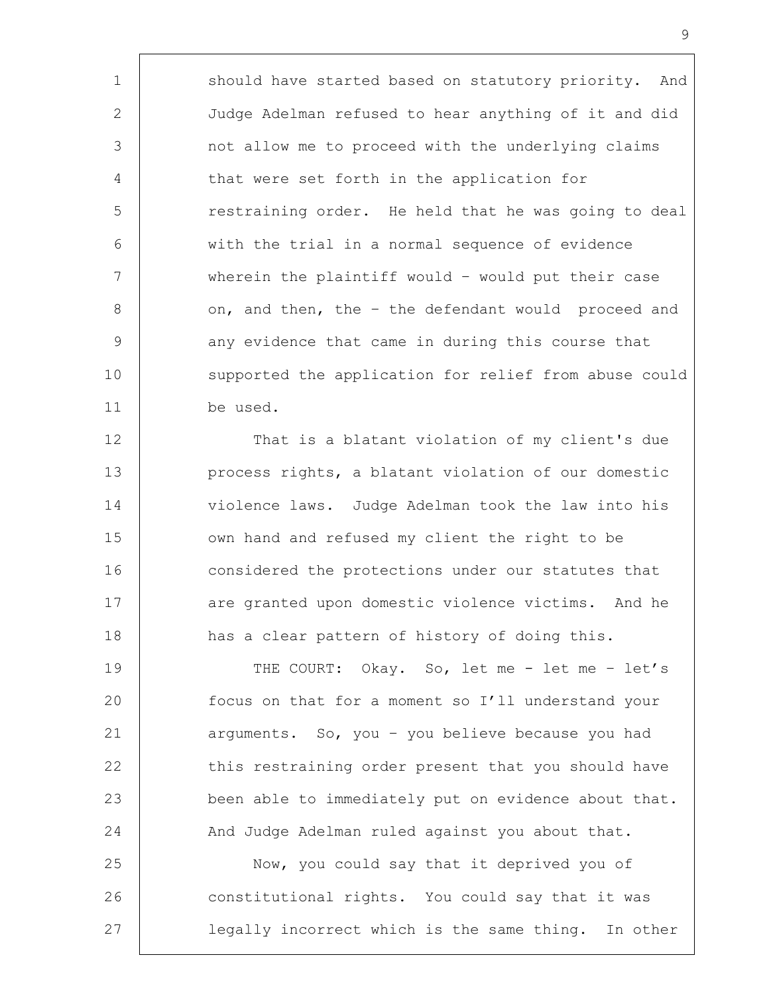1 should have started based on statutory priority. And 2 Judge Adelman refused to hear anything of it and did 3 not allow me to proceed with the underlying claims 4 that were set forth in the application for 5 The straining order. He held that he was going to deal 6 with the trial in a normal sequence of evidence 7 wherein the plaintiff would – would put their case 8 | on, and then, the - the defendant would proceed and 9 any evidence that came in during this course that 10 supported the application for relief from abuse could 11 be used.

12 That is a blatant violation of my client's due 13 **process rights, a blatant violation of our domestic** 14 violence laws. Judge Adelman took the law into his 15 | own hand and refused my client the right to be 16 considered the protections under our statutes that 17 are granted upon domestic violence victims. And he 18 has a clear pattern of history of doing this.

19 THE COURT: Okay. So, let me - let me - let's 20 focus on that for a moment so I'll understand your 21 arguments. So, you - you believe because you had 22 this restraining order present that you should have 23 been able to immediately put on evidence about that. 24 And Judge Adelman ruled against you about that.

25 | Now, you could say that it deprived you of 26 constitutional rights. You could say that it was 27 legally incorrect which is the same thing. In other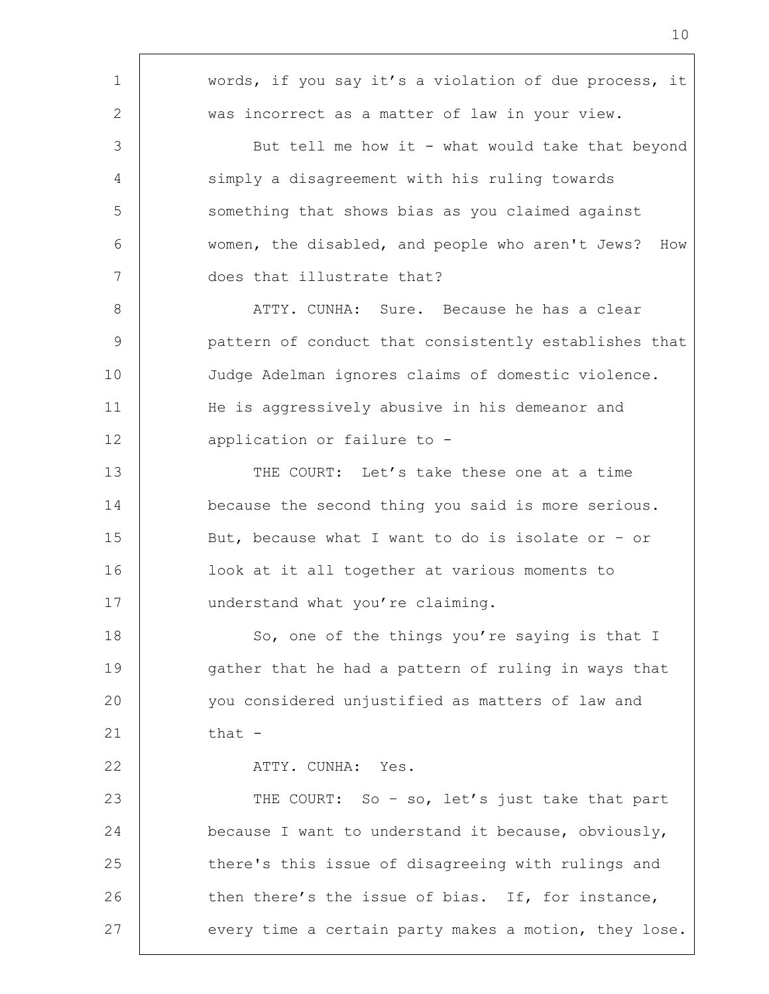| $\mathbf 1$     | words, if you say it's a violation of due process, it   |
|-----------------|---------------------------------------------------------|
| 2               | was incorrect as a matter of law in your view.          |
| 3               | But tell me how it - what would take that beyond        |
| 4               | simply a disagreement with his ruling towards           |
| 5               | something that shows bias as you claimed against        |
| 6               | women, the disabled, and people who aren't Jews?<br>How |
| $7\phantom{.0}$ | does that illustrate that?                              |
| 8               | ATTY. CUNHA: Sure. Because he has a clear               |
| 9               | pattern of conduct that consistently establishes that   |
| 10              | Judge Adelman ignores claims of domestic violence.      |
| 11              | He is aggressively abusive in his demeanor and          |
| 12              | application or failure to -                             |
| 13              | THE COURT: Let's take these one at a time               |
| 14              | because the second thing you said is more serious.      |
| 15              | But, because what I want to do is isolate or - or       |
| 16              | look at it all together at various moments to           |
| 17              | understand what you're claiming.                        |
| 18              | So, one of the things you're saying is that I           |
| 19              | gather that he had a pattern of ruling in ways that     |
| 20              | you considered unjustified as matters of law and        |
| 21              | that -                                                  |
| 22              | ATTY. CUNHA: Yes.                                       |
| 23              | THE COURT: So - so, let's just take that part           |
| 24              | because I want to understand it because, obviously,     |
| 25              | there's this issue of disagreeing with rulings and      |
| 26              | then there's the issue of bias. If, for instance,       |
| 27              | every time a certain party makes a motion, they lose.   |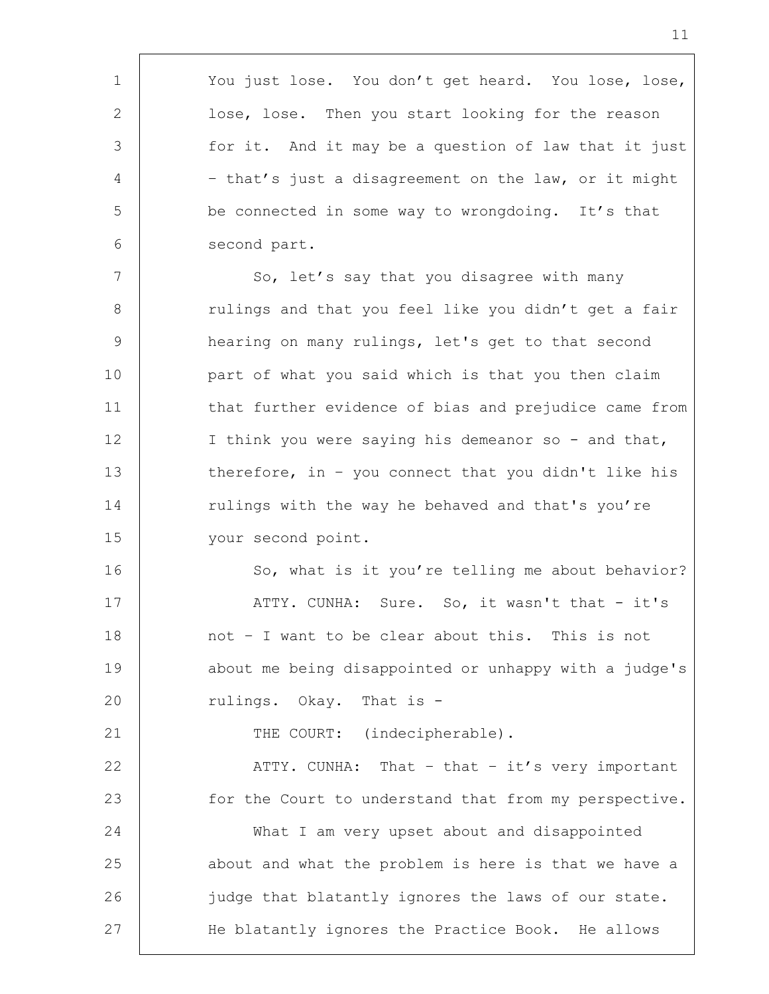1 You just lose. You don't get heard. You lose, lose, 2 | lose, lose. Then you start looking for the reason 3 for it. And it may be a question of law that it just 4 | - that's just a disagreement on the law, or it might 5 be connected in some way to wrongdoing. It's that 6 second part. 7 | So, let's say that you disagree with many 8 | Tulings and that you feel like you didn't get a fair 9 hearing on many rulings, let's get to that second 10 part of what you said which is that you then claim 11 that further evidence of bias and prejudice came from 12 | I think you were saying his demeanor so - and that, 13 therefore, in - you connect that you didn't like his 14 Tulings with the way he behaved and that's you're 15 your second point. 16 So, what is it you're telling me about behavior? 17 | ATTY. CUNHA: Sure. So, it wasn't that - it's 18 not - I want to be clear about this. This is not 19 | about me being disappointed or unhappy with a judge's 20 Tulings. Okay. That is -21 THE COURT: (indecipherable). 22 | ATTY. CUNHA: That - that - it's very important 23 for the Court to understand that from my perspective. 24 What I am very upset about and disappointed 25 about and what the problem is here is that we have a 26 | judge that blatantly ignores the laws of our state. 27 | He blatantly ignores the Practice Book. He allows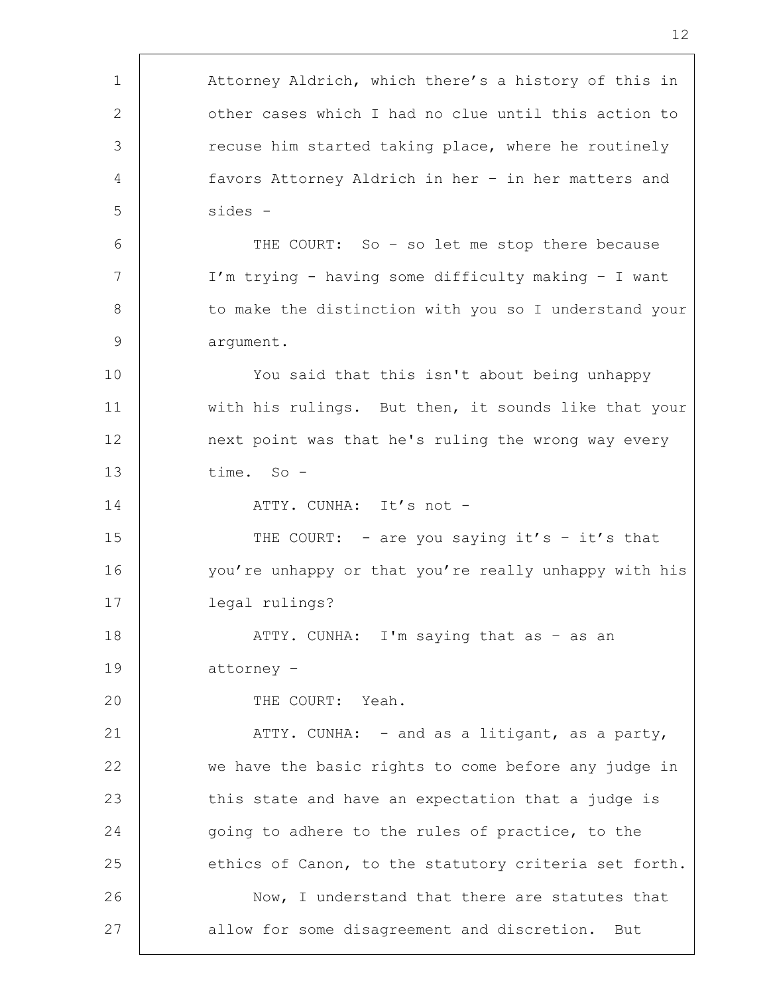| $\mathbf{1}$ | Attorney Aldrich, which there's a history of this in  |
|--------------|-------------------------------------------------------|
| 2            | other cases which I had no clue until this action to  |
| 3            | recuse him started taking place, where he routinely   |
| 4            | favors Attorney Aldrich in her - in her matters and   |
| 5            | sides -                                               |
| 6            | THE COURT: So - so let me stop there because          |
| 7            | I'm trying - having some difficulty making - I want   |
| 8            | to make the distinction with you so I understand your |
| 9            | argument.                                             |
| 10           | You said that this isn't about being unhappy          |
| 11           | with his rulings. But then, it sounds like that your  |
| 12           | next point was that he's ruling the wrong way every   |
| 13           | time. So -                                            |
| 14           | ATTY. CUNHA: It's not -                               |
| 15           | THE COURT: - are you saying it's - it's that          |
| 16           | you're unhappy or that you're really unhappy with his |
| 17           | legal rulings?                                        |
| 18           | ATTY. CUNHA: I'm saying that as - as an               |
| 19           | attorney -                                            |
| 20           | THE COURT: Yeah.                                      |
| 21           | ATTY. CUNHA: - and as a litigant, as a party,         |
| 22           | we have the basic rights to come before any judge in  |
| 23           | this state and have an expectation that a judge is    |
| 24           | going to adhere to the rules of practice, to the      |
| 25           | ethics of Canon, to the statutory criteria set forth. |
| 26           | Now, I understand that there are statutes that        |
| 27           | allow for some disagreement and discretion. But       |
|              |                                                       |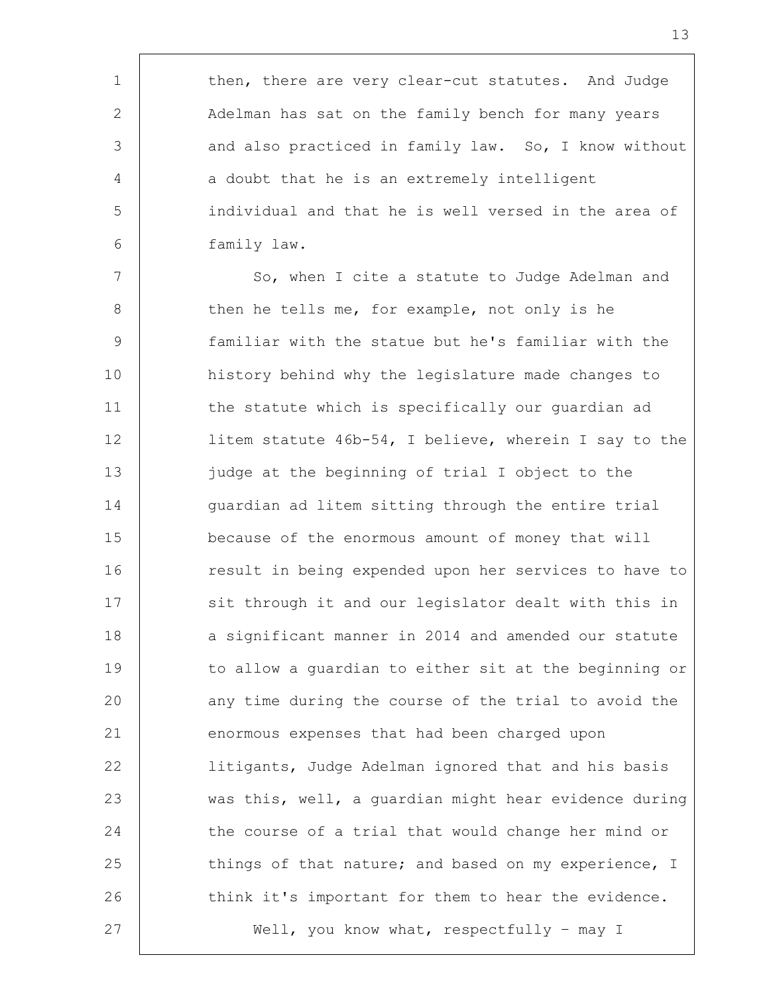1 then, there are very clear-cut statutes. And Judge 2 Adelman has sat on the family bench for many years 3 and also practiced in family law. So, I know without 4 a doubt that he is an extremely intelligent 5 individual and that he is well versed in the area of 6 family law.

7 | So, when I cite a statute to Judge Adelman and 8 then he tells me, for example, not only is he 9 familiar with the statue but he's familiar with the 10 history behind why the legislature made changes to 11 | the statute which is specifically our guardian ad 12 litem statute 46b-54, I believe, wherein I say to the 13 judge at the beginning of trial I object to the 14 quardian ad litem sitting through the entire trial 15 because of the enormous amount of money that will 16 The result in being expended upon her services to have to 17 | sit through it and our legislator dealt with this in 18 a significant manner in 2014 and amended our statute 19 to allow a quardian to either sit at the beginning or 20 any time during the course of the trial to avoid the 21 enormous expenses that had been charged upon 22 litigants, Judge Adelman ignored that and his basis 23 was this, well, a guardian might hear evidence during 24 the course of a trial that would change her mind or 25 things of that nature; and based on my experience, I 26 think it's important for them to hear the evidence. 27 Well, you know what, respectfully - may I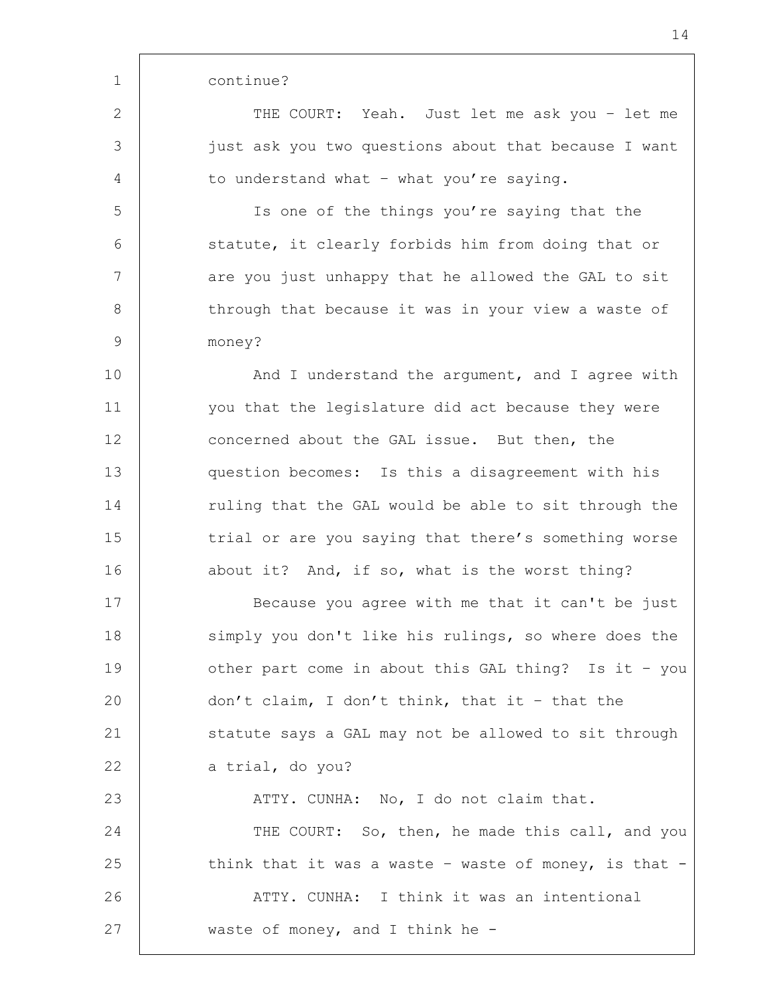1 continue? 2 THE COURT: Yeah. Just let me ask you - let me 3 just ask you two questions about that because I want 4 to understand what – what you're saying. 5 Is one of the things you're saying that the 6 statute, it clearly forbids him from doing that or 7 are you just unhappy that he allowed the GAL to sit 8 | through that because it was in your view a waste of 9 money? 10 | And I understand the argument, and I agree with 11 you that the legislature did act because they were 12 concerned about the GAL issue. But then, the 13 question becomes: Is this a disagreement with his 14 Tuling that the GAL would be able to sit through the 15 trial or are you saying that there's something worse 16 about it? And, if so, what is the worst thing? 17 | Because you agree with me that it can't be just 18 simply you don't like his rulings, so where does the 19 cther part come in about this GAL thing? Is it - you 20 | don't claim, I don't think, that it - that the 21 Statute says a GAL may not be allowed to sit through 22 a trial, do you? 23 ATTY. CUNHA: No, I do not claim that. 24 THE COURT: So, then, he made this call, and you 25 think that it was a waste – waste of money, is that  $-$ 26 | ATTY. CUNHA: I think it was an intentional 27 | waste of money, and I think he -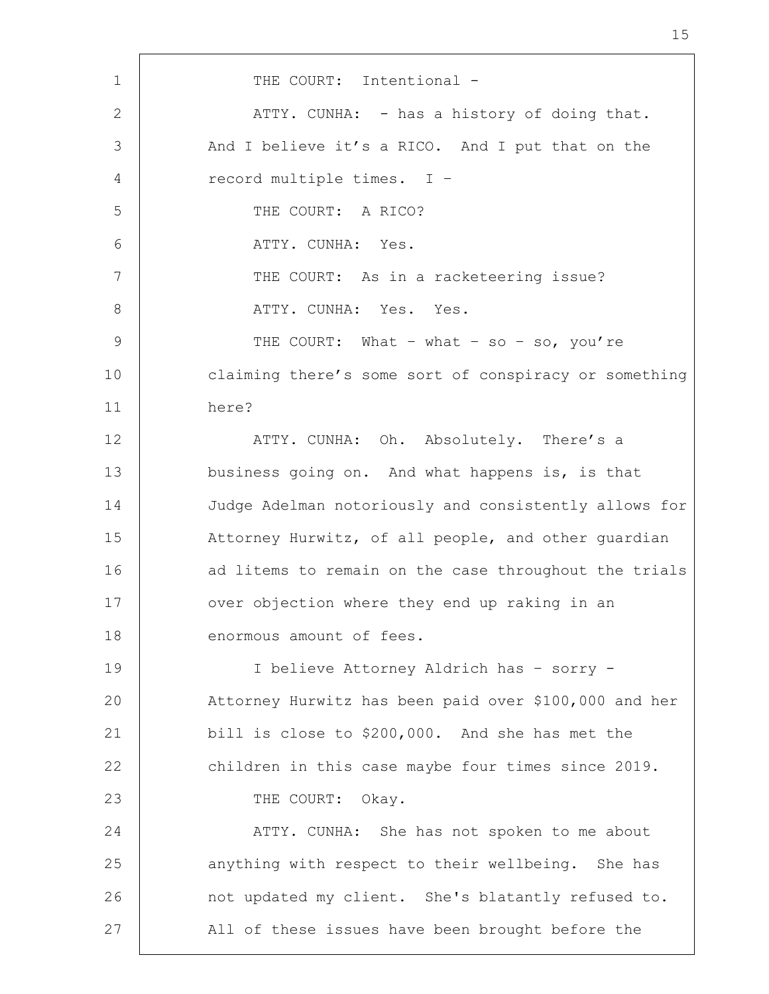1 | THE COURT: Intentional -2 ATTY. CUNHA: - has a history of doing that. 3 And I believe it's a RICO. And I put that on the 4 record multiple times. I – 5 THE COURT: A RICO? 6 ATTY. CUNHA: Yes. 7 THE COURT: As in a racketeering issue? 8 ATTY. CUNHA: Yes. Yes. 9 | THE COURT: What – what – so – so, you're 10 claiming there's some sort of conspiracy or something 11 here? 12 | THE ATTY. CUNHA: Oh. Absolutely. There's a 13 business going on. And what happens is, is that 14 Judge Adelman notoriously and consistently allows for 15 | Attorney Hurwitz, of all people, and other guardian 16 ad litems to remain on the case throughout the trials 17 | over objection where they end up raking in an 18 | enormous amount of fees. 19 I believe Attorney Aldrich has – sorry - 20 Attorney Hurwitz has been paid over \$100,000 and her 21 bill is close to \$200,000. And she has met the 22 children in this case maybe four times since 2019. 23 THE COURT: Okay. 24 ATTY. CUNHA: She has not spoken to me about 25 anything with respect to their wellbeing. She has 26 | not updated my client. She's blatantly refused to. 27 | All of these issues have been brought before the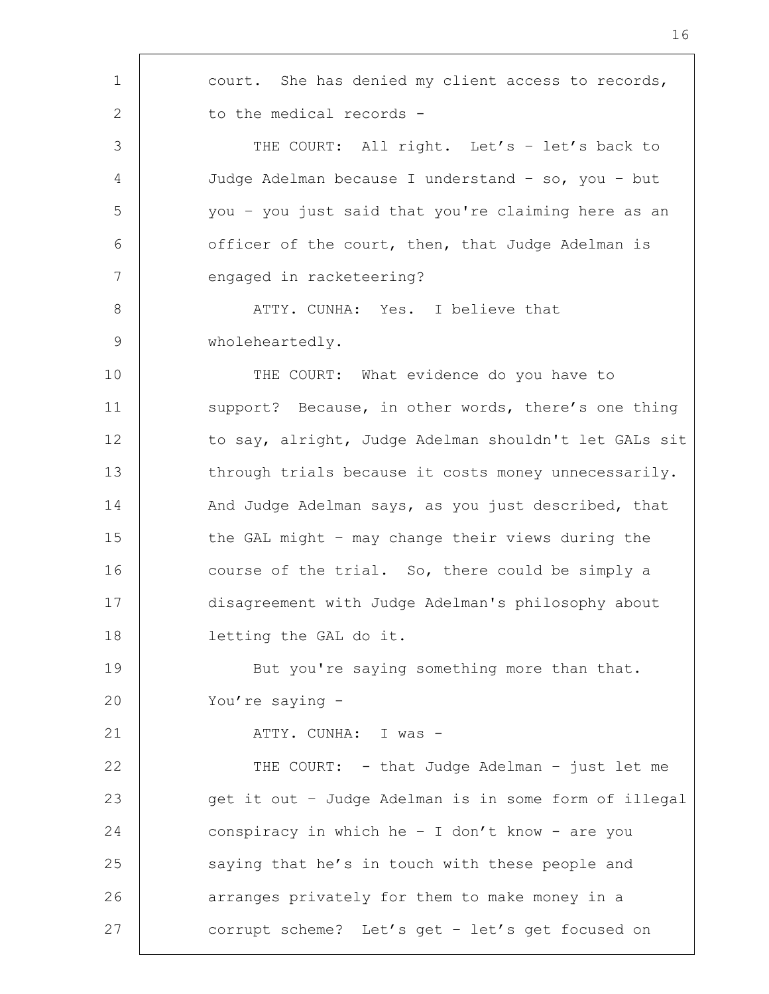1 | court. She has denied my client access to records, 2 | to the medical records -3 THE COURT: All right. Let's - let's back to 4 Judge Adelman because I understand – so, you – but 5 you – you just said that you're claiming here as an 6 officer of the court, then, that Judge Adelman is 7 engaged in racketeering? 8 | ATTY. CUNHA: Yes. I believe that 9 | wholeheartedly. 10 THE COURT: What evidence do you have to 11 | support? Because, in other words, there's one thing 12 to say, alright, Judge Adelman shouldn't let GALs sit 13 through trials because it costs money unnecessarily. 14 And Judge Adelman says, as you just described, that 15 | the GAL might - may change their views during the 16 course of the trial. So, there could be simply a 17 disagreement with Judge Adelman's philosophy about 18 letting the GAL do it. 19 But you're saying something more than that. 20 You're saying -21 ATTY. CUNHA: I was - 22 | THE COURT: - that Judge Adelman - just let me 23 get it out – Judge Adelman is in some form of illegal 24 conspiracy in which he – I don't know - are you 25 saying that he's in touch with these people and 26 **arranges privately for them to make money in a** 27 corrupt scheme? Let's get - let's get focused on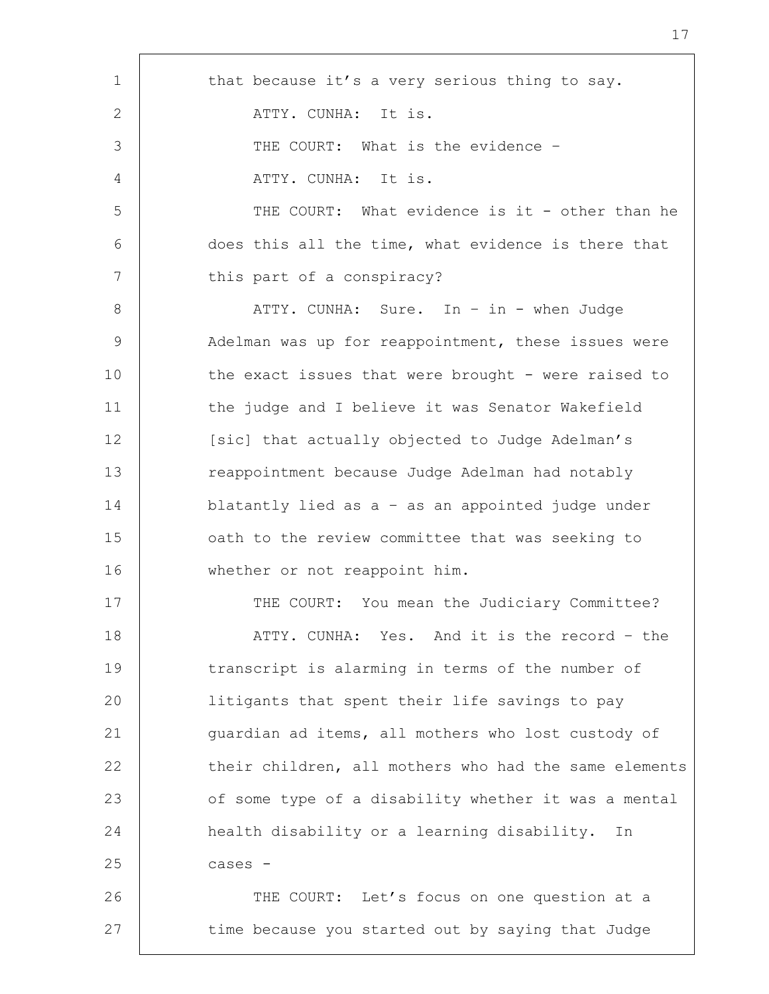| $\mathbf 1$    | that because it's a very serious thing to say.        |
|----------------|-------------------------------------------------------|
| 2              | ATTY. CUNHA: It is.                                   |
| 3              | THE COURT: What is the evidence -                     |
| $\overline{4}$ | ATTY. CUNHA: It is.                                   |
| 5              | THE COURT: What evidence is it - other than he        |
| 6              | does this all the time, what evidence is there that   |
| 7              | this part of a conspiracy?                            |
| 8              | ATTY. CUNHA: Sure. In - in - when Judge               |
| $\overline{9}$ | Adelman was up for reappointment, these issues were   |
| 10             | the exact issues that were brought - were raised to   |
| 11             | the judge and I believe it was Senator Wakefield      |
| 12             | [sic] that actually objected to Judge Adelman's       |
| 13             | reappointment because Judge Adelman had notably       |
| 14             | blatantly lied as a - as an appointed judge under     |
| 15             | oath to the review committee that was seeking to      |
| 16             | whether or not reappoint him.                         |
| 17             | THE COURT: You mean the Judiciary Committee?          |
| 18             | ATTY. CUNHA: Yes. And it is the record - the          |
| 19             | transcript is alarming in terms of the number of      |
| 20             | litigants that spent their life savings to pay        |
| 21             | quardian ad items, all mothers who lost custody of    |
| 22             | their children, all mothers who had the same elements |
| 23             | of some type of a disability whether it was a mental  |
| 24             | health disability or a learning disability. In        |
| 25             | cases -                                               |
| 26             | THE COURT: Let's focus on one question at a           |
| 27             | time because you started out by saying that Judge     |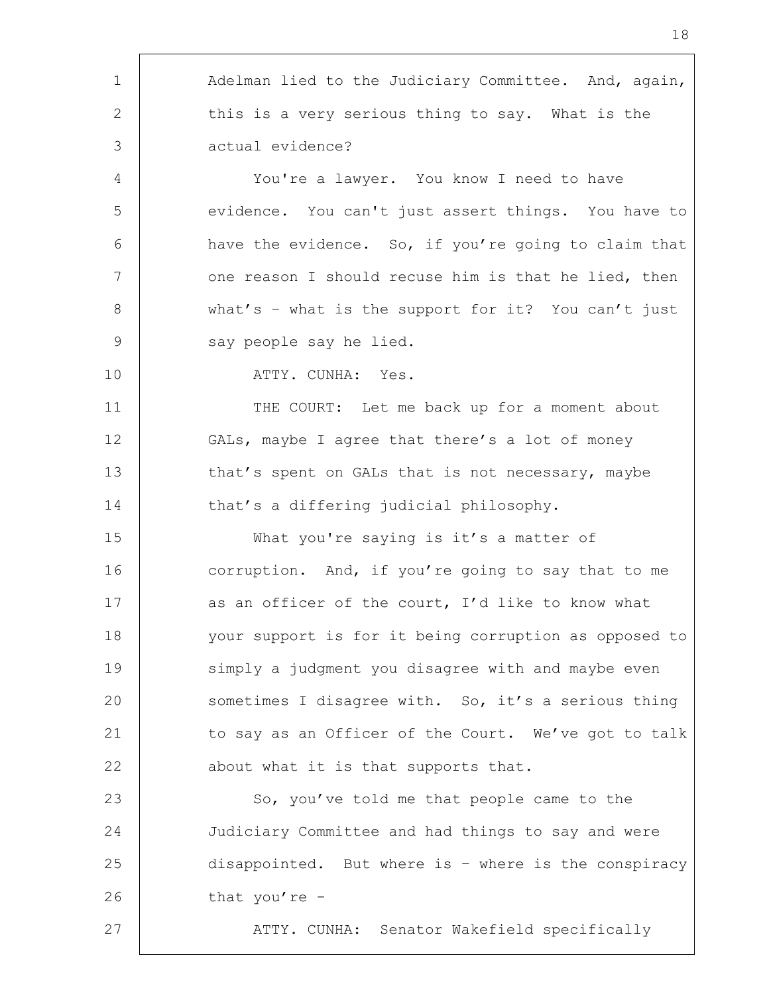| $\mathbf 1$     | Adelman lied to the Judiciary Committee. And, again,  |
|-----------------|-------------------------------------------------------|
| 2               | this is a very serious thing to say. What is the      |
| 3               | actual evidence?                                      |
| 4               | You're a lawyer. You know I need to have              |
| 5               | evidence. You can't just assert things. You have to   |
| 6               | have the evidence. So, if you're going to claim that  |
| $7\phantom{.0}$ | one reason I should recuse him is that he lied, then  |
| 8               | what's - what is the support for it? You can't just   |
| $\mathsf 9$     | say people say he lied.                               |
| 10              | ATTY. CUNHA: Yes.                                     |
| 11              | THE COURT: Let me back up for a moment about          |
| 12              | GALs, maybe I agree that there's a lot of money       |
| 13              | that's spent on GALs that is not necessary, maybe     |
| 14              | that's a differing judicial philosophy.               |
| 15              | What you're saying is it's a matter of                |
| 16              | corruption. And, if you're going to say that to me    |
| 17              | as an officer of the court, I'd like to know what     |
| 18              | your support is for it being corruption as opposed to |
| 19              | simply a judgment you disagree with and maybe even    |
| 20              | sometimes I disagree with. So, it's a serious thing   |
| 21              | to say as an Officer of the Court. We've got to talk  |
| 22              | about what it is that supports that.                  |
| 23              | So, you've told me that people came to the            |
| 24              | Judiciary Committee and had things to say and were    |
| 25              | disappointed. But where is - where is the conspiracy  |
| 26              | that you're -                                         |
| 27              | ATTY. CUNHA: Senator Wakefield specifically           |
|                 |                                                       |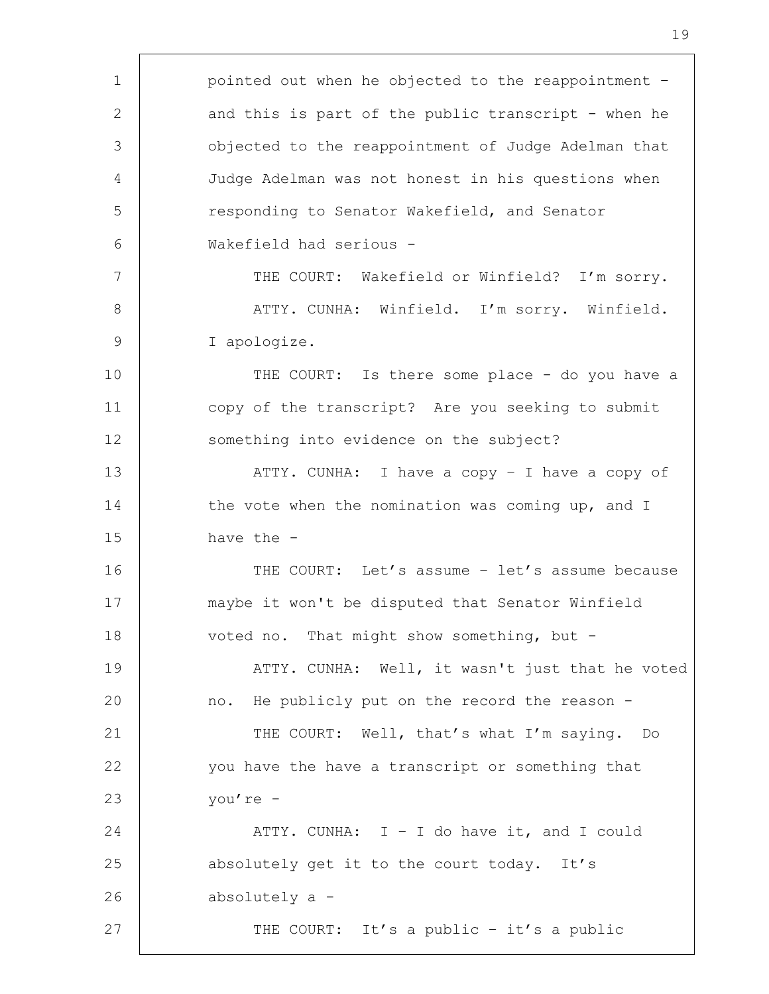1 | pointed out when he objected to the reappointment -2 and this is part of the public transcript - when he 3 objected to the reappointment of Judge Adelman that 4 Judge Adelman was not honest in his questions when 5 The Senator Wakefield, and Senator 6 Wakefield had serious - 7 | THE COURT: Wakefield or Winfield? I'm sorry. 8 | ATTY. CUNHA: Winfield. I'm sorry. Winfield. 9 I apologize. 10 THE COURT: Is there some place - do you have a 11 | copy of the transcript? Are you seeking to submit 12 Something into evidence on the subject? 13 | ATTY. CUNHA: I have a copy - I have a copy of 14 the vote when the nomination was coming up, and I 15 have the - 16 THE COURT: Let's assume - let's assume because 17 maybe it won't be disputed that Senator Winfield 18 voted no. That might show something, but -19 | ATTY. CUNHA: Well, it wasn't just that he voted 20 no. He publicly put on the record the reason - 21 | THE COURT: Well, that's what I'm saying. Do 22 you have the have a transcript or something that 23 you're - 24  $\vert$  ATTY. CUNHA: I - I do have it, and I could 25 absolutely get it to the court today. It's 26 absolutely a - 27 | THE COURT: It's a public - it's a public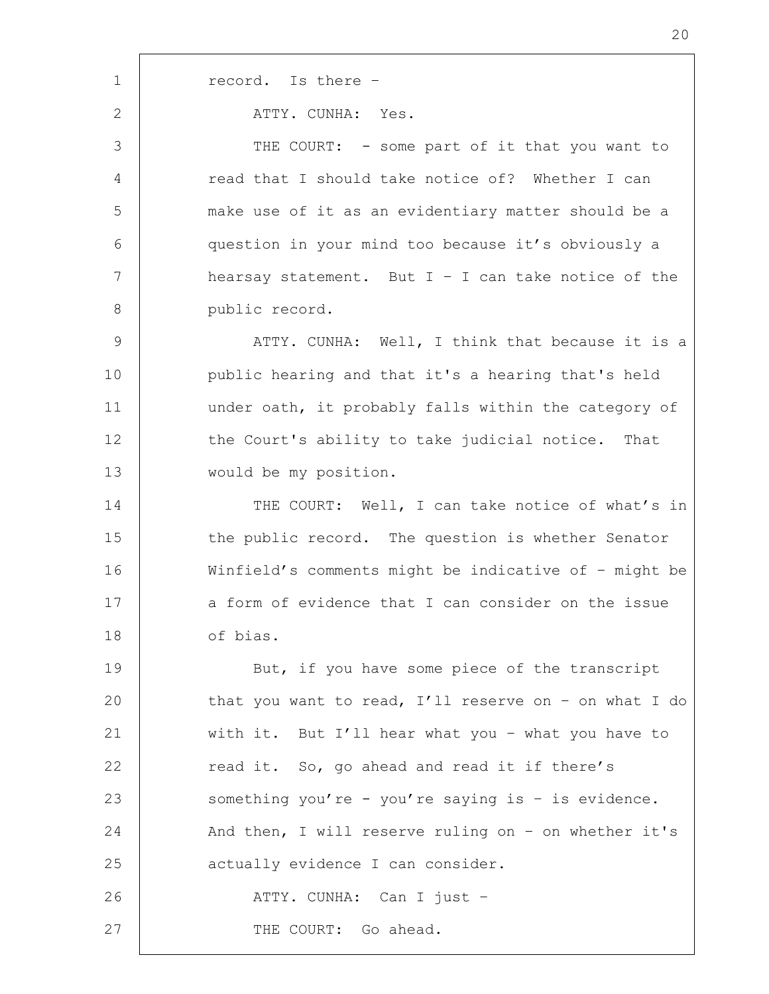1 record. Is there -2 | ATTY. CUNHA: Yes. 3 THE COURT: - some part of it that you want to 4 read that I should take notice of? Whether I can 5 make use of it as an evidentiary matter should be a 6 question in your mind too because it's obviously a 7 hearsay statement. But I – I can take notice of the 8 public record. 9 | ATTY. CUNHA: Well, I think that because it is a 10 public hearing and that it's a hearing that's held 11 | under oath, it probably falls within the category of 12 | the Court's ability to take judicial notice. That 13 would be my position. 14 THE COURT: Well, I can take notice of what's in 15 the public record. The question is whether Senator 16 Winfield's comments might be indicative of – might be 17 a form of evidence that I can consider on the issue 18 of bias. 19 But, if you have some piece of the transcript 20 that you want to read, I'll reserve on - on what I do 21 with it. But I'll hear what you – what you have to 22 | read it. So, go ahead and read it if there's 23 something you're - you're saying is - is evidence. 24 And then, I will reserve ruling on - on whether it's 25 actually evidence I can consider. 26 ATTY. CUNHA: Can I just – 27 | THE COURT: Go ahead.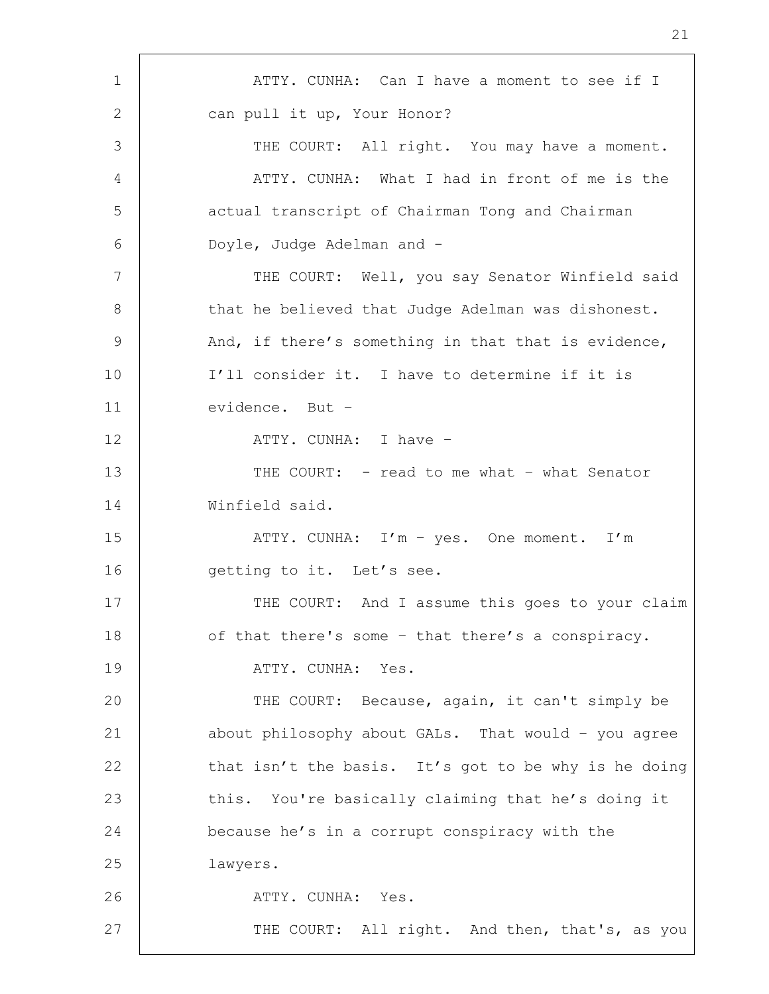1 | ATTY. CUNHA: Can I have a moment to see if I 2 can pull it up, Your Honor? 3 THE COURT: All right. You may have a moment. 4 ATTY. CUNHA: What I had in front of me is the 5 | actual transcript of Chairman Tong and Chairman 6 Doyle, Judge Adelman and - 7 | THE COURT: Well, you say Senator Winfield said 8 | that he believed that Judge Adelman was dishonest. 9 And, if there's something in that that is evidence, 10 I'll consider it. I have to determine if it is 11 evidence. But – 12 ATTY. CUNHA: I have – 13 THE COURT: - read to me what - what Senator 14 Winfield said. 15 | ATTY. CUNHA: I'm - yes. One moment. I'm 16 | getting to it. Let's see. 17 THE COURT: And I assume this goes to your claim 18 of that there's some - that there's a conspiracy. 19 | ATTY. CUNHA: Yes. 20 | THE COURT: Because, again, it can't simply be 21 | about philosophy about GALs. That would - you agree 22 that isn't the basis. It's got to be why is he doing 23 this. You're basically claiming that he's doing it 24 because he's in a corrupt conspiracy with the 25 lawyers. 26 | ATTY. CUNHA: Yes. 27 | THE COURT: All right. And then, that's, as you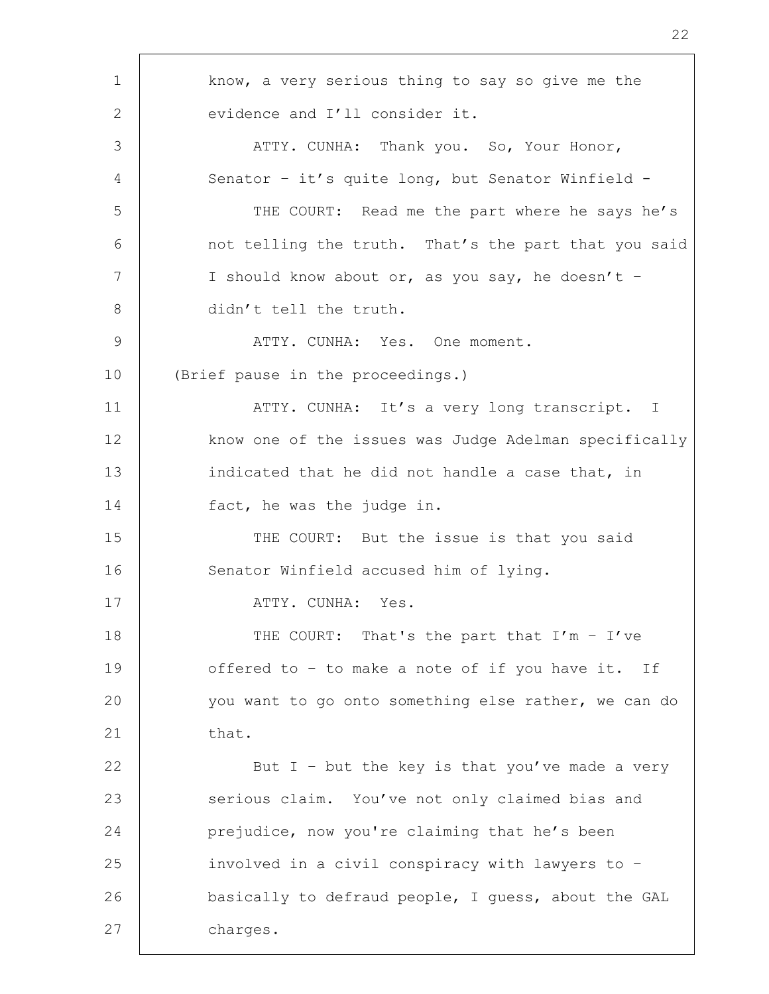1 | know, a very serious thing to say so give me the 2 evidence and I'll consider it. 3 | ATTY. CUNHA: Thank you. So, Your Honor, 4 | Senator - it's quite long, but Senator Winfield -5 THE COURT: Read me the part where he says he's 6 | not telling the truth. That's the part that you said 7 | I should know about or, as you say, he doesn't -8 didn't tell the truth. 9 ATTY. CUNHA: Yes. One moment. 10 (Brief pause in the proceedings.) 11 | ATTY. CUNHA: It's a very long transcript. I 12 know one of the issues was Judge Adelman specifically 13 indicated that he did not handle a case that, in 14 fact, he was the judge in. 15 THE COURT: But the issue is that you said 16 | Senator Winfield accused him of lying. 17 ATTY. CUNHA: Yes. 18 THE COURT: That's the part that I'm - I've 19 offered to - to make a note of if you have it. If 20 you want to go onto something else rather, we can do  $21$  that. 22 | But I - but the key is that you've made a very 23 serious claim. You've not only claimed bias and 24 prejudice, now you're claiming that he's been 25 involved in a civil conspiracy with lawyers to – 26 basically to defraud people, I guess, about the GAL 27 charges.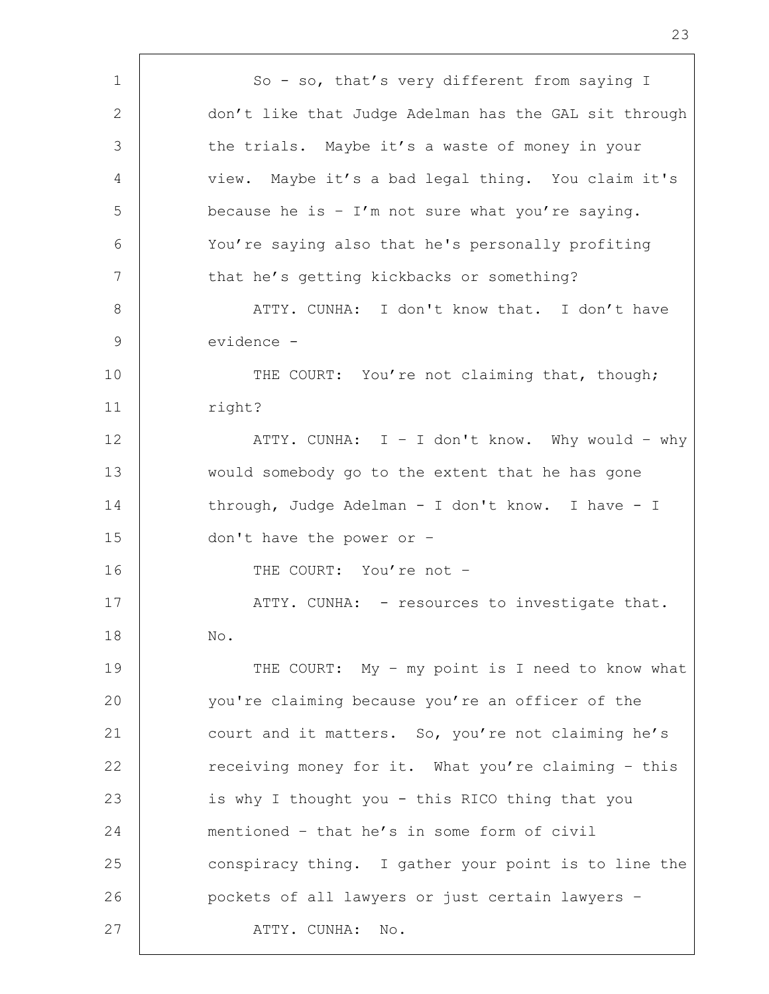1 | So - so, that's very different from saying I 2 don't like that Judge Adelman has the GAL sit through 3 the trials. Maybe it's a waste of money in your 4 | view. Maybe it's a bad legal thing. You claim it's  $5$  because he is - I'm not sure what you're saying. 6 You're saying also that he's personally profiting 7 that he's getting kickbacks or something? 8 | ATTY. CUNHA: I don't know that. I don't have 9 evidence - 10 THE COURT: You're not claiming that, though; 11 | right? 12 | ATTY. CUNHA: I - I don't know. Why would - why 13 would somebody go to the extent that he has gone 14 through, Judge Adelman - I don't know. I have - I 15 don't have the power or – 16 THE COURT: You're not -17 | ATTY. CUNHA: - resources to investigate that. 18 No. 19 THE COURT: My - my point is I need to know what 20 you're claiming because you're an officer of the 21 court and it matters. So, you're not claiming he's 22 ereceiving money for it. What you're claiming - this 23 is why I thought you - this RICO thing that you 24 mentioned – that he's in some form of civil 25 conspiracy thing. I gather your point is to line the 26 pockets of all lawyers or just certain lawyers – 27 | ATTY. CUNHA: No.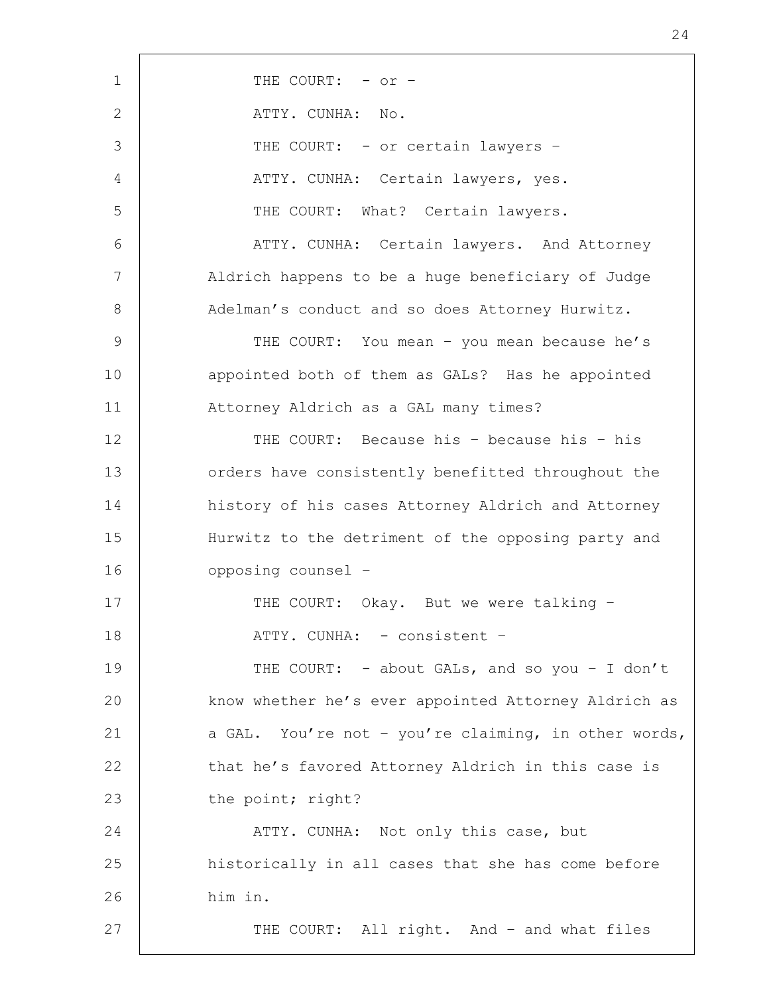| $\mathbf 1$     | THE COURT: - or -                                    |
|-----------------|------------------------------------------------------|
| 2               | ATTY. CUNHA: No.                                     |
| 3               | THE COURT: - or certain lawyers -                    |
| 4               | ATTY. CUNHA: Certain lawyers, yes.                   |
| 5               | THE COURT: What? Certain lawyers.                    |
| 6               | ATTY. CUNHA: Certain lawyers. And Attorney           |
| $7\phantom{.0}$ | Aldrich happens to be a huge beneficiary of Judge    |
| 8               | Adelman's conduct and so does Attorney Hurwitz.      |
| 9               | THE COURT: You mean - you mean because he's          |
| 10              | appointed both of them as GALs? Has he appointed     |
| 11              | Attorney Aldrich as a GAL many times?                |
| 12              | THE COURT: Because his - because his - his           |
| 13              | orders have consistently benefitted throughout the   |
| 14              | history of his cases Attorney Aldrich and Attorney   |
| 15              | Hurwitz to the detriment of the opposing party and   |
| 16              | opposing counsel -                                   |
| 17              | THE COURT: Okay. But we were talking -               |
| 18              | ATTY. CUNHA: - consistent -                          |
| 19              | THE COURT: - about GALs, and so you - I don't        |
| 20              | know whether he's ever appointed Attorney Aldrich as |
| 21              | a GAL. You're not - you're claiming, in other words, |
| 22              | that he's favored Attorney Aldrich in this case is   |
| 23              | the point; right?                                    |
| 24              | ATTY. CUNHA: Not only this case, but                 |
| 25              | historically in all cases that she has come before   |
| 26              | him in.                                              |
| 27              | THE COURT: All right. And - and what files           |
|                 |                                                      |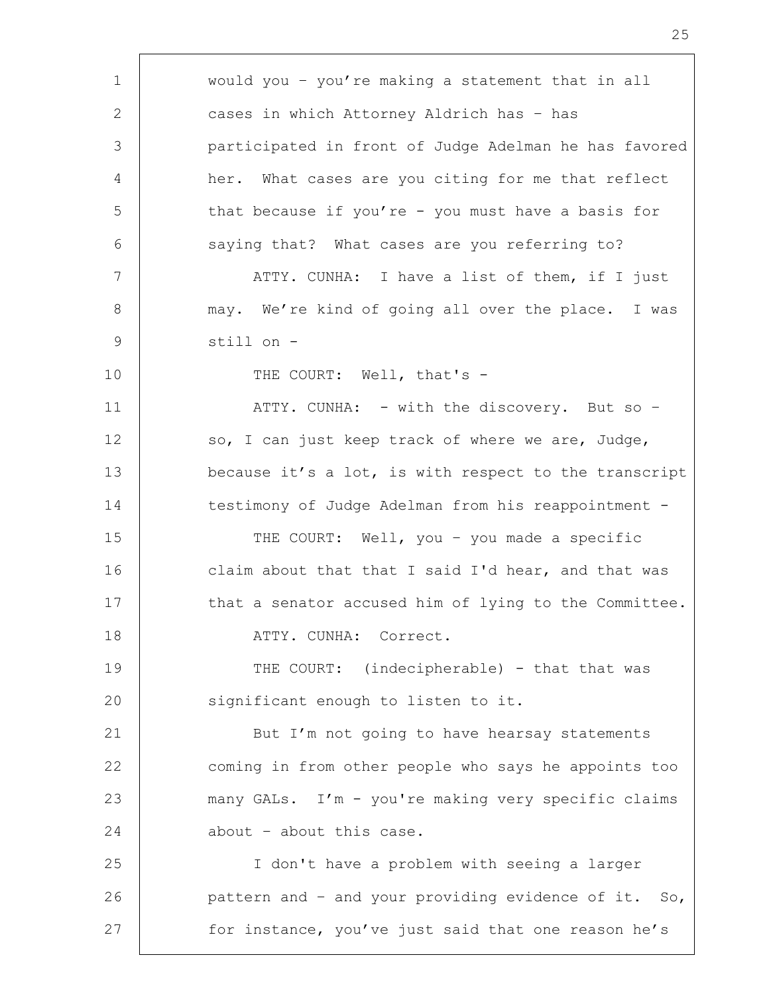1 would you – you're making a statement that in all 2 cases in which Attorney Aldrich has – has 3 participated in front of Judge Adelman he has favored 4 her. What cases are you citing for me that reflect 5 that because if you're - you must have a basis for 6 saying that? What cases are you referring to? 7 | ATTY. CUNHA: I have a list of them, if I just 8 | may. We're kind of going all over the place. I was 9 still on - 10 | THE COURT: Well, that's -11 | ATTY. CUNHA: - with the discovery. But so -12 so, I can just keep track of where we are, Judge, 13 because it's a lot, is with respect to the transcript 14 testimony of Judge Adelman from his reappointment -15 | THE COURT: Well, you - you made a specific 16 claim about that that I said I'd hear, and that was 17 that a senator accused him of lying to the Committee. 18 ATTY. CUNHA: Correct. 19 THE COURT: (indecipherable) - that that was 20 | significant enough to listen to it. 21 But I'm not going to have hearsay statements 22 coming in from other people who says he appoints too 23 many GALs. I'm - you're making very specific claims 24 about – about this case. 25 I don't have a problem with seeing a larger 26 **pattern and - and your providing evidence of it.** So, 27 for instance, you've just said that one reason he's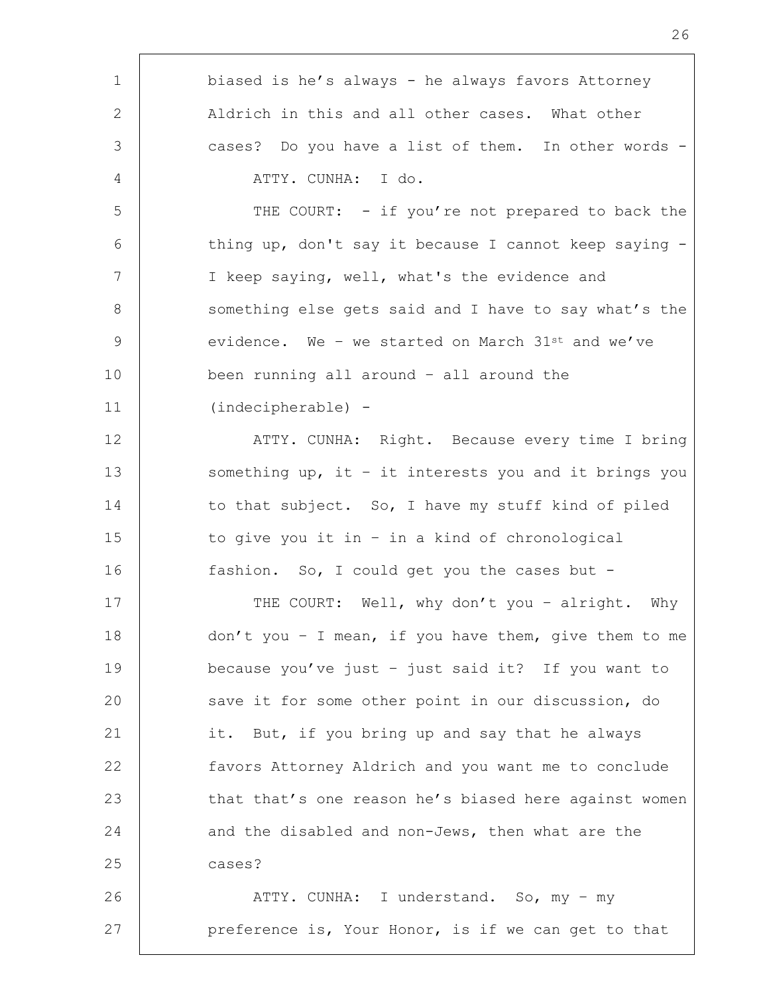| 1               | biased is he's always - he always favors Attorney      |
|-----------------|--------------------------------------------------------|
| 2               | Aldrich in this and all other cases. What other        |
| 3               | cases? Do you have a list of them. In other words -    |
| 4               | ATTY. CUNHA: I do.                                     |
| 5               | THE COURT: - if you're not prepared to back the        |
| 6               | thing up, don't say it because I cannot keep saying -  |
| $7\phantom{.0}$ | I keep saying, well, what's the evidence and           |
| 8               | something else gets said and I have to say what's the  |
| $\mathcal{G}$   | evidence. We - we started on March $31^{st}$ and we've |
| 10              | been running all around - all around the               |
| 11              | (indecipherable) -                                     |
| 12              | ATTY. CUNHA: Right. Because every time I bring         |
| 13              | something up, it - it interests you and it brings you  |
| 14              | to that subject. So, I have my stuff kind of piled     |
| 15              | to give you it in - in a kind of chronological         |
| 16              | fashion. So, I could get you the cases but -           |
| 17              | THE COURT: Well, why don't you - alright. Why          |
| 18              | don't you - I mean, if you have them, give them to me  |
| 19              | because you've just - just said it? If you want to     |
| 20              | save it for some other point in our discussion, do     |
| 21              | it. But, if you bring up and say that he always        |
| 22              | favors Attorney Aldrich and you want me to conclude    |
| 23              | that that's one reason he's biased here against women  |
| 24              | and the disabled and non-Jews, then what are the       |
| 25              | cases?                                                 |
| 26              | ATTY. CUNHA: I understand. So, my - my                 |
| 27              | preference is, Your Honor, is if we can get to that    |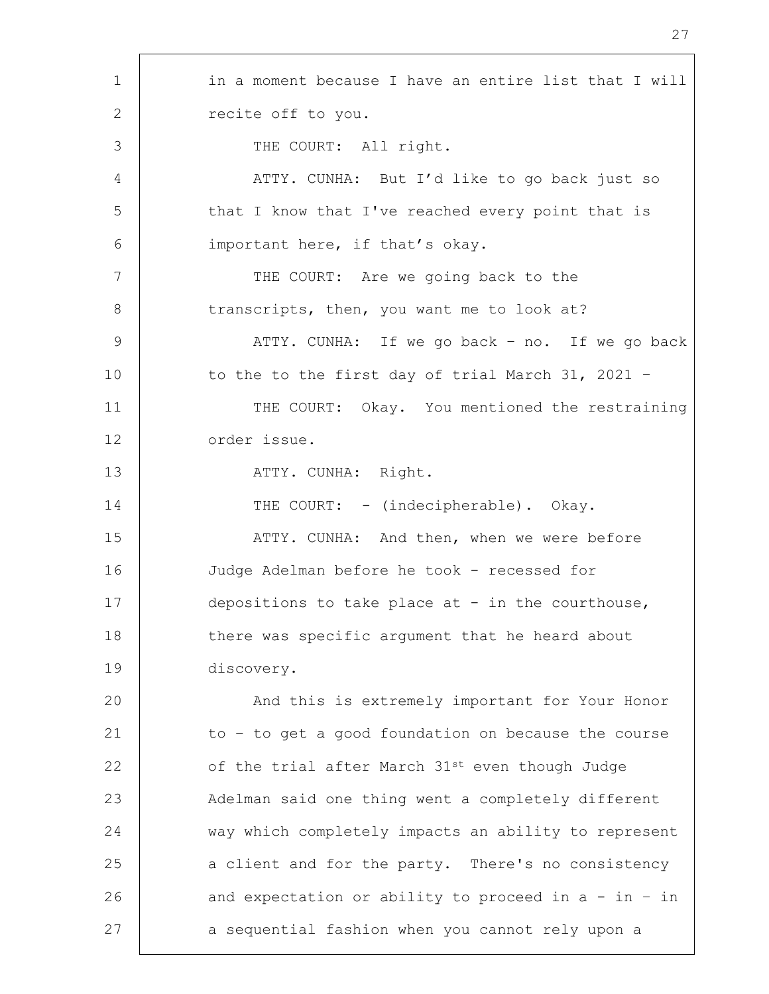| $\mathbf 1$    | in a moment because I have an entire list that I will  |
|----------------|--------------------------------------------------------|
| 2              | recite off to you.                                     |
| 3              | THE COURT: All right.                                  |
| $\overline{4}$ | ATTY. CUNHA: But I'd like to go back just so           |
| 5              | that I know that I've reached every point that is      |
| 6              | important here, if that's okay.                        |
| 7              | THE COURT: Are we going back to the                    |
| 8              | transcripts, then, you want me to look at?             |
| $\overline{9}$ | ATTY. CUNHA: If we go back - no. If we go back         |
| 10             | to the to the first day of trial March 31, 2021 -      |
| 11             | THE COURT: Okay. You mentioned the restraining         |
| 12             | order issue.                                           |
| 13             | ATTY. CUNHA: Right.                                    |
| 14             | THE COURT: - (indecipherable). Okay.                   |
| 15             | ATTY. CUNHA: And then, when we were before             |
| 16             | Judge Adelman before he took - recessed for            |
| 17             | depositions to take place at - in the courthouse,      |
| 18             | there was specific argument that he heard about        |
| 19             | discovery.                                             |
| 20             | And this is extremely important for Your Honor         |
| 21             | to - to get a good foundation on because the course    |
| 22             | of the trial after March 31st even though Judge        |
| 23             | Adelman said one thing went a completely different     |
| 24             | way which completely impacts an ability to represent   |
| 25             | a client and for the party. There's no consistency     |
| 26             | and expectation or ability to proceed in $a - in - in$ |
| 27             | a sequential fashion when you cannot rely upon a       |
|                |                                                        |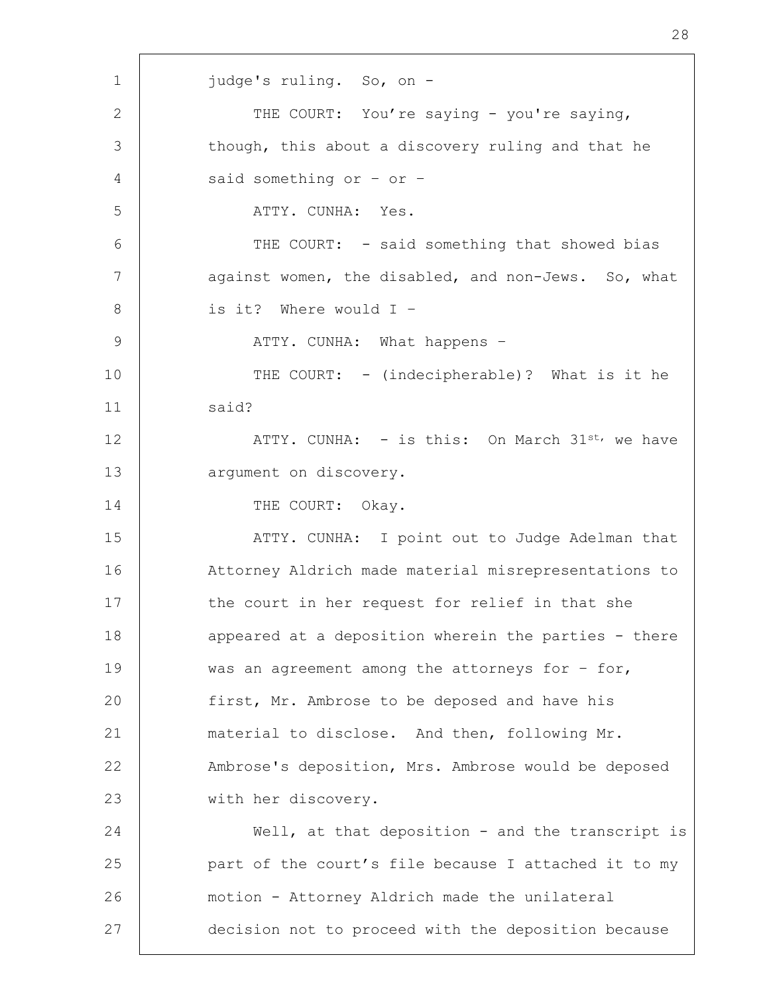1 judge's ruling. So, on - 2 THE COURT: You're saying - you're saying, 3 though, this about a discovery ruling and that he 4 said something or – or – 5 ATTY. CUNHA: Yes. 6 | THE COURT: - said something that showed bias 7 against women, the disabled, and non-Jews. So, what 8 | is it? Where would I -9 ATTY. CUNHA: What happens – 10 THE COURT: - (indecipherable)? What is it he 11 | said? 12 | ATTY. CUNHA: - is this: On March 31st, we have 13 argument on discovery. 14 THE COURT: Okay. 15 | ATTY. CUNHA: I point out to Judge Adelman that 16 Attorney Aldrich made material misrepresentations to 17 the court in her request for relief in that she 18 | appeared at a deposition wherein the parties - there 19 was an agreement among the attorneys for - for, 20 | first, Mr. Ambrose to be deposed and have his 21 material to disclose. And then, following Mr. 22 Ambrose's deposition, Mrs. Ambrose would be deposed 23 with her discovery. 24 Well, at that deposition - and the transcript is 25 **part of the court's file because I attached it to my** 26 motion - Attorney Aldrich made the unilateral 27 decision not to proceed with the deposition because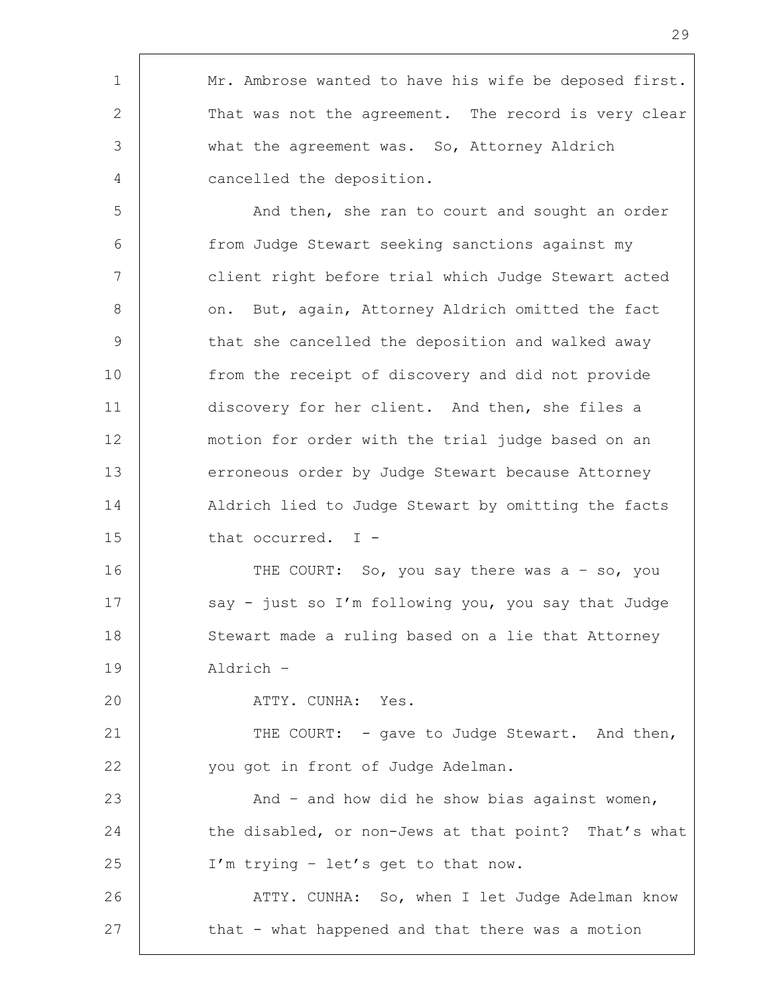| 1              | Mr. Ambrose wanted to have his wife be deposed first. |
|----------------|-------------------------------------------------------|
| 2 $\vert$      | That was not the agreement. The record is very clear  |
| 3 <sup>1</sup> | what the agreement was. So, Attorney Aldrich          |
| 4              | cancelled the deposition.                             |

Г

5 | And then, she ran to court and sought an order 6 from Judge Stewart seeking sanctions against my 7 client right before trial which Judge Stewart acted 8 | on. But, again, Attorney Aldrich omitted the fact 9 that she cancelled the deposition and walked away 10 from the receipt of discovery and did not provide 11 discovery for her client. And then, she files a 12 motion for order with the trial judge based on an 13 erroneous order by Judge Stewart because Attorney 14 Aldrich lied to Judge Stewart by omitting the facts 15 that occurred. I -

16 THE COURT: So, you say there was a - so, you 17 | say - just so I'm following you, you say that Judge 18 Stewart made a ruling based on a lie that Attorney 19 Aldrich –

20 | ATTY. CUNHA: Yes.

21 | THE COURT: - gave to Judge Stewart. And then, 22 you got in front of Judge Adelman.

23 | And – and how did he show bias against women, 24 the disabled, or non-Jews at that point? That's what 25 | I'm trying - let's get to that now.

26 | ATTY. CUNHA: So, when I let Judge Adelman know 27 that - what happened and that there was a motion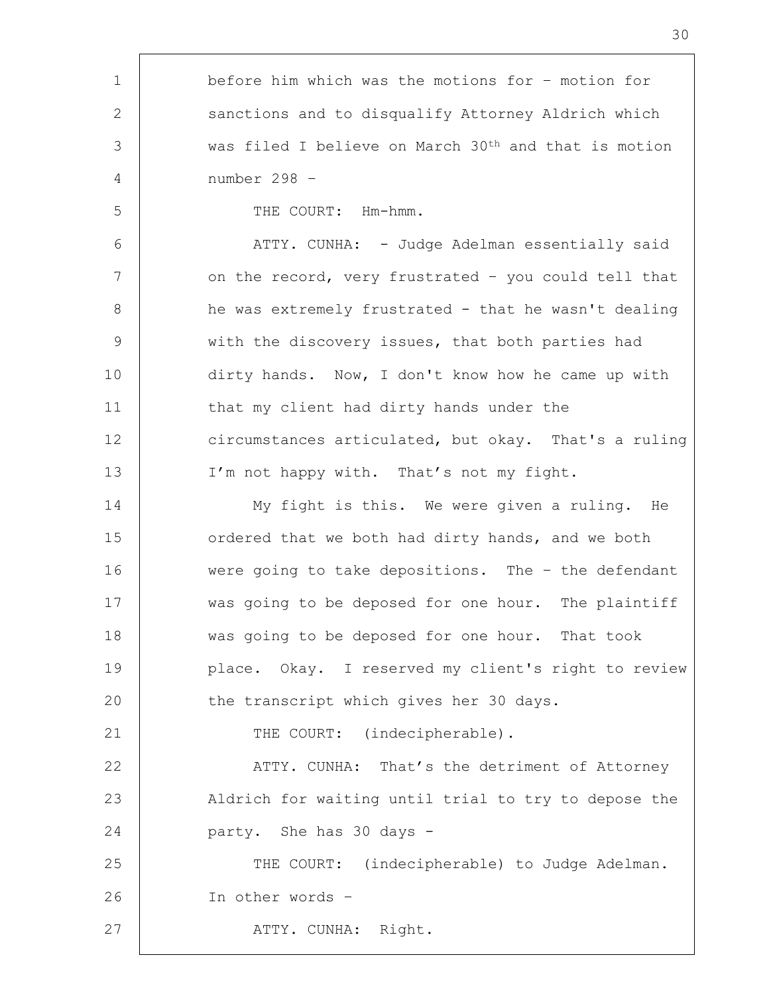1 before him which was the motions for – motion for 2 Sanctions and to disqualify Attorney Aldrich which 3 was filed I believe on March 30th and that is motion 4 number 298 – 5 STRIFF COURT: Hm-hmm. 6 | ATTY. CUNHA: - Judge Adelman essentially said 7 | on the record, very frustrated - you could tell that 8 | he was extremely frustrated - that he wasn't dealing 9 with the discovery issues, that both parties had 10 dirty hands. Now, I don't know how he came up with 11 that my client had dirty hands under the 12 | circumstances articulated, but okay. That's a ruling 13 | I'm not happy with. That's not my fight. 14 Wy fight is this. We were given a ruling. He 15 **deciding 15** ordered that we both had dirty hands, and we both 16 were going to take depositions. The – the defendant 17 was going to be deposed for one hour. The plaintiff 18 was going to be deposed for one hour. That took 19 place. Okay. I reserved my client's right to review 20 | the transcript which gives her 30 days. 21 THE COURT: (indecipherable). 22 | ATTY. CUNHA: That's the detriment of Attorney 23 | Aldrich for waiting until trial to try to depose the 24 party. She has 30 days - 25 THE COURT: (indecipherable) to Judge Adelman. 26 In other words – 27 | ATTY. CUNHA: Right.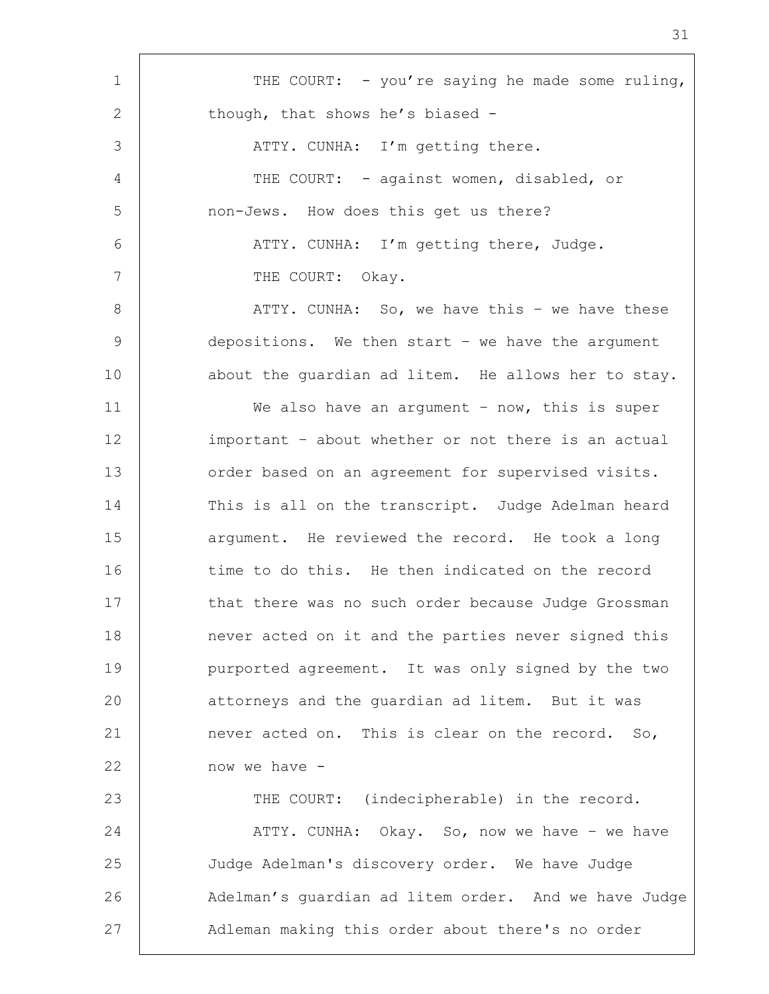1 THE COURT: - you're saying he made some ruling, 2 though, that shows he's biased -3 | ATTY. CUNHA: I'm getting there. 4 | THE COURT: - against women, disabled, or 5 | non-Jews. How does this get us there? 6 ATTY. CUNHA: I'm getting there, Judge. 7 THE COURT: Okay. 8 | ATTY. CUNHA: So, we have this - we have these 9 depositions. We then start – we have the argument 10 | about the quardian ad litem. He allows her to stay. 11 We also have an argument – now, this is super 12 important – about whether or not there is an actual 13 order based on an agreement for supervised visits. 14 This is all on the transcript. Judge Adelman heard 15 argument. He reviewed the record. He took a long 16 time to do this. He then indicated on the record 17 that there was no such order because Judge Grossman 18 | never acted on it and the parties never signed this 19 purported agreement. It was only signed by the two 20 | attorneys and the guardian ad litem. But it was 21 never acted on. This is clear on the record. So, 22 now we have - 23 | THE COURT: (indecipherable) in the record. 24 | ATTY. CUNHA: Okay. So, now we have – we have 25 Judge Adelman's discovery order. We have Judge 26 | Adelman's guardian ad litem order. And we have Judge 27 | Adleman making this order about there's no order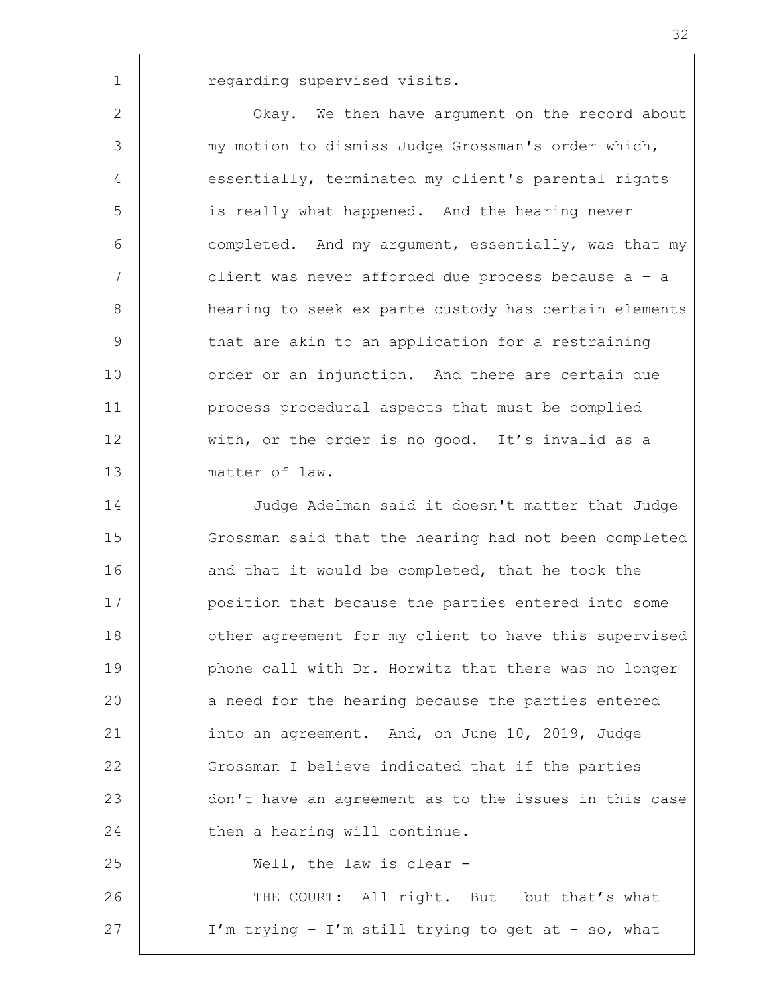1 | regarding supervised visits.

**COM** Okay. We then have argument on the record about 3 my motion to dismiss Judge Grossman's order which, essentially, terminated my client's parental rights is really what happened. And the hearing never completed. And my argument, essentially, was that my client was never afforded due process because a – a hearing to seek ex parte custody has certain elements 9 that are akin to an application for a restraining 10 | order or an injunction. And there are certain due process procedural aspects that must be complied 12 with, or the order is no good. It's invalid as a matter of law.

14 Judge Adelman said it doesn't matter that Judge 15 Grossman said that the hearing had not been completed 16 and that it would be completed, that he took the 17 position that because the parties entered into some 18 | other agreement for my client to have this supervised 19 **phone call with Dr. Horwitz that there was no longer** 20 a need for the hearing because the parties entered 21 into an agreement. And, on June 10, 2019, Judge 22 Grossman I believe indicated that if the parties 23 don't have an agreement as to the issues in this case 24 then a hearing will continue. 25 Well, the law is clear - 26 THE COURT: All right. But – but that's what

27 I'm trying – I'm still trying to get at – so, what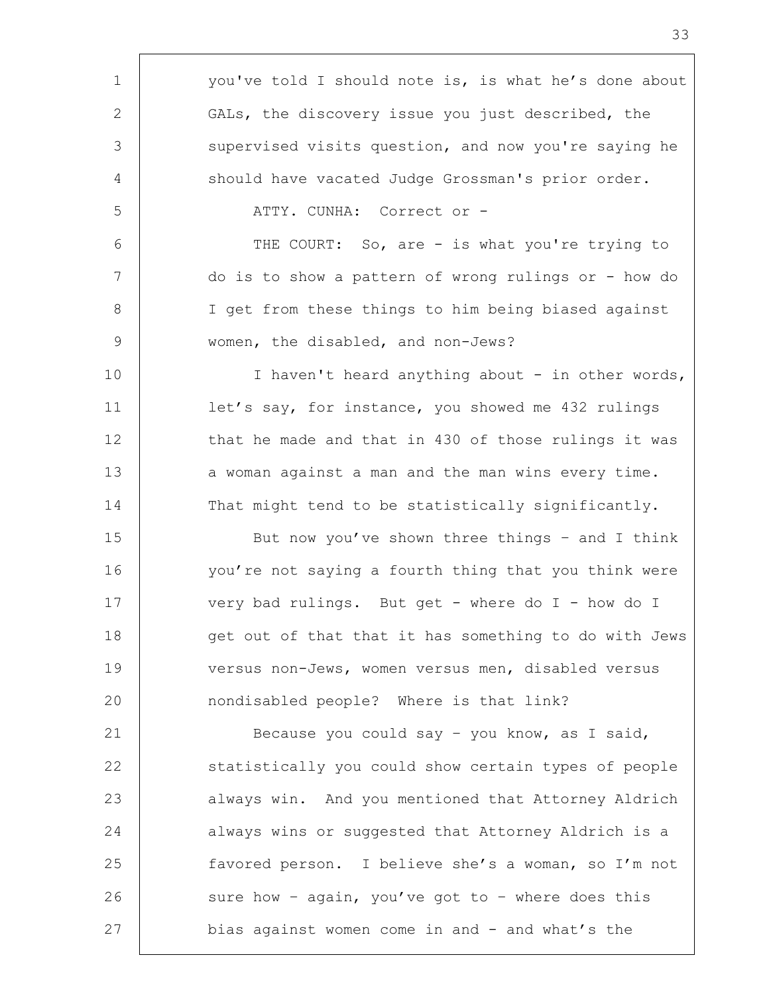| $\mathbf 1$    | you've told I should note is, is what he's done about |
|----------------|-------------------------------------------------------|
| 2              | GALs, the discovery issue you just described, the     |
| 3              | supervised visits question, and now you're saying he  |
| 4              | should have vacated Judge Grossman's prior order.     |
| 5              | ATTY. CUNHA: Correct or -                             |
| 6              | THE COURT: So, are - is what you're trying to         |
| 7              | do is to show a pattern of wrong rulings or - how do  |
| $8\,$          | I get from these things to him being biased against   |
| $\overline{9}$ | women, the disabled, and non-Jews?                    |
| 10             | I haven't heard anything about - in other words,      |
| 11             | let's say, for instance, you showed me 432 rulings    |
| 12             | that he made and that in 430 of those rulings it was  |
| 13             | a woman against a man and the man wins every time.    |
| 14             | That might tend to be statistically significantly.    |
| 15             | But now you've shown three things - and I think       |
| 16             | you're not saying a fourth thing that you think were  |
| 17             | very bad rulings. But get - where do I - how do I     |
| 18             | get out of that that it has something to do with Jews |
| 19             | versus non-Jews, women versus men, disabled versus    |
| 20             | nondisabled people? Where is that link?               |
| 21             | Because you could say - you know, as I said,          |
| 22             | statistically you could show certain types of people  |
| 23             | always win. And you mentioned that Attorney Aldrich   |
| 24             | always wins or suggested that Attorney Aldrich is a   |
| 25             | favored person. I believe she's a woman, so I'm not   |
| 26             | sure how - again, you've got to - where does this     |
| 27             | bias against women come in and - and what's the       |
|                |                                                       |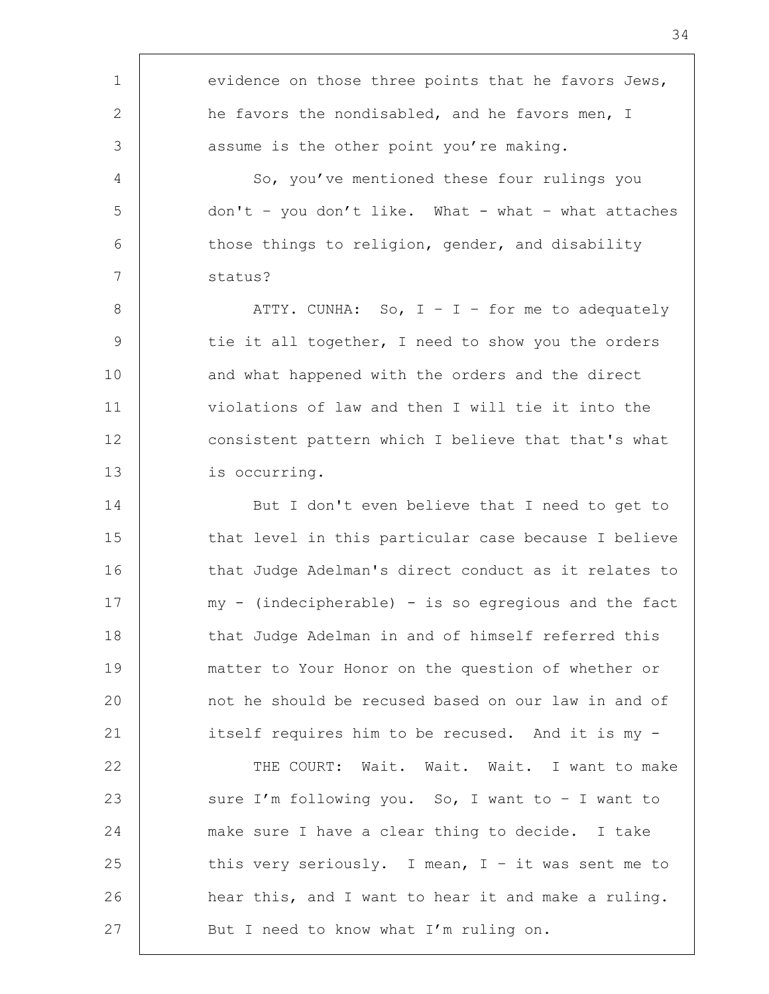1 | evidence on those three points that he favors Jews, 2 he favors the nondisabled, and he favors men, I 3 3 assume is the other point you're making. 4 | So, you've mentioned these four rulings you 5 don't – you don't like. What - what – what attaches  $6$  | those things to religion, gender, and disability 7 status? 8 | ATTY. CUNHA: So, I - I - for me to adequately 9 tie it all together, I need to show you the orders 10 and what happened with the orders and the direct 11 violations of law and then I will tie it into the 12 consistent pattern which I believe that that's what 13 is occurring. 14 But I don't even believe that I need to get to 15 that level in this particular case because I believe 16 that Judge Adelman's direct conduct as it relates to 17 | my - (indecipherable) - is so egregious and the fact 18 that Judge Adelman in and of himself referred this 19 matter to Your Honor on the question of whether or 20 **1** and he should be recused based on our law in and of 21 itself requires him to be recused. And it is my -22 | THE COURT: Wait. Wait. Wait. I want to make 23 | sure I'm following you. So, I want to - I want to 24 make sure I have a clear thing to decide. I take 25 this very seriously. I mean,  $I - it$  was sent me to 26 | hear this, and I want to hear it and make a ruling. 27 | But I need to know what I'm ruling on.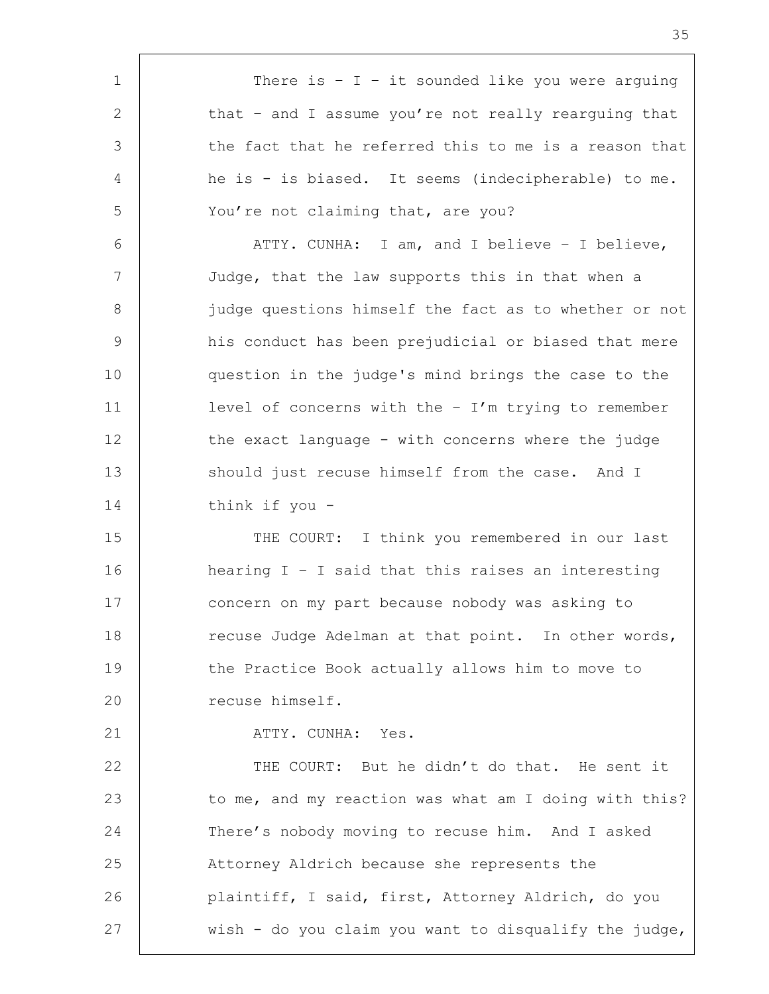1 | There is - I - it sounded like you were arguing 2 that – and I assume you're not really rearguing that 3 the fact that he referred this to me is a reason that 4 he is - is biased. It seems (indecipherable) to me. 5 | You're not claiming that, are you? 6 ATTY. CUNHA: I am, and I believe – I believe, 7 Judge, that the law supports this in that when a 8 judge questions himself the fact as to whether or not 9 his conduct has been prejudicial or biased that mere 10 question in the judge's mind brings the case to the 11 level of concerns with the – I'm trying to remember 12 the exact language - with concerns where the judge 13 should just recuse himself from the case. And I 14 think if you - 15 THE COURT: I think you remembered in our last 16 hearing I – I said that this raises an interesting 17 concern on my part because nobody was asking to 18 | The recuse Judge Adelman at that point. In other words, 19 the Practice Book actually allows him to move to 20 | recuse himself. 21 | ATTY. CUNHA: Yes. 22 THE COURT: But he didn't do that. He sent it 23 to me, and my reaction was what am I doing with this? 24 There's nobody moving to recuse him. And I asked 25 Attorney Aldrich because she represents the 26 plaintiff, I said, first, Attorney Aldrich, do you 27  $\vert$  wish - do you claim you want to disqualify the judge,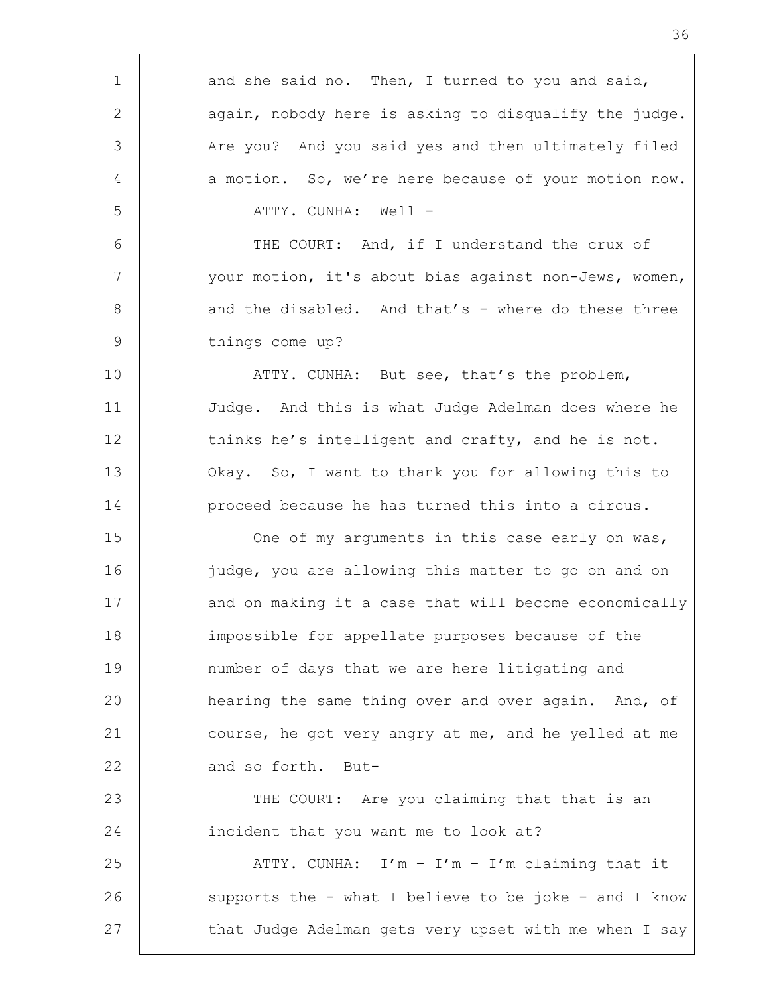| $\mathbf 1$     | and she said no. Then, I turned to you and said,      |
|-----------------|-------------------------------------------------------|
| 2               | again, nobody here is asking to disqualify the judge. |
| 3               | Are you? And you said yes and then ultimately filed   |
| 4               | a motion. So, we're here because of your motion now.  |
| 5               | ATTY. CUNHA: Well -                                   |
| 6               | THE COURT: And, if I understand the crux of           |
| $7\phantom{.0}$ | your motion, it's about bias against non-Jews, women, |
| 8               | and the disabled. And that's - where do these three   |
| $\overline{9}$  | things come up?                                       |
| 10              | ATTY. CUNHA: But see, that's the problem,             |
| 11              | Judge. And this is what Judge Adelman does where he   |
| 12              | thinks he's intelligent and crafty, and he is not.    |
| 13              | Okay. So, I want to thank you for allowing this to    |
| 14              | proceed because he has turned this into a circus.     |
| 15              | One of my arguments in this case early on was,        |
| 16              | judge, you are allowing this matter to go on and on   |
| 17              | and on making it a case that will become economically |
| 18              | impossible for appellate purposes because of the      |
| 19              | number of days that we are here litigating and        |
| 20              | hearing the same thing over and over again. And, of   |
| 21              | course, he got very angry at me, and he yelled at me  |
| 22              | and so forth. But-                                    |
| 23              | THE COURT: Are you claiming that that is an           |
| 24              | incident that you want me to look at?                 |
| 25              | ATTY. CUNHA: $I'm - I'm - I'm$ claiming that it       |
| 26              | supports the - what I believe to be joke - and I know |
| 27              | that Judge Adelman gets very upset with me when I say |
|                 |                                                       |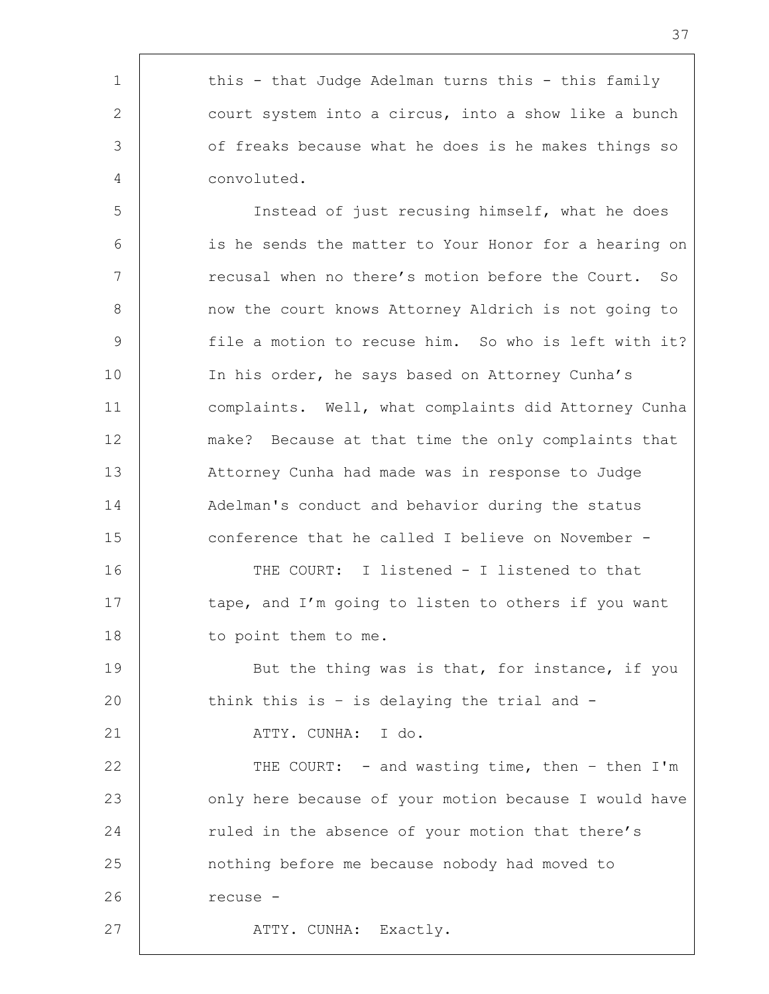1 | this - that Judge Adelman turns this - this family 2 court system into a circus, into a show like a bunch 3 of freaks because what he does is he makes things so 4 convoluted.

 Instead of just recusing himself, what he does is he sends the matter to Your Honor for a hearing on 7 Tecusal when no there's motion before the Court. So 8 | mow the court knows Attorney Aldrich is not going to file a motion to recuse him. So who is left with it? 10 | In his order, he says based on Attorney Cunha's complaints. Well, what complaints did Attorney Cunha make? Because at that time the only complaints that Attorney Cunha had made was in response to Judge 14 Adelman's conduct and behavior during the status conference that he called I believe on November -

16 THE COURT: I listened - I listened to that 17 tape, and I'm going to listen to others if you want 18 to point them to me.

19 But the thing was is that, for instance, if you 20 think this is - is delaying the trial and -

21 | ATTY. CUNHA: I do.

22 | THE COURT: - and wasting time, then - then I'm 23 only here because of your motion because I would have 24 Tuled in the absence of your motion that there's 25 nothing before me because nobody had moved to 26 | recuse -27 | ATTY. CUNHA: Exactly.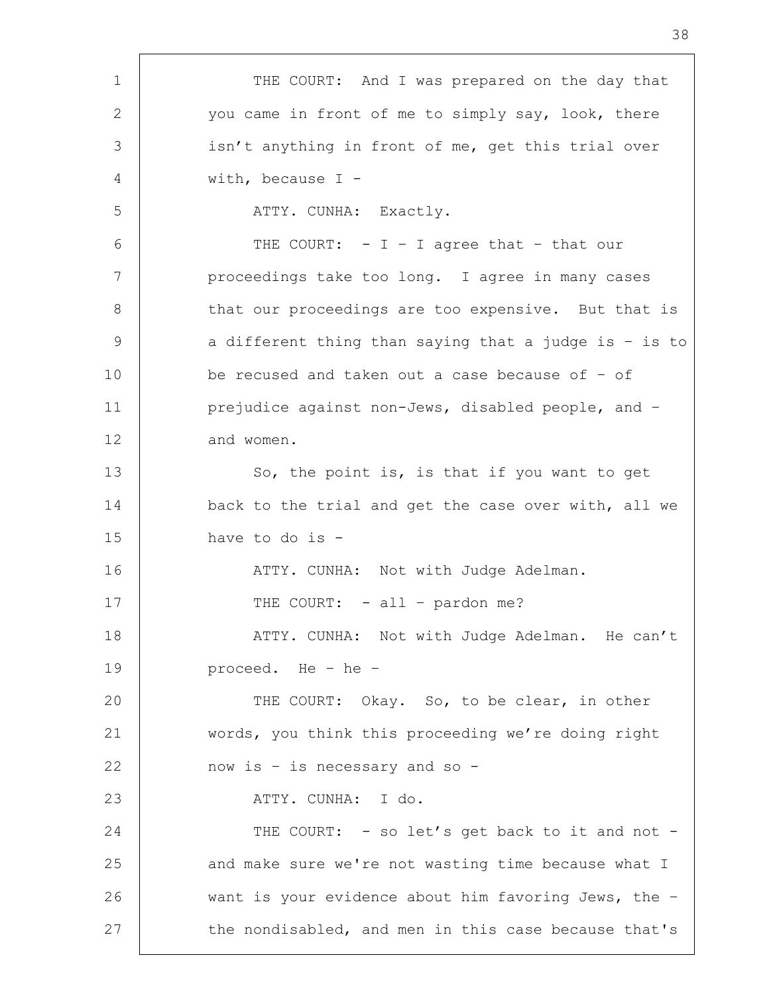1 | THE COURT: And I was prepared on the day that 2 you came in front of me to simply say, look, there 3 | isn't anything in front of me, get this trial over 4 with, because I - 5 | ATTY. CUNHA: Exactly.  $6$  | THE COURT: - I - I agree that - that our 7 | proceedings take too long. I agree in many cases 8 | that our proceedings are too expensive. But that is 9 a different thing than saying that a judge is - is to 10 be recused and taken out a case because of – of 11 **prejudice against non-Jews, disabled people, and -**12 and women. 13 So, the point is, is that if you want to get 14 back to the trial and get the case over with, all we 15 have to do is - 16 | THE ATTY. CUNHA: Not with Judge Adelman. 17 | THE COURT: - all - pardon me? 18 | ATTY. CUNHA: Not with Judge Adelman. He can't 19 proceed. He – he – 20 THE COURT: Okay. So, to be clear, in other 21 words, you think this proceeding we're doing right 22 now is - is necessary and so -23 | ATTY. CUNHA: I do. 24 THE COURT: - so let's get back to it and not -25 and make sure we're not wasting time because what I 26 want is your evidence about him favoring Jews, the -27 the nondisabled, and men in this case because that's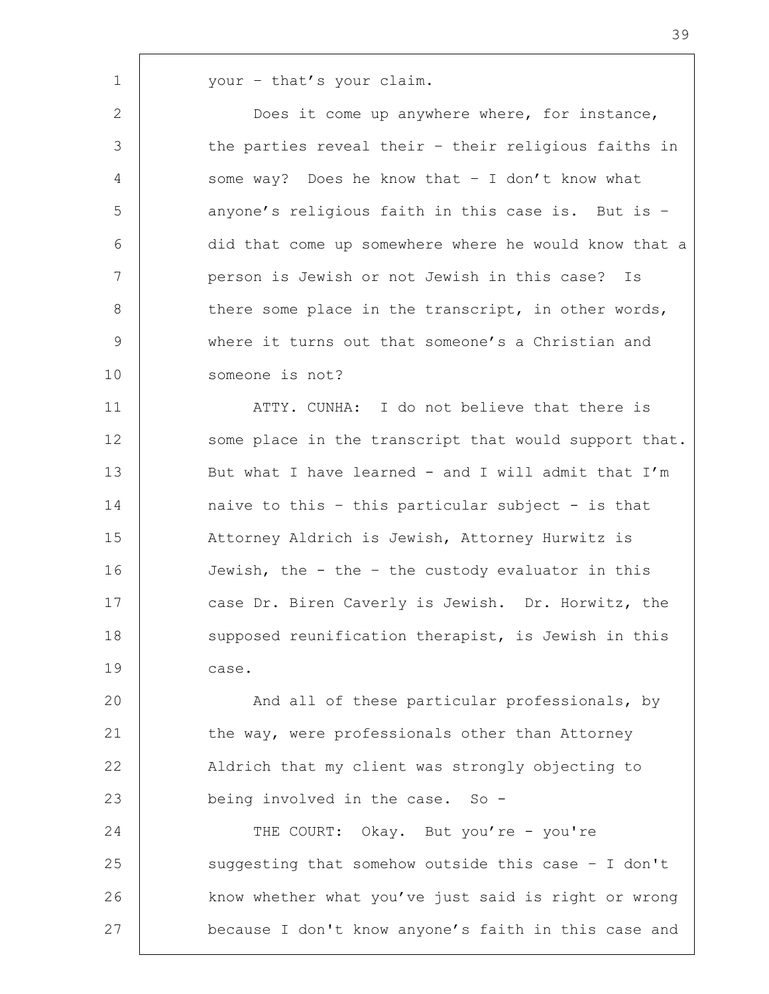1 your – that's your claim.

2 Does it come up anywhere where, for instance, 3 the parties reveal their - their religious faiths in 4 some way? Does he know that – I don't know what 5 | anyone's religious faith in this case is. But is -6 did that come up somewhere where he would know that a 7 person is Jewish or not Jewish in this case? Is 8 there some place in the transcript, in other words, 9 where it turns out that someone's a Christian and 10 someone is not?

11 | ATTY. CUNHA: I do not believe that there is 12 some place in the transcript that would support that. 13 | But what I have learned - and I will admit that I'm 14 naive to this – this particular subject - is that 15 Attorney Aldrich is Jewish, Attorney Hurwitz is 16 Jewish, the - the – the custody evaluator in this 17 case Dr. Biren Caverly is Jewish. Dr. Horwitz, the 18 supposed reunification therapist, is Jewish in this 19 case.

20 | And all of these particular professionals, by 21 the way, were professionals other than Attorney 22 | Aldrich that my client was strongly objecting to 23 being involved in the case. So -

24 THE COURT: Okay. But you're - you're 25 suggesting that somehow outside this case - I don't 26 | know whether what you've just said is right or wrong 27 **because I don't know anyone's faith in this case and**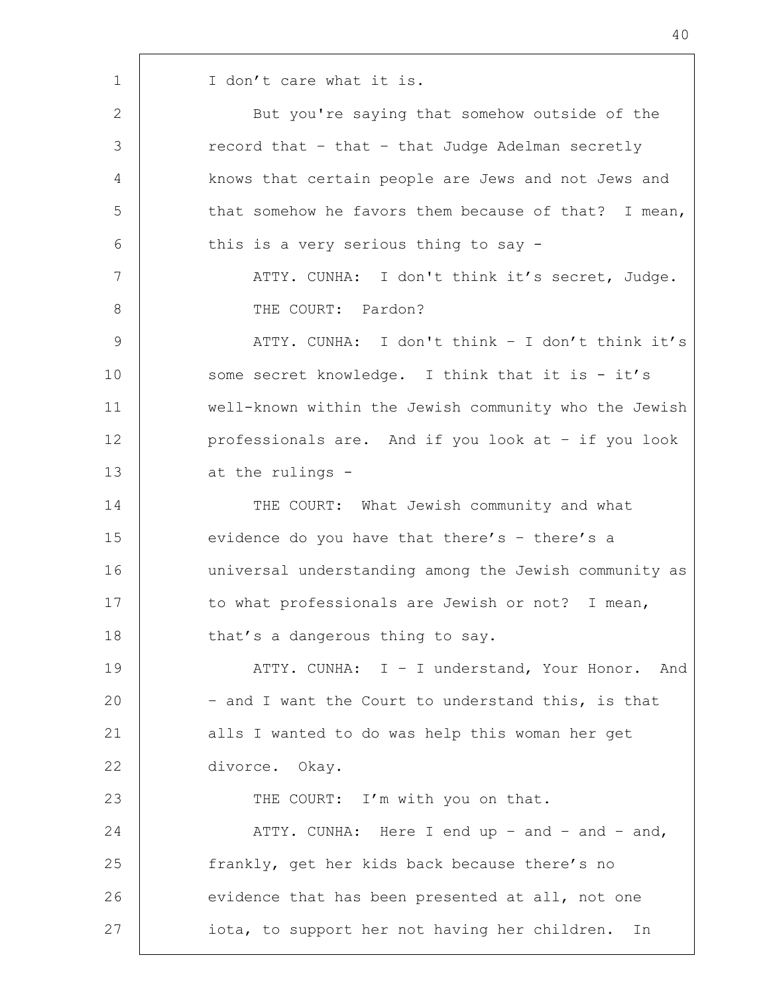1 | I don't care what it is. 2 But you're saying that somehow outside of the 3 The secord that – that – that Judge Adelman secretly 4 knows that certain people are Jews and not Jews and 5 that somehow he favors them because of that? I mean, 6 this is a very serious thing to say -7 | ATTY. CUNHA: I don't think it's secret, Judge. 8 THE COURT: Pardon? 9 | ATTY. CUNHA: I don't think – I don't think it's 10 some secret knowledge. I think that it is - it's 11 well-known within the Jewish community who the Jewish 12 professionals are. And if you look at – if you look 13 at the rulings -14 THE COURT: What Jewish community and what 15 evidence do you have that there's - there's a 16 universal understanding among the Jewish community as 17 to what professionals are Jewish or not? I mean, 18 | that's a dangerous thing to say. 19 | ATTY. CUNHA: I - I understand, Your Honor. And 20 – and I want the Court to understand this, is that 21 alls I wanted to do was help this woman her get 22 divorce. Okay. 23 | THE COURT: I'm with you on that. 24 ATTY. CUNHA: Here I end up – and – and – and, 25 | frankly, get her kids back because there's no 26 evidence that has been presented at all, not one 27 iota, to support her not having her children. In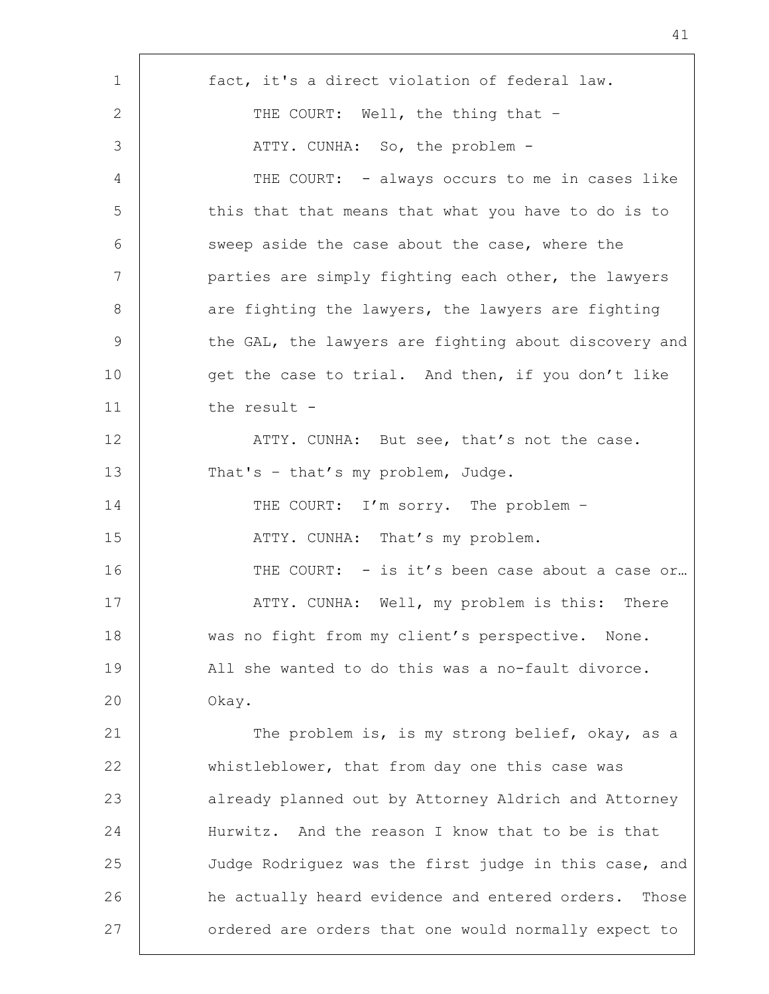| $\mathbf 1$ | fact, it's a direct violation of federal law.           |
|-------------|---------------------------------------------------------|
| 2           | THE COURT: Well, the thing that -                       |
| 3           | ATTY. CUNHA: So, the problem -                          |
| 4           | THE COURT: - always occurs to me in cases like          |
| 5           | this that that means that what you have to do is to     |
| 6           | sweep aside the case about the case, where the          |
| 7           | parties are simply fighting each other, the lawyers     |
| 8           | are fighting the lawyers, the lawyers are fighting      |
| 9           | the GAL, the lawyers are fighting about discovery and   |
| 10          | get the case to trial. And then, if you don't like      |
| 11          | the result -                                            |
| 12          | ATTY. CUNHA: But see, that's not the case.              |
| 13          | That's - that's my problem, Judge.                      |
| 14          | THE COURT: I'm sorry. The problem -                     |
| 15          | ATTY. CUNHA: That's my problem.                         |
| 16          | THE COURT: - is it's been case about a case or          |
| 17          | ATTY. CUNHA: Well, my problem is this:<br>There         |
| 18          | was no fight from my client's perspective. None.        |
| 19          | All she wanted to do this was a no-fault divorce.       |
| 20          | Okay.                                                   |
| 21          | The problem is, is my strong belief, okay, as a         |
| 22          | whistleblower, that from day one this case was          |
| 23          | already planned out by Attorney Aldrich and Attorney    |
| 24          | Hurwitz. And the reason I know that to be is that       |
| 25          | Judge Rodriguez was the first judge in this case, and   |
| 26          | he actually heard evidence and entered orders.<br>Those |
| 27          | ordered are orders that one would normally expect to    |
|             |                                                         |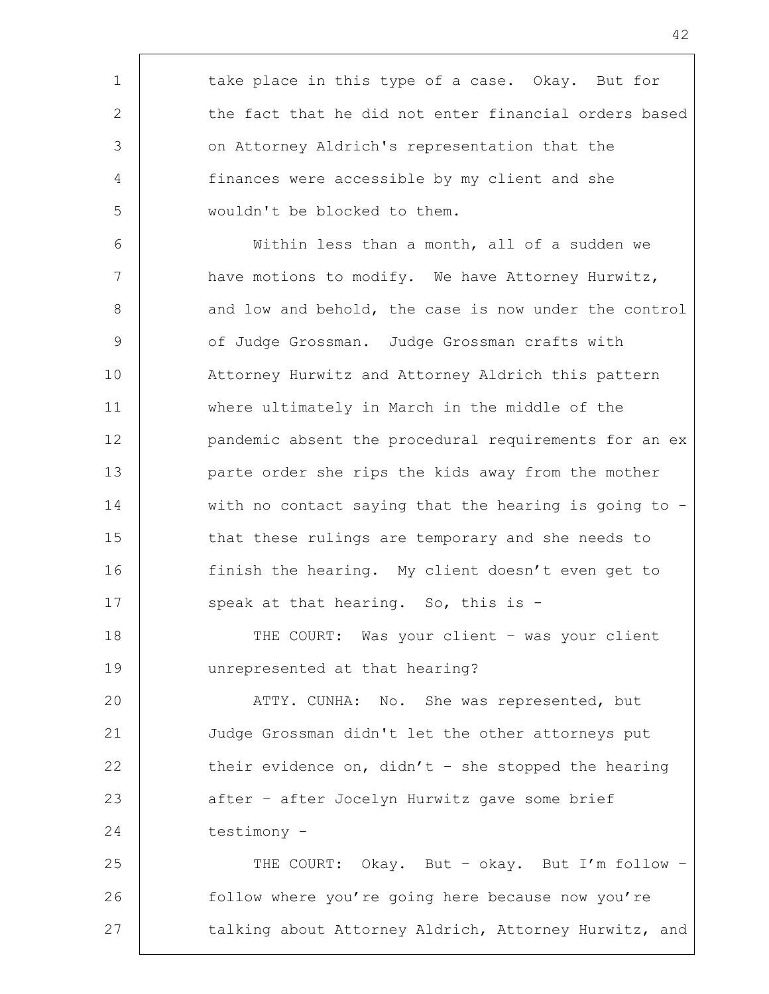1 take place in this type of a case. Okay. But for 2 the fact that he did not enter financial orders based 3 on Attorney Aldrich's representation that the 4 finances were accessible by my client and she 5 wouldn't be blocked to them.

6 Within less than a month, all of a sudden we 7 | have motions to modify. We have Attorney Hurwitz, 8 and low and behold, the case is now under the control 9 | Of Judge Grossman. Judge Grossman crafts with 10 Attorney Hurwitz and Attorney Aldrich this pattern 11 where ultimately in March in the middle of the 12 pandemic absent the procedural requirements for an ex 13 parte order she rips the kids away from the mother 14 with no contact saying that the hearing is going to -15 that these rulings are temporary and she needs to 16 finish the hearing. My client doesn't even get to 17 | speak at that hearing. So, this is -

18 | THE COURT: Was your client – was your client 19 unrepresented at that hearing?

20 ATTY. CUNHA: No. She was represented, but 21 Judge Grossman didn't let the other attorneys put 22 their evidence on, didn't - she stopped the hearing 23 | after – after Jocelyn Hurwitz gave some brief 24 testimony -

25 | THE COURT: Okay. But - okay. But I'm follow -26 | follow where you're going here because now you're 27 talking about Attorney Aldrich, Attorney Hurwitz, and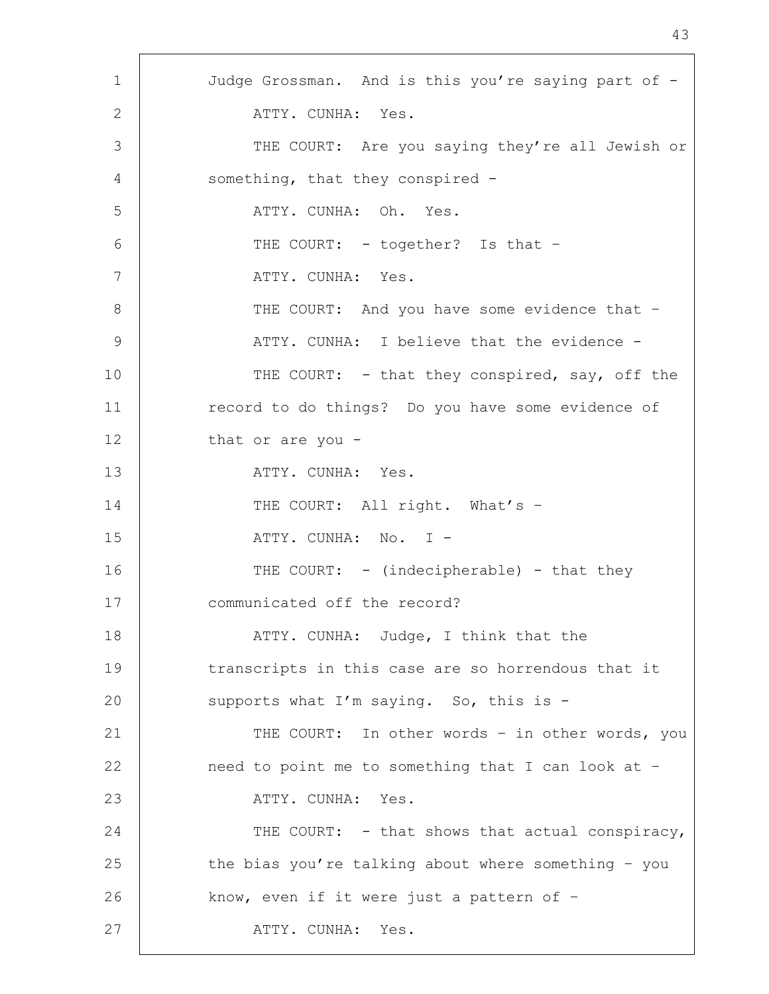1 | Judge Grossman. And is this you're saying part of -2 ATTY CUNHA: Yes. 3 THE COURT: Are you saying they're all Jewish or 4 | something, that they conspired -5 ATTY. CUNHA: Oh. Yes. 6 | THE COURT: - together? Is that -7 | ATTY. CUNHA: Yes. 8 | THE COURT: And you have some evidence that -9 | ATTY. CUNHA: I believe that the evidence -10 THE COURT: - that they conspired, say, off the 11 | record to do things? Do you have some evidence of 12 that or are you -13 ATTY. CUNHA: Yes. 14 THE COURT: All right. What's -15 | ATTY. CUNHA: No. I -16 THE COURT: - (indecipherable) - that they 17 | communicated off the record? 18 | ATTY. CUNHA: Judge, I think that the 19 transcripts in this case are so horrendous that it 20 Supports what I'm saying. So, this is -21 | THE COURT: In other words - in other words, you 22 | need to point me to something that I can look at -23 ATTY. CUNHA: Yes. 24 THE COURT: - that shows that actual conspiracy, 25 the bias you're talking about where something - you 26 | know, even if it were just a pattern of -27 | ATTY. CUNHA: Yes.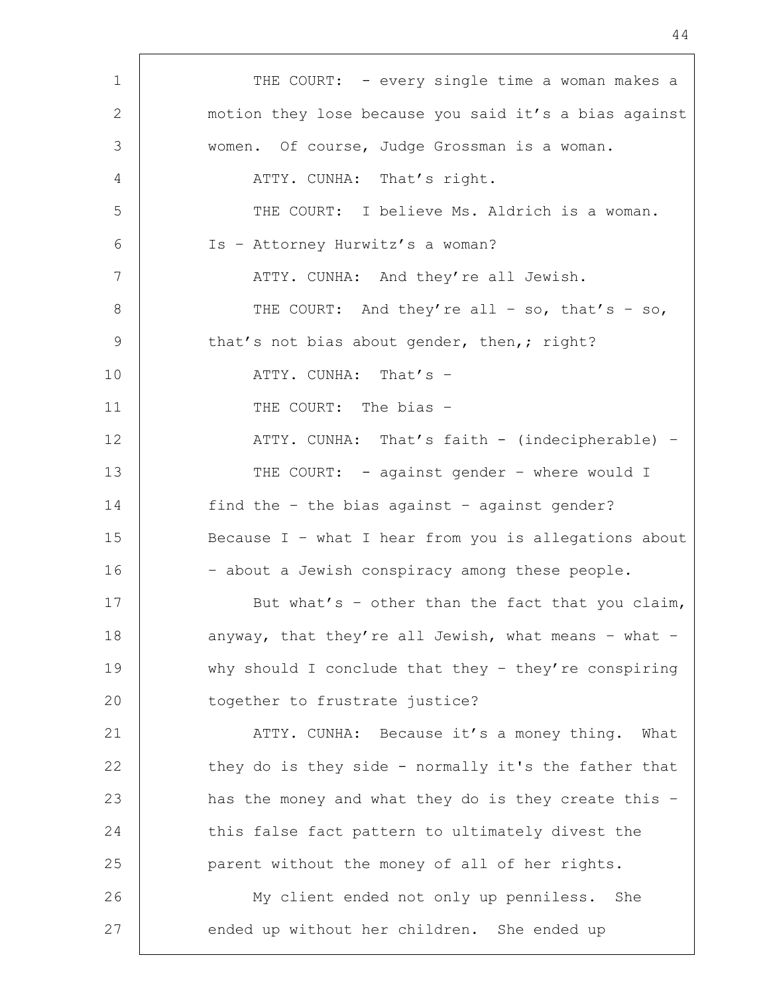| $\mathbf 1$ | THE COURT: - every single time a woman makes a        |
|-------------|-------------------------------------------------------|
| 2           | motion they lose because you said it's a bias against |
| 3           | women. Of course, Judge Grossman is a woman.          |
| 4           | ATTY. CUNHA: That's right.                            |
| 5           | THE COURT: I believe Ms. Aldrich is a woman.          |
| 6           | Is - Attorney Hurwitz's a woman?                      |
| 7           | ATTY. CUNHA: And they're all Jewish.                  |
| 8           | THE COURT: And they're all - so, that's - so,         |
| 9           | that's not bias about gender, then,; right?           |
| 10          | ATTY. CUNHA: That's -                                 |
| 11          | THE COURT: The bias -                                 |
| 12          | ATTY. CUNHA: That's faith - (indecipherable) -        |
| 13          | THE COURT: - against gender - where would I           |
| 14          | find the - the bias against - against gender?         |
| 15          | Because I - what I hear from you is allegations about |
| 16          | - about a Jewish conspiracy among these people.       |
| 17          | But what's - other than the fact that you claim,      |
| 18          | anyway, that they're all Jewish, what means - what -  |
| 19          | why should I conclude that they - they're conspiring  |
| 20          | together to frustrate justice?                        |
| 21          | ATTY. CUNHA: Because it's a money thing. What         |
| 22          | they do is they side - normally it's the father that  |
| 23          | has the money and what they do is they create this -  |
| 24          | this false fact pattern to ultimately divest the      |
| 25          | parent without the money of all of her rights.        |
| 26          | My client ended not only up penniless. She            |
| 27          | ended up without her children. She ended up           |
|             |                                                       |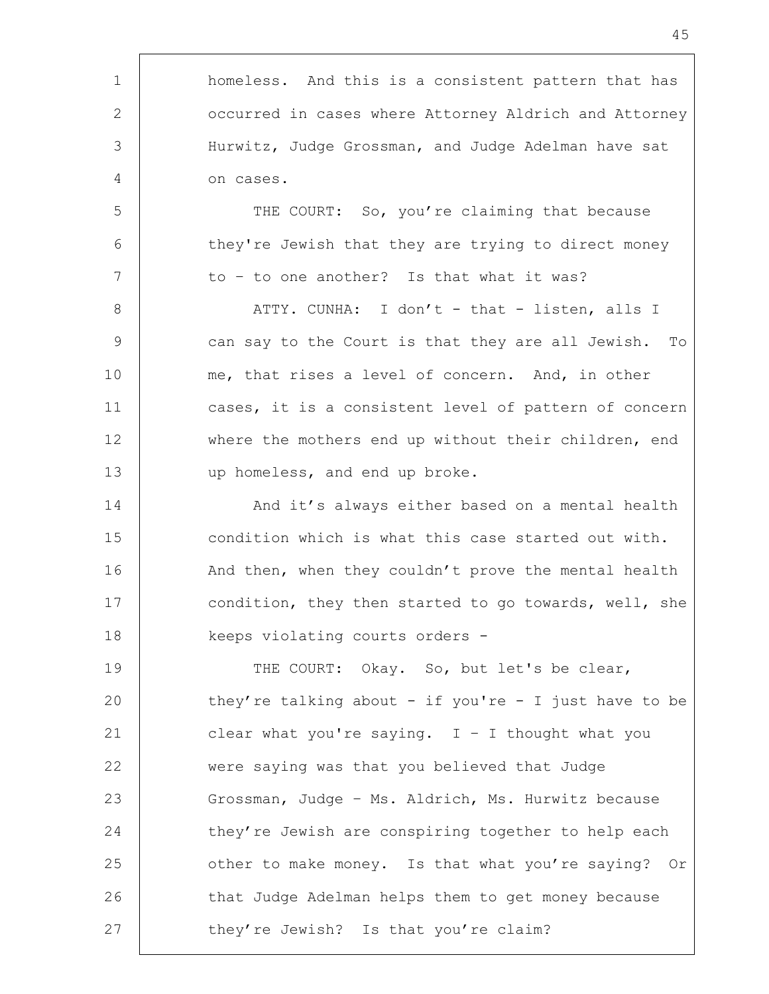1 | homeless. And this is a consistent pattern that has 2 | occurred in cases where Attorney Aldrich and Attorney 3 Hurwitz, Judge Grossman, and Judge Adelman have sat 4 on cases. 5 | THE COURT: So, you're claiming that because 6 they're Jewish that they are trying to direct money 7 | to - to one another? Is that what it was? 8 | ATTY. CUNHA: I don't - that - listen, alls I 9 can say to the Court is that they are all Jewish. To 10 me, that rises a level of concern. And, in other 11 cases, it is a consistent level of pattern of concern 12 | where the mothers end up without their children, end 13 up homeless, and end up broke. 14 | And it's always either based on a mental health 15 condition which is what this case started out with. 16 | And then, when they couldn't prove the mental health 17 condition, they then started to go towards, well, she 18 | keeps violating courts orders -19 THE COURT: Okay. So, but let's be clear, 20 they're talking about - if you're - I just have to be 21 clear what you're saying.  $I - I$  thought what you 22 were saying was that you believed that Judge 23 Grossman, Judge – Ms. Aldrich, Ms. Hurwitz because 24 they're Jewish are conspiring together to help each 25 other to make money. Is that what you're saying? Or 26 that Judge Adelman helps them to get money because 27 they're Jewish? Is that you're claim?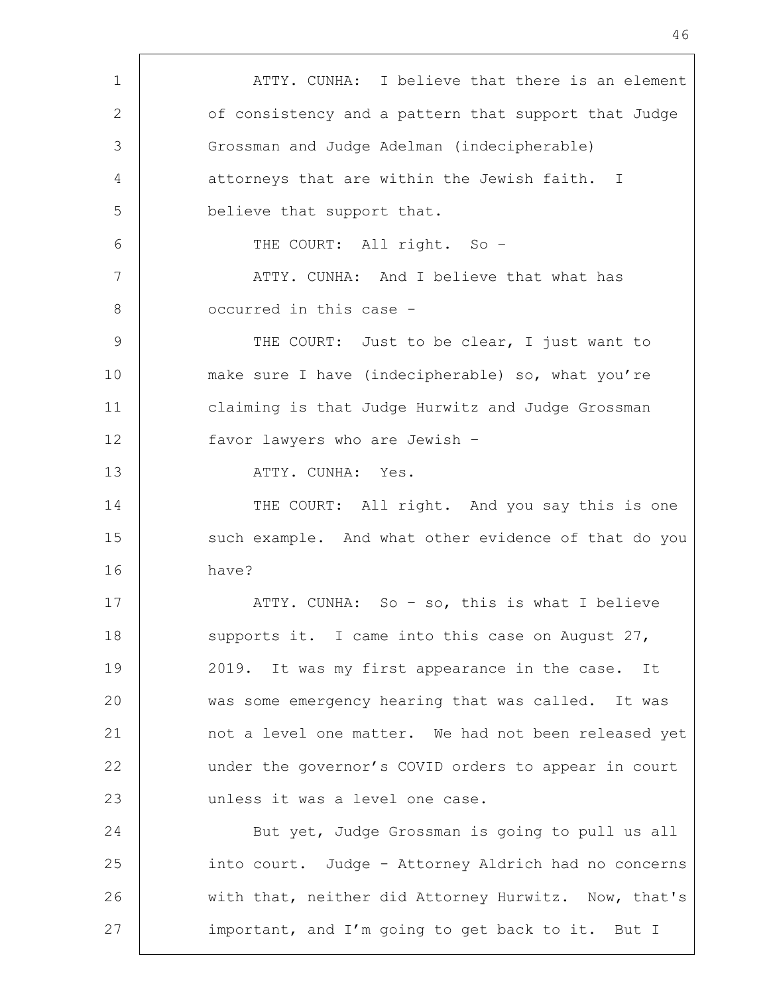1 | ATTY. CUNHA: I believe that there is an element 2 of consistency and a pattern that support that Judge 3 Grossman and Judge Adelman (indecipherable) 4 attorneys that are within the Jewish faith. I 5 believe that support that. 6 THE COURT: All right. So – 7 | ATTY. CUNHA: And I believe that what has 8 **occurred** in this case -9 | THE COURT: Just to be clear, I just want to 10 make sure I have (indecipherable) so, what you're 11 claiming is that Judge Hurwitz and Judge Grossman 12 favor lawyers who are Jewish – 13 ATTY. CUNHA: Yes. 14 THE COURT: All right. And you say this is one 15 such example. And what other evidence of that do you 16 have? 17 | ATTY. CUNHA: So - so, this is what I believe 18 | supports it. I came into this case on August 27, 19 2019. It was my first appearance in the case. It 20 was some emergency hearing that was called. It was 21 not a level one matter. We had not been released yet 22 under the governor's COVID orders to appear in court 23 unless it was a level one case. 24 But yet, Judge Grossman is going to pull us all 25 into court. Judge - Attorney Aldrich had no concerns 26 | with that, neither did Attorney Hurwitz. Now, that's 27 important, and I'm going to get back to it. But I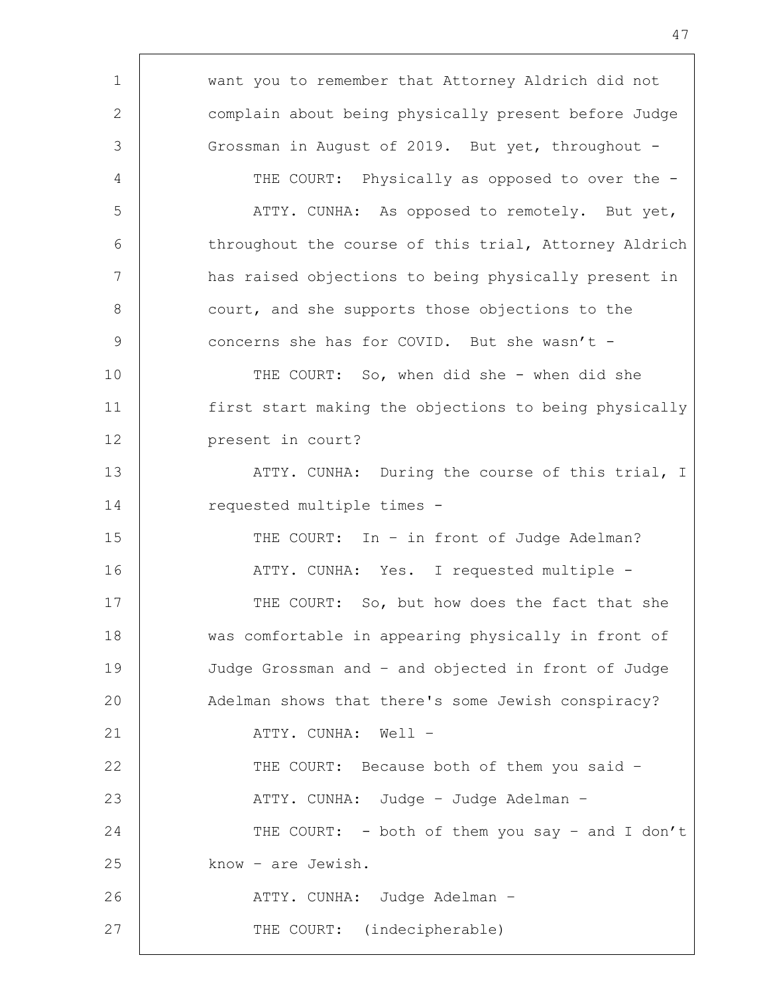| $\mathbf 1$   | want you to remember that Attorney Aldrich did not    |
|---------------|-------------------------------------------------------|
| 2             | complain about being physically present before Judge  |
| 3             | Grossman in August of 2019. But yet, throughout -     |
| 4             | THE COURT: Physically as opposed to over the -        |
| 5             | ATTY. CUNHA: As opposed to remotely. But yet,         |
| 6             | throughout the course of this trial, Attorney Aldrich |
| 7             | has raised objections to being physically present in  |
| $8\,$         | court, and she supports those objections to the       |
| $\mathcal{G}$ | concerns she has for COVID. But she wasn't -          |
| 10            | THE COURT: So, when did she - when did she            |
| 11            | first start making the objections to being physically |
| 12            | present in court?                                     |
| 13            | ATTY. CUNHA: During the course of this trial, I       |
| 14            | requested multiple times -                            |
| 15            | THE COURT: In - in front of Judge Adelman?            |
| 16            | ATTY. CUNHA: Yes. I requested multiple -              |
| 17            | THE COURT: So, but how does the fact that she         |
| 18            | was comfortable in appearing physically in front of   |
| 19            | Judge Grossman and - and objected in front of Judge   |
| 20            | Adelman shows that there's some Jewish conspiracy?    |
| 21            | ATTY. CUNHA: Well -                                   |
| 22            | THE COURT: Because both of them you said -            |
| 23            | ATTY. CUNHA: Judge - Judge Adelman -                  |
| 24            | THE COURT: - both of them you say - and I don't       |
| 25            | know - are Jewish.                                    |
| 26            | ATTY. CUNHA: Judge Adelman -                          |
| 27            | THE COURT: (indecipherable)                           |
|               |                                                       |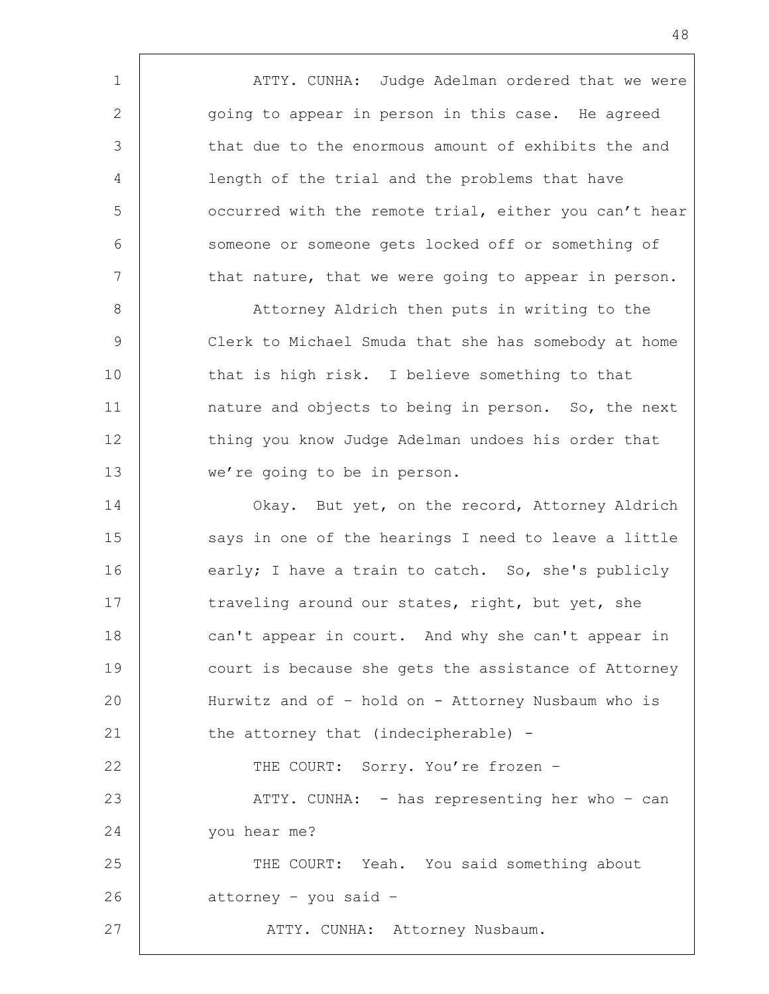1 | ATTY. CUNHA: Judge Adelman ordered that we were 2 qoing to appear in person in this case. He agreed 3 that due to the enormous amount of exhibits the and 4 length of the trial and the problems that have 5 | occurred with the remote trial, either you can't hear 6 Someone or someone gets locked off or something of 7 | that nature, that we were going to appear in person. 8 | Attorney Aldrich then puts in writing to the

9 Clerk to Michael Smuda that she has somebody at home 10 that is high risk. I believe something to that 11 | anature and objects to being in person. So, the next 12 thing you know Judge Adelman undoes his order that 13 we're going to be in person.

14 | Okay. But yet, on the record, Attorney Aldrich 15 | says in one of the hearings I need to leave a little 16 early; I have a train to catch. So, she's publicly 17 traveling around our states, right, but yet, she 18 can't appear in court. And why she can't appear in 19 court is because she gets the assistance of Attorney 20 Hurwitz and of – hold on - Attorney Nusbaum who is 21 the attorney that (indecipherable) -22 THE COURT: Sorry. You're frozen -23 | ATTY. CUNHA: - has representing her who - can 24 you hear me? 25 THE COURT: Yeah. You said something about 26 attorney – you said – 27 | ATTY. CUNHA: Attorney Nusbaum.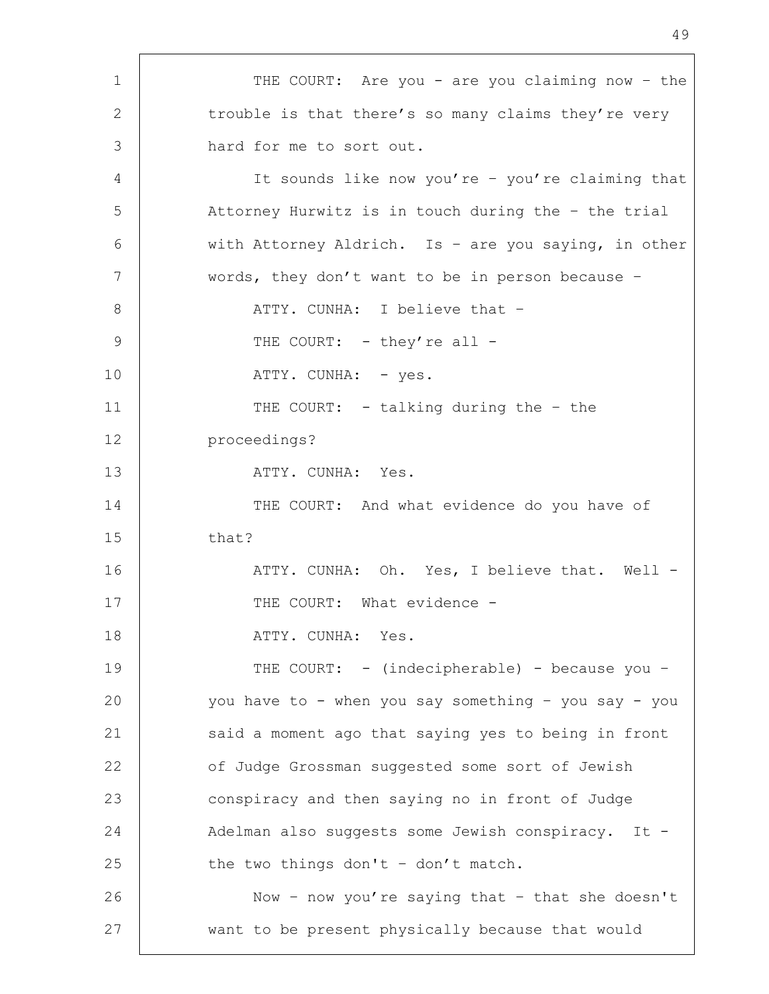1 | THE COURT: Are you - are you claiming now - the 2 trouble is that there's so many claims they're very 3 hard for me to sort out. 4 It sounds like now you're – you're claiming that 5 Attorney Hurwitz is in touch during the – the trial 6 with Attorney Aldrich. Is - are you saying, in other 7 words, they don't want to be in person because -8 | ATTY. CUNHA: I believe that -9 THE COURT: - they're all -10 | ATTY. CUNHA: - yes. 11 | THE COURT: - talking during the - the 12 proceedings? 13 ATTY. CUNHA: Yes. 14 THE COURT: And what evidence do you have of 15 that? 16 | THE ATTY. CUNHA: Oh. Yes, I believe that. Well -17 | THE COURT: What evidence -18 ATTY. CUNHA: Yes. 19 THE COURT: - (indecipherable) - because you – 20 you have to - when you say something – you say - you 21 said a moment ago that saying yes to being in front 22 **of Judge Grossman suggested some sort of Jewish** 23 conspiracy and then saying no in front of Judge 24 Adelman also suggests some Jewish conspiracy. It -25 the two things don't  $-$  don't match. 26 | Now - now you're saying that - that she doesn't 27 want to be present physically because that would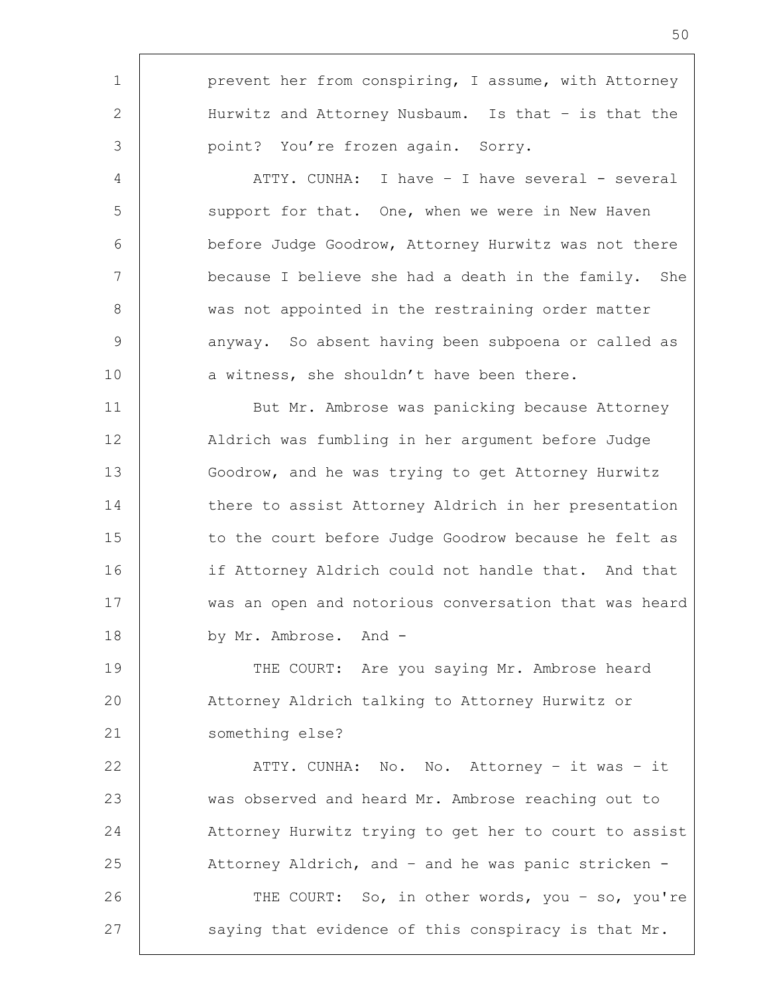1 | prevent her from conspiring, I assume, with Attorney 2 | Hurwitz and Attorney Nusbaum. Is that – is that the 3 | point? You're frozen again. Sorry. 4 | ATTY. CUNHA: I have - I have several - several 5 Support for that. One, when we were in New Haven 6 before Judge Goodrow, Attorney Hurwitz was not there 7 because I believe she had a death in the family. She 8 | was not appointed in the restraining order matter 9 | anyway. So absent having been subpoena or called as 10 a witness, she shouldn't have been there. 11 | But Mr. Ambrose was panicking because Attorney 12 Aldrich was fumbling in her argument before Judge 13 Goodrow, and he was trying to get Attorney Hurwitz 14 there to assist Attorney Aldrich in her presentation 15 | to the court before Judge Goodrow because he felt as 16 if Attorney Aldrich could not handle that. And that 17 was an open and notorious conversation that was heard 18 by Mr. Ambrose. And -19 THE COURT: Are you saying Mr. Ambrose heard 20 Attorney Aldrich talking to Attorney Hurwitz or 21 something else? 22 | ATTY. CUNHA: No. No. Attorney - it was - it 23 was observed and heard Mr. Ambrose reaching out to 24 Attorney Hurwitz trying to get her to court to assist 25 | Attorney Aldrich, and - and he was panic stricken -26 | THE COURT: So, in other words, you - so, you're 27 Saying that evidence of this conspiracy is that Mr.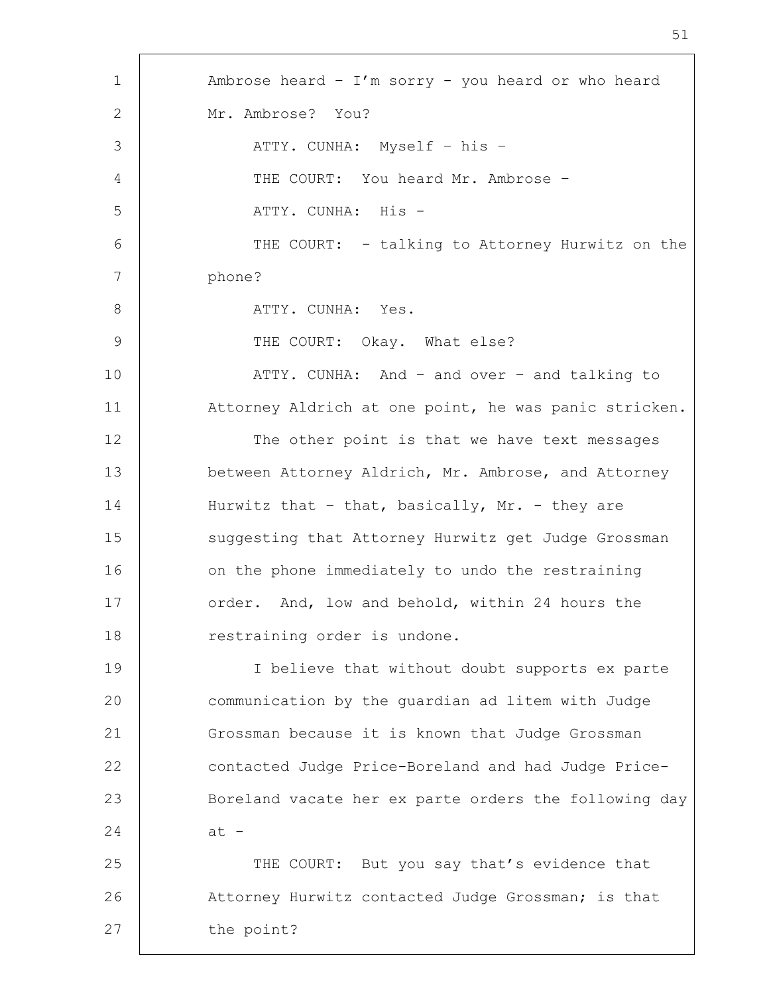1 Ambrose heard – I'm sorry - you heard or who heard 2 Mr. Ambrose? You? 3 | ATTY. CUNHA: Myself – his – 4 | THE COURT: You heard Mr. Ambrose -5 ATTY. CUNHA: His - 6 THE COURT: - talking to Attorney Hurwitz on the 7 phone? 8 ATTY. CUNHA: Yes. 9 | THE COURT: Okay. What else? 10 ATTY. CUNHA: And – and over – and talking to 11 Attorney Aldrich at one point, he was panic stricken. 12 The other point is that we have text messages 13 between Attorney Aldrich, Mr. Ambrose, and Attorney 14 Hurwitz that - that, basically, Mr. - they are 15 | suggesting that Attorney Hurwitz get Judge Grossman 16 on the phone immediately to undo the restraining 17 | order. And, low and behold, within 24 hours the 18 | restraining order is undone. 19 I believe that without doubt supports ex parte 20 communication by the guardian ad litem with Judge 21 Grossman because it is known that Judge Grossman 22 contacted Judge Price-Boreland and had Judge Price-23 Boreland vacate her ex parte orders the following day  $24$  at  $-$ 25 THE COURT: But you say that's evidence that 26 Attorney Hurwitz contacted Judge Grossman; is that 27 | the point?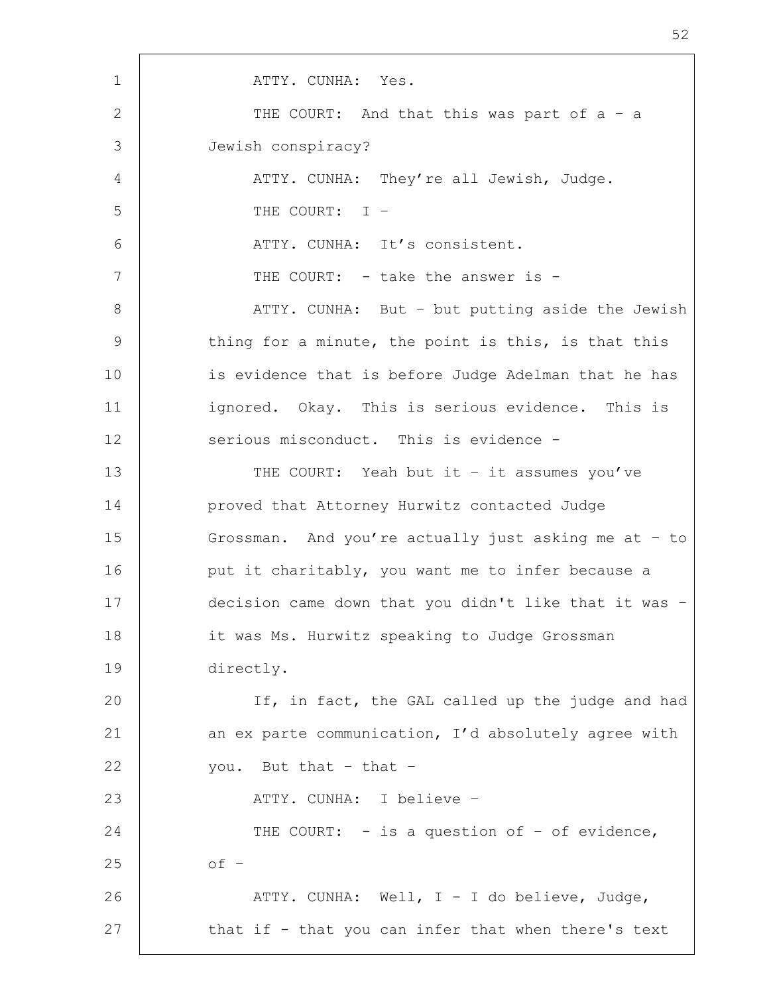1 | ATTY. CUNHA: Yes. 2 THE COURT: And that this was part of a - a 3 Jewish conspiracy? 4 | ATTY. CUNHA: They're all Jewish, Judge. 5 THE COURT: I – 6 | THE ATTY. CUNHA: It's consistent. 7 | THE COURT: - take the answer is -8 | ATTY. CUNHA: But - but putting aside the Jewish 9 thing for a minute, the point is this, is that this 10 is evidence that is before Judge Adelman that he has 11 | ignored. Okay. This is serious evidence. This is 12 | serious misconduct. This is evidence -13 | THE COURT: Yeah but it - it assumes you've 14 proved that Attorney Hurwitz contacted Judge 15 Grossman. And you're actually just asking me at – to 16 | put it charitably, you want me to infer because a 17 decision came down that you didn't like that it was – 18 it was Ms. Hurwitz speaking to Judge Grossman 19 directly. 20 | If, in fact, the GAL called up the judge and had 21 | an ex parte communication, I'd absolutely agree with 22 vou. But that  $-$  that  $-$ 23 | ATTY. CUNHA: I believe -24 THE COURT: - is a question of - of evidence,  $25$  of  $-$ 26 ATTY. CUNHA: Well, I - I do believe, Judge, 27 | that if - that you can infer that when there's text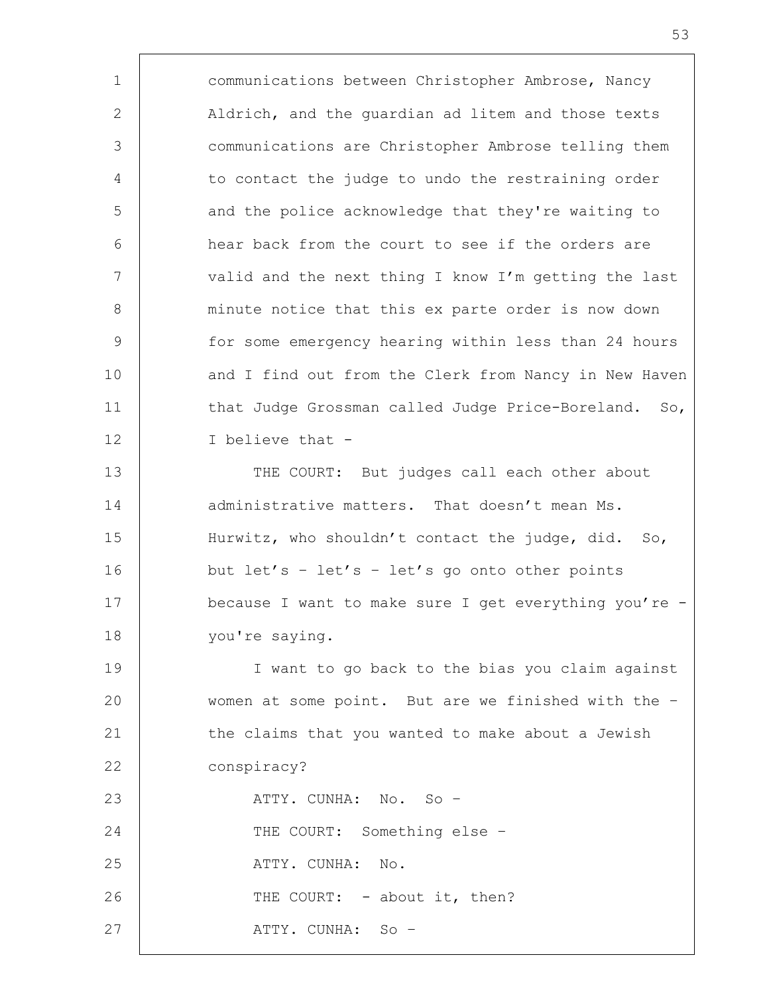1 communications between Christopher Ambrose, Nancy 2 | Aldrich, and the quardian ad litem and those texts 3 communications are Christopher Ambrose telling them 4 to contact the judge to undo the restraining order 5 and the police acknowledge that they're waiting to 6 hear back from the court to see if the orders are 7 | valid and the next thing I know I'm getting the last 8 minute notice that this ex parte order is now down 9 | for some emergency hearing within less than 24 hours 10 and I find out from the Clerk from Nancy in New Haven 11 | that Judge Grossman called Judge Price-Boreland. So, 12 I believe that - 13 THE COURT: But judges call each other about 14 administrative matters. That doesn't mean Ms. 15 | Hurwitz, who shouldn't contact the judge, did. So, 16 but let's - let's - let's go onto other points 17 because I want to make sure I get everything you're - 18 | you're saying. 19 I want to go back to the bias you claim against 20 women at some point. But are we finished with the – 21 the claims that you wanted to make about a Jewish 22 conspiracy? 23 | ATTY. CUNHA: No. So – 24 THE COURT: Something else -25 ATTY. CUNHA: No. 26 THE COURT: - about it, then? 27 | ATTY. CUNHA: So –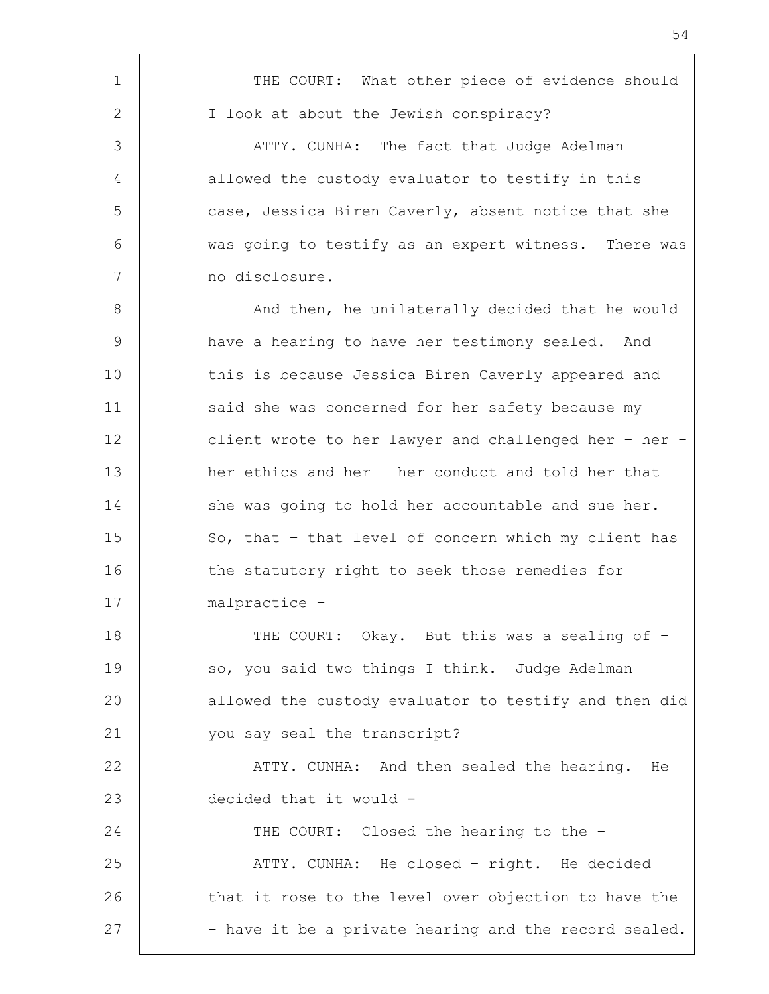1 THE COURT: What other piece of evidence should 2 | I look at about the Jewish conspiracy? 3 ATTY. CUNHA: The fact that Judge Adelman 4 allowed the custody evaluator to testify in this 5 case, Jessica Biren Caverly, absent notice that she 6 was going to testify as an expert witness. There was 7 no disclosure. 8 | And then, he unilaterally decided that he would 9 have a hearing to have her testimony sealed. And 10 | this is because Jessica Biren Caverly appeared and 11 said she was concerned for her safety because my 12 client wrote to her lawyer and challenged her - her -13 | her ethics and her - her conduct and told her that 14 she was going to hold her accountable and sue her. 15 So, that - that level of concern which my client has 16 the statutory right to seek those remedies for 17 malpractice – 18 | THE COURT: Okay. But this was a sealing of -19 so, you said two things I think. Judge Adelman 20 allowed the custody evaluator to testify and then did 21 you say seal the transcript? 22 | ATTY. CUNHA: And then sealed the hearing. He 23 decided that it would - 24 THE COURT: Closed the hearing to the -25 | ATTY. CUNHA: He closed - right. He decided 26 | that it rose to the level over objection to have the 27 | The part of the a private hearing and the record sealed.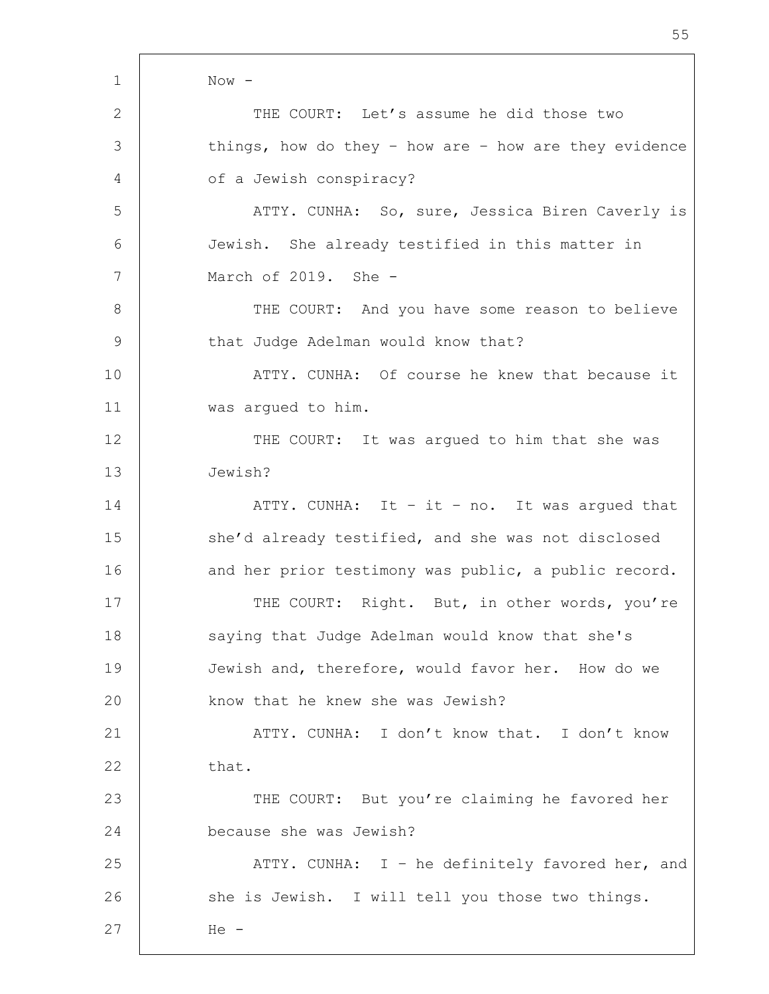| $\mathbf 1$   | $Now -$                                               |
|---------------|-------------------------------------------------------|
| 2             | THE COURT: Let's assume he did those two              |
| 3             | things, how do they - how are - how are they evidence |
| 4             | of a Jewish conspiracy?                               |
| 5             | ATTY. CUNHA: So, sure, Jessica Biren Caverly is       |
| 6             | Jewish. She already testified in this matter in       |
| 7             | March of 2019. She -                                  |
| 8             | THE COURT: And you have some reason to believe        |
| $\mathcal{G}$ | that Judge Adelman would know that?                   |
| 10            | ATTY. CUNHA: Of course he knew that because it        |
| 11            | was argued to him.                                    |
| 12            | THE COURT: It was argued to him that she was          |
| 13            | Jewish?                                               |
| 14            | ATTY. CUNHA: It - it - no. It was argued that         |
| 15            | she'd already testified, and she was not disclosed    |
| 16            | and her prior testimony was public, a public record.  |
| 17            | THE COURT: Right. But, in other words, you're         |
| 18            | saying that Judge Adelman would know that she's       |
| 19            | Jewish and, therefore, would favor her. How do we     |
| 20            | know that he knew she was Jewish?                     |
| 21            | ATTY. CUNHA: I don't know that. I don't know          |
| 22            | that.                                                 |
| 23            | THE COURT: But you're claiming he favored her         |
| 24            | because she was Jewish?                               |
| 25            | ATTY. CUNHA: I - he definitely favored her, and       |
| 26            | she is Jewish. I will tell you those two things.      |
| 27            | $He -$                                                |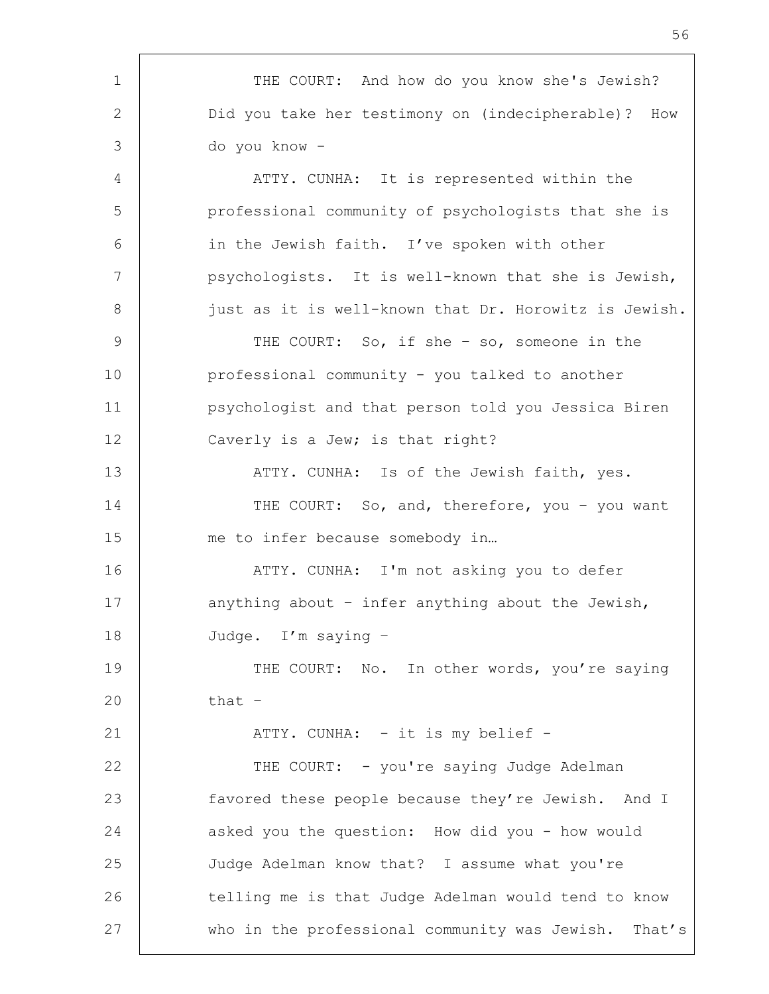1 | THE COURT: And how do you know she's Jewish? 2 Did you take her testimony on (indecipherable)? How 3 do you know - 4 | ATTY. CUNHA: It is represented within the 5 professional community of psychologists that she is 6 | in the Jewish faith. I've spoken with other 7 psychologists. It is well-known that she is Jewish, 8 just as it is well-known that Dr. Horowitz is Jewish. 9 THE COURT: So, if she - so, someone in the 10 professional community - you talked to another 11 psychologist and that person told you Jessica Biren 12 Caverly is a Jew; is that right? 13 | THE ATTY. CUNHA: Is of the Jewish faith, yes. 14 THE COURT: So, and, therefore, you - you want 15 me to infer because somebody in... 16 ATTY. CUNHA: I'm not asking you to defer 17 anything about - infer anything about the Jewish, 18 Judge. I'm saying – 19 THE COURT: No. In other words, you're saying  $20$  that  $-$ 21 | ATTY. CUNHA: - it is my belief -22 | THE COURT: - you're saying Judge Adelman 23 favored these people because they're Jewish. And I 24 asked you the question: How did you - how would 25 Judge Adelman know that? I assume what you're 26 telling me is that Judge Adelman would tend to know 27 who in the professional community was Jewish. That's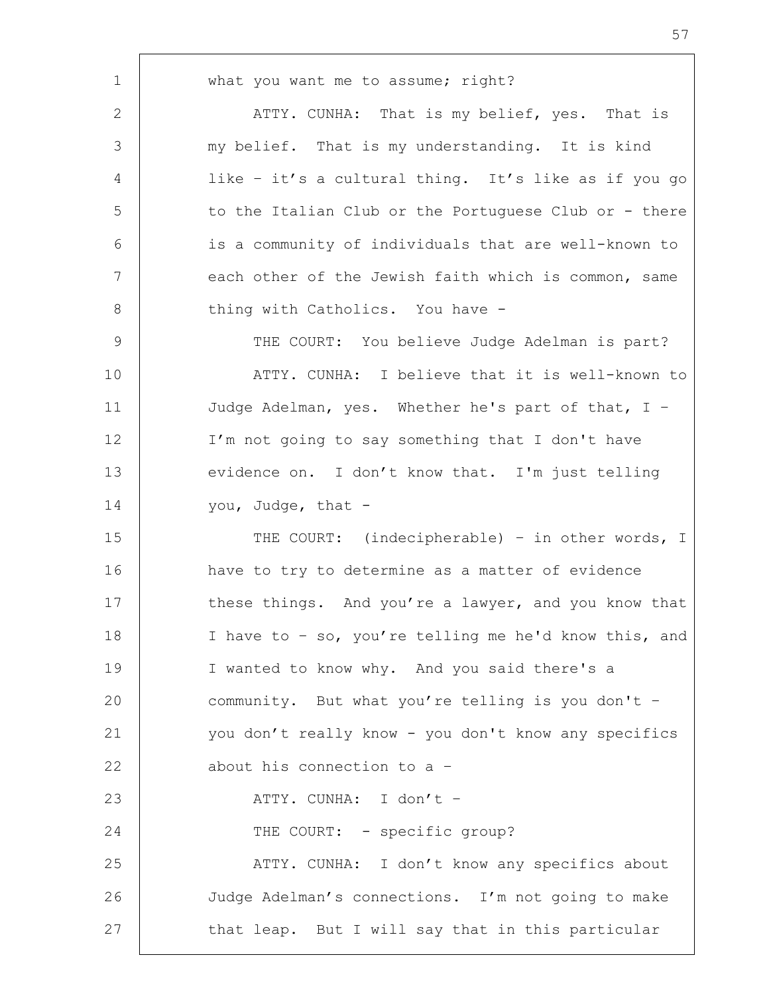1 what you want me to assume; right? 2 ATTY. CUNHA: That is my belief, yes. That is 3 my belief. That is my understanding. It is kind 4 | like - it's a cultural thing. It's like as if you go 5 to the Italian Club or the Portuguese Club or - there 6 is a community of individuals that are well-known to 7 | each other of the Jewish faith which is common, same 8 thing with Catholics. You have -9 | THE COURT: You believe Judge Adelman is part? 10 ATTY. CUNHA: I believe that it is well-known to 11 Judge Adelman, yes. Whether he's part of that, I – 12 I'm not going to say something that I don't have 13 evidence on. I don't know that. I'm just telling 14 vou, Judge, that -15 THE COURT: (indecipherable) - in other words, I 16 have to try to determine as a matter of evidence 17 these things. And you're a lawyer, and you know that 18 I have to – so, you're telling me he'd know this, and 19 | I wanted to know why. And you said there's a 20 community. But what you're telling is you don't -21 you don't really know - you don't know any specifics 22 about his connection to a -23 ATTY. CUNHA: I don't – 24 THE COURT: - specific group? 25 | ATTY. CUNHA: I don't know any specifics about 26 Judge Adelman's connections. I'm not going to make 27 | that leap. But I will say that in this particular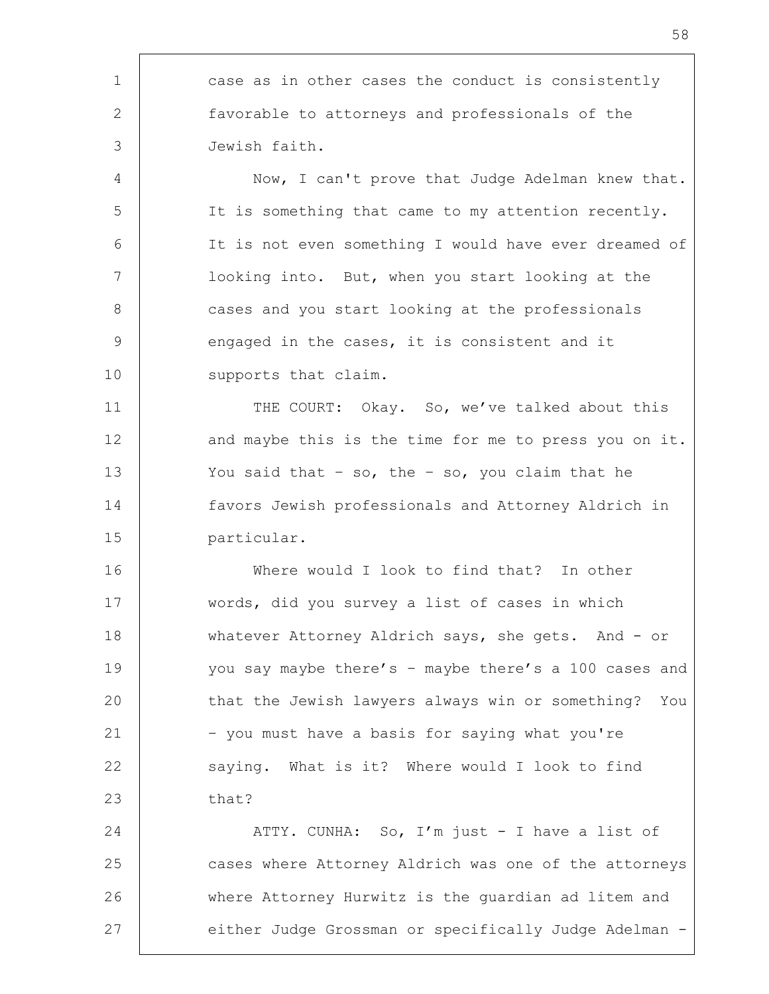1 case as in other cases the conduct is consistently 2 favorable to attorneys and professionals of the 3 Jewish faith. 4 | Now, I can't prove that Judge Adelman knew that. 5 It is something that came to my attention recently. 6 It is not even something I would have ever dreamed of 7 | looking into. But, when you start looking at the 8 cases and you start looking at the professionals 9 engaged in the cases, it is consistent and it 10 | supports that claim. 11 | THE COURT: Okay. So, we've talked about this 12 and maybe this is the time for me to press you on it. 13 You said that – so, the – so, you claim that he 14 favors Jewish professionals and Attorney Aldrich in 15 particular. 16 Where would I look to find that? In other 17 words, did you survey a list of cases in which 18 whatever Attorney Aldrich says, she gets. And - or 19 you say maybe there's - maybe there's a 100 cases and 20 that the Jewish lawyers always win or something? You 21 – you must have a basis for saying what you're 22 saying. What is it? Where would I look to find  $23$  that? 24 ATTY. CUNHA: So, I'm just - I have a list of 25 cases where Attorney Aldrich was one of the attorneys 26 where Attorney Hurwitz is the guardian ad litem and 27 either Judge Grossman or specifically Judge Adelman -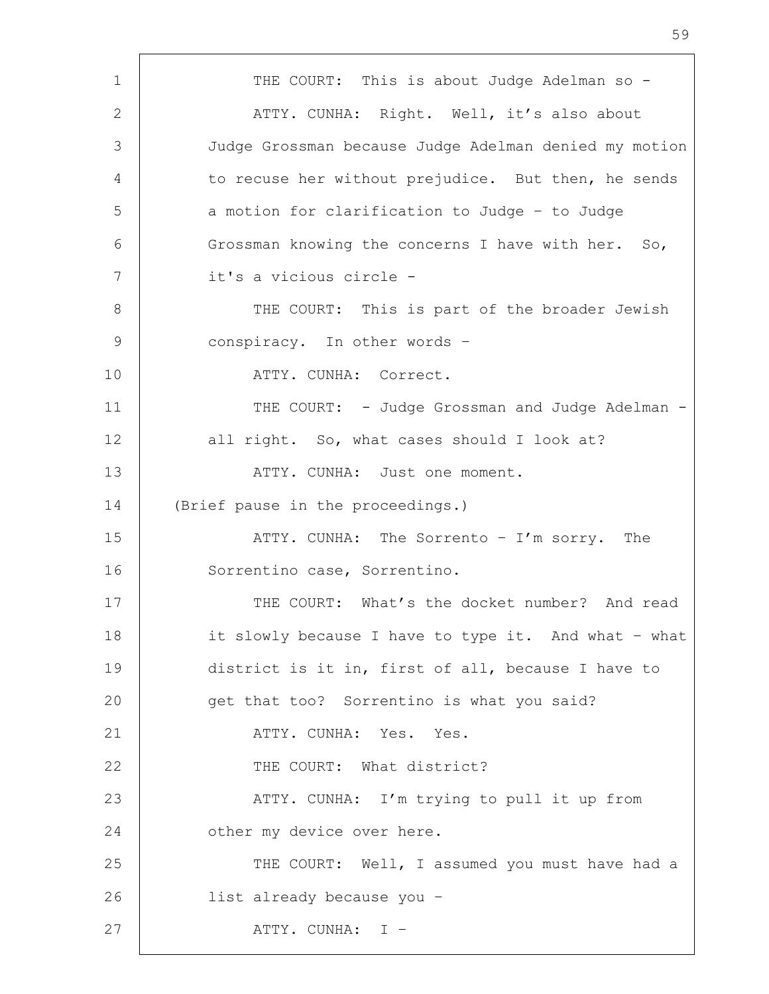1 | THE COURT: This is about Judge Adelman so -2 | ATTY. CUNHA: Right. Well, it's also about 3 Judge Grossman because Judge Adelman denied my motion 4 to recuse her without prejudice. But then, he sends 5 a motion for clarification to Judge - to Judge 6 Grossman knowing the concerns I have with her. So, 7 it's a vicious circle - 8 | THE COURT: This is part of the broader Jewish 9 conspiracy. In other words -10 | THE ATTY. CUNHA: Correct. 11 | THE COURT: - Judge Grossman and Judge Adelman -12 all right. So, what cases should I look at? 13 | THE ATTY. CUNHA: Just one moment. 14 (Brief pause in the proceedings.) 15 | ATTY. CUNHA: The Sorrento - I'm sorry. The 16 | Sorrentino case, Sorrentino. 17 | THE COURT: What's the docket number? And read 18 it slowly because I have to type it. And what - what 19 district is it in, first of all, because I have to 20 get that too? Sorrentino is what you said? 21 ATTY. CUNHA: Yes. Yes. 22 **THE COURT:** What district? 23 | ATTY. CUNHA: I'm trying to pull it up from 24 **b** other my device over here. 25 THE COURT: Well, I assumed you must have had a 26 list already because you – 27 | ATTY. CUNHA: I –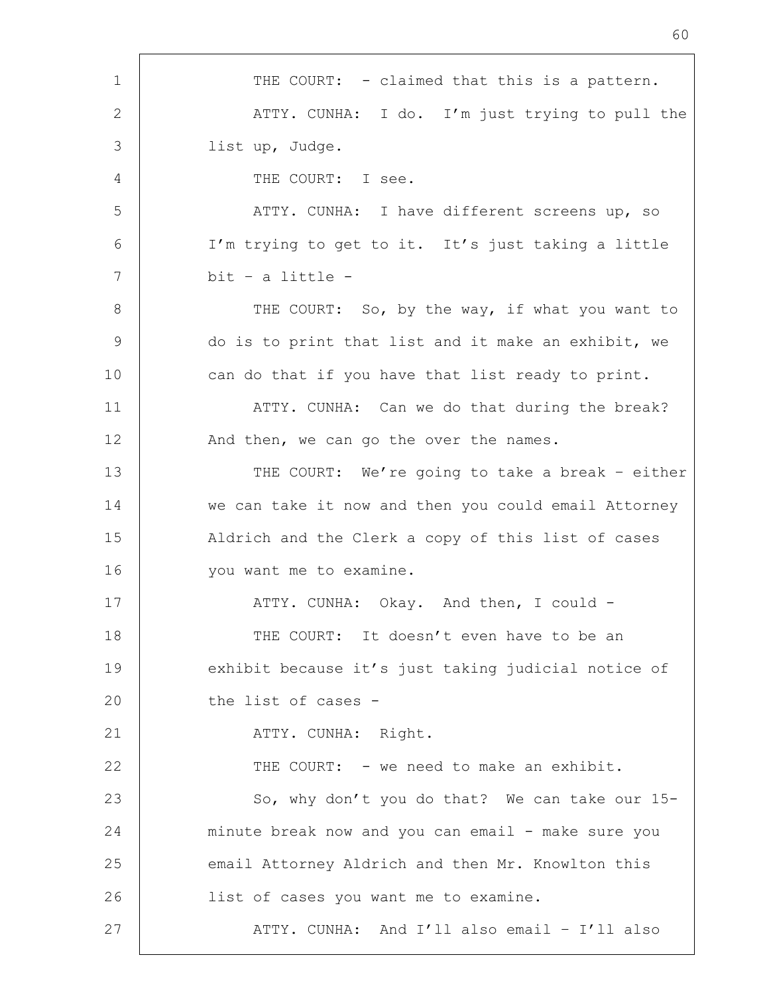1 | THE COURT: - claimed that this is a pattern. 2 ATTY. CUNHA: I do. I'm just trying to pull the 3 list up, Judge. 4 THE COURT: I see. 5 | THE ATTY. CUNHA: I have different screens up, so 6 I'm trying to get to it. It's just taking a little 7 bit – a little - 8 | THE COURT: So, by the way, if what you want to 9 do is to print that list and it make an exhibit, we 10 can do that if you have that list ready to print. 11 | ATTY. CUNHA: Can we do that during the break? 12 | And then, we can go the over the names. 13 THE COURT: We're going to take a break - either 14 we can take it now and then you could email Attorney 15 | Aldrich and the Clerk a copy of this list of cases 16 | vou want me to examine. 17 | ATTY. CUNHA: Okay. And then, I could -18 THE COURT: It doesn't even have to be an 19 exhibit because it's just taking judicial notice of 20 the list of cases -21 | ATTY. CUNHA: Right. 22 | THE COURT: - we need to make an exhibit. 23 So, why don't you do that? We can take our 15-24 minute break now and you can email - make sure you 25 email Attorney Aldrich and then Mr. Knowlton this 26 | list of cases you want me to examine. 27 | ATTY. CUNHA: And I'll also email - I'll also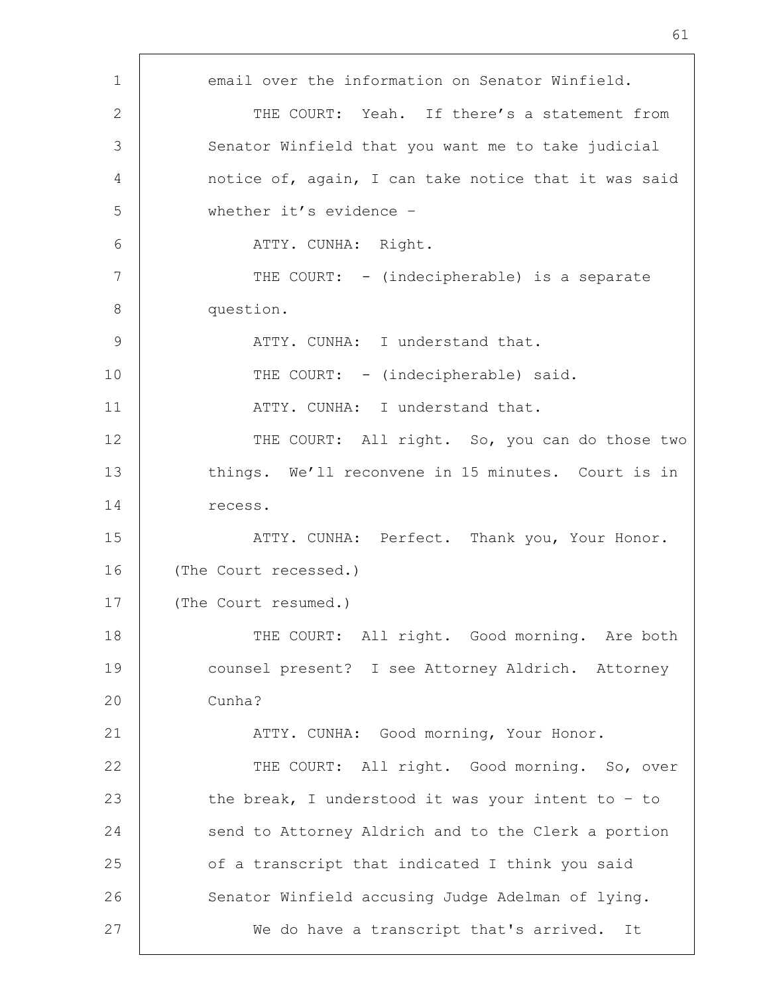1 email over the information on Senator Winfield. 2 THE COURT: Yeah. If there's a statement from 3 Senator Winfield that you want me to take judicial 4 | notice of, again, I can take notice that it was said 5 whether it's evidence – 6 ATTY. CUNHA: Right. 7 | THE COURT: - (indecipherable) is a separate 8 question. 9 | ATTY. CUNHA: I understand that. 10 THE COURT: - (indecipherable) said. 11 | ATTY. CUNHA: I understand that. 12 THE COURT: All right. So, you can do those two 13 things. We'll reconvene in 15 minutes. Court is in 14 recess. 15 | ATTY. CUNHA: Perfect. Thank you, Your Honor. 16 (The Court recessed.) 17 | (The Court resumed.) 18 THE COURT: All right. Good morning. Are both 19 counsel present? I see Attorney Aldrich. Attorney 20 Cunha? 21 | ATTY. CUNHA: Good morning, Your Honor. 22 | THE COURT: All right. Good morning. So, over 23 the break, I understood it was your intent to - to 24 send to Attorney Aldrich and to the Clerk a portion 25 | of a transcript that indicated I think you said 26 | Senator Winfield accusing Judge Adelman of lying. 27 We do have a transcript that's arrived. It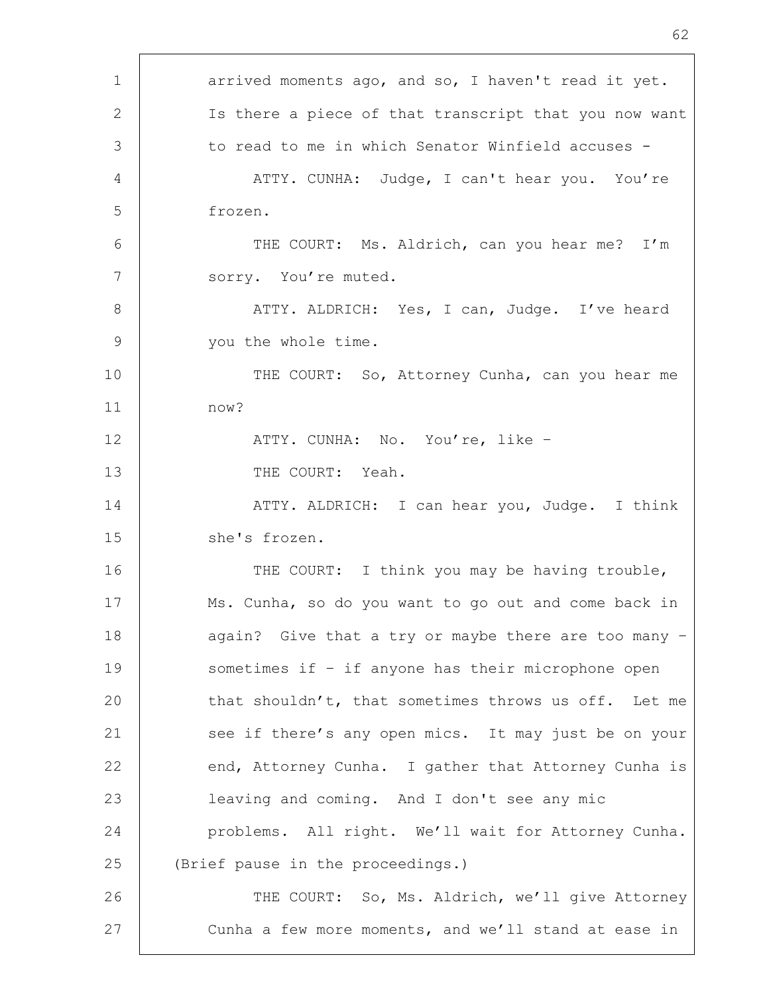| $\mathbf 1$    | arrived moments ago, and so, I haven't read it yet.   |
|----------------|-------------------------------------------------------|
| 2              | Is there a piece of that transcript that you now want |
| 3              | to read to me in which Senator Winfield accuses -     |
| $\overline{4}$ | ATTY. CUNHA: Judge, I can't hear you. You're          |
| 5              | frozen.                                               |
| 6              | THE COURT: Ms. Aldrich, can you hear me? I'm          |
| 7              | sorry. You're muted.                                  |
| 8              | ATTY. ALDRICH: Yes, I can, Judge. I've heard          |
| $\overline{9}$ | you the whole time.                                   |
| 10             | THE COURT: So, Attorney Cunha, can you hear me        |
| 11             | now?                                                  |
| 12             | ATTY. CUNHA: No. You're, like -                       |
| 13             | THE COURT: Yeah.                                      |
| 14             | ATTY. ALDRICH: I can hear you, Judge. I think         |
| 15             | she's frozen.                                         |
| 16             | THE COURT: I think you may be having trouble,         |
| 17             | Ms. Cunha, so do you want to go out and come back in  |
| 18             | again? Give that a try or maybe there are too many -  |
| 19             | sometimes if - if anyone has their microphone open    |
| 20             | that shouldn't, that sometimes throws us off. Let me  |
| 21             | see if there's any open mics. It may just be on your  |
| 22             | end, Attorney Cunha. I gather that Attorney Cunha is  |
| 23             | leaving and coming. And I don't see any mic           |
| 24             | problems. All right. We'll wait for Attorney Cunha.   |
| 25             | (Brief pause in the proceedings.)                     |
| 26             | THE COURT: So, Ms. Aldrich, we'll give Attorney       |
| 27             | Cunha a few more moments, and we'll stand at ease in  |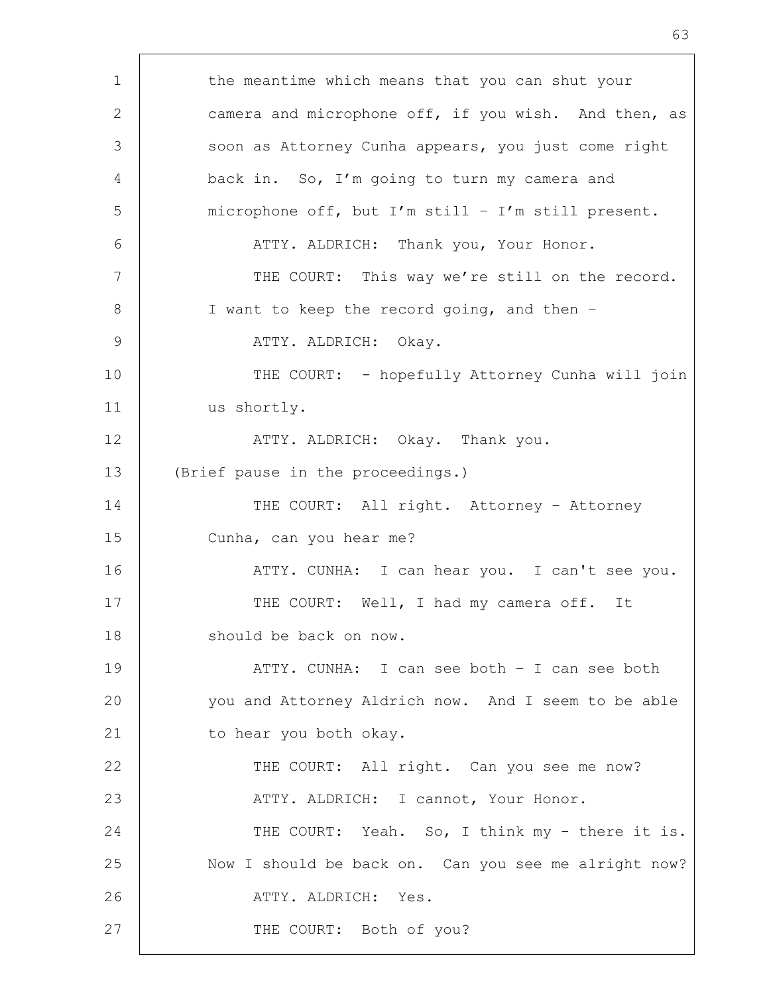1 the meantime which means that you can shut your 2 camera and microphone off, if you wish. And then, as 3 Soon as Attorney Cunha appears, you just come right 4 back in. So, I'm going to turn my camera and 5 microphone off, but I'm still – I'm still present. 6 | ATTY. ALDRICH: Thank you, Your Honor. 7 | THE COURT: This way we're still on the record. 8 | I want to keep the record going, and then -9 | ATTY. ALDRICH: Okay. 10 THE COURT: - hopefully Attorney Cunha will join 11 us shortly. 12 | ATTY. ALDRICH: Okay. Thank you. 13 (Brief pause in the proceedings.) 14 | THE COURT: All right. Attorney - Attorney 15 Cunha, can you hear me? 16 ATTY. CUNHA: I can hear you. I can't see you. 17 | THE COURT: Well, I had my camera off. It 18 should be back on now. 19 ATTY. CUNHA: I can see both – I can see both 20 you and Attorney Aldrich now. And I seem to be able 21 | to hear you both okay. 22 | THE COURT: All right. Can you see me now? 23 | ATTY. ALDRICH: I cannot, Your Honor. 24 THE COURT: Yeah. So, I think my - there it is. 25 Now I should be back on. Can you see me alright now? 26 | ATTY. ALDRICH: Yes. 27 | THE COURT: Both of you?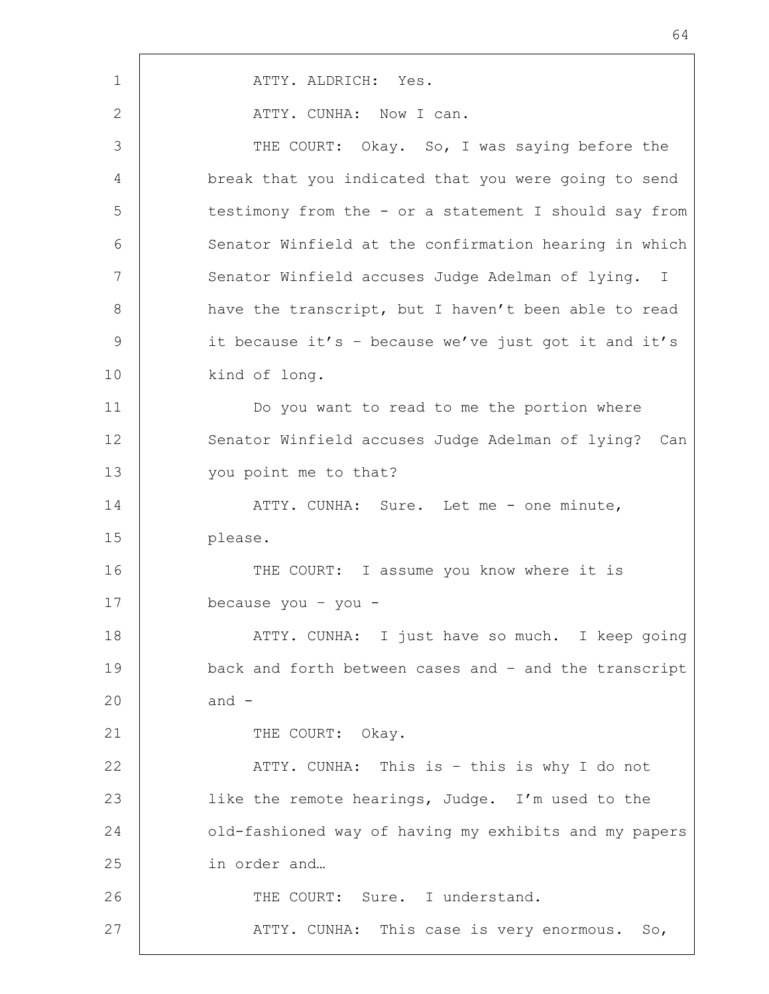1 | ATTY. ALDRICH: Yes. 2 ATTY. CUNHA: Now I can. 3 THE COURT: Okay. So, I was saying before the 4 break that you indicated that you were going to send 5 testimony from the - or a statement I should say from 6 Senator Winfield at the confirmation hearing in which 7 Senator Winfield accuses Judge Adelman of lying. I 8 | have the transcript, but I haven't been able to read 9 it because it's – because we've just got it and it's 10 kind of long. 11 Do you want to read to me the portion where 12 Senator Winfield accuses Judge Adelman of lying? Can 13 you point me to that? 14 ATTY. CUNHA: Sure. Let me - one minute, 15 please. 16 THE COURT: I assume you know where it is 17 because you – you - 18 | THE ATTY. CUNHA: I just have so much. I keep going 19 back and forth between cases and – and the transcript  $20$  and  $-$ 21 THE COURT: Okay. 22 | ATTY. CUNHA: This is – this is why I do not 23 | like the remote hearings, Judge. I'm used to the 24 old-fashioned way of having my exhibits and my papers 25 in order and... 26 THE COURT: Sure. I understand. 27 | ATTY. CUNHA: This case is very enormous. So,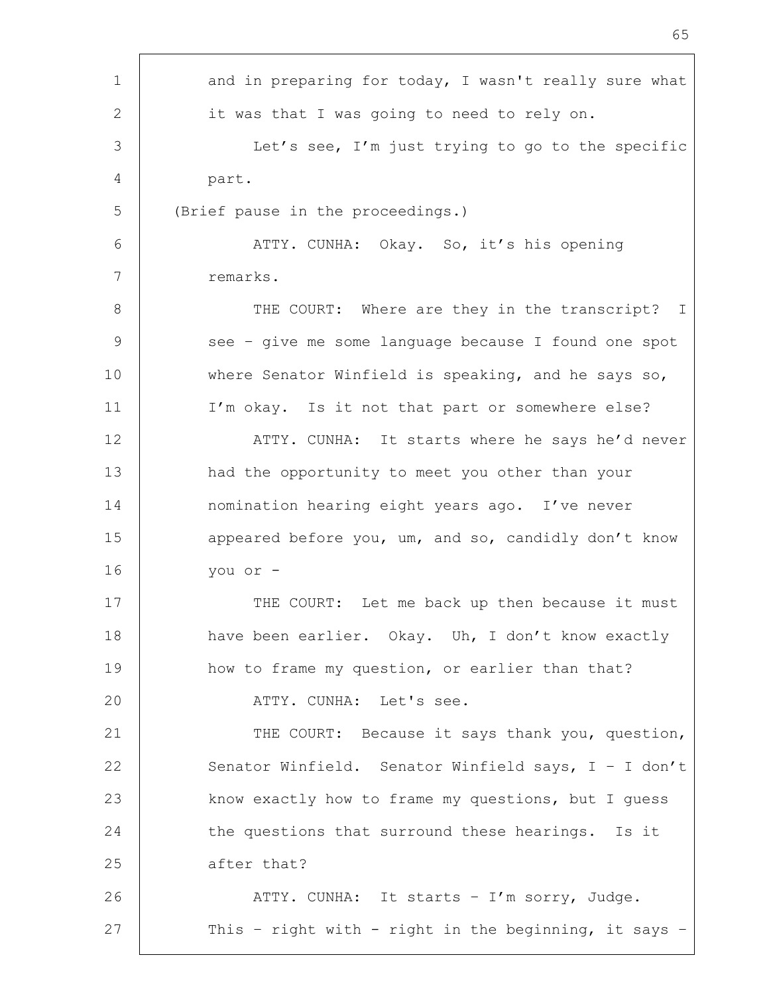| and in preparing for today, I wasn't really sure what   |
|---------------------------------------------------------|
| it was that I was going to need to rely on.             |
| Let's see, I'm just trying to go to the specific        |
| part.                                                   |
| (Brief pause in the proceedings.)                       |
| ATTY. CUNHA: Okay. So, it's his opening                 |
| remarks.                                                |
| THE COURT: Where are they in the transcript?<br>$\perp$ |
| see - give me some language because I found one spot    |
| where Senator Winfield is speaking, and he says so,     |
| I'm okay. Is it not that part or somewhere else?        |
| ATTY. CUNHA: It starts where he says he'd never         |
| had the opportunity to meet you other than your         |
| nomination hearing eight years ago. I've never          |
| appeared before you, um, and so, candidly don't know    |
| you or -                                                |
| THE COURT: Let me back up then because it must          |
| have been earlier. Okay. Uh, I don't know exactly       |
| how to frame my question, or earlier than that?         |
| ATTY. CUNHA: Let's see.                                 |
| THE COURT: Because it says thank you, question,         |
| Senator Winfield. Senator Winfield says, I - I don't    |
| know exactly how to frame my questions, but I guess     |
| the questions that surround these hearings. Is it       |
| after that?                                             |
| ATTY. CUNHA: It starts - I'm sorry, Judge.              |
| This - right with - right in the beginning, it says -   |
|                                                         |

Ē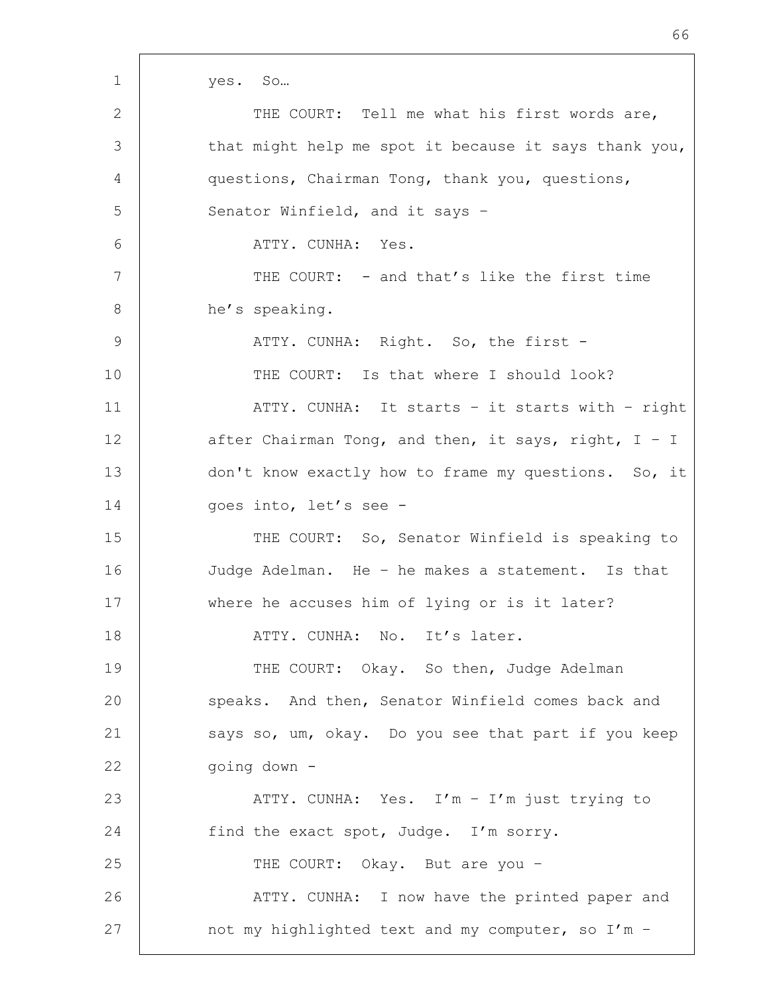| 1             | yes. So                                                |
|---------------|--------------------------------------------------------|
| 2             | THE COURT: Tell me what his first words are,           |
| 3             | that might help me spot it because it says thank you,  |
| 4             | questions, Chairman Tong, thank you, questions,        |
| 5             | Senator Winfield, and it says -                        |
| 6             | ATTY. CUNHA: Yes.                                      |
| 7             | THE COURT: - and that's like the first time            |
| 8             | he's speaking.                                         |
| $\mathcal{G}$ | ATTY. CUNHA: Right. So, the first -                    |
| 10            | THE COURT: Is that where I should look?                |
| 11            | ATTY. CUNHA: It starts - it starts with - right        |
| 12            | after Chairman Tong, and then, it says, right, $I - I$ |
| 13            | don't know exactly how to frame my questions. So, it   |
| 14            | goes into, let's see -                                 |
| 15            | THE COURT: So, Senator Winfield is speaking to         |
| 16            | Judge Adelman. He - he makes a statement. Is that      |
| 17            | where he accuses him of lying or is it later?          |
| 18            | ATTY. CUNHA: No. It's later.                           |
| 19            | THE COURT: Okay. So then, Judge Adelman                |
| 20            | speaks. And then, Senator Winfield comes back and      |
| 21            | says so, um, okay. Do you see that part if you keep    |
| 22            | qoing down -                                           |
| 23            | ATTY. CUNHA: Yes. I'm - I'm just trying to             |
| 24            | find the exact spot, Judge. I'm sorry.                 |
| 25            | THE COURT: Okay. But are you -                         |
| 26            | ATTY. CUNHA: I now have the printed paper and          |
| 27            | not my highlighted text and my computer, so I'm -      |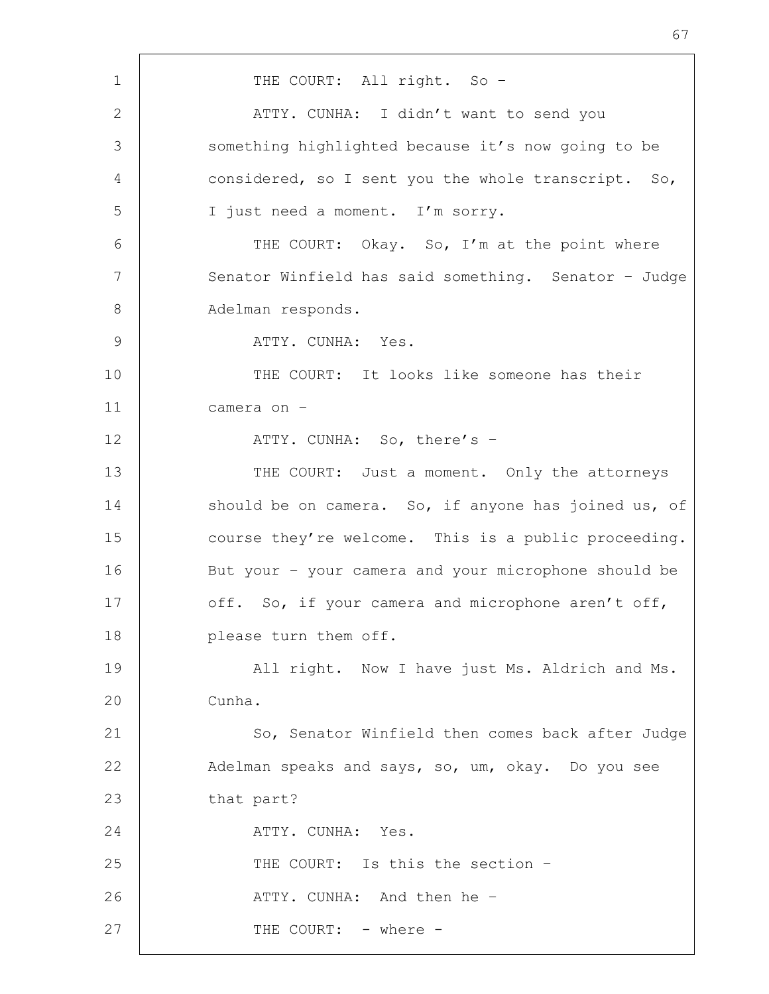1 | THE COURT: All right. So -2 | ATTY. CUNHA: I didn't want to send you 3 Something highlighted because it's now going to be 4 considered, so I sent you the whole transcript. So, 5 I just need a moment. I'm sorry. 6 THE COURT: Okay. So, I'm at the point where 7 | Senator Winfield has said something. Senator - Judge 8 | Adelman responds. 9 ATTY. CUNHA: Yes. 10 THE COURT: It looks like someone has their 11 camera on – 12 | ATTY. CUNHA: So, there's -13 THE COURT: Just a moment. Only the attorneys 14 should be on camera. So, if anyone has joined us, of 15 course they're welcome. This is a public proceeding. 16 But your – your camera and your microphone should be 17 off. So, if your camera and microphone aren't off, 18 **please** turn them off. 19 | All right. Now I have just Ms. Aldrich and Ms. 20 Cunha. 21 | So, Senator Winfield then comes back after Judge 22 Adelman speaks and says, so, um, okay. Do you see 23 that part? 24 ATTY. CUNHA: Yes. 25 THE COURT: Is this the section -26 | ATTY. CUNHA: And then he -27 | THE COURT: - where -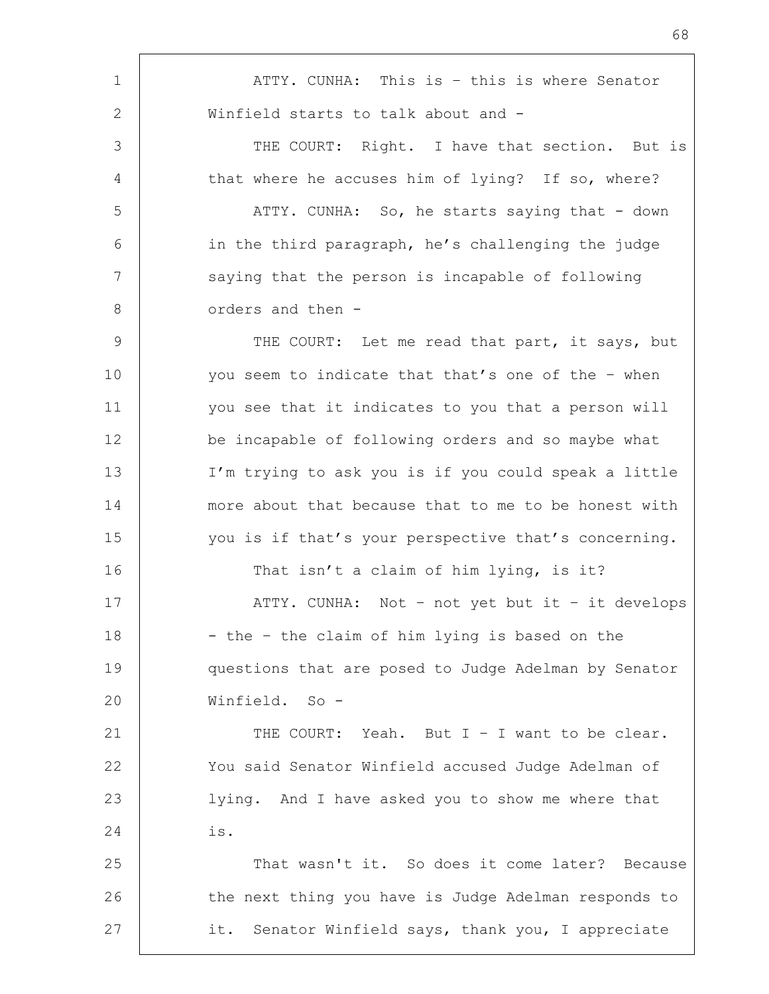1 | ATTY. CUNHA: This is - this is where Senator 2 | Winfield starts to talk about and -3 THE COURT: Right. I have that section. But is 4 that where he accuses him of lying? If so, where? 5 ATTY. CUNHA: So, he starts saying that - down 6 in the third paragraph, he's challenging the judge 7 | saying that the person is incapable of following 8 orders and then -9 THE COURT: Let me read that part, it says, but 10 you seem to indicate that that's one of the - when 11 you see that it indicates to you that a person will 12 be incapable of following orders and so maybe what 13 I'm trying to ask you is if you could speak a little 14 more about that because that to me to be honest with 15 you is if that's your perspective that's concerning. 16 That isn't a claim of him lying, is it? 17 | ATTY. CUNHA: Not – not yet but it – it develops 18 | - the - the claim of him lying is based on the 19 questions that are posed to Judge Adelman by Senator 20 Winfield. So - 21  $\vert$  THE COURT: Yeah. But I – I want to be clear. 22 You said Senator Winfield accused Judge Adelman of 23 lying. And I have asked you to show me where that 24 is. 25 That wasn't it. So does it come later? Because 26 | the next thing you have is Judge Adelman responds to 27 it. Senator Winfield says, thank you, I appreciate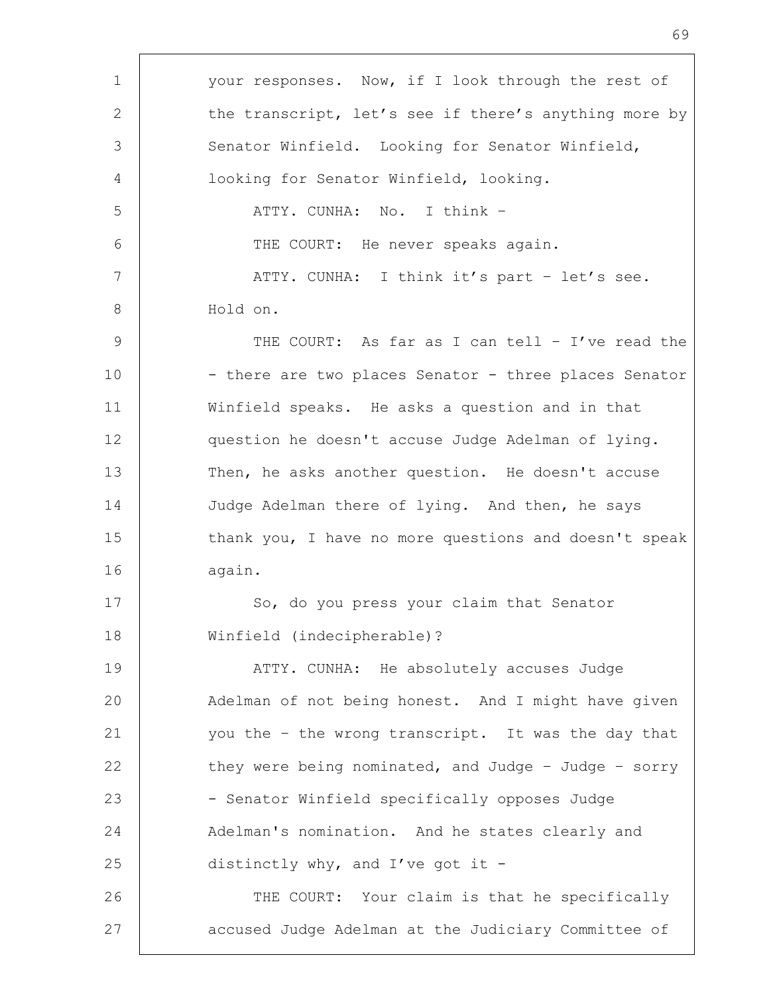| $\mathbf 1$ | your responses. Now, if I look through the rest of    |
|-------------|-------------------------------------------------------|
| 2           | the transcript, let's see if there's anything more by |
| 3           | Senator Winfield. Looking for Senator Winfield,       |
| 4           | looking for Senator Winfield, looking.                |
| 5           | ATTY. CUNHA: No. I think -                            |
| 6           | THE COURT: He never speaks again.                     |
| 7           | ATTY. CUNHA: I think it's part - let's see.           |
| 8           | Hold on.                                              |
| 9           | THE COURT: As far as I can tell - I've read the       |
| 10          | - there are two places Senator - three places Senator |
| 11          | Winfield speaks. He asks a question and in that       |
| 12          | question he doesn't accuse Judge Adelman of lying.    |
| 13          | Then, he asks another question. He doesn't accuse     |
| 14          | Judge Adelman there of lying. And then, he says       |
| 15          | thank you, I have no more questions and doesn't speak |
| 16          | again.                                                |
| 17          | So, do you press your claim that Senator              |
| 18          | Winfield (indecipherable)?                            |
| 19          | ATTY. CUNHA: He absolutely accuses Judge              |
| 20          | Adelman of not being honest. And I might have given   |
| 21          | you the - the wrong transcript. It was the day that   |
| 22          | they were being nominated, and Judge - Judge - sorry  |
| 23          | - Senator Winfield specifically opposes Judge         |
| 24          | Adelman's nomination. And he states clearly and       |
| 25          | distinctly why, and I've got it -                     |
| 26          | THE COURT: Your claim is that he specifically         |
| 27          | accused Judge Adelman at the Judiciary Committee of   |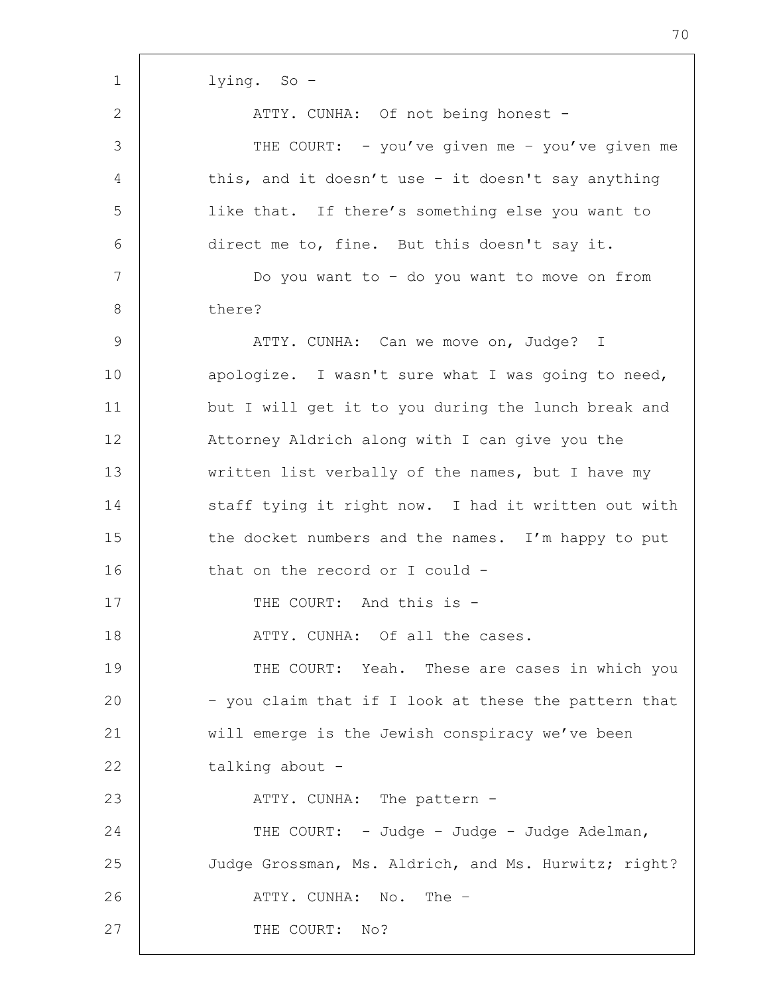lying. So –

2 ATTY. CUNHA: Of not being honest -

| ↩             | INTIT. CONTIN. OF NOT DUTING NONCSU                  |
|---------------|------------------------------------------------------|
| 3             | THE COURT: - you've given me - you've given me       |
| 4             | this, and it doesn't use - it doesn't say anything   |
| 5             | like that. If there's something else you want to     |
| 6             | direct me to, fine. But this doesn't say it.         |
| 7             | Do you want to - do you want to move on from         |
| $8\,$         | there?                                               |
| $\mathcal{G}$ | ATTY. CUNHA: Can we move on, Judge? I                |
| 10            | apologize. I wasn't sure what I was going to need,   |
| 11            | but I will get it to you during the lunch break and  |
| 12            | Attorney Aldrich along with I can give you the       |
| 13            | written list verbally of the names, but I have my    |
| 14            | staff tying it right now. I had it written out with  |
| 15            | the docket numbers and the names. I'm happy to put   |
| 16            | that on the record or I could -                      |
| 17            | THE COURT: And this is -                             |
| 18            | ATTY. CUNHA: Of all the cases.                       |
| 19            | THE COURT: Yeah. These are cases in which you        |
| 20            | - you claim that if I look at these the pattern that |
| 21            | will emerge is the Jewish conspiracy we've been      |
| 22            | talking about -                                      |
| 23            | ATTY. CUNHA: The pattern -                           |
| 24            | THE COURT: - Judge - Judge - Judge Adelman,          |
| 25            | Judge Grossman, Ms. Aldrich, and Ms. Hurwitz; right? |
| 26            | ATTY. CUNHA: No. The -                               |
| 27            | THE COURT: No?                                       |
|               |                                                      |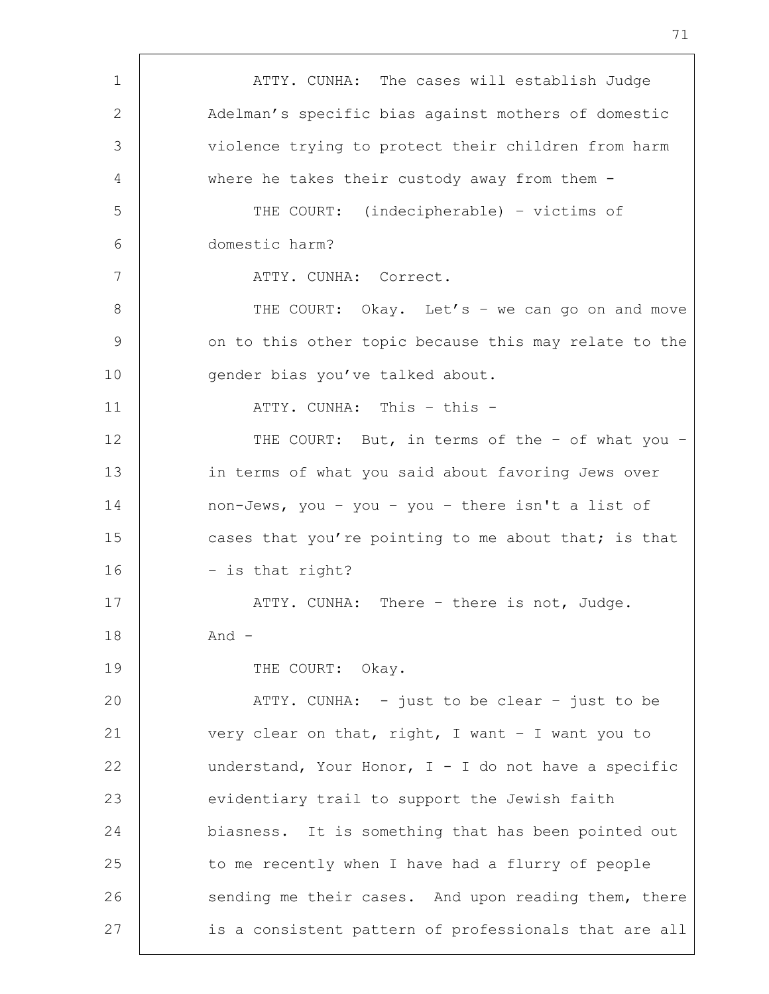1 | ATTY. CUNHA: The cases will establish Judge 2 Adelman's specific bias against mothers of domestic 3 violence trying to protect their children from harm 4 where he takes their custody away from them - 5 THE COURT: (indecipherable) – victims of 6 domestic harm? 7 | ATTY. CUNHA: Correct. 8 | THE COURT: Okay. Let's - we can go on and move 9 | on to this other topic because this may relate to the 10 | gender bias you've talked about. 11 | ATTY. CUNHA: This - this -12 THE COURT: But, in terms of the - of what you -13 in terms of what you said about favoring Jews over 14 non-Jews, you – you – you – there isn't a list of 15 cases that you're pointing to me about that; is that 16 – is that right? 17 | ATTY. CUNHA: There - there is not, Judge. 18 | And -19 THE COURT: Okay. 20 | ATTY. CUNHA: - just to be clear - just to be 21 very clear on that, right, I want – I want you to 22 | understand, Your Honor,  $I - I$  do not have a specific 23 evidentiary trail to support the Jewish faith 24 biasness. It is something that has been pointed out 25 to me recently when I have had a flurry of people 26 sending me their cases. And upon reading them, there 27 is a consistent pattern of professionals that are all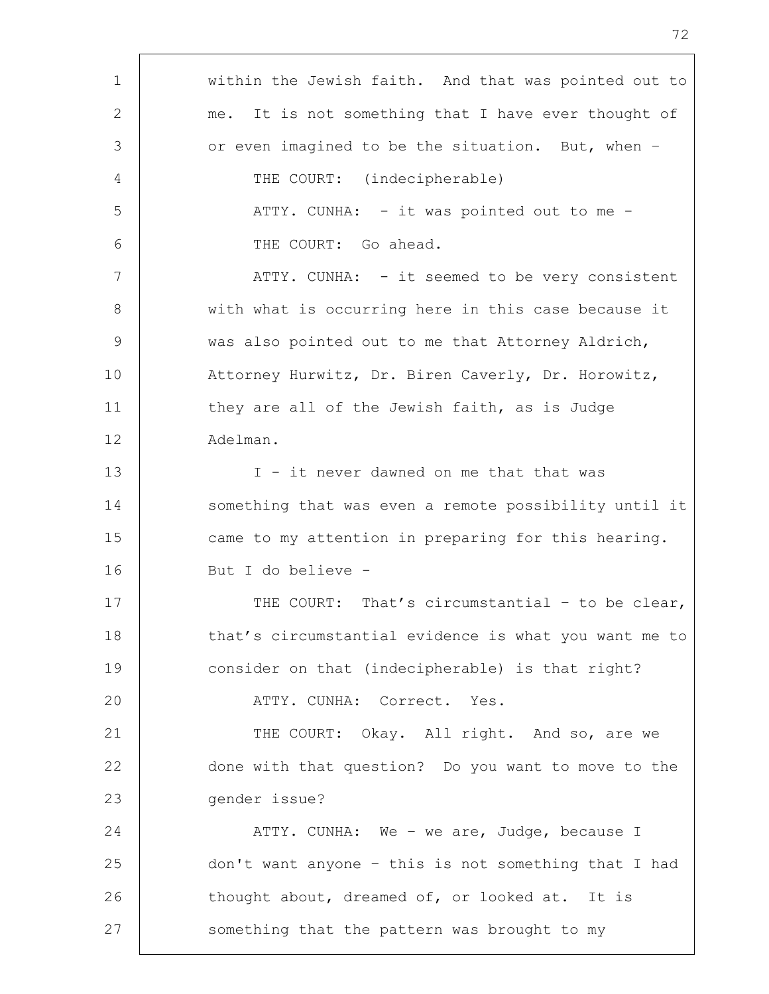| $\mathbf 1$    | within the Jewish faith. And that was pointed out to  |
|----------------|-------------------------------------------------------|
| 2              | me. It is not something that I have ever thought of   |
| 3              | or even imagined to be the situation. But, when -     |
| $\overline{4}$ | THE COURT: (indecipherable)                           |
| 5              | ATTY. CUNHA: - it was pointed out to me -             |
| 6              | THE COURT: Go ahead.                                  |
| 7              | ATTY. CUNHA: - it seemed to be very consistent        |
| 8              | with what is occurring here in this case because it   |
| 9              | was also pointed out to me that Attorney Aldrich,     |
| 10             | Attorney Hurwitz, Dr. Biren Caverly, Dr. Horowitz,    |
| 11             | they are all of the Jewish faith, as is Judge         |
| 12             | Adelman.                                              |
| 13             | I - it never dawned on me that that was               |
| 14             | something that was even a remote possibility until it |
| 15             | came to my attention in preparing for this hearing.   |
| 16             | But I do believe -                                    |
| 17             | THE COURT: That's circumstantial - to be clear,       |
| 18             | that's circumstantial evidence is what you want me to |
| 19             | consider on that (indecipherable) is that right?      |
| 20             | ATTY. CUNHA: Correct. Yes.                            |
| 21             | THE COURT: Okay. All right. And so, are we            |
| 22             | done with that question? Do you want to move to the   |
| 23             | gender issue?                                         |
| 24             | ATTY. CUNHA: We - we are, Judge, because I            |
| 25             | don't want anyone - this is not something that I had  |
| 26             | thought about, dreamed of, or looked at. It is        |
| 27             | something that the pattern was brought to my          |
|                |                                                       |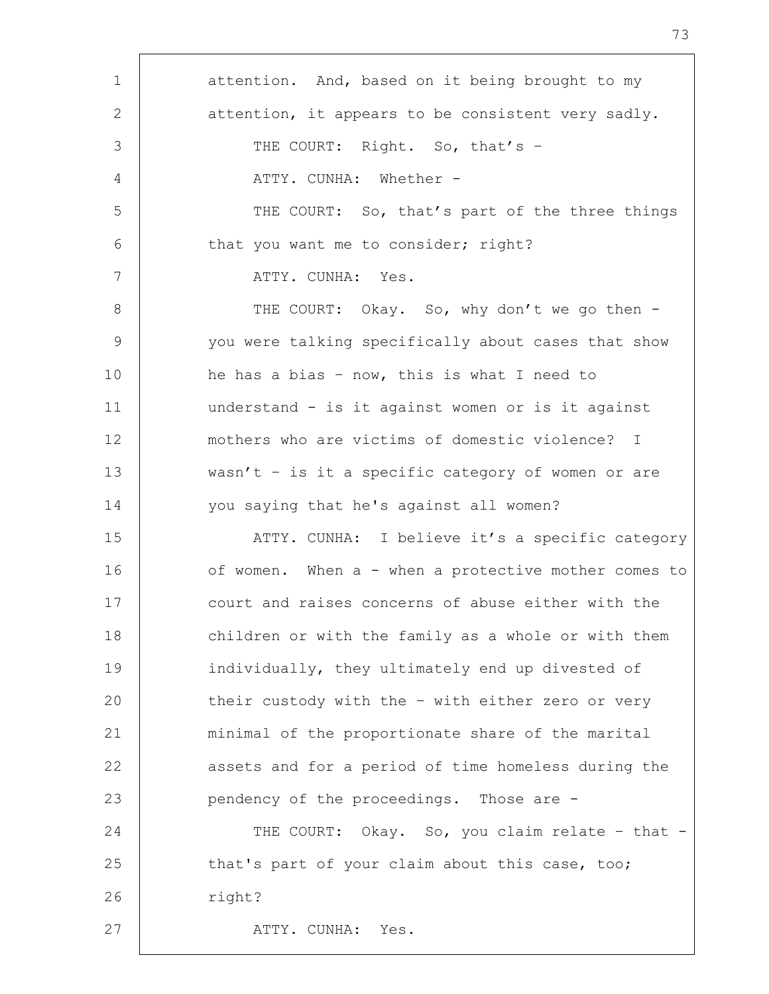| $\mathbf 1$ | attention. And, based on it being brought to my      |
|-------------|------------------------------------------------------|
| 2           | attention, it appears to be consistent very sadly.   |
| 3           | THE COURT: Right. So, that's -                       |
| 4           | ATTY. CUNHA: Whether -                               |
| 5           | THE COURT: So, that's part of the three things       |
| 6           | that you want me to consider; right?                 |
| 7           | ATTY. CUNHA: Yes.                                    |
| 8           | THE COURT: Okay. So, why don't we go then -          |
| 9           | you were talking specifically about cases that show  |
| 10          | he has a bias - now, this is what I need to          |
| 11          | understand - is it against women or is it against    |
| 12          | mothers who are victims of domestic violence? I      |
| 13          | wasn't - is it a specific category of women or are   |
| 14          | you saying that he's against all women?              |
| 15          | ATTY. CUNHA: I believe it's a specific category      |
| 16          | of women. When a - when a protective mother comes to |
| 17          | court and raises concerns of abuse either with the   |
| 18          | children or with the family as a whole or with them  |
| 19          | individually, they ultimately end up divested of     |
| 20          | their custody with the - with either zero or very    |
| 21          | minimal of the proportionate share of the marital    |
| 22          | assets and for a period of time homeless during the  |
| 23          | pendency of the proceedings. Those are -             |
| 24          | THE COURT: Okay. So, you claim relate - that -       |
| 25          | that's part of your claim about this case, too;      |
| 26          | right?                                               |
| 27          | ATTY. CUNHA: Yes.                                    |
|             |                                                      |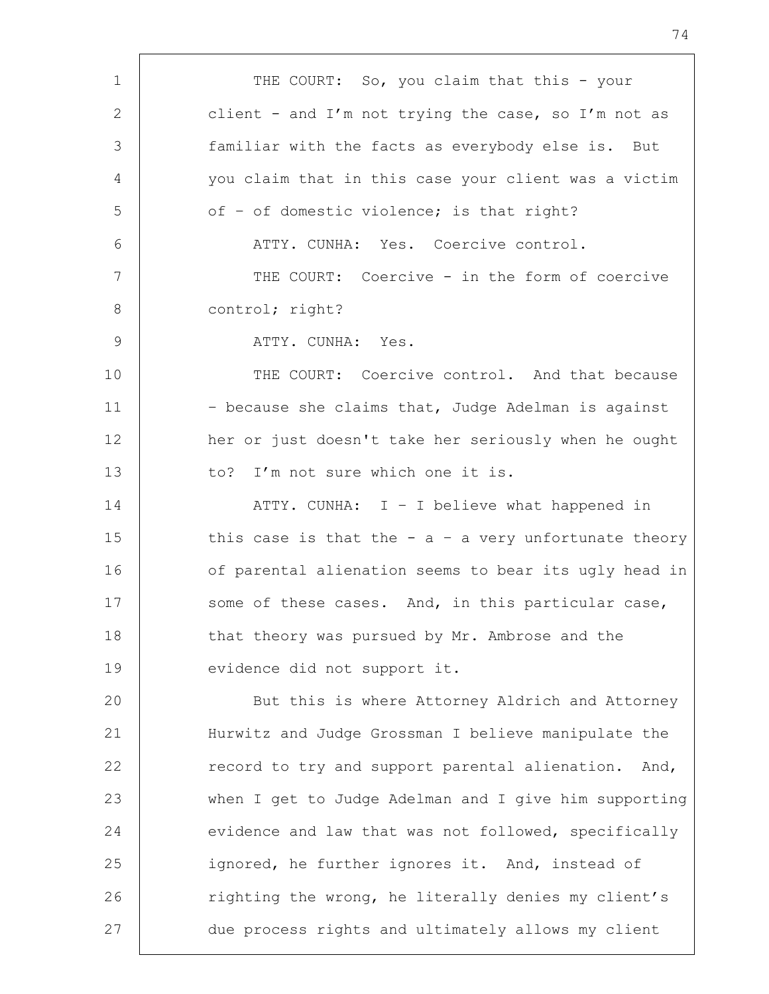1 | THE COURT: So, you claim that this - your 2 client - and I'm not trying the case, so I'm not as 3 familiar with the facts as everybody else is. But 4 you claim that in this case your client was a victim  $5$  of - of domestic violence; is that right? 6 ATTY. CUNHA: Yes. Coercive control. 7 THE COURT: Coercive - in the form of coercive 8 control; right? 9 ATTY. CUNHA: Yes. 10 **THE COURT:** Coercive control. And that because 11 | - because she claims that, Judge Adelman is against 12 her or just doesn't take her seriously when he ought 13 to? I'm not sure which one it is. 14 ATTY. CUNHA: I – I believe what happened in 15 this case is that the  $-$  a  $-$  a very unfortunate theory 16 of parental alienation seems to bear its ugly head in 17 Some of these cases. And, in this particular case, 18 that theory was pursued by Mr. Ambrose and the 19 | evidence did not support it. 20 | But this is where Attorney Aldrich and Attorney 21 Hurwitz and Judge Grossman I believe manipulate the 22 erecord to try and support parental alienation. And, 23 when I get to Judge Adelman and I give him supporting 24 evidence and law that was not followed, specifically 25 ignored, he further ignores it. And, instead of 26 | righting the wrong, he literally denies my client's 27 due process rights and ultimately allows my client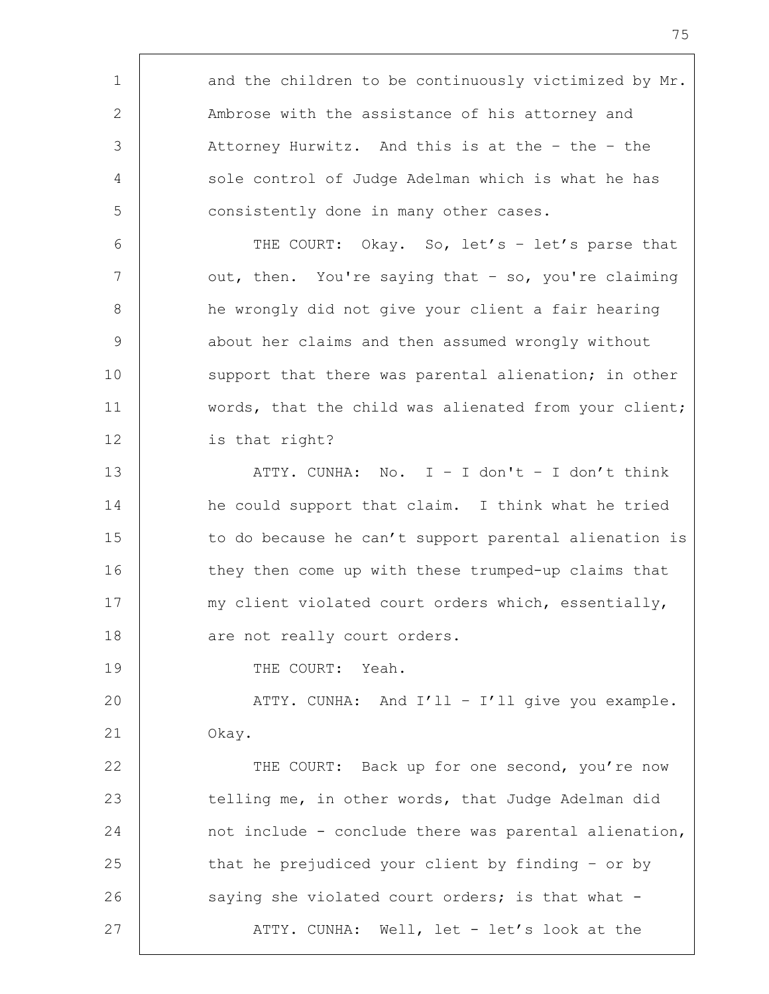1 and the children to be continuously victimized by Mr. 2 Ambrose with the assistance of his attorney and 3 Attorney Hurwitz. And this is at the - the - the 4 sole control of Judge Adelman which is what he has 5 **consistently done in many other cases.** 6 | THE COURT: Okay. So, let's - let's parse that 7 | out, then. You're saying that - so, you're claiming 8 | he wrongly did not give your client a fair hearing 9 about her claims and then assumed wrongly without 10 support that there was parental alienation; in other 11 | words, that the child was alienated from your client; 12 is that right? 13 ATTY. CUNHA: No. I – I don't – I don't think 14 he could support that claim. I think what he tried 15 to do because he can't support parental alienation is 16 they then come up with these trumped-up claims that 17 | my client violated court orders which, essentially, 18 are not really court orders. 19 | THE COURT: Yeah. 20 | ATTY. CUNHA: And I'll - I'll give you example. 21 Okay. 22 THE COURT: Back up for one second, you're now 23 telling me, in other words, that Judge Adelman did 24 not include - conclude there was parental alienation, 25 that he prejudiced your client by finding - or by 26 | saying she violated court orders; is that what -27 ATTY. CUNHA: Well, let - let's look at the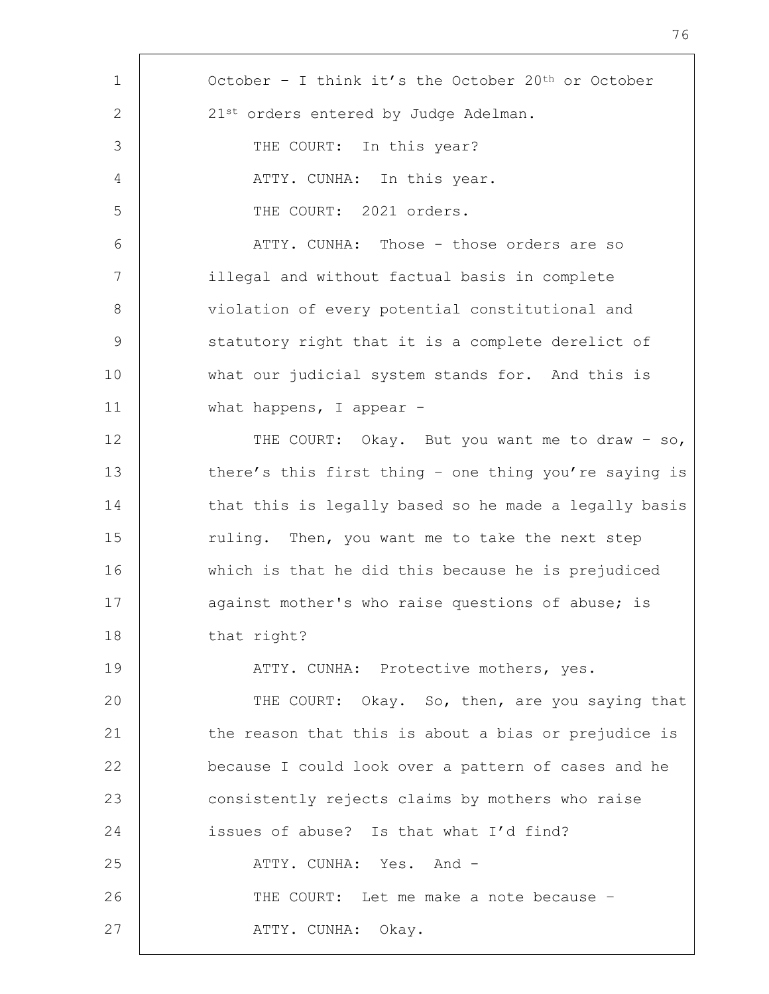| $\mathbf 1$     | October - I think it's the October 20 <sup>th</sup> or October |
|-----------------|----------------------------------------------------------------|
| 2               | 21st orders entered by Judge Adelman.                          |
| 3               | THE COURT: In this year?                                       |
| 4               | ATTY. CUNHA: In this year.                                     |
| 5               | THE COURT: 2021 orders.                                        |
| 6               | ATTY. CUNHA: Those - those orders are so                       |
| $7\phantom{.0}$ | illegal and without factual basis in complete                  |
| 8               | violation of every potential constitutional and                |
| $\mathsf 9$     | statutory right that it is a complete derelict of              |
| 10              | what our judicial system stands for. And this is               |
| 11              | what happens, I appear $-$                                     |
| 12              | THE COURT: Okay. But you want me to draw - so,                 |
| 13              | there's this first thing - one thing you're saying is          |
| 14              | that this is legally based so he made a legally basis          |
| 15              | ruling. Then, you want me to take the next step                |
| 16              | which is that he did this because he is prejudiced             |
| 17              | against mother's who raise questions of abuse; is              |
| 18              | that right?                                                    |
| 19              | ATTY. CUNHA: Protective mothers, yes.                          |
| 20              | THE COURT: Okay. So, then, are you saying that                 |
| 21              | the reason that this is about a bias or prejudice is           |
| 22              | because I could look over a pattern of cases and he            |
| 23              | consistently rejects claims by mothers who raise               |
| 24              | issues of abuse? Is that what I'd find?                        |
| 25              | ATTY. CUNHA: Yes. And -                                        |
| 26              | THE COURT: Let me make a note because -                        |
| 27              | ATTY. CUNHA: Okay.                                             |
|                 |                                                                |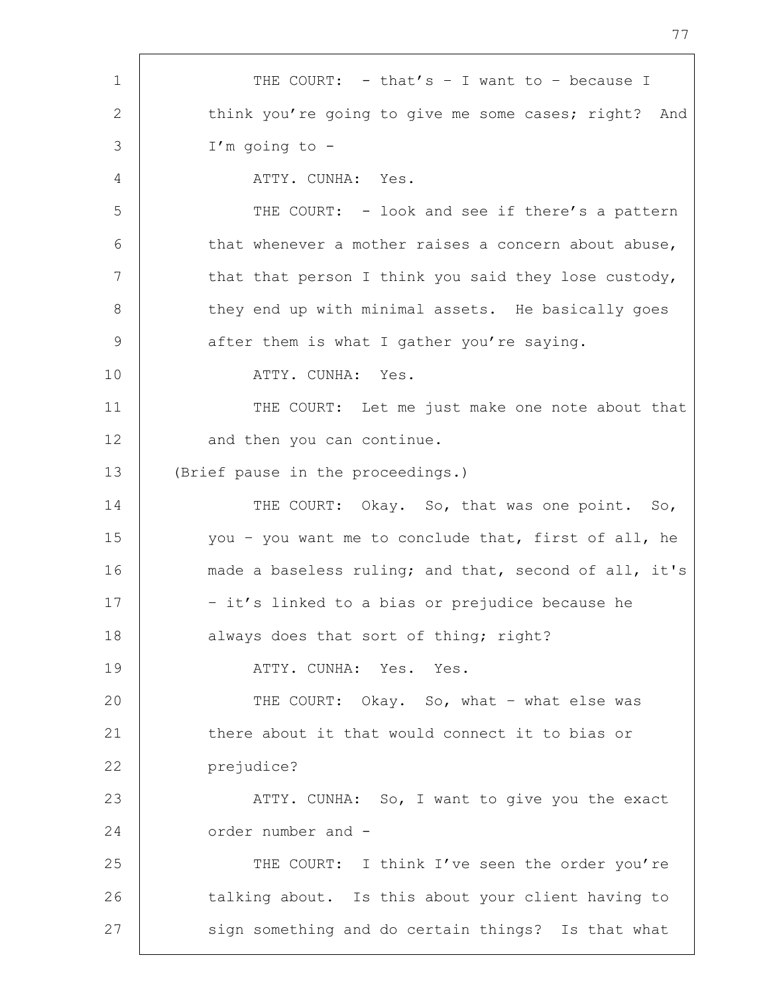1 | THE COURT: - that's - I want to - because I 2 think you're going to give me some cases; right? And 3 I'm going to - 4 ATTY. CUNHA: Yes. 5 THE COURT: - look and see if there's a pattern 6 that whenever a mother raises a concern about abuse, 7 | that that person I think you said they lose custody, 8 they end up with minimal assets. He basically goes 9 after them is what I gather you're saying. 10 | ATTY. CUNHA: Yes. 11 | THE COURT: Let me just make one note about that 12 and then you can continue. 13 (Brief pause in the proceedings.) 14 THE COURT: Okay. So, that was one point. So, 15 you - you want me to conclude that, first of all, he 16 made a baseless ruling; and that, second of all, it's 17 | The st's linked to a bias or prejudice because he 18 | always does that sort of thing; right? 19 | THE ATTY. CUNHA: Yes. Yes. 20 THE COURT: Okay. So, what - what else was 21 there about it that would connect it to bias or 22 prejudice? 23 | ATTY. CUNHA: So, I want to give you the exact 24 order number and -25 THE COURT: I think I've seen the order you're 26 talking about. Is this about your client having to 27 sign something and do certain things? Is that what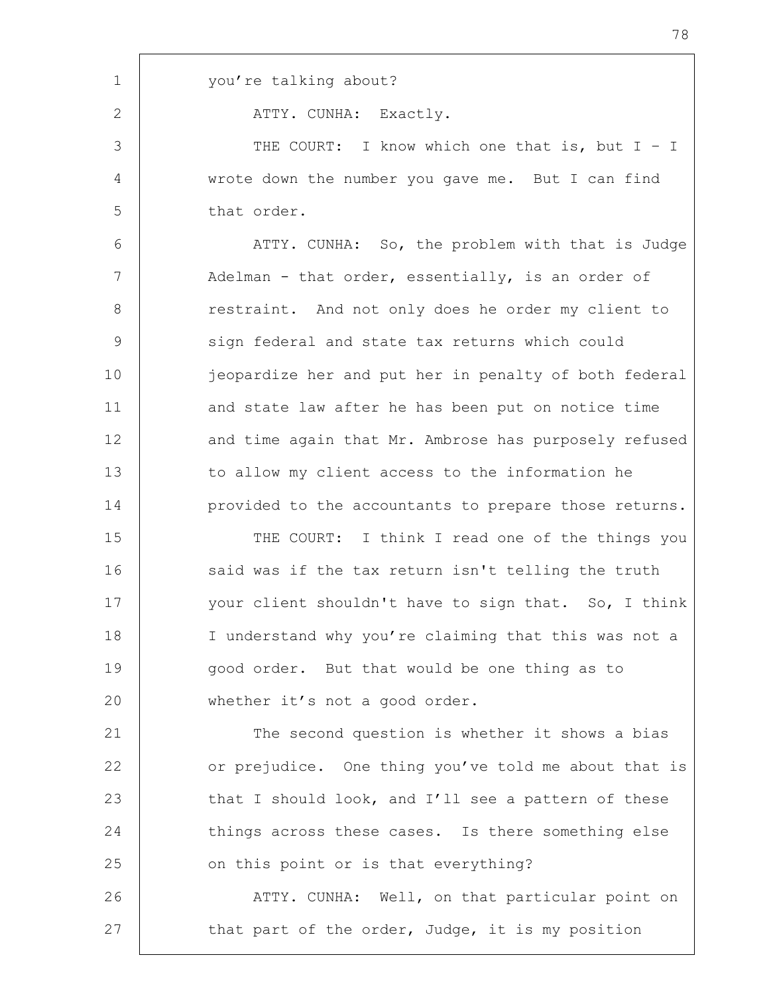| $\mathbf{1}$ | you're talking about?                                 |
|--------------|-------------------------------------------------------|
| $\mathbf{2}$ | ATTY. CUNHA: Exactly.                                 |
| 3            | THE COURT: I know which one that is, but $I - I$      |
| 4            | wrote down the number you gave me. But I can find     |
| 5            | that order.                                           |
| 6            | ATTY. CUNHA: So, the problem with that is Judge       |
| 7            | Adelman - that order, essentially, is an order of     |
| $8\,$        | restraint. And not only does he order my client to    |
| 9            | sign federal and state tax returns which could        |
| 10           | jeopardize her and put her in penalty of both federal |
| 11           | and state law after he has been put on notice time    |
| 12           | and time again that Mr. Ambrose has purposely refused |
| 13           | to allow my client access to the information he       |
| 14           | provided to the accountants to prepare those returns. |
| 15           | THE COURT: I think I read one of the things you       |
| 16           | said was if the tax return isn't telling the truth    |
| 17           | your client shouldn't have to sign that. So, I think  |
| 18           | I understand why you're claiming that this was not a  |
| 19           | good order. But that would be one thing as to         |
| 20           | whether it's not a good order.                        |
| 21           | The second question is whether it shows a bias        |
| 22           | or prejudice. One thing you've told me about that is  |
| 23           | that I should look, and I'll see a pattern of these   |
| 24           | things across these cases. Is there something else    |
| 25           | on this point or is that everything?                  |
| 26           | ATTY. CUNHA: Well, on that particular point on        |
| 27           | that part of the order, Judge, it is my position      |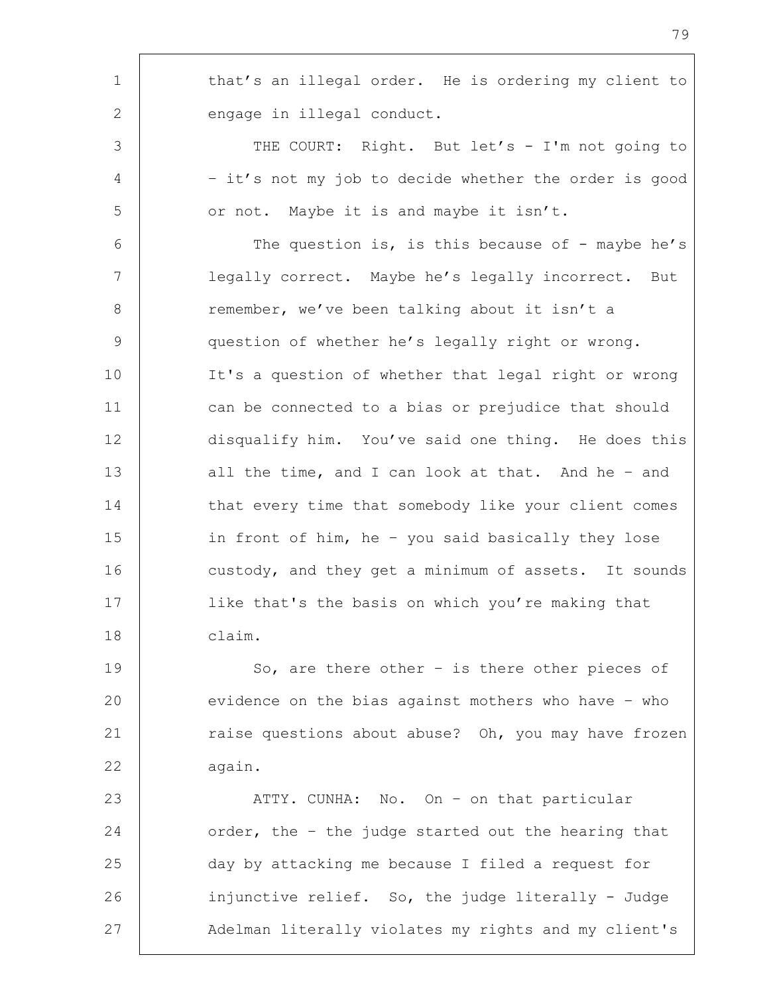| $\mathbf 1$     | that's an illegal order. He is ordering my client to  |
|-----------------|-------------------------------------------------------|
| 2               | engage in illegal conduct.                            |
| 3               | THE COURT: Right. But let's - I'm not going to        |
| 4               | - it's not my job to decide whether the order is good |
| 5               | or not. Maybe it is and maybe it isn't.               |
| 6               | The question is, is this because of - maybe he's      |
| $7\phantom{.0}$ | legally correct. Maybe he's legally incorrect. But    |
| 8               | remember, we've been talking about it isn't a         |
| $\mathcal{G}$   | question of whether he's legally right or wrong.      |
| 10              | It's a question of whether that legal right or wrong  |
| 11              | can be connected to a bias or prejudice that should   |
| 12              | disqualify him. You've said one thing. He does this   |
| 13              | all the time, and I can look at that. And he - and    |
| 14              | that every time that somebody like your client comes  |
| 15              | in front of him, he - you said basically they lose    |
| 16              | custody, and they get a minimum of assets. It sounds  |
| 17              | like that's the basis on which you're making that     |
| 18              | claim.                                                |
| 19              | So, are there other $-$ is there other pieces of      |
| 20              | evidence on the bias against mothers who have - who   |
| 21              | raise questions about abuse? Oh, you may have frozen  |
| 22              | again.                                                |
| 23              | ATTY. CUNHA: No. On - on that particular              |
| 24              | order, the - the judge started out the hearing that   |
| 25              | day by attacking me because I filed a request for     |
| 26              | injunctive relief. So, the judge literally - Judge    |
| 27              | Adelman literally violates my rights and my client's  |

r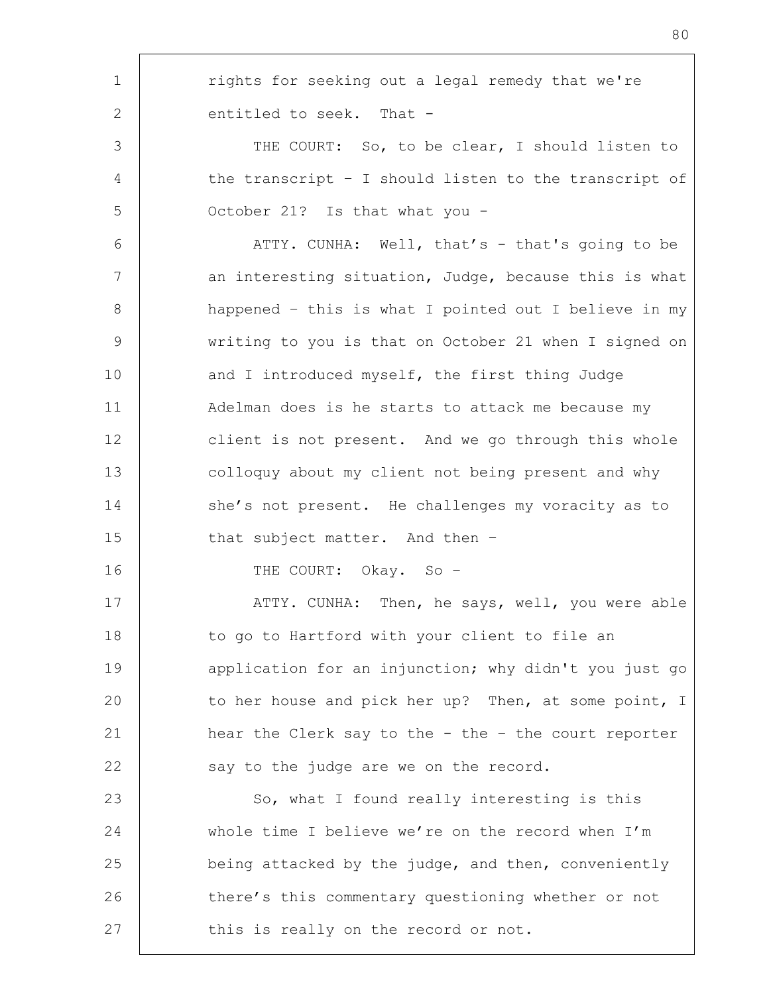| $\mathbf 1$  | rights for seeking out a legal remedy that we're      |
|--------------|-------------------------------------------------------|
| $\mathbf{2}$ | entitled to seek. That -                              |
| 3            | THE COURT: So, to be clear, I should listen to        |
| 4            | the transcript - I should listen to the transcript of |
| 5            | October 21? Is that what you -                        |
| 6            | ATTY. CUNHA: Well, that's - that's going to be        |
| 7            | an interesting situation, Judge, because this is what |
| 8            | happened - this is what I pointed out I believe in my |
| $\mathsf 9$  | writing to you is that on October 21 when I signed on |
| 10           | and I introduced myself, the first thing Judge        |
| 11           | Adelman does is he starts to attack me because my     |
| 12           | client is not present. And we go through this whole   |
| 13           | colloquy about my client not being present and why    |
| 14           | she's not present. He challenges my voracity as to    |
| 15           | that subject matter. And then -                       |
| 16           | THE COURT: Okay. So -                                 |
| 17           | ATTY. CUNHA: Then, he says, well, you were able       |
| 18           | to go to Hartford with your client to file an         |
| 19           | application for an injunction; why didn't you just go |
| 20           | to her house and pick her up? Then, at some point, I  |
| 21           | hear the Clerk say to the - the - the court reporter  |
| 22           | say to the judge are we on the record.                |
| 23           | So, what I found really interesting is this           |
| 24           | whole time I believe we're on the record when I'm     |
| 25           | being attacked by the judge, and then, conveniently   |
| 26           | there's this commentary questioning whether or not    |
| 27           | this is really on the record or not.                  |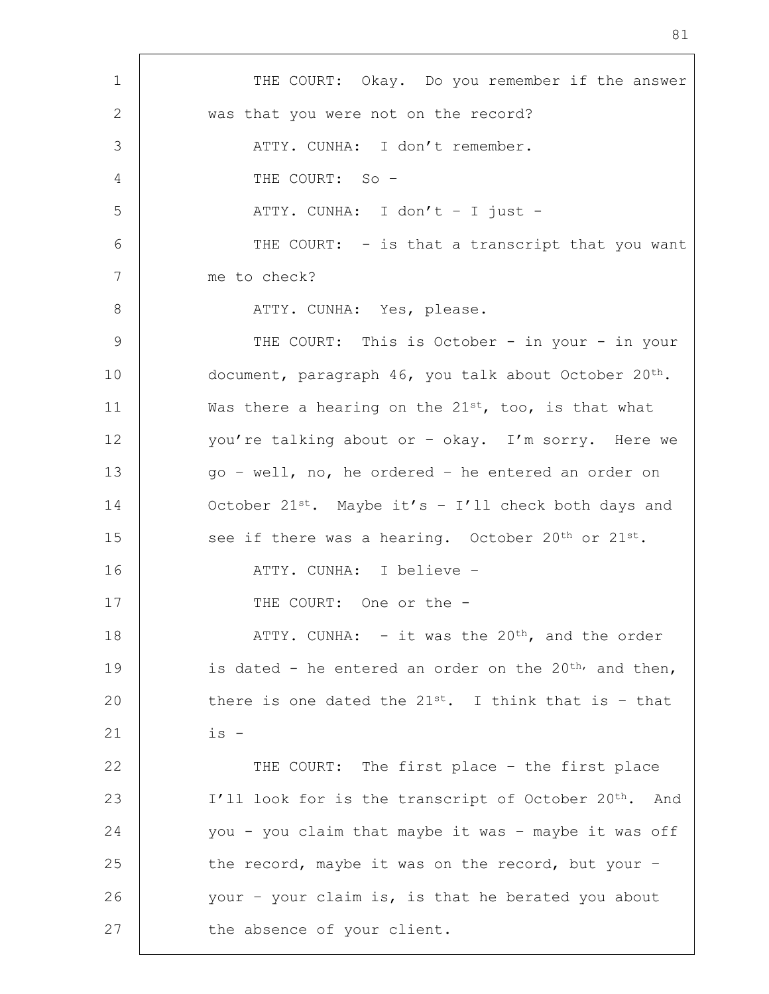1 | THE COURT: Okay. Do you remember if the answer 2 was that you were not on the record? 3 ATTY. CUNHA: I don't remember. 4 THE COURT: So – 5 | ATTY. CUNHA: I don't - I just -6 | THE COURT: - is that a transcript that you want 7 me to check? 8 ATTY. CUNHA: Yes, please. 9 | THE COURT: This is October - in your - in your 10 document, paragraph 46, you talk about October 20<sup>th</sup>. 11 Was there a hearing on the  $21^{st}$ , too, is that what 12 you're talking about or - okay. I'm sorry. Here we 13 go – well, no, he ordered – he entered an order on 14 October 21<sup>st</sup>. Maybe it's - I'll check both days and 15 see if there was a hearing. October  $20^{th}$  or  $21^{st}$ . 16 ATTY. CUNHA: I believe – 17 | THE COURT: One or the -18 | ATTY. CUNHA: - it was the 20<sup>th</sup>, and the order 19 is dated - he entered an order on the  $20^{th}$ , and then, 20 there is one dated the  $21^{st}$ . I think that is - that  $21 \quad | \quad 1 \cdot 1$ 22 THE COURT: The first place - the first place 23 | I'll look for is the transcript of October 20<sup>th</sup>. And 24 | you - you claim that maybe it was - maybe it was off 25 the record, maybe it was on the record, but your -26 your - your claim is, is that he berated you about 27 the absence of your client.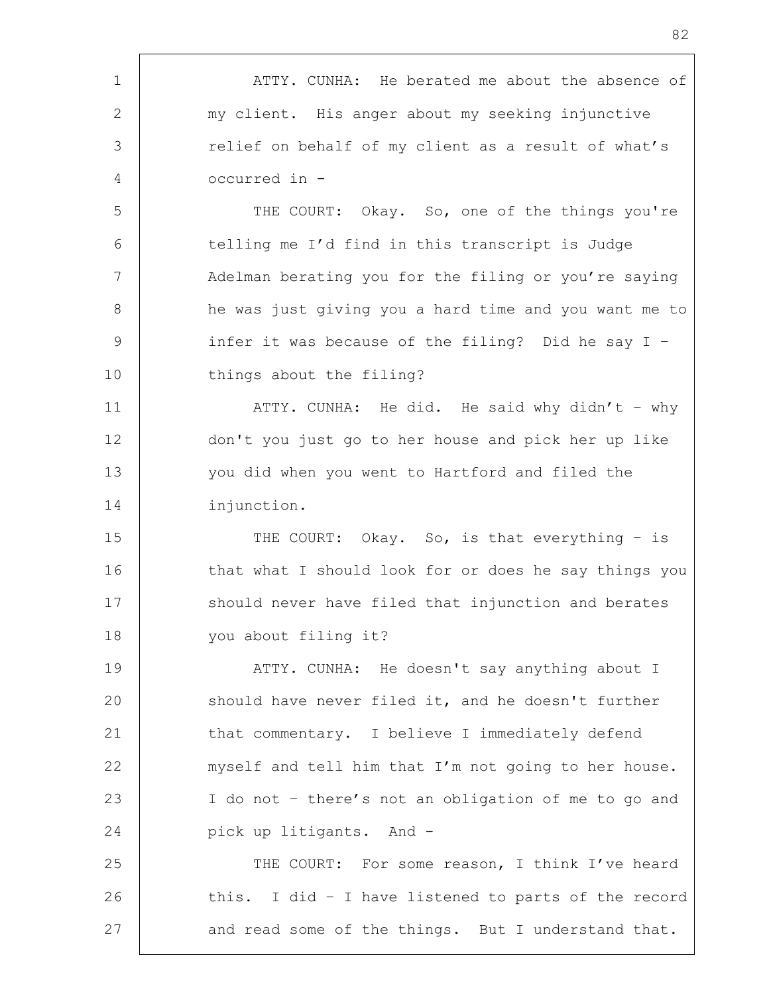1 | ATTY. CUNHA: He berated me about the absence of 2 my client. His anger about my seeking injunctive 3 Telief on behalf of my client as a result of what's 4 occurred in - 5 THE COURT: Okay. So, one of the things you're 6 telling me I'd find in this transcript is Judge 7 | Adelman berating you for the filing or you're saying 8 he was just giving you a hard time and you want me to 9 | infer it was because of the filing? Did he say I -10 things about the filing? 11 | ATTY. CUNHA: He did. He said why didn't - why 12 don't you just go to her house and pick her up like 13 you did when you went to Hartford and filed the 14 injunction. 15 THE COURT: Okay. So, is that everything - is 16 that what I should look for or does he say things you 17 Should never have filed that injunction and berates 18 you about filing it? 19 | THE ATTY. CUNHA: He doesn't say anything about I 20 should have never filed it, and he doesn't further 21 that commentary. I believe I immediately defend 22 | myself and tell him that I'm not going to her house. 23 I do not – there's not an obligation of me to go and 24 | pick up litigants. And -25 THE COURT: For some reason, I think I've heard 26 this. I did - I have listened to parts of the record 27 and read some of the things. But I understand that.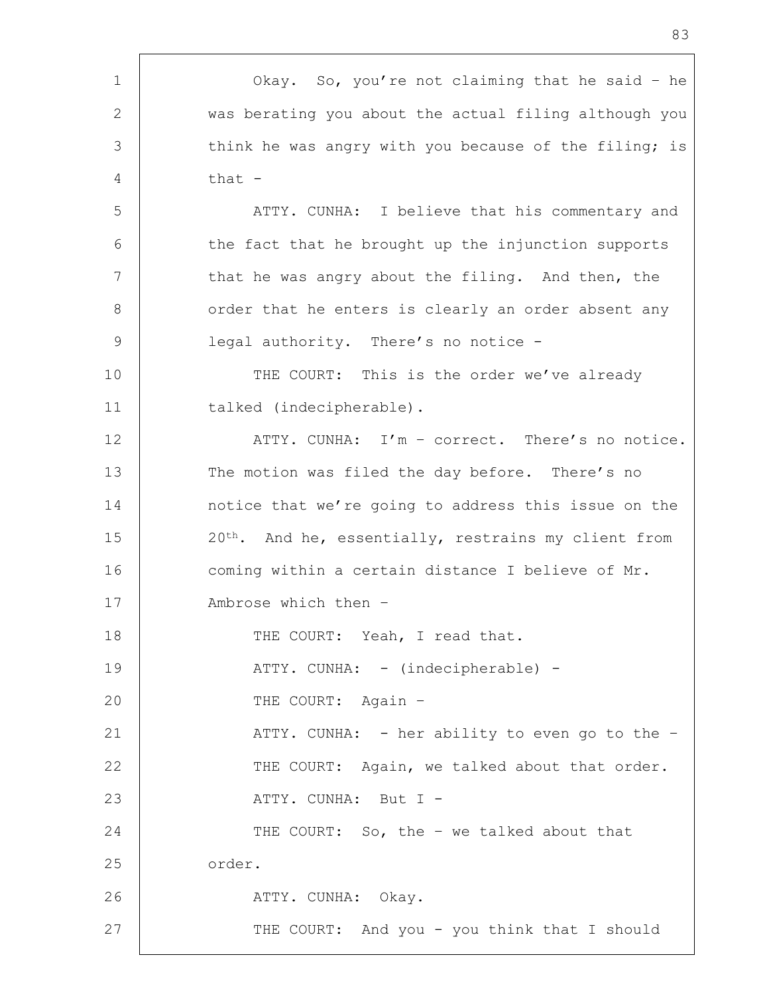1 Okay. So, you're not claiming that he said – he 2 was berating you about the actual filing although you 3 think he was angry with you because of the filing; is 4 that - 5 | ATTY. CUNHA: I believe that his commentary and 6 the fact that he brought up the injunction supports 7 That he was angry about the filing. And then, the 8 | order that he enters is clearly an order absent any 9 | legal authority. There's no notice -10 THE COURT: This is the order we've already 11 | talked (indecipherable). 12 ATTY. CUNHA: I'm - correct. There's no notice. 13 The motion was filed the day before. There's no 14 notice that we're going to address this issue on the 15 20<sup>th</sup>. And he, essentially, restrains my client from 16 coming within a certain distance I believe of Mr. 17 | Ambrose which then -18 | THE COURT: Yeah, I read that. 19 | THY. CUNHA: - (indecipherable) -20 THE COURT: Again -21 | ATTY. CUNHA: - her ability to even go to the -22 | THE COURT: Again, we talked about that order. 23 | ATTY. CUNHA: But I -24 THE COURT: So, the - we talked about that 25 order. 26 | ATTY. CUNHA: Okay. 27 | THE COURT: And you - you think that I should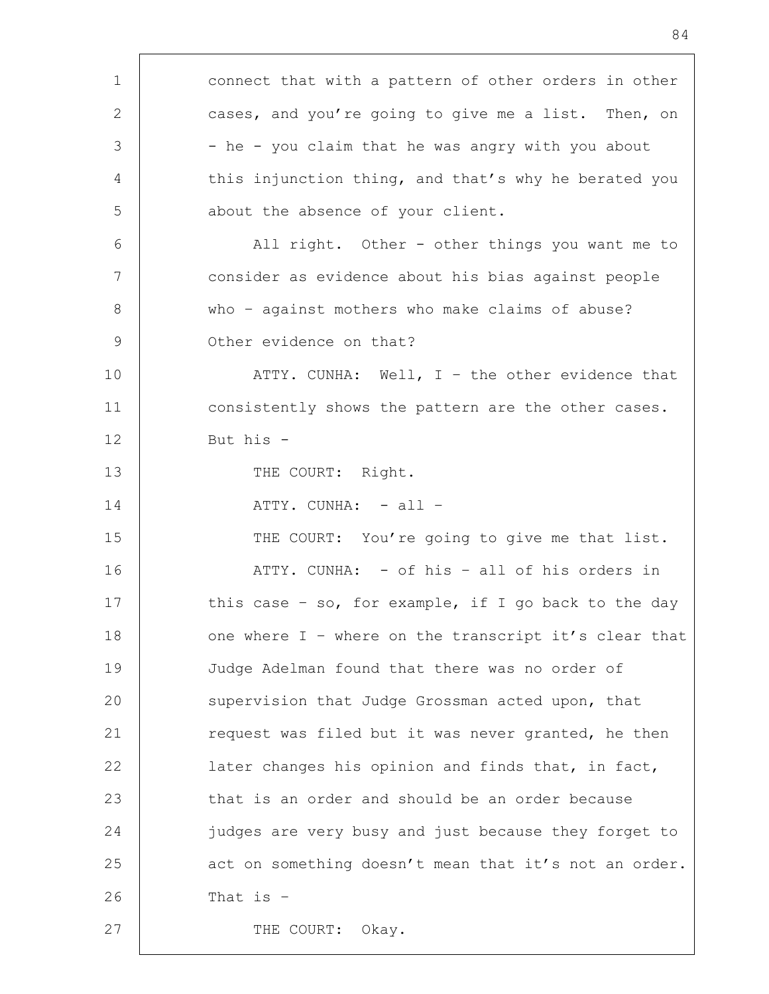| $\mathbf 1$     | connect that with a pattern of other orders in other  |
|-----------------|-------------------------------------------------------|
| 2               | cases, and you're going to give me a list. Then, on   |
| 3               | - he - you claim that he was angry with you about     |
| 4               | this injunction thing, and that's why he berated you  |
| 5               | about the absence of your client.                     |
| 6               | All right. Other - other things you want me to        |
| $7\phantom{.0}$ | consider as evidence about his bias against people    |
| 8               | who - against mothers who make claims of abuse?       |
| $\mathcal{G}$   | Other evidence on that?                               |
| 10              | ATTY. CUNHA: Well, $I -$ the other evidence that      |
| 11              | consistently shows the pattern are the other cases.   |
| 12              | But his -                                             |
| 13              | THE COURT: Right.                                     |
| 14              | ATTY. CUNHA: - all -                                  |
| 15              | THE COURT: You're going to give me that list.         |
| 16              | ATTY. CUNHA: - of his - all of his orders in          |
| 17              | this case - so, for example, if I go back to the day  |
| 18              | one where I - where on the transcript it's clear that |
| 19              | Judge Adelman found that there was no order of        |
| 20              | supervision that Judge Grossman acted upon, that      |
| 21              | request was filed but it was never granted, he then   |
| 22              | later changes his opinion and finds that, in fact,    |
| 23              | that is an order and should be an order because       |
| 24              | judges are very busy and just because they forget to  |
| 25              | act on something doesn't mean that it's not an order. |
| 26              | That is $-$                                           |
| 27              | Okay.<br>THE COURT:                                   |
|                 |                                                       |

h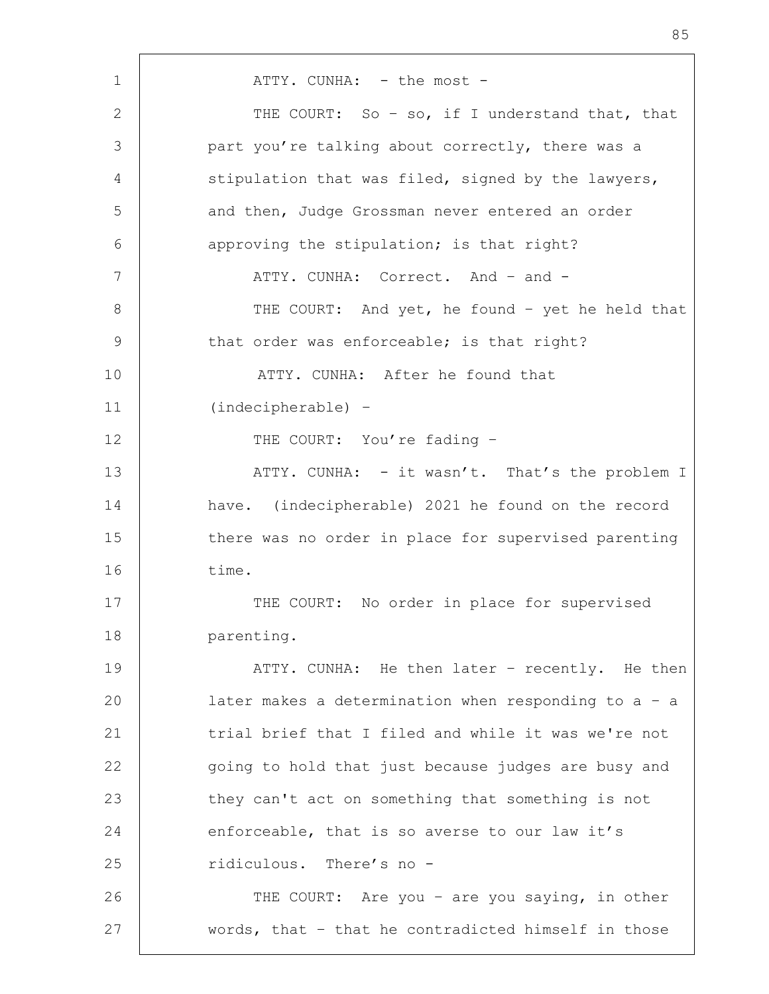1 | ATTY. CUNHA: - the most -2 THE COURT: So - so, if I understand that, that 3 part you're talking about correctly, there was a 4 Stipulation that was filed, signed by the lawyers, 5 and then, Judge Grossman never entered an order 6 **approving the stipulation; is that right?** 7 | ATTY. CUNHA: Correct. And - and -8 | THE COURT: And yet, he found - yet he held that 9 that order was enforceable; is that right? 10 **ATTY.** CUNHA: After he found that 11 (indecipherable) – 12 THE COURT: You're fading -13 ATTY. CUNHA: - it wasn't. That's the problem I 14 have. (indecipherable) 2021 he found on the record 15 there was no order in place for supervised parenting 16 time. 17 | THE COURT: No order in place for supervised 18 parenting. 19 | THE ATTY. CUNHA: He then later - recently. He then 20 later makes a determination when responding to a – a 21 | trial brief that I filed and while it was we're not 22 going to hold that just because judges are busy and 23 they can't act on something that something is not 24 enforceable, that is so averse to our law it's 25 Tidiculous. There's no -26 | THE COURT: Are you – are you saying, in other 27 words, that – that he contradicted himself in those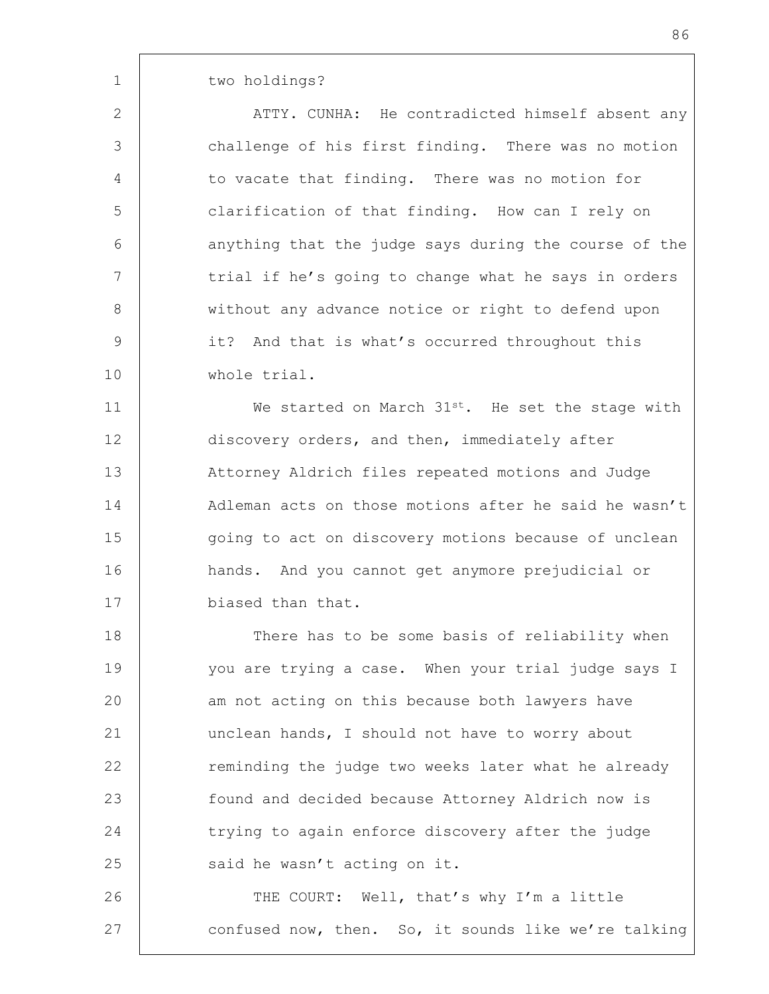1 two holdings?

2 | ATTY. CUNHA: He contradicted himself absent any 3 challenge of his first finding. There was no motion 4 to vacate that finding. There was no motion for 5 clarification of that finding. How can I rely on 6 anything that the judge says during the course of the 7 | trial if he's going to change what he says in orders 8 | without any advance notice or right to defend upon 9 it? And that is what's occurred throughout this 10 whole trial.

11 We started on March 31<sup>st</sup>. He set the stage with 12 discovery orders, and then, immediately after 13 Attorney Aldrich files repeated motions and Judge 14 Adleman acts on those motions after he said he wasn't 15 | going to act on discovery motions because of unclean 16 hands. And you cannot get anymore prejudicial or 17 biased than that.

18 There has to be some basis of reliability when 19 | you are trying a case. When your trial judge says I 20 am not acting on this because both lawyers have 21 unclean hands, I should not have to worry about 22 | reminding the judge two weeks later what he already 23 found and decided because Attorney Aldrich now is 24 trying to again enforce discovery after the judge 25 said he wasn't acting on it.

26 | THE COURT: Well, that's why I'm a little 27 confused now, then. So, it sounds like we're talking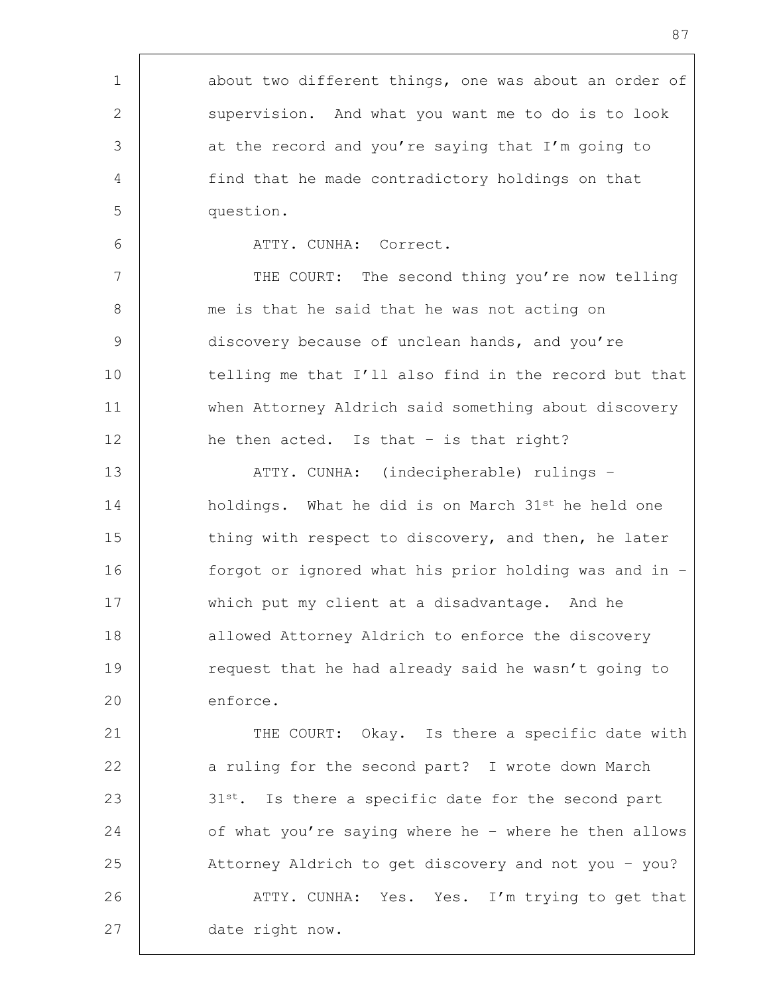1 about two different things, one was about an order of 2 Supervision. And what you want me to do is to look 3 3 at the record and you're saying that I'm going to 4 find that he made contradictory holdings on that 5 question. 6 ATTY. CUNHA: Correct. 7 THE COURT: The second thing you're now telling 8 me is that he said that he was not acting on 9 discovery because of unclean hands, and you're 10 telling me that I'll also find in the record but that 11 when Attorney Aldrich said something about discovery 12 | he then acted. Is that - is that right? 13 ATTY. CUNHA: (indecipherable) rulings – 14 holdings. What he did is on March 31<sup>st</sup> he held one 15 thing with respect to discovery, and then, he later 16 forgot or ignored what his prior holding was and in – 17 which put my client at a disadvantage. And he 18 | allowed Attorney Aldrich to enforce the discovery 19 Tequest that he had already said he wasn't going to 20 enforce. 21 | THE COURT: Okay. Is there a specific date with 22 | a ruling for the second part? I wrote down March  $23$   $31st$ . Is there a specific date for the second part 24 of what you're saying where he – where he then allows 25 Attorney Aldrich to get discovery and not you – you? 26 | ATTY. CUNHA: Yes. Yes. I'm trying to get that 27 date right now.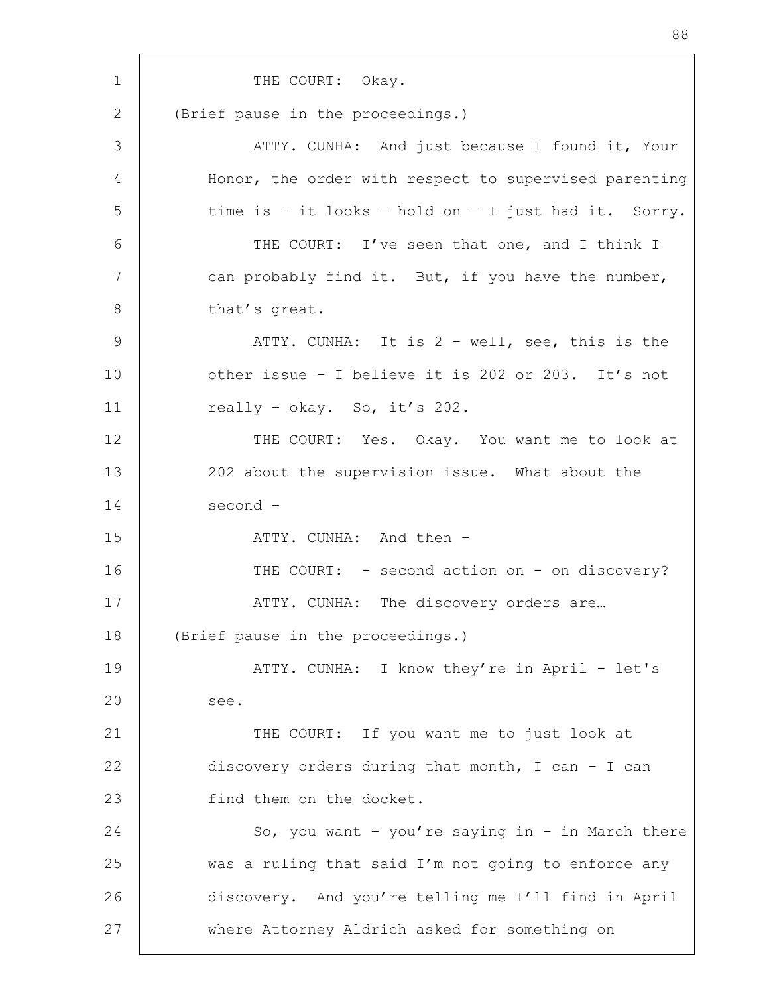1 THE COURT: Okay. 2 (Brief pause in the proceedings.) 3 ATTY. CUNHA: And just because I found it, Your 4 Honor, the order with respect to supervised parenting  $5$  time is - it looks - hold on - I just had it. Sorry. 6 THE COURT: I've seen that one, and I think I 7 can probably find it. But, if you have the number, 8 that's great. 9 | ATTY. CUNHA: It is 2 - well, see, this is the 10 other issue – I believe it is 202 or 203. It's not 11 | really - okay. So, it's 202. 12 | THE COURT: Yes. Okay. You want me to look at 13 202 about the supervision issue. What about the 14 second – 15 | ATTY. CUNHA: And then -16 THE COURT: - second action on - on discovery? 17 | ATTY. CUNHA: The discovery orders are... 18 (Brief pause in the proceedings.) 19 | THE ATTY. CUNHA: I know they're in April - let's 20 see. 21 | THE COURT: If you want me to just look at 22 discovery orders during that month, I can - I can 23 find them on the docket. 24 So, you want - you're saying in - in March there 25 was a ruling that said I'm not going to enforce any 26 discovery. And you're telling me I'll find in April 27 where Attorney Aldrich asked for something on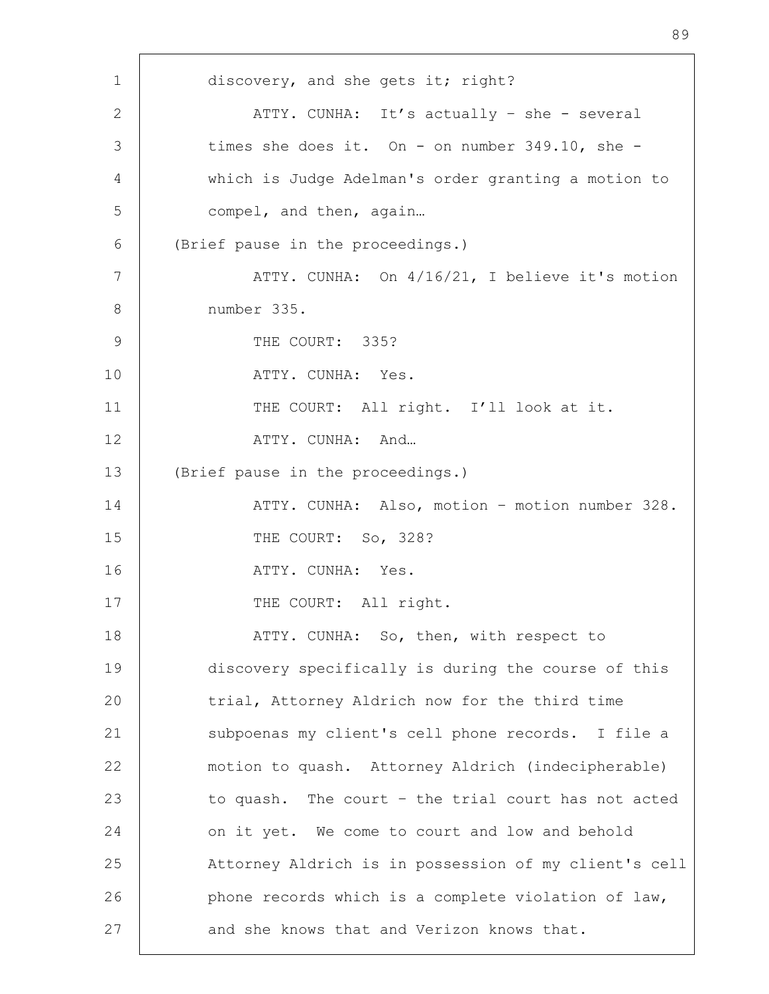1 discovery, and she gets it; right? 2 ATTY. CUNHA: It's actually - she - several 3 times she does it. On - on number 349.10, she -4 which is Judge Adelman's order granting a motion to 5 compel, and then, again... 6 (Brief pause in the proceedings.) 7 | ATTY. CUNHA: On  $4/16/21$ , I believe it's motion 8 number 335. 9 THE COURT: 335? 10 ATTY. CUNHA: Yes. 11 | THE COURT: All right. I'll look at it. 12 ATTY. CUNHA: And... 13 (Brief pause in the proceedings.) 14 ATTY. CUNHA: Also, motion – motion number 328. 15 THE COURT: So, 328? 16 | ATTY. CUNHA: Yes. 17 | THE COURT: All right. 18 | THY. CUNHA: So, then, with respect to 19 discovery specifically is during the course of this 20 trial, Attorney Aldrich now for the third time 21 | subpoenas my client's cell phone records. I file a 22 motion to quash. Attorney Aldrich (indecipherable) 23 to quash. The court - the trial court has not acted 24 | on it yet. We come to court and low and behold 25 Attorney Aldrich is in possession of my client's cell 26 **phone records which is a complete violation of law,** 27 and she knows that and Verizon knows that.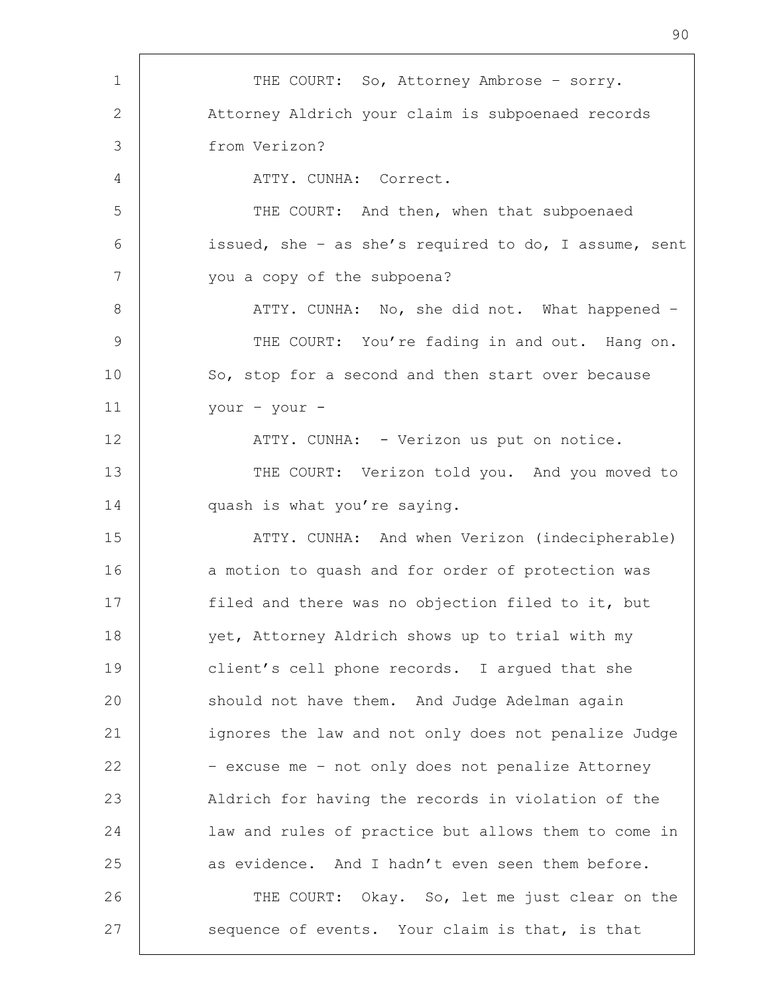| $\mathbf 1$     | THE COURT: So, Attorney Ambrose - sorry.              |
|-----------------|-------------------------------------------------------|
| 2               | Attorney Aldrich your claim is subpoenaed records     |
| 3               | from Verizon?                                         |
| 4               | ATTY. CUNHA: Correct.                                 |
| 5               | THE COURT: And then, when that subpoenaed             |
| 6               | issued, she - as she's required to do, I assume, sent |
| $7\phantom{.0}$ | you a copy of the subpoena?                           |
| 8               | ATTY. CUNHA: No, she did not. What happened -         |
| $\mathcal{G}$   | THE COURT: You're fading in and out. Hang on.         |
| 10              | So, stop for a second and then start over because     |
| 11              | your - your -                                         |
| 12              | ATTY. CUNHA: - Verizon us put on notice.              |
| 13              | THE COURT: Verizon told you. And you moved to         |
| 14              | quash is what you're saying.                          |
| 15              | ATTY. CUNHA: And when Verizon (indecipherable)        |
| 16              | a motion to quash and for order of protection was     |
| 17              | filed and there was no objection filed to it, but     |
| 18              | yet, Attorney Aldrich shows up to trial with my       |
| 19              | client's cell phone records. I argued that she        |
| 20              | should not have them. And Judge Adelman again         |
| 21              | ignores the law and not only does not penalize Judge  |
| 22              | - excuse me - not only does not penalize Attorney     |
| 23              | Aldrich for having the records in violation of the    |
| 24              | law and rules of practice but allows them to come in  |
| 25              | as evidence. And I hadn't even seen them before.      |
| 26              | THE COURT: Okay. So, let me just clear on the         |
| 27              | sequence of events. Your claim is that, is that       |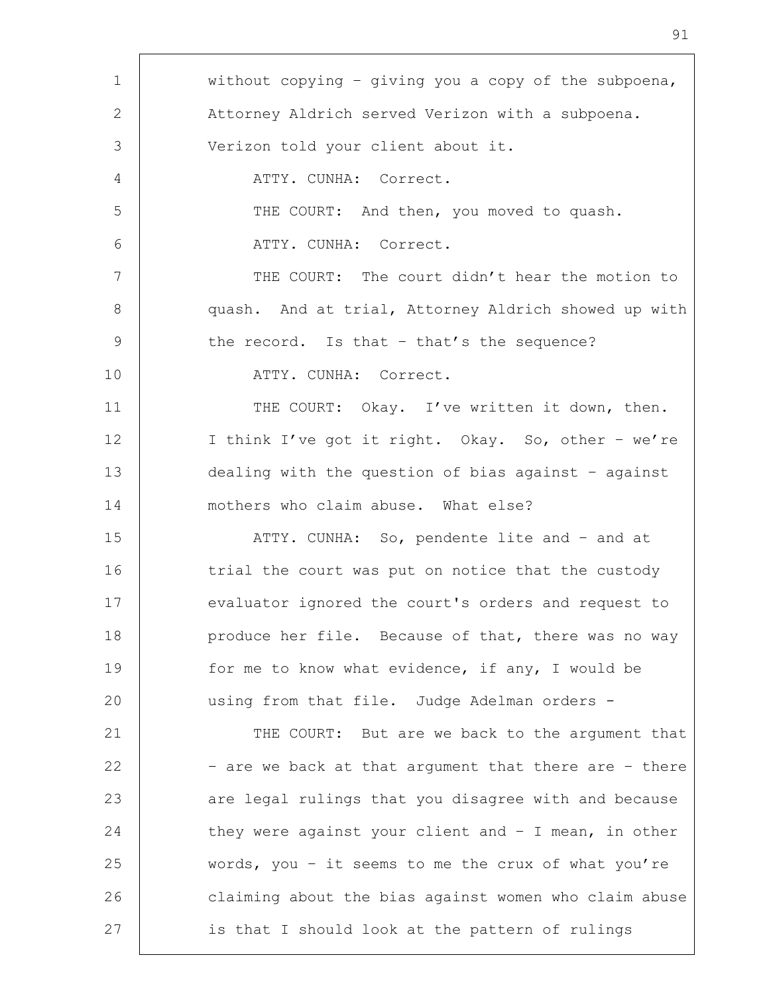1 | without copying - giving you a copy of the subpoena, 2 Attorney Aldrich served Verizon with a subpoena. 3 Verizon told your client about it. 4 ATTY. CUNHA: Correct. 5 | THE COURT: And then, you moved to quash. 6 ATTY. CUNHA: Correct. 7 THE COURT: The court didn't hear the motion to 8 | quash. And at trial, Attorney Aldrich showed up with 9 the record. Is that - that's the sequence? 10 ATTY. CUNHA: Correct. 11 | THE COURT: Okay. I've written it down, then. 12 | I think I've got it right. Okay. So, other - we're 13 dealing with the question of bias against – against 14 mothers who claim abuse. What else? 15 | ATTY. CUNHA: So, pendente lite and - and at 16 trial the court was put on notice that the custody 17 evaluator ignored the court's orders and request to 18 **produce her file.** Because of that, there was no way 19 for me to know what evidence, if any, I would be 20 | using from that file. Judge Adelman orders -21 THE COURT: But are we back to the argument that 22  $\vert$  - are we back at that argument that there are - there 23 | are legal rulings that you disagree with and because 24 they were against your client and - I mean, in other 25 words, you – it seems to me the crux of what you're 26 claiming about the bias against women who claim abuse 27 is that I should look at the pattern of rulings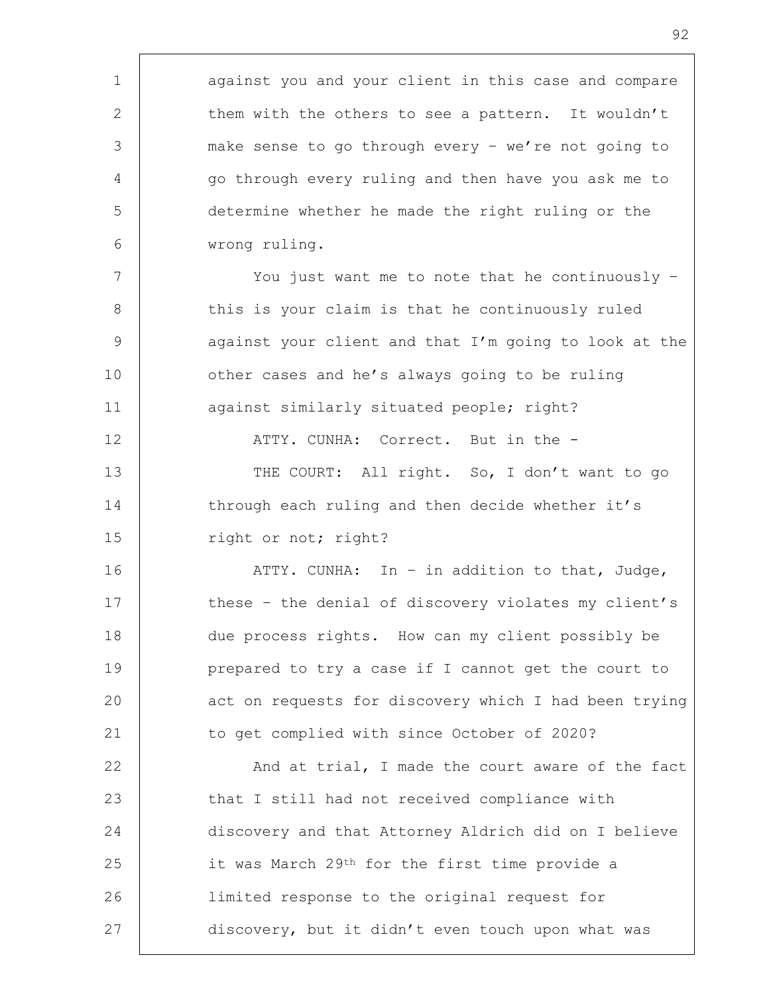1 against you and your client in this case and compare 2 them with the others to see a pattern. It wouldn't 3 make sense to go through every – we're not going to 4 | go through every ruling and then have you ask me to 5 determine whether he made the right ruling or the 6 wrong ruling. 7 | You just want me to note that he continuously -8 this is your claim is that he continuously ruled 9 against your client and that I'm going to look at the 10 **b** other cases and he's always going to be ruling 11 | against similarly situated people; right? 12 | ATTY. CUNHA: Correct. But in the -13 | THE COURT: All right. So, I don't want to go 14 through each ruling and then decide whether it's 15 | right or not; right? 16 | ATTY. CUNHA: In – in addition to that, Judge, 17 these - the denial of discovery violates my client's 18 due process rights. How can my client possibly be 19 prepared to try a case if I cannot get the court to 20 act on requests for discovery which I had been trying 21 to get complied with since October of 2020? 22 | And at trial, I made the court aware of the fact 23 that I still had not received compliance with 24 discovery and that Attorney Aldrich did on I believe 25 it was March 29<sup>th</sup> for the first time provide a 26 limited response to the original request for 27 discovery, but it didn't even touch upon what was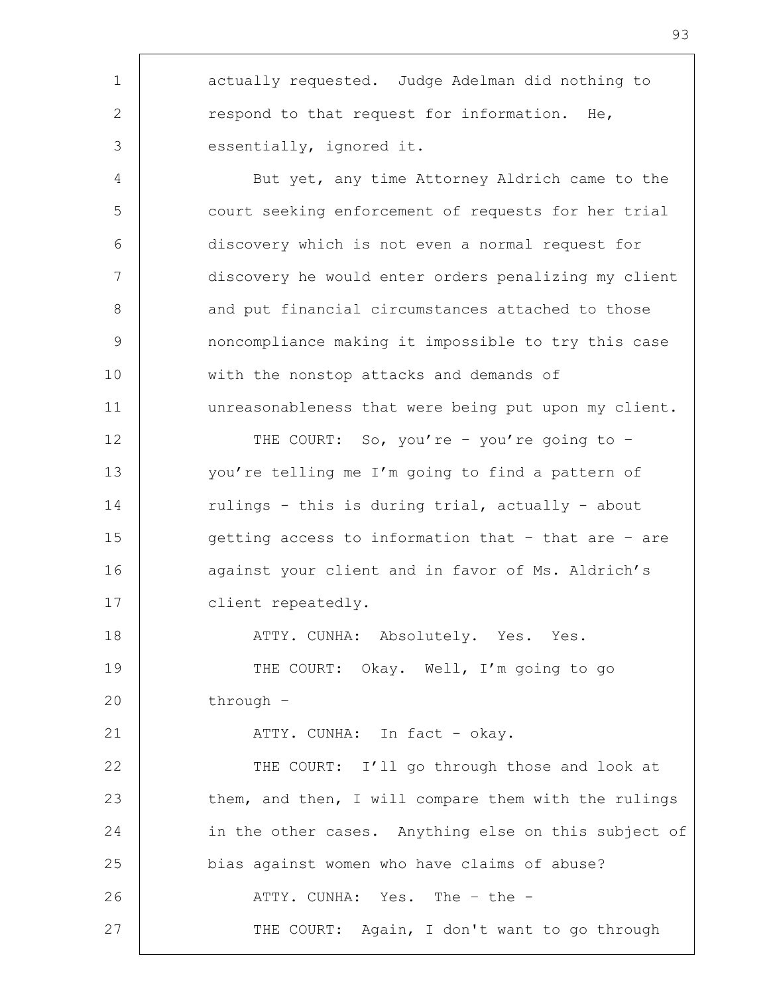1 | actually requested. Judge Adelman did nothing to 2 respond to that request for information. He, 3 essentially, ignored it. 4 | But yet, any time Attorney Aldrich came to the 5 court seeking enforcement of requests for her trial 6 discovery which is not even a normal request for 7 discovery he would enter orders penalizing my client 8 and put financial circumstances attached to those 9 noncompliance making it impossible to try this case 10 | with the nonstop attacks and demands of 11 unreasonableness that were being put upon my client. 12 THE COURT: So, you're - you're going to -13 you're telling me I'm going to find a pattern of 14 Tulings - this is during trial, actually - about 15 getting access to information that - that are - are 16 against your client and in favor of Ms. Aldrich's 17 client repeatedly. 18 | ATTY. CUNHA: Absolutely. Yes. Yes. 19 THE COURT: Okay. Well, I'm going to go 20 through – 21 | ATTY. CUNHA: In fact - okay. 22 THE COURT: I'll go through those and look at 23 them, and then, I will compare them with the rulings 24 in the other cases. Anything else on this subject of 25 bias against women who have claims of abuse? 26 ATTY. CUNHA: Yes. The - the -27 | THE COURT: Again, I don't want to go through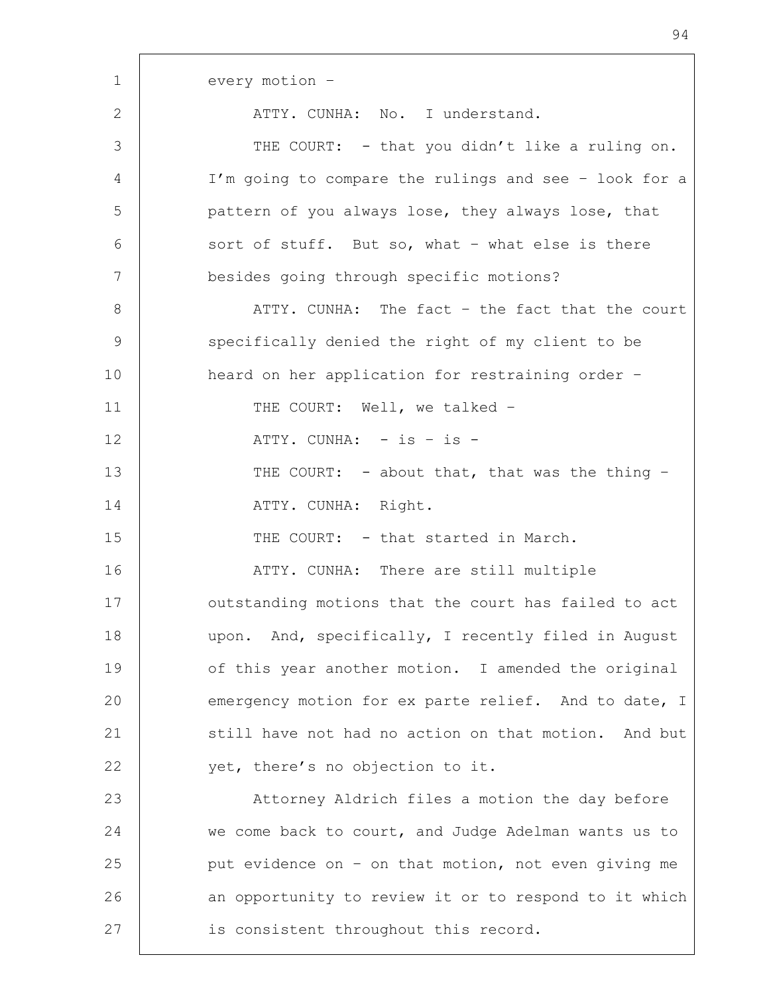1 every motion –

2 ATTY CUNHA: No. I understand.

3 THE COURT: - that you didn't like a ruling on. 4 I'm going to compare the rulings and see – look for a 5 pattern of you always lose, they always lose, that  $6$  sort of stuff. But so, what – what else is there 7 besides going through specific motions? 8 ATTY. CUNHA: The fact - the fact that the court 9 Specifically denied the right of my client to be 10 | heard on her application for restraining order -11 | THE COURT: Well, we talked -12 | ATTY. CUNHA: - is - is -13 THE COURT: - about that, that was the thing -14 | ATTY. CUNHA: Right. 15 THE COURT: - that started in March. 16 ATTY. CUNHA: There are still multiple 17 | outstanding motions that the court has failed to act 18 | upon. And, specifically, I recently filed in August 19 of this year another motion. I amended the original 20 emergency motion for ex parte relief. And to date, I 21 still have not had no action on that motion. And but 22 yet, there's no objection to it. 23 | Attorney Aldrich files a motion the day before 24 we come back to court, and Judge Adelman wants us to 25  $\vert$  put evidence on - on that motion, not even giving me 26 an opportunity to review it or to respond to it which 27 | is consistent throughout this record.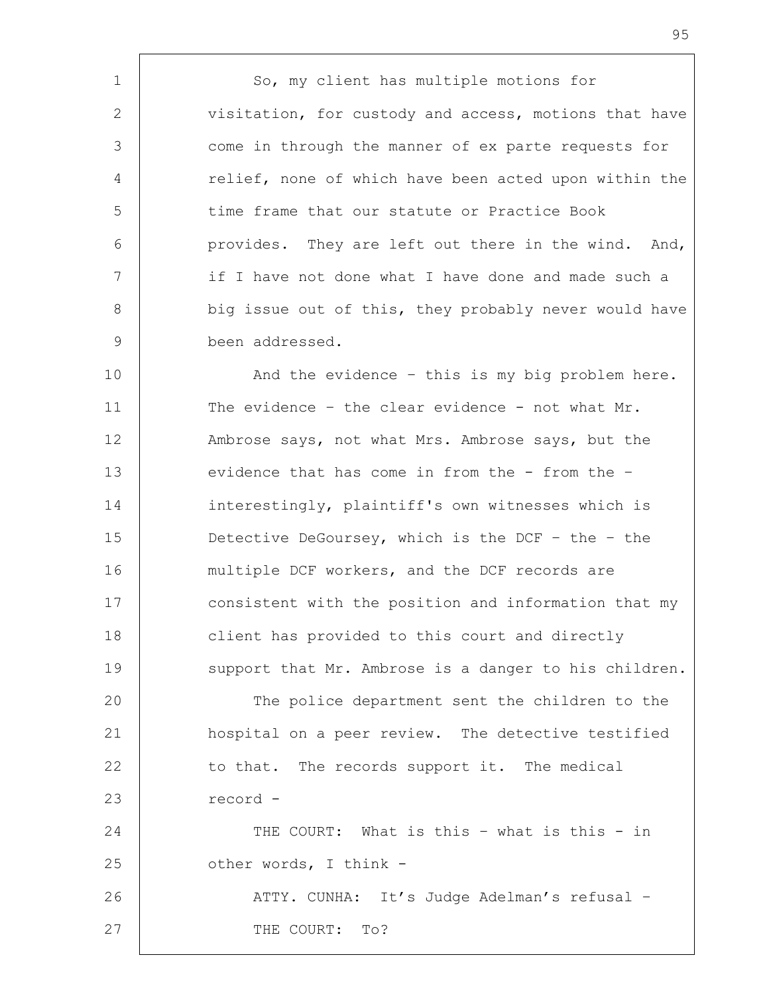1 | So, my client has multiple motions for 2 visitation, for custody and access, motions that have 3 come in through the manner of ex parte requests for 4 | relief, none of which have been acted upon within the 5 time frame that our statute or Practice Book 6 provides. They are left out there in the wind. And, 7 | if I have not done what I have done and made such a 8 big issue out of this, they probably never would have 9 been addressed.

10 | And the evidence - this is my big problem here. 11 The evidence - the clear evidence - not what Mr. 12 Ambrose says, not what Mrs. Ambrose says, but the 13 evidence that has come in from the - from the -14 interestingly, plaintiff's own witnesses which is 15 Detective DeGoursey, which is the DCF – the – the 16 | multiple DCF workers, and the DCF records are 17 | consistent with the position and information that my 18 client has provided to this court and directly 19 support that Mr. Ambrose is a danger to his children.

20 | The police department sent the children to the 21 hospital on a peer review. The detective testified 22 to that. The records support it. The medical 23 record - 24 | THE COURT: What is this - what is this - in

25 **b** other words, I think -26 | ATTY. CUNHA: It's Judge Adelman's refusal -27 THE COURT: To?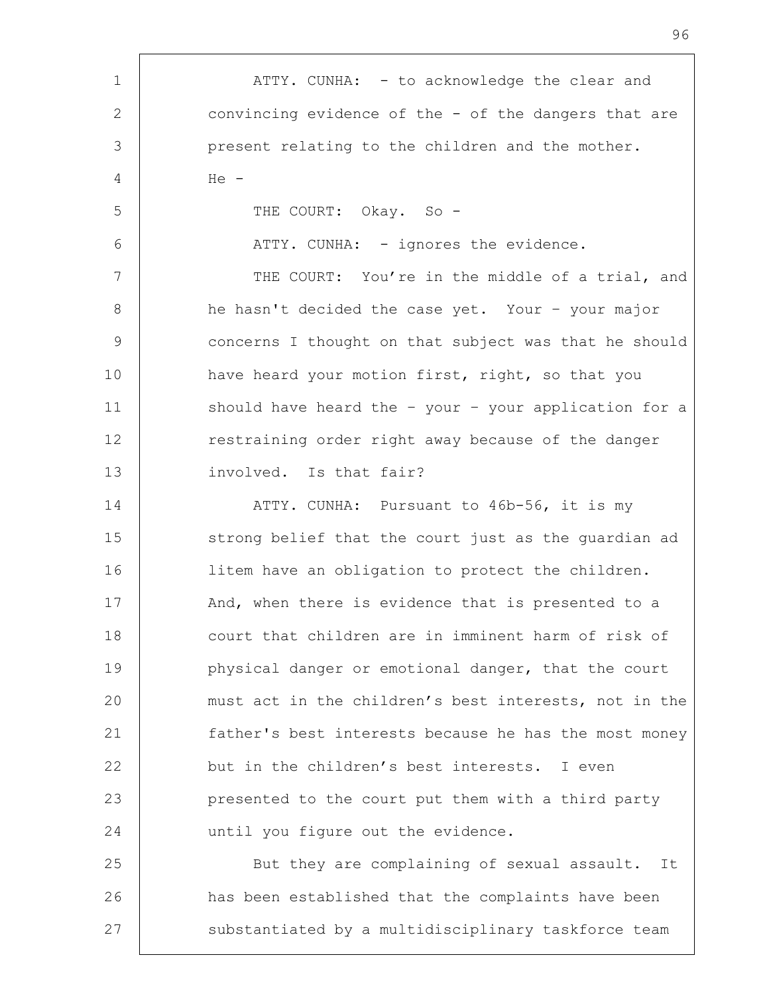| $\mathbf 1$ | ATTY. CUNHA: - to acknowledge the clear and           |
|-------------|-------------------------------------------------------|
| 2           | convincing evidence of the - of the dangers that are  |
| 3           | present relating to the children and the mother.      |
| 4           | $He -$                                                |
| 5           | THE COURT: Okay. So -                                 |
| 6           | ATTY. CUNHA: - ignores the evidence.                  |
| 7           | THE COURT: You're in the middle of a trial, and       |
| 8           | he hasn't decided the case yet. Your - your major     |
| 9           | concerns I thought on that subject was that he should |
| 10          | have heard your motion first, right, so that you      |
| 11          | should have heard the - your - your application for a |
| 12          | restraining order right away because of the danger    |
| 13          | involved. Is that fair?                               |
| 14          | ATTY. CUNHA: Pursuant to 46b-56, it is my             |
| 15          | strong belief that the court just as the quardian ad  |
| 16          | litem have an obligation to protect the children.     |
| 17          | And, when there is evidence that is presented to a    |
| 18          | court that children are in imminent harm of risk of   |
| 19          | physical danger or emotional danger, that the court   |
| 20          | must act in the children's best interests, not in the |
| 21          | father's best interests because he has the most money |
| 22          | but in the children's best interests. I even          |
| 23          | presented to the court put them with a third party    |
| 24          | until you figure out the evidence.                    |
| 25          | But they are complaining of sexual assault. It        |
| 26          | has been established that the complaints have been    |
| 27          | substantiated by a multidisciplinary taskforce team   |
|             |                                                       |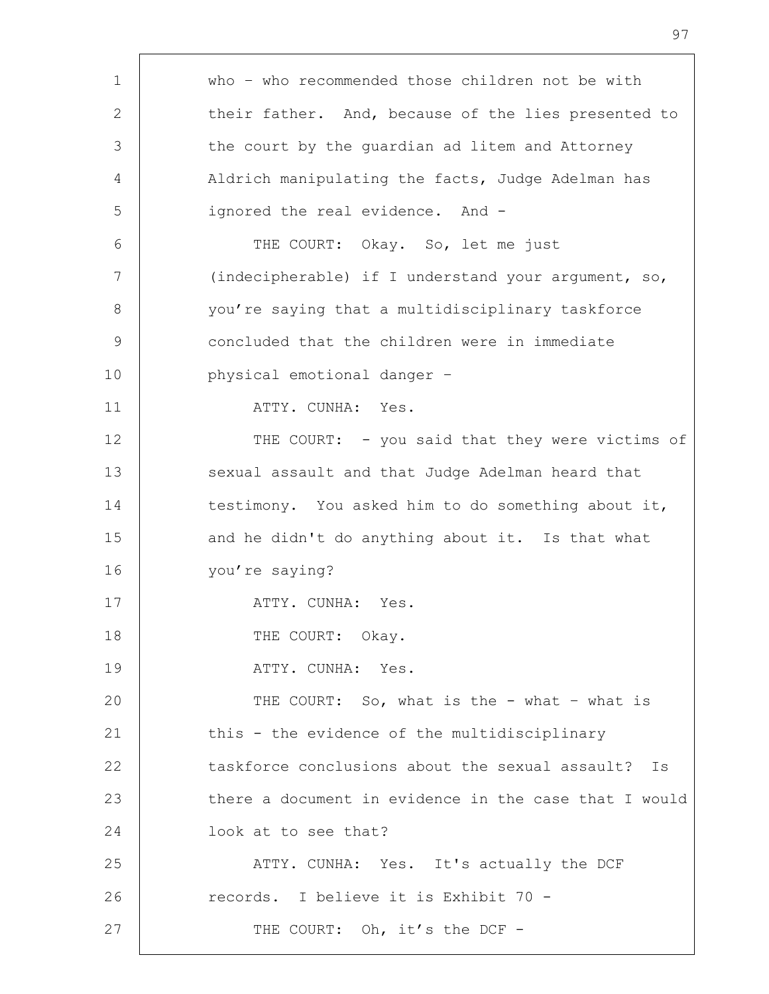| who - who recommended those children not be with      |
|-------------------------------------------------------|
| their father. And, because of the lies presented to   |
| the court by the guardian ad litem and Attorney       |
| Aldrich manipulating the facts, Judge Adelman has     |
| ignored the real evidence. And -                      |
| THE COURT: Okay. So, let me just                      |
| (indecipherable) if I understand your argument, so,   |
| you're saying that a multidisciplinary taskforce      |
| concluded that the children were in immediate         |
| physical emotional danger -                           |
| ATTY. CUNHA: Yes.                                     |
| THE COURT: - you said that they were victims of       |
| sexual assault and that Judge Adelman heard that      |
| testimony. You asked him to do something about it,    |
| and he didn't do anything about it. Is that what      |
| you're saying?                                        |
| ATTY. CUNHA: Yes.                                     |
| THE COURT: Okay.                                      |
| ATTY. CUNHA: Yes.                                     |
| THE COURT: So, what is the - what - what is           |
| this - the evidence of the multidisciplinary          |
| taskforce conclusions about the sexual assault? Is    |
| there a document in evidence in the case that I would |
| look at to see that?                                  |
| ATTY. CUNHA: Yes. It's actually the DCF               |
| records. I believe it is Exhibit 70 -                 |
| THE COURT: Oh, it's the DCF -                         |
|                                                       |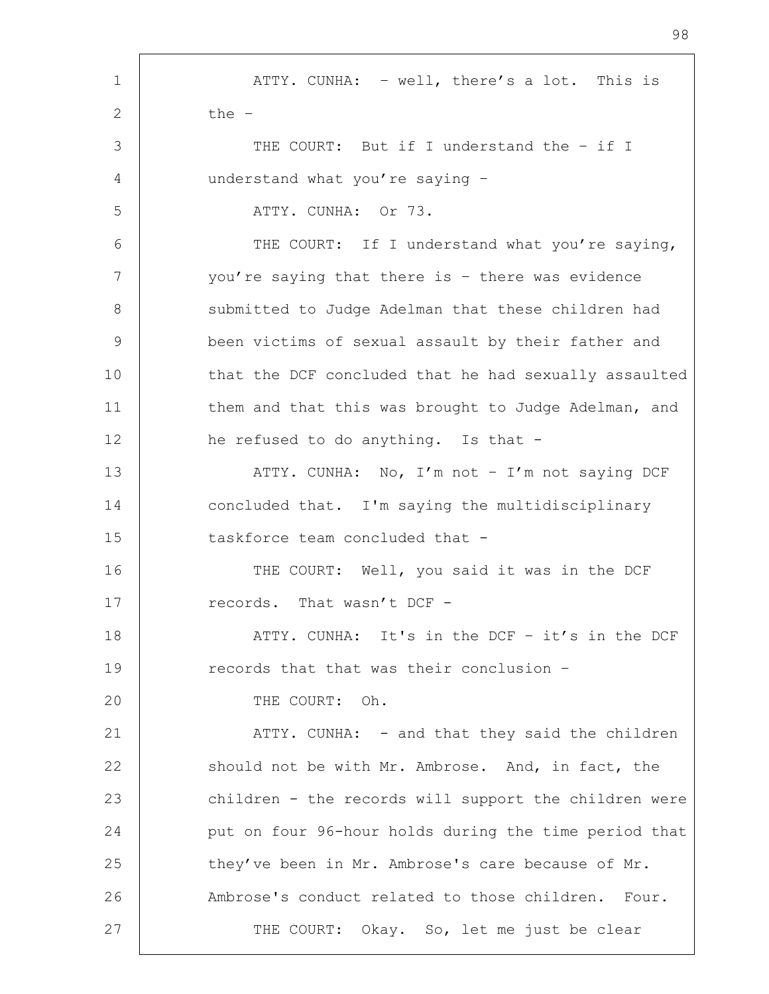1 | ATTY. CUNHA: - well, there's a lot. This is  $2 \t \rightarrow \t \text{the} -$ 3 THE COURT: But if I understand the - if I 4 understand what you're saying – 5 ATTY. CUNHA: Or 73. 6 | THE COURT: If I understand what you're saying, 7 you're saying that there is - there was evidence 8 | Submitted to Judge Adelman that these children had 9 been victims of sexual assault by their father and 10 | that the DCF concluded that he had sexually assaulted 11 | them and that this was brought to Judge Adelman, and 12 he refused to do anything. Is that -13 | ATTY. CUNHA: No, I'm not - I'm not saying DCF 14 concluded that. I'm saying the multidisciplinary 15 taskforce team concluded that -16 THE COURT: Well, you said it was in the DCF 17 Tecords. That wasn't DCF -18 | THE ATTY. CUNHA: It's in the DCF – it's in the DCF 19 **records** that that was their conclusion -20 THE COURT: Oh. 21 | ATTY. CUNHA: - and that they said the children 22 should not be with Mr. Ambrose. And, in fact, the 23 children - the records will support the children were 24 put on four 96-hour holds during the time period that 25 they've been in Mr. Ambrose's care because of Mr. 26 Ambrose's conduct related to those children. Four. 27 | THE COURT: Okay. So, let me just be clear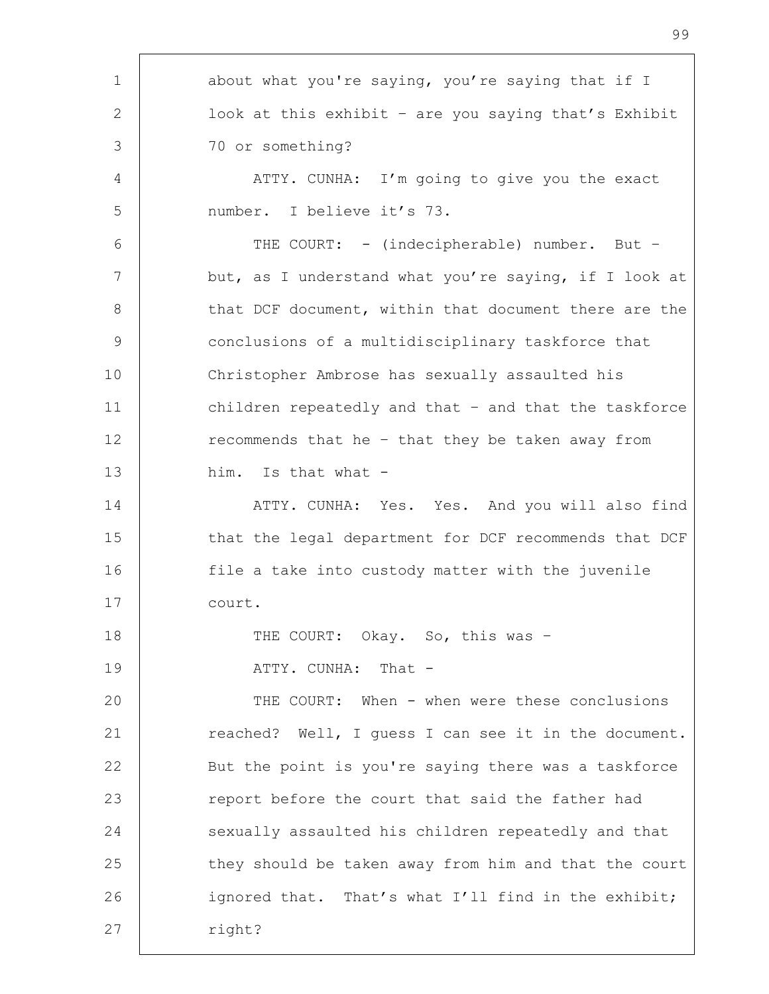| $\mathbf 1$    | about what you're saying, you're saying that if I     |
|----------------|-------------------------------------------------------|
| 2              | look at this exhibit - are you saying that's Exhibit  |
| 3              | 70 or something?                                      |
| 4              | ATTY. CUNHA: I'm going to give you the exact          |
| 5              | number. I believe it's 73.                            |
| 6              | THE COURT: - (indecipherable) number. But -           |
| $\overline{7}$ | but, as I understand what you're saying, if I look at |
| 8              | that DCF document, within that document there are the |
| 9              | conclusions of a multidisciplinary taskforce that     |
| 10             | Christopher Ambrose has sexually assaulted his        |
| 11             | children repeatedly and that - and that the taskforce |
| 12             | recommends that he - that they be taken away from     |
| 13             | him. Is that what -                                   |
| 14             | ATTY. CUNHA: Yes. Yes. And you will also find         |
| 15             | that the legal department for DCF recommends that DCF |
| 16             | file a take into custody matter with the juvenile     |
| 17             | court.                                                |
| 18             | THE COURT: Okay. So, this was -                       |
| 19             | ATTY. CUNHA: That -                                   |
| 20             | THE COURT: When - when were these conclusions         |
| 21             | reached? Well, I quess I can see it in the document.  |
| 22             | But the point is you're saying there was a taskforce  |
| 23             | report before the court that said the father had      |
| 24             | sexually assaulted his children repeatedly and that   |
| 25             | they should be taken away from him and that the court |
| 26             | ignored that. That's what I'll find in the exhibit;   |
| 27             | right?                                                |
|                |                                                       |

h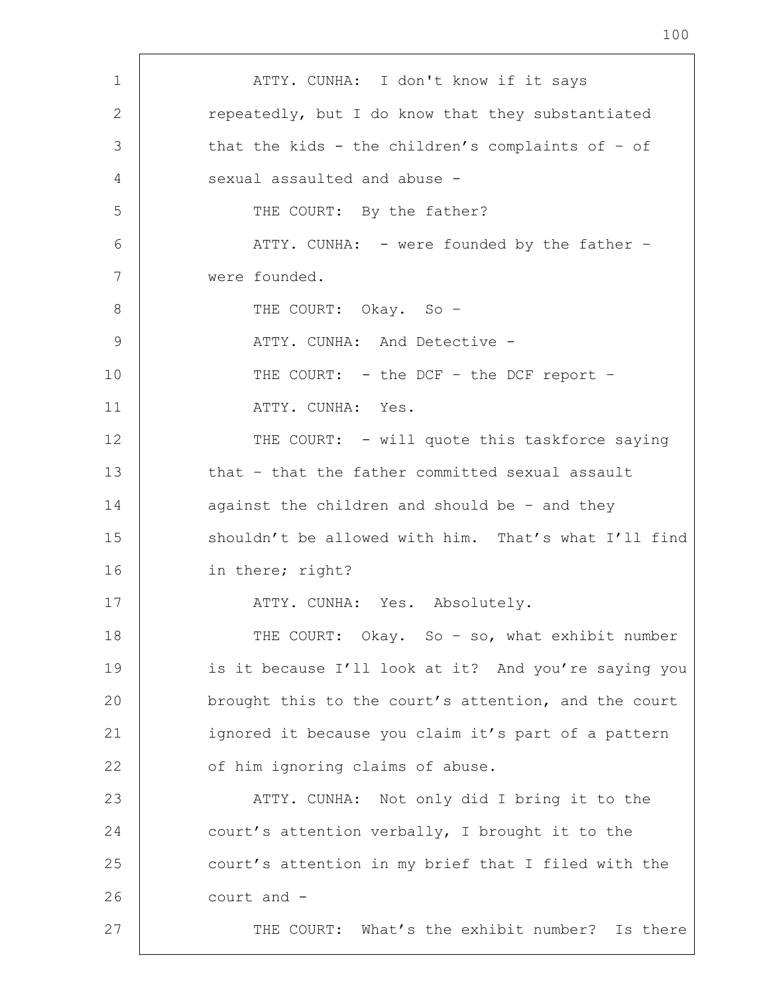1 | ATTY. CUNHA: I don't know if it says 2 **Paramement Common Exercise 1** repeatedly, but I do know that they substantiated 3 that the kids - the children's complaints of - of 4 sexual assaulted and abuse -5 THE COURT: By the father? 6 ATTY. CUNHA: - were founded by the father – 7 were founded. 8 THE COURT: Okay. So -9 ATTY. CUNHA: And Detective - 10 THE COURT: - the DCF - the DCF report -11 | ATTY. CUNHA: Yes. 12 THE COURT: - will quote this taskforce saying 13 that - that the father committed sexual assault 14 against the children and should be - and they 15 shouldn't be allowed with him. That's what I'll find 16 in there; right? 17 | ATTY. CUNHA: Yes. Absolutely. 18 | THE COURT: Okay. So - so, what exhibit number 19 is it because I'll look at it? And you're saying you 20 **brought this to the court's attention, and the court** 21 | ignored it because you claim it's part of a pattern 22 of him ignoring claims of abuse. 23 ATTY. CUNHA: Not only did I bring it to the 24 court's attention verbally, I brought it to the 25 court's attention in my brief that I filed with the 26 court and - 27 | THE COURT: What's the exhibit number? Is there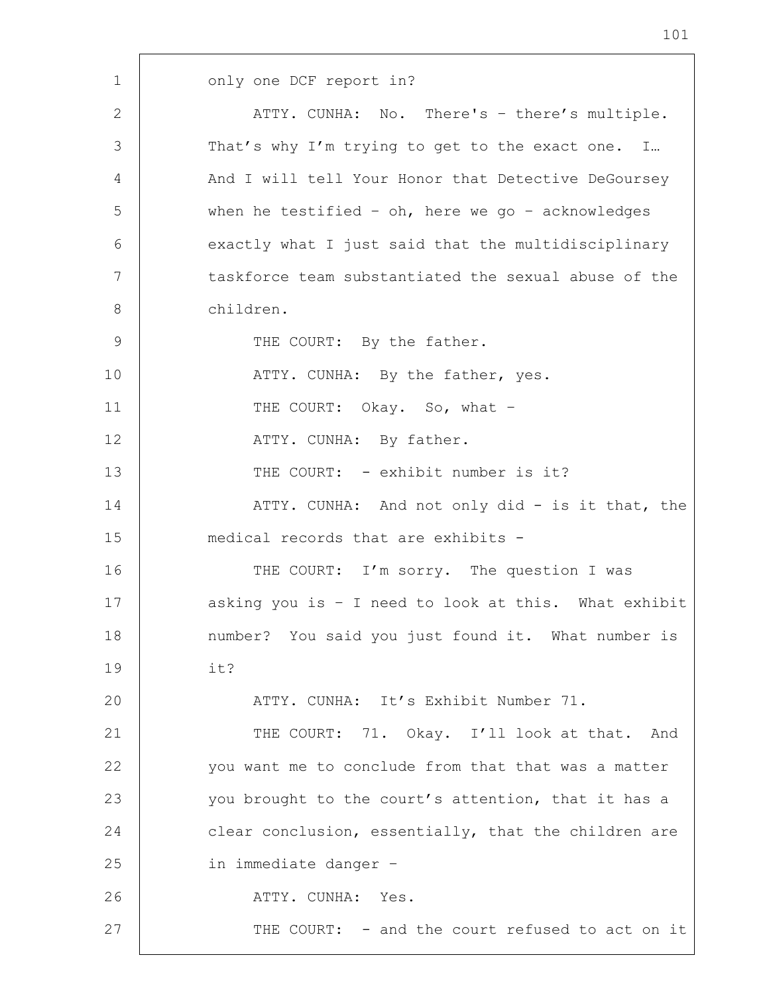1 | only one DCF report in? 2 | ATTY. CUNHA: No. There's - there's multiple. 3 That's why I'm trying to get to the exact one. I... 4 And I will tell Your Honor that Detective DeGoursey 5 when he testified – oh, here we go – acknowledges 6 exactly what I just said that the multidisciplinary 7 | taskforce team substantiated the sexual abuse of the 8 children. 9 | THE COURT: By the father. 10 | THE ATTY. CUNHA: By the father, yes. 11 | THE COURT: Okay. So, what -12 | ATTY. CUNHA: By father. 13 | THE COURT: - exhibit number is it? 14 | ATTY. CUNHA: And not only did - is it that, the 15 medical records that are exhibits - 16 THE COURT: I'm sorry. The question I was 17 asking you is - I need to look at this. What exhibit 18 | number? You said you just found it. What number is 19 it? 20 | ATTY. CUNHA: It's Exhibit Number 71. 21 | THE COURT: 71. Okay. I'll look at that. And 22 you want me to conclude from that that was a matter 23 you brought to the court's attention, that it has a 24 clear conclusion, essentially, that the children are 25 in immediate danger – 26 ATTY. CUNHA: Yes. 27 | THE COURT: - and the court refused to act on it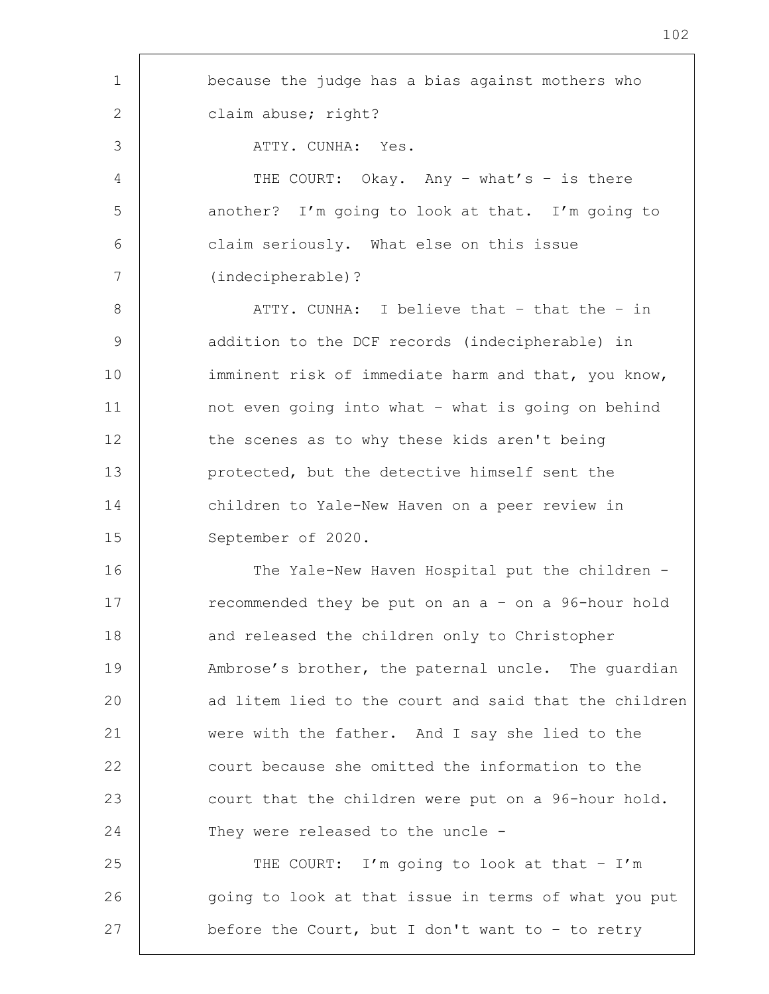| $\mathbf 1$ | because the judge has a bias against mothers who      |
|-------------|-------------------------------------------------------|
| 2           | claim abuse; right?                                   |
| 3           | ATTY. CUNHA: Yes.                                     |
| 4           | THE COURT: Okay. Any - what's - is there              |
| 5           | another? I'm going to look at that. I'm going to      |
| 6           | claim seriously. What else on this issue              |
| 7           | (indecipherable)?                                     |
| 8           | ATTY. CUNHA: I believe that - that the - in           |
| $\mathsf 9$ | addition to the DCF records (indecipherable) in       |
| 10          | imminent risk of immediate harm and that, you know,   |
| 11          | not even going into what - what is going on behind    |
| 12          | the scenes as to why these kids aren't being          |
| 13          | protected, but the detective himself sent the         |
| 14          | children to Yale-New Haven on a peer review in        |
| 15          | September of 2020.                                    |
| 16          | The Yale-New Haven Hospital put the children -        |
| 17          | recommended they be put on an a - on a 96-hour hold   |
| 18          | and released the children only to Christopher         |
| 19          | Ambrose's brother, the paternal uncle. The guardian   |
| 20          | ad litem lied to the court and said that the children |
| 21          | were with the father. And I say she lied to the       |
| 22          | court because she omitted the information to the      |
| 23          | court that the children were put on a 96-hour hold.   |
| 24          | They were released to the uncle -                     |
| 25          | THE COURT: I'm going to look at that - I'm            |
| 26          | going to look at that issue in terms of what you put  |
| 27          | before the Court, but I don't want to - to retry      |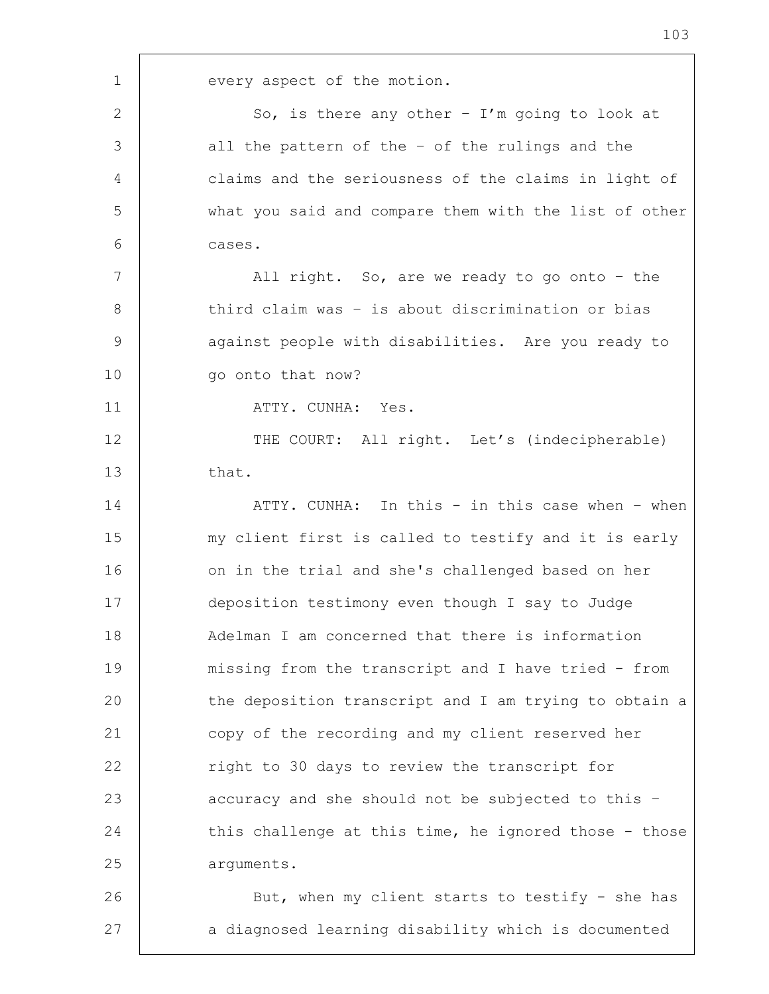1 every aspect of the motion. 2  $\vert$  So, is there any other - I'm going to look at 3 all the pattern of the – of the rulings and the 4 claims and the seriousness of the claims in light of 5 what you said and compare them with the list of other 6 cases. 7 | All right. So, are we ready to go onto - the 8 third claim was - is about discrimination or bias 9 | against people with disabilities. Are you ready to 10 | qo onto that now? 11 | ATTY. CUNHA: Yes. 12 THE COURT: All right. Let's (indecipherable)  $13$  that. 14 ATTY. CUNHA: In this - in this case when - when 15 | my client first is called to testify and it is early 16 on in the trial and she's challenged based on her 17 deposition testimony even though I say to Judge 18 Adelman I am concerned that there is information 19 missing from the transcript and I have tried - from 20 the deposition transcript and I am trying to obtain a 21 copy of the recording and my client reserved her 22 | right to 30 days to review the transcript for 23 accuracy and she should not be subjected to this -24 this challenge at this time, he ignored those - those 25 arguments. 26 | But, when my client starts to testify - she has 27 a diagnosed learning disability which is documented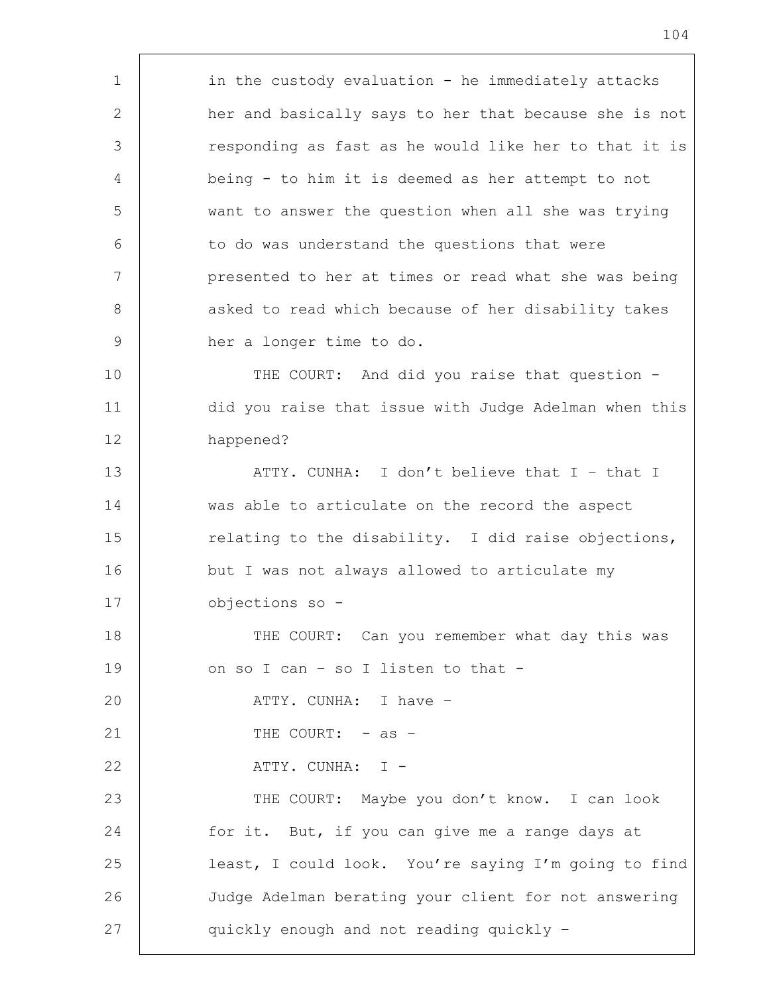1 in the custody evaluation - he immediately attacks 2 her and basically says to her that because she is not 3 responding as fast as he would like her to that it is 4 being - to him it is deemed as her attempt to not 5 want to answer the question when all she was trying 6 to do was understand the questions that were 7 | presented to her at times or read what she was being 8 | asked to read which because of her disability takes 9 her a longer time to do. 10 THE COURT: And did you raise that question -11 did you raise that issue with Judge Adelman when this 12 happened? 13 ATTY. CUNHA: I don't believe that I – that I 14 was able to articulate on the record the aspect 15 Telating to the disability. I did raise objections, 16 but I was not always allowed to articulate my 17 objections so - 18 THE COURT: Can you remember what day this was 19 on so I can - so I listen to that -20 ATTY. CUNHA: I have – 21 | THE COURT: - as -22 | ATTY.CUNHA: I -23 | THE COURT: Maybe you don't know. I can look 24 for it. But, if you can give me a range days at 25 least, I could look. You're saying I'm going to find 26 Judge Adelman berating your client for not answering 27 | quickly enough and not reading quickly -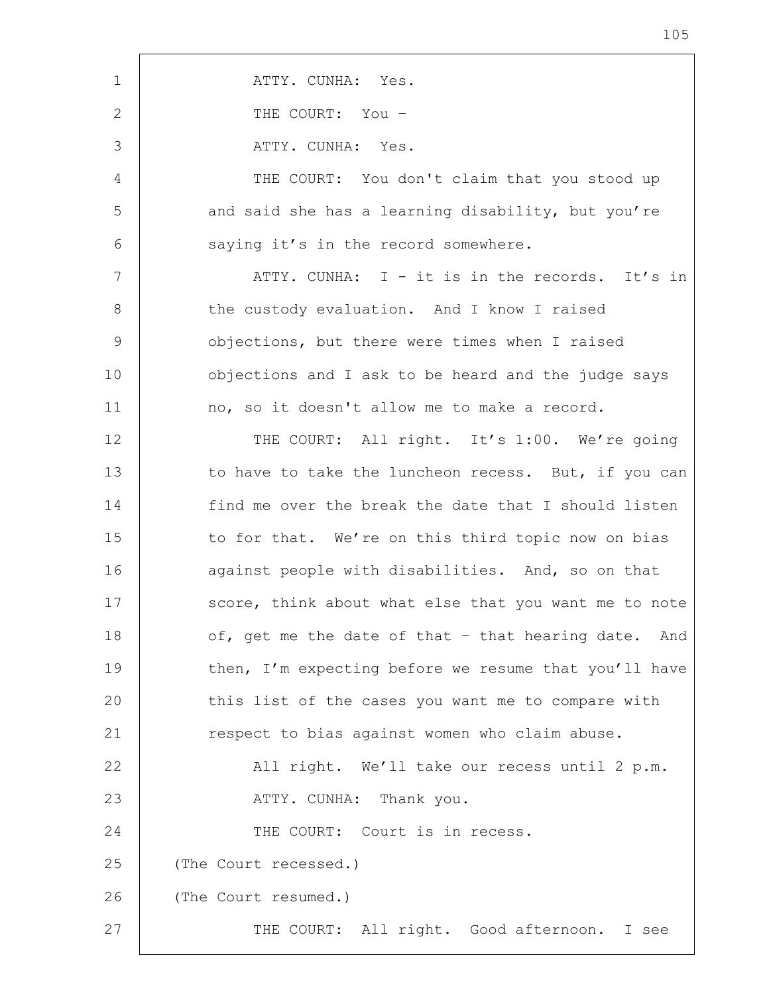| $\mathbf{1}$   | ATTY. CUNHA: Yes.                                     |
|----------------|-------------------------------------------------------|
| 2              | THE COURT: You -                                      |
| 3              | ATTY. CUNHA: Yes.                                     |
| $\overline{4}$ | THE COURT: You don't claim that you stood up          |
| 5              | and said she has a learning disability, but you're    |
| 6              | saying it's in the record somewhere.                  |
| 7              | ATTY. CUNHA: I - it is in the records. It's in        |
| $8\,$          | the custody evaluation. And I know I raised           |
| $\overline{9}$ | objections, but there were times when I raised        |
| 10             | objections and I ask to be heard and the judge says   |
| 11             | no, so it doesn't allow me to make a record.          |
| 12             | THE COURT: All right. It's 1:00. We're going          |
| 13             | to have to take the luncheon recess. But, if you can  |
| 14             | find me over the break the date that I should listen  |
| 15             | to for that. We're on this third topic now on bias    |
| 16             | against people with disabilities. And, so on that     |
| 17             | score, think about what else that you want me to note |
| 18             | of, get me the date of that - that hearing date. And  |
| 19             | then, I'm expecting before we resume that you'll have |
| 20             | this list of the cases you want me to compare with    |
| 21             | respect to bias against women who claim abuse.        |
| 22             | All right. We'll take our recess until 2 p.m.         |
| 23             | ATTY. CUNHA: Thank you.                               |
| 24             | THE COURT: Court is in recess.                        |
| 25             | (The Court recessed.)                                 |
| 26             | (The Court resumed.)                                  |
| 27             | THE COURT: All right. Good afternoon. I see           |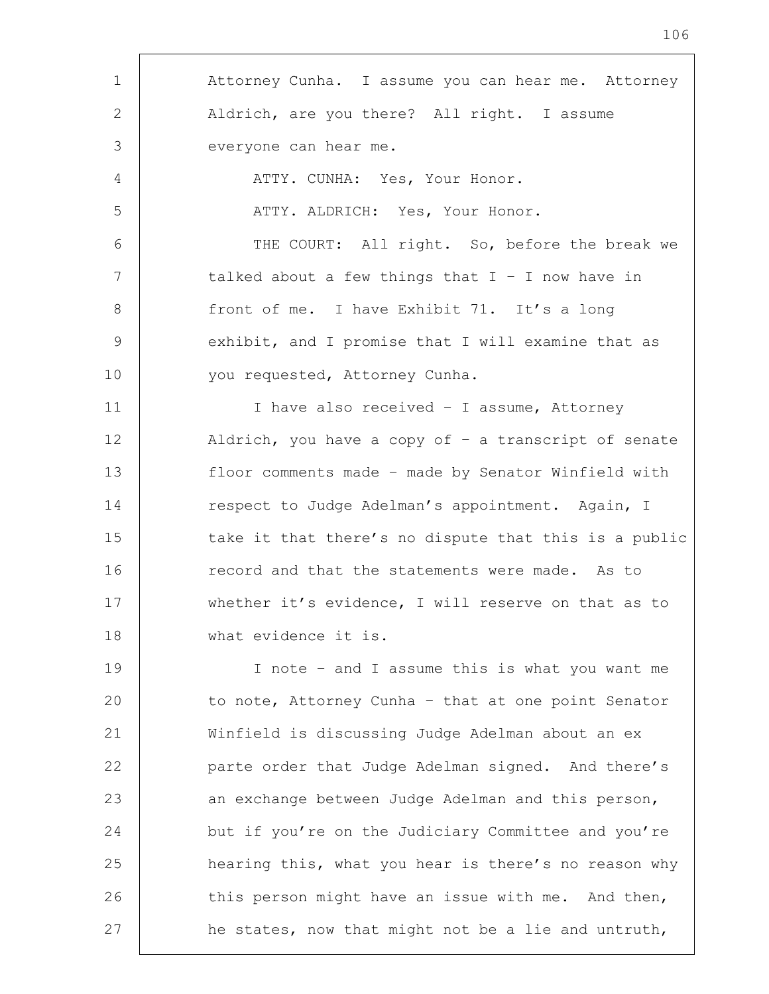1 Attorney Cunha. I assume you can hear me. Attorney 2 Aldrich, are you there? All right. I assume 3 everyone can hear me. 4 | ATTY. CUNHA: Yes, Your Honor. 5 | ATTY. ALDRICH: Yes, Your Honor. 6 THE COURT: All right. So, before the break we 7 | talked about a few things that I - I now have in 8 front of me. I have Exhibit 71. It's a long 9 exhibit, and I promise that I will examine that as 10 | vou requested, Attorney Cunha. 11 | I have also received - I assume, Attorney 12 Aldrich, you have a copy of – a transcript of senate 13 floor comments made – made by Senator Winfield with 14 respect to Judge Adelman's appointment. Again, I 15 take it that there's no dispute that this is a public 16 Tecord and that the statements were made. As to 17 whether it's evidence, I will reserve on that as to 18 what evidence it is. 19 I note – and I assume this is what you want me 20 to note, Attorney Cunha - that at one point Senator 21 Winfield is discussing Judge Adelman about an ex 22 | parte order that Judge Adelman signed. And there's 23 an exchange between Judge Adelman and this person, 24 but if you're on the Judiciary Committee and you're 25 **hearing this, what you hear is there's no reason why** 26 this person might have an issue with me. And then, 27 **he states, now that might not be a lie and untruth,**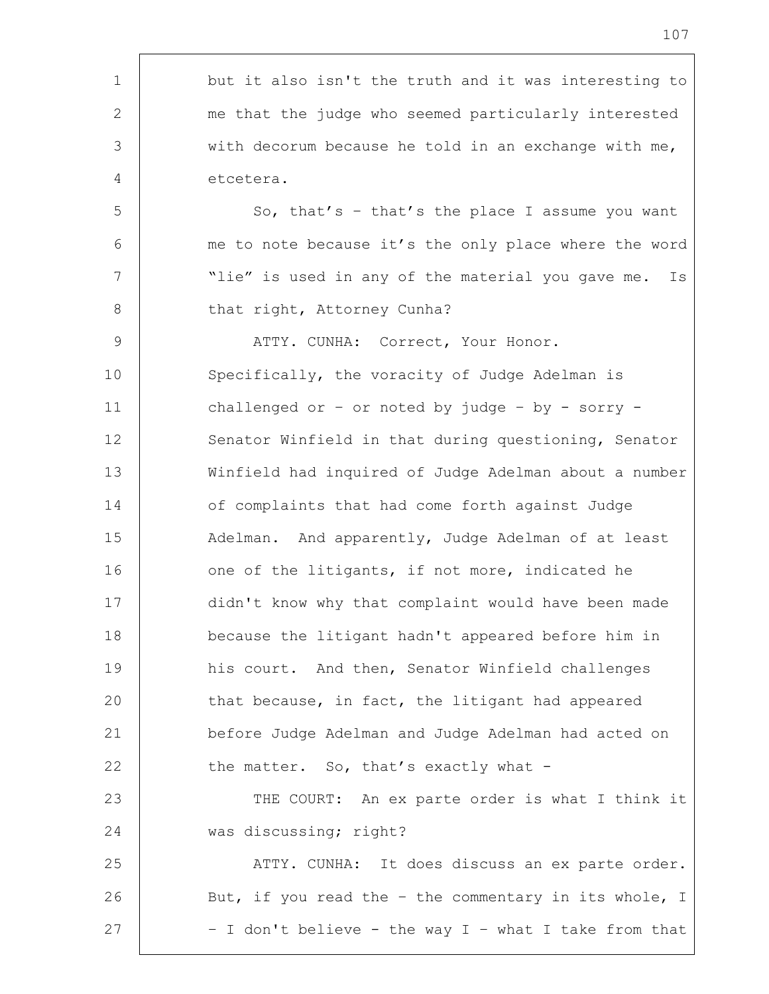1 but it also isn't the truth and it was interesting to 2 me that the judge who seemed particularly interested 3 with decorum because he told in an exchange with me, 4 etcetera. 5 So, that's - that's the place I assume you want 6 me to note because it's the only place where the word 7 | Thie" is used in any of the material you gave me. Is 8 | that right, Attorney Cunha? 9 | ATTY. CUNHA: Correct, Your Honor. 10 Specifically, the voracity of Judge Adelman is 11 challenged or – or noted by judge – by - sorry - 12 Senator Winfield in that during questioning, Senator 13 Winfield had inquired of Judge Adelman about a number 14 of complaints that had come forth against Judge 15 | Adelman. And apparently, Judge Adelman of at least 16 one of the litigants, if not more, indicated he 17 didn't know why that complaint would have been made 18 because the litigant hadn't appeared before him in 19 his court. And then, Senator Winfield challenges 20 that because, in fact, the litigant had appeared 21 before Judge Adelman and Judge Adelman had acted on 22 the matter. So, that's exactly what -23 | THE COURT: An ex parte order is what I think it 24 was discussing; right? 25 | ATTY. CUNHA: It does discuss an ex parte order. 26 But, if you read the - the commentary in its whole, I 27  $\vert$  - I don't believe - the way I - what I take from that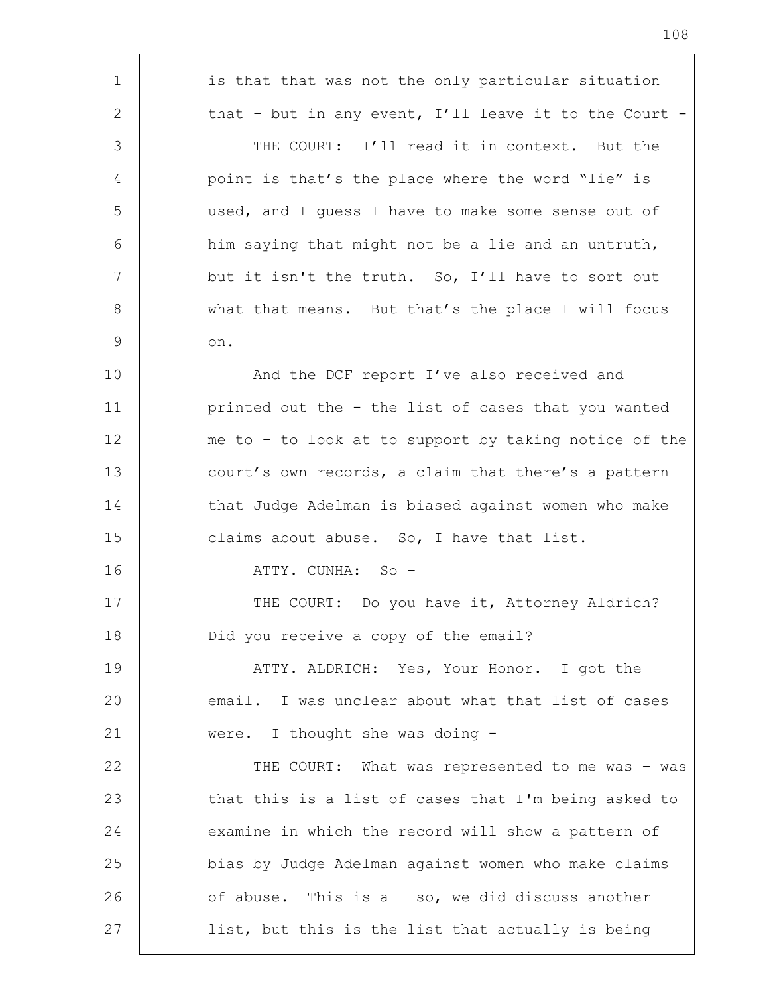1 is that that was not the only particular situation 2 that – but in any event, I'll leave it to the Court – 3 THE COURT: I'll read it in context. But the 4 point is that's the place where the word "lie" is 5 used, and I guess I have to make some sense out of  $6$  him saying that might not be a lie and an untruth, 7 but it isn't the truth. So, I'll have to sort out 8 | what that means. But that's the place I will focus 9 on. 10 | And the DCF report I've also received and 11 printed out the - the list of cases that you wanted 12 me to – to look at to support by taking notice of the 13 court's own records, a claim that there's a pattern 14 that Judge Adelman is biased against women who make 15 **claims about abuse.** So, I have that list. 16 ATTY. CUNHA: So – 17 | THE COURT: Do you have it, Attorney Aldrich? 18 Did you receive a copy of the email? 19 | THE ATTY. ALDRICH: Yes, Your Honor. I got the 20 email. I was unclear about what that list of cases 21 | were. I thought she was doing -22 | THE COURT: What was represented to me was - was 23 | that this is a list of cases that I'm being asked to 24 examine in which the record will show a pattern of 25 bias by Judge Adelman against women who make claims 26  $\vert$  of abuse. This is a - so, we did discuss another 27 | list, but this is the list that actually is being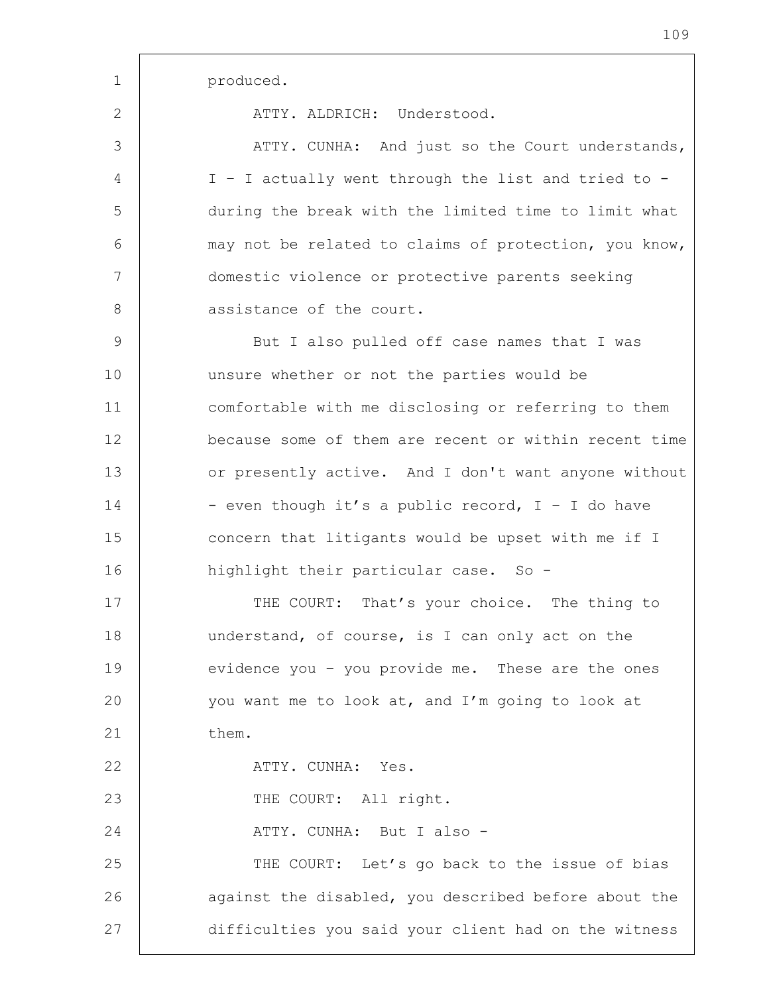2 ATTY ALDRICH: Understood.

3 ATTY. CUNHA: And just so the Court understands, 4 I – I actually went through the list and tried to - 5 during the break with the limited time to limit what 6 may not be related to claims of protection, you know, 7 domestic violence or protective parents seeking 8 assistance of the court.

9 | But I also pulled off case names that I was 10 unsure whether or not the parties would be 11 comfortable with me disclosing or referring to them 12 because some of them are recent or within recent time 13 or presently active. And I don't want anyone without  $14$  - even though it's a public record, I - I do have 15 concern that litigants would be upset with me if I 16 highlight their particular case. So -

17 THE COURT: That's your choice. The thing to 18 understand, of course, is I can only act on the 19 evidence you – you provide me. These are the ones 20 you want me to look at, and I'm going to look at 21 them. 22 ATTY. CUNHA: Yes. 23 | THE COURT: All right. 24 ATTY. CUNHA: But I also - 25 THE COURT: Let's go back to the issue of bias 26 against the disabled, you described before about the 27 difficulties you said your client had on the witness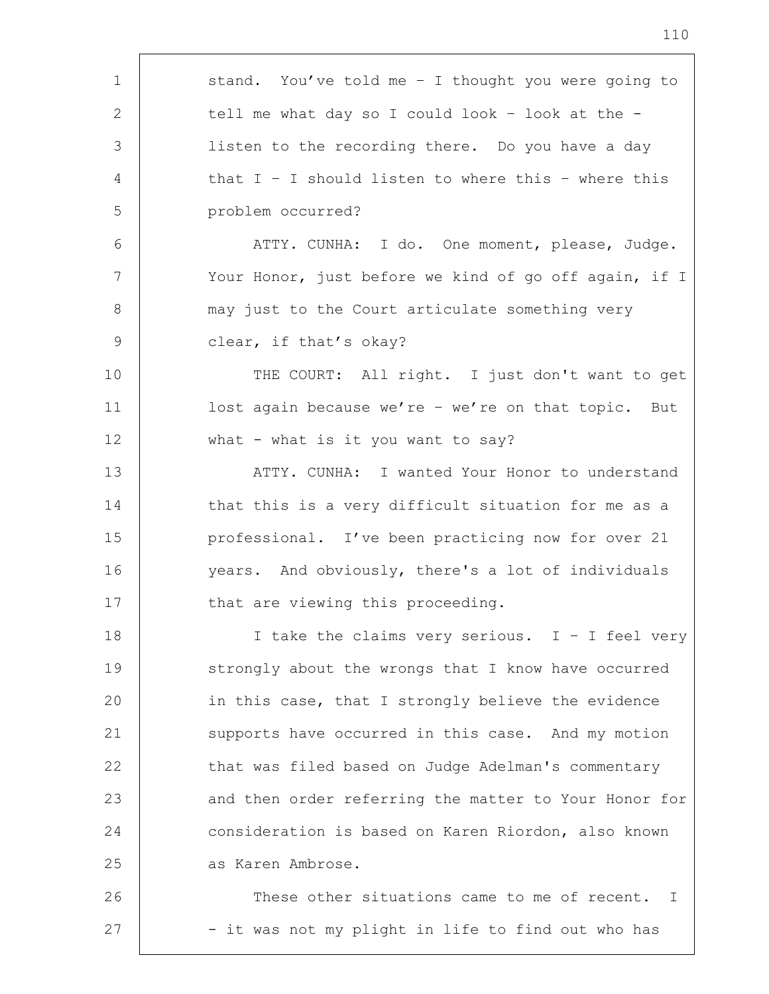| $\mathbf 1$     | stand. You've told me - I thought you were going to   |
|-----------------|-------------------------------------------------------|
| 2               | tell me what day so I could look - look at the -      |
| 3               | listen to the recording there. Do you have a day      |
| 4               | that $I - I$ should listen to where this - where this |
| 5               | problem occurred?                                     |
| 6               | ATTY. CUNHA: I do. One moment, please, Judge.         |
| $7\phantom{.0}$ | Your Honor, just before we kind of go off again, if I |
| 8               | may just to the Court articulate something very       |
| $\overline{9}$  | clear, if that's okay?                                |
| 10              | THE COURT: All right. I just don't want to get        |
| 11              | lost again because we're - we're on that topic. But   |
| 12              | what - what is it you want to say?                    |
| 13              | ATTY. CUNHA: I wanted Your Honor to understand        |
| 14              | that this is a very difficult situation for me as a   |
| 15              | professional. I've been practicing now for over 21    |
| 16              | years. And obviously, there's a lot of individuals    |
| 17              | that are viewing this proceeding.                     |
| 18              | I take the claims very serious. $I - I$ feel very     |
| 19              | strongly about the wrongs that I know have occurred   |
| 20              | in this case, that I strongly believe the evidence    |
| 21              | supports have occurred in this case. And my motion    |
| 22              | that was filed based on Judge Adelman's commentary    |
| 23              | and then order referring the matter to Your Honor for |
| 24              | consideration is based on Karen Riordon, also known   |
| 25              | as Karen Ambrose.                                     |
| 26              | These other situations came to me of recent. I        |
| 27              | - it was not my plight in life to find out who has    |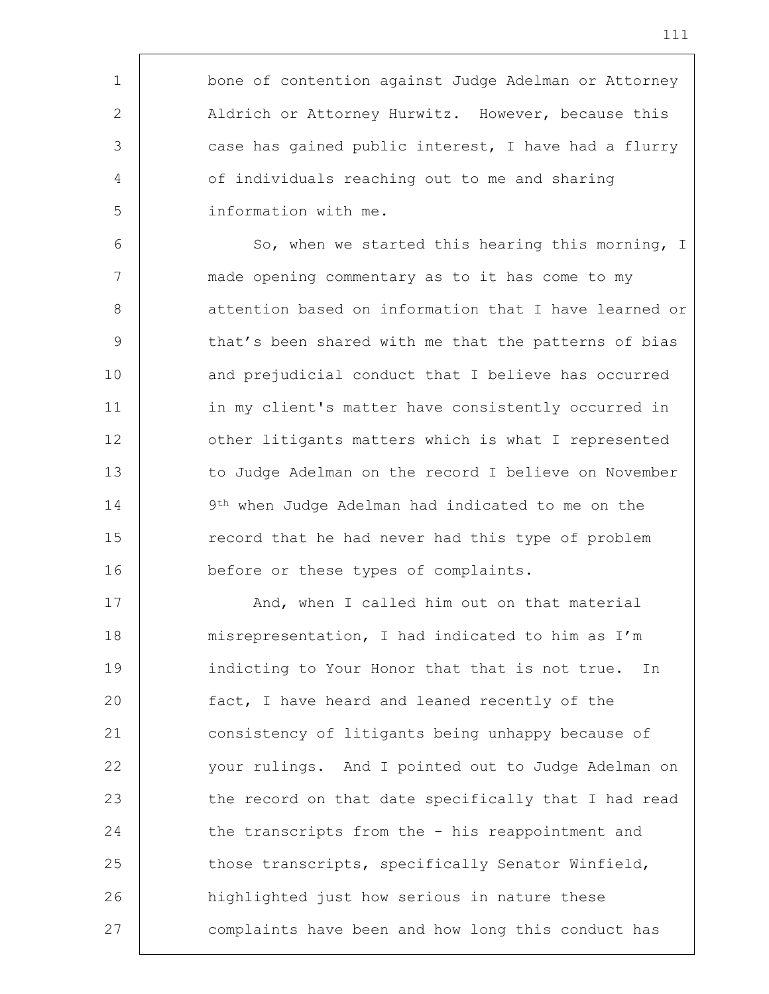1 bone of contention against Judge Adelman or Attorney 2 | Aldrich or Attorney Hurwitz. However, because this 3 case has gained public interest, I have had a flurry 4 | of individuals reaching out to me and sharing 5 information with me.

6 | So, when we started this hearing this morning, I 7 made opening commentary as to it has come to my 8 | attention based on information that I have learned or 9 | that's been shared with me that the patterns of bias 10 and prejudicial conduct that I believe has occurred 11 | in my client's matter have consistently occurred in 12 **budge 12** other litigants matters which is what I represented 13 to Judge Adelman on the record I believe on November 14 9<sup>th</sup> when Judge Adelman had indicated to me on the 15 The record that he had never had this type of problem 16 before or these types of complaints.

17 | And, when I called him out on that material 18 | misrepresentation, I had indicated to him as I'm 19 indicting to Your Honor that that is not true. In 20 fact, I have heard and leaned recently of the 21 consistency of litigants being unhappy because of 22 your rulings. And I pointed out to Judge Adelman on 23 the record on that date specifically that I had read 24 the transcripts from the - his reappointment and 25 those transcripts, specifically Senator Winfield, 26 | highlighted just how serious in nature these 27 complaints have been and how long this conduct has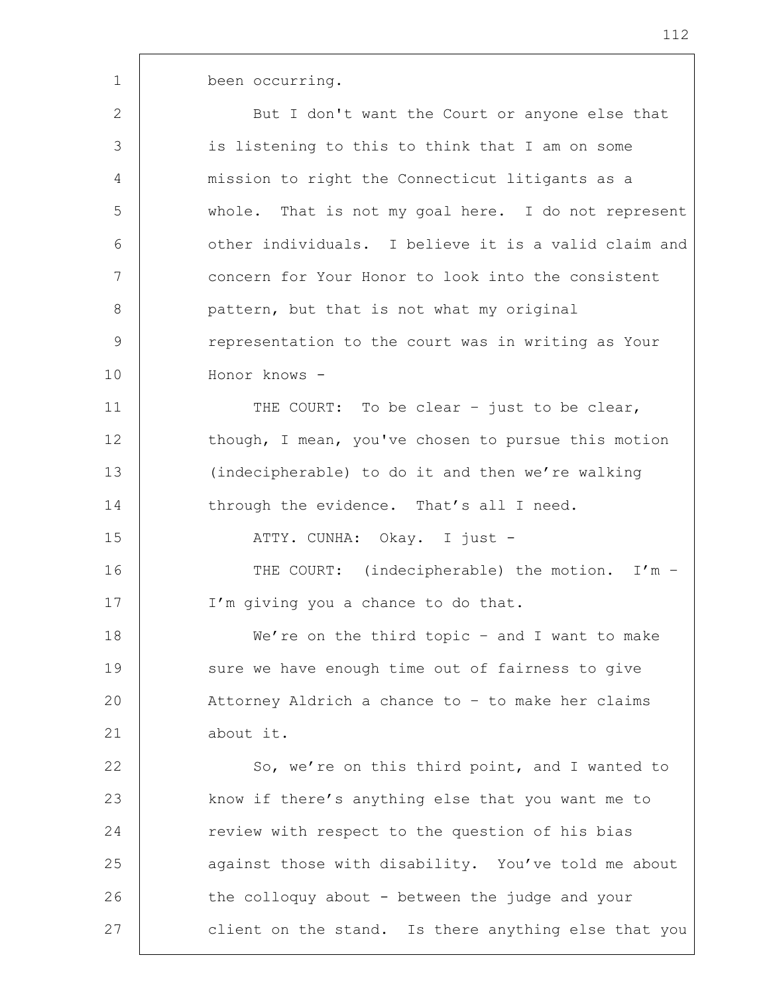1 been occurring.

2 But I don't want the Court or anyone else that 3 is listening to this to think that I am on some 4 mission to right the Connecticut litigants as a 5 whole. That is not my goal here. I do not represent 6 other individuals. I believe it is a valid claim and 7 concern for Your Honor to look into the consistent 8 **pattern, but that is not what my original** 9 Tepresentation to the court was in writing as Your 10 Honor knows - 11 | THE COURT: To be clear - just to be clear, 12 though, I mean, you've chosen to pursue this motion 13 (indecipherable) to do it and then we're walking 14 through the evidence. That's all I need. 15 | ATTY. CUNHA: Okay. I just -16 THE COURT: (indecipherable) the motion. I'm -17 | I'm giving you a chance to do that. 18 We're on the third topic - and I want to make

19 sure we have enough time out of fairness to give 20 Attorney Aldrich a chance to – to make her claims 21 about it.

22 So, we're on this third point, and I wanted to 23 | know if there's anything else that you want me to 24 Teview with respect to the question of his bias 25 against those with disability. You've told me about 26 the colloquy about - between the judge and your 27 client on the stand. Is there anything else that you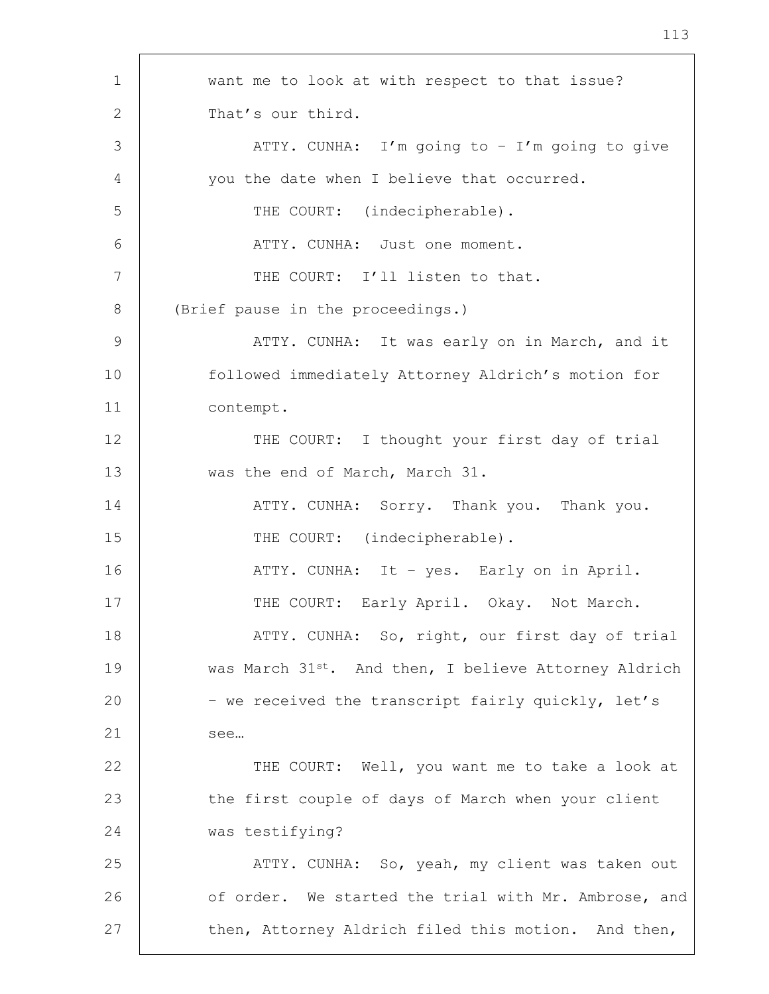1 want me to look at with respect to that issue? 2 That's our third. 3 | ATTY. CUNHA: I'm going to - I'm going to give 4 you the date when I believe that occurred. 5 THE COURT: (indecipherable). 6 | THE ATTY. CUNHA: Just one moment. 7 | THE COURT: I'll listen to that. 8 | (Brief pause in the proceedings.) 9 | ATTY. CUNHA: It was early on in March, and it 10 followed immediately Attorney Aldrich's motion for 11 contempt. 12 THE COURT: I thought your first day of trial 13 Was the end of March, March 31. 14 ATTY. CUNHA: Sorry. Thank you. Thank you. 15 THE COURT: (indecipherable). 16 | THE ATTY. CUNHA: It – yes. Early on in April. 17 | THE COURT: Early April. Okay. Not March. 18 | THE ATTY. CUNHA: So, right, our first day of trial 19 was March 31<sup>st</sup>. And then, I believe Attorney Aldrich 20 – we received the transcript fairly quickly, let's 21 see... 22 | THE COURT: Well, you want me to take a look at 23 the first couple of days of March when your client 24 was testifying? 25 | ATTY. CUNHA: So, yeah, my client was taken out 26 of order. We started the trial with Mr. Ambrose, and 27 then, Attorney Aldrich filed this motion. And then,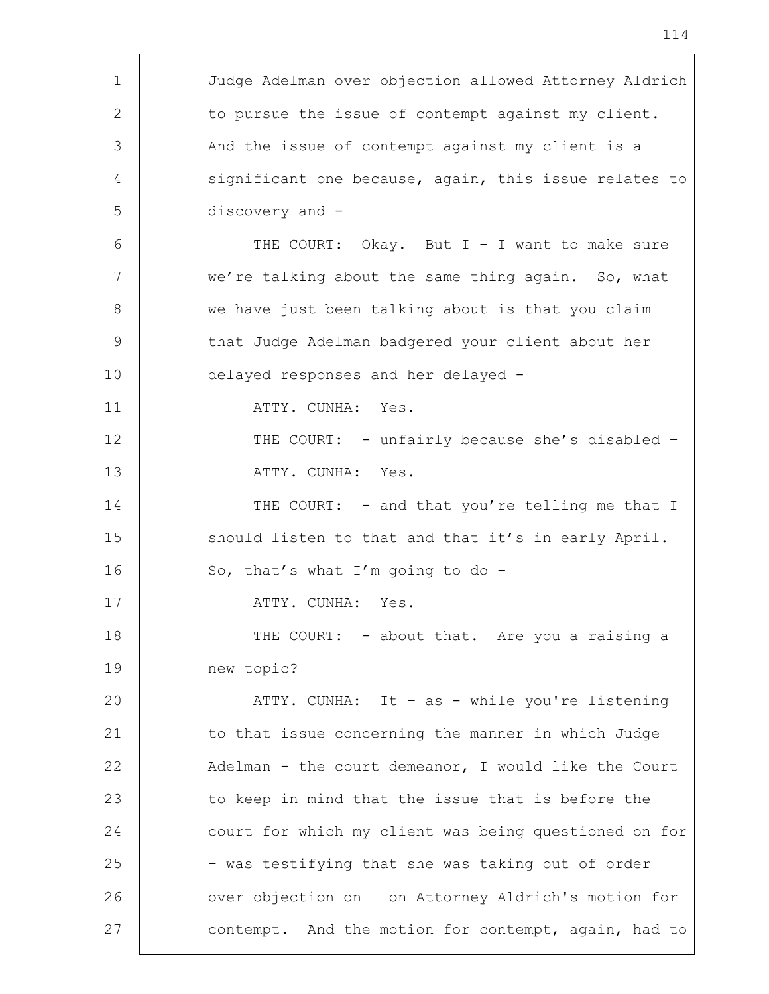| $\mathbf 1$ | Judge Adelman over objection allowed Attorney Aldrich |
|-------------|-------------------------------------------------------|
| 2           | to pursue the issue of contempt against my client.    |
| 3           | And the issue of contempt against my client is a      |
| 4           | significant one because, again, this issue relates to |
| 5           | discovery and -                                       |
| 6           | THE COURT: Okay. But $I - I$ want to make sure        |
| 7           | we're talking about the same thing again. So, what    |
| 8           | we have just been talking about is that you claim     |
| 9           | that Judge Adelman badgered your client about her     |
| 10          | delayed responses and her delayed -                   |
| 11          | ATTY. CUNHA: Yes.                                     |
| 12          | THE COURT: - unfairly because she's disabled -        |
| 13          | ATTY. CUNHA: Yes.                                     |
| 14          | THE COURT: - and that you're telling me that I        |
| 15          | should listen to that and that it's in early April.   |
| 16          | So, that's what I'm going to do -                     |
| 17          | ATTY. CUNHA:<br>Yes.                                  |
| 18          | THE COURT: - about that. Are you a raising a          |
| 19          | new topic?                                            |
| 20          | ATTY. CUNHA: It - as - while you're listening         |
| 21          | to that issue concerning the manner in which Judge    |
| 22          | Adelman - the court demeanor, I would like the Court  |
| 23          | to keep in mind that the issue that is before the     |
| 24          | court for which my client was being questioned on for |
| 25          | - was testifying that she was taking out of order     |
| 26          | over objection on - on Attorney Aldrich's motion for  |
| 27          | contempt. And the motion for contempt, again, had to  |

r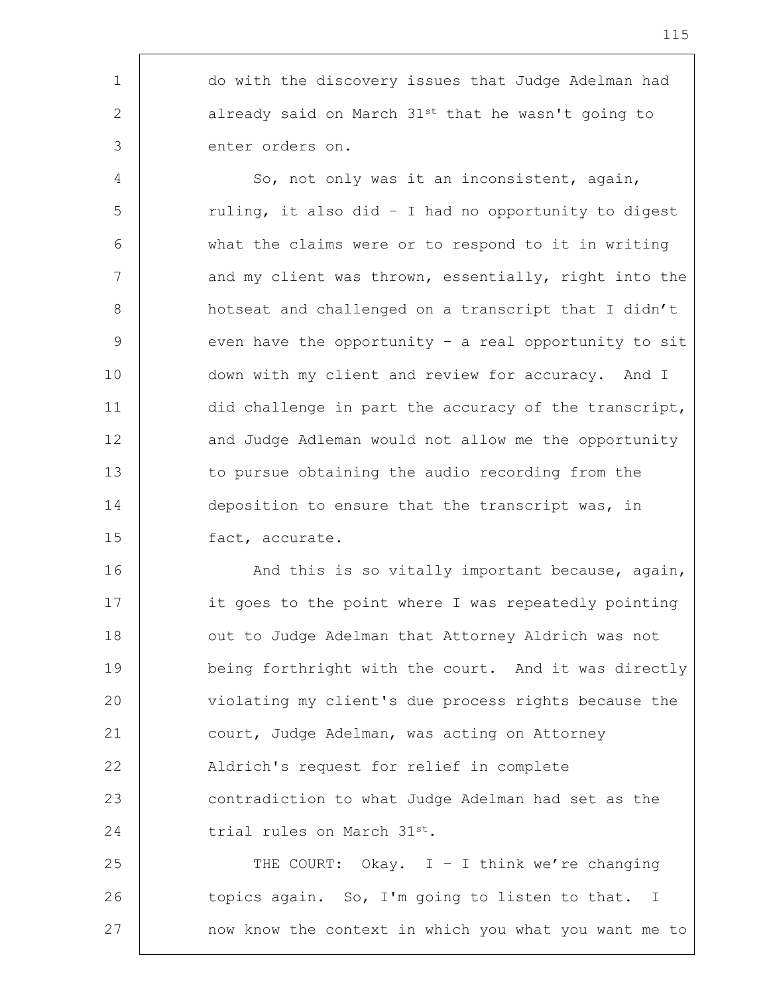1 do with the discovery issues that Judge Adelman had 2 already said on March 31<sup>st</sup> that he wasn't going to 3 enter orders on.

4 So, not only was it an inconsistent, again, 5 | ruling, it also did - I had no opportunity to digest 6 what the claims were or to respond to it in writing 7 and my client was thrown, essentially, right into the 8 | hotseat and challenged on a transcript that I didn't 9 even have the opportunity - a real opportunity to sit 10 down with my client and review for accuracy. And I 11 did challenge in part the accuracy of the transcript, 12 and Judge Adleman would not allow me the opportunity 13 to pursue obtaining the audio recording from the 14 deposition to ensure that the transcript was, in 15 fact, accurate.

16 | And this is so vitally important because, again, 17 | it goes to the point where I was repeatedly pointing 18 | out to Judge Adelman that Attorney Aldrich was not 19 | being forthright with the court. And it was directly 20 violating my client's due process rights because the 21 court, Judge Adelman, was acting on Attorney 22 | Aldrich's request for relief in complete 23 contradiction to what Judge Adelman had set as the 24 trial rules on March 31st.

25  $\vert$  THE COURT: Okay. I - I think we're changing 26 topics again. So, I'm going to listen to that. I 27 | mow know the context in which you what you want me to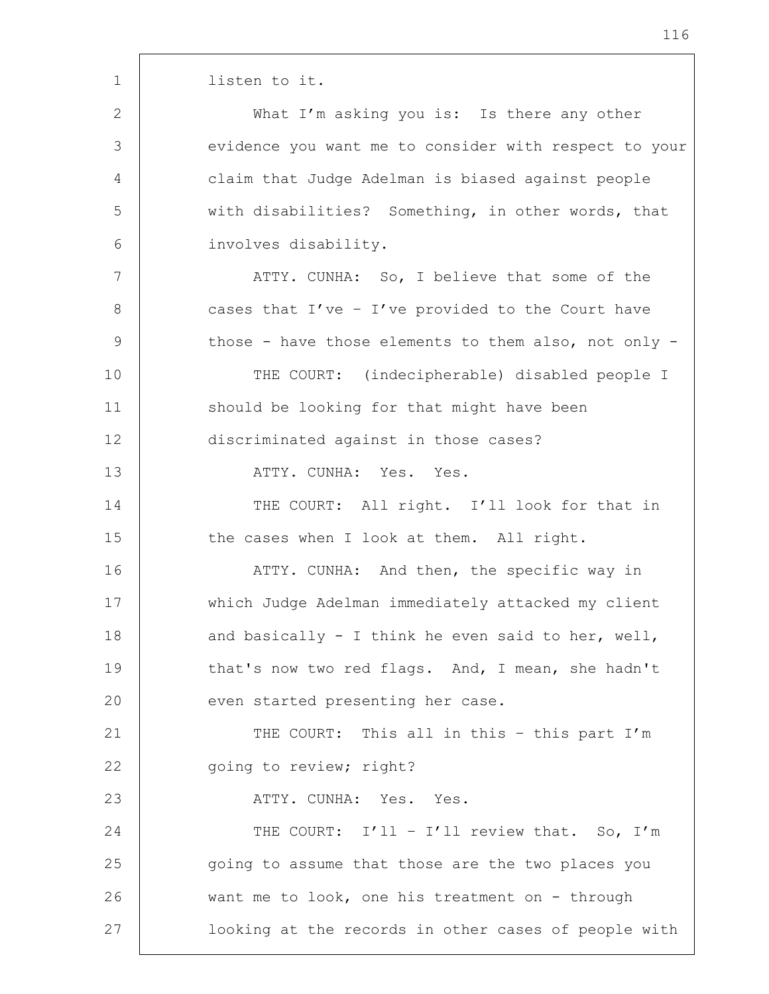1 | listen to it.

2 | What I'm asking you is: Is there any other 3 evidence you want me to consider with respect to your 4 claim that Judge Adelman is biased against people 5 with disabilities? Something, in other words, that 6 involves disability.

7 | ATTY. CUNHA: So, I believe that some of the 8 cases that I've - I've provided to the Court have 9 those - have those elements to them also, not only -

10 THE COURT: (indecipherable) disabled people I 11 | should be looking for that might have been 12 discriminated against in those cases?

13 ATTY. CUNHA: Yes. Yes.

14 THE COURT: All right. I'll look for that in 15 the cases when I look at them. All right.

16 | THE ATTY. CUNHA: And then, the specific way in 17 which Judge Adelman immediately attacked my client 18  $\vert$  and basically - I think he even said to her, well, 19 that's now two red flags. And, I mean, she hadn't 20 | even started presenting her case.

21 | THE COURT: This all in this - this part I'm 22 | going to review; right?

23 | ATTY. CUNHA: Yes. Yes.

24 THE COURT: I'll - I'll review that. So, I'm 25 going to assume that those are the two places you 26 want me to look, one his treatment on - through 27 | looking at the records in other cases of people with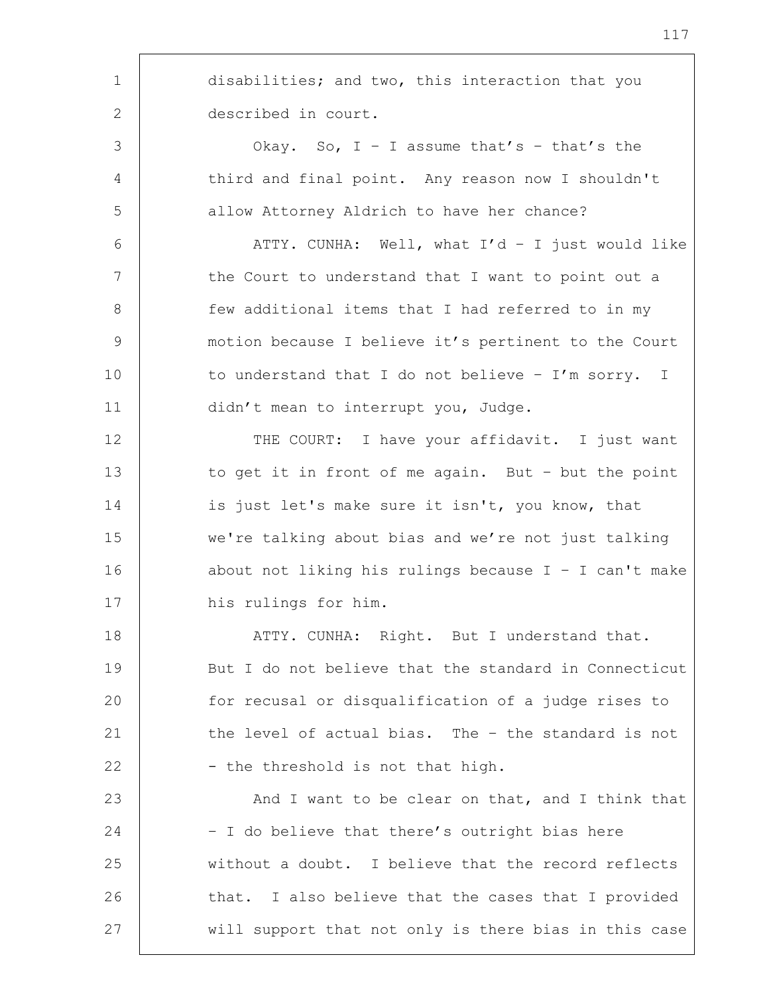1 disabilities; and two, this interaction that you 2 described in court. 3 Okay. So, I – I assume that's – that's the 4 | third and final point. Any reason now I shouldn't 5 allow Attorney Aldrich to have her chance? 6 ATTY. CUNHA: Well, what I'd – I just would like 7 | the Court to understand that I want to point out a 8 | few additional items that I had referred to in my 9 motion because I believe it's pertinent to the Court 10 to understand that I do not believe - I'm sorry. I 11 | didn't mean to interrupt you, Judge. 12 | THE COURT: I have your affidavit. I just want 13 to get it in front of me again. But - but the point 14 is just let's make sure it isn't, you know, that 15 we're talking about bias and we're not just talking 16 about not liking his rulings because I - I can't make 17 | his rulings for him. 18 | ATTY. CUNHA: Right. But I understand that. 19 But I do not believe that the standard in Connecticut 20 for recusal or disqualification of a judge rises to 21 the level of actual bias. The - the standard is not 22  $-$  the threshold is not that high. 23 And I want to be clear on that, and I think that 24 | - I do believe that there's outright bias here 25 without a doubt. I believe that the record reflects 26 that. I also believe that the cases that I provided 27 | will support that not only is there bias in this case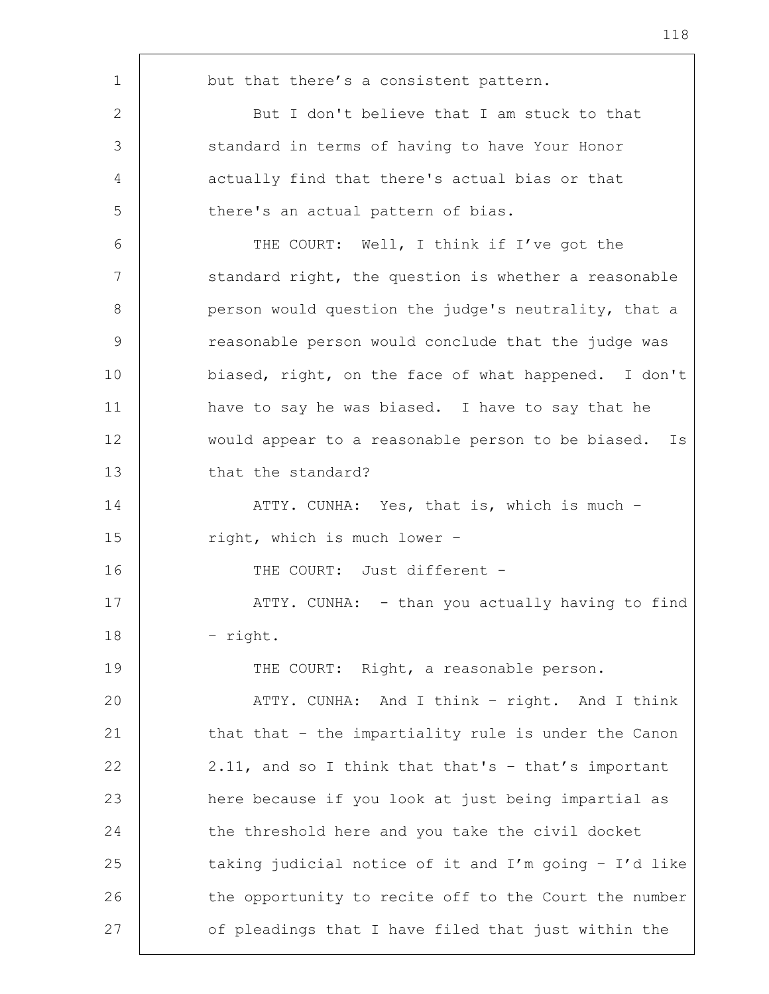| 1           | but that there's a consistent pattern.                |
|-------------|-------------------------------------------------------|
| 2           | But I don't believe that I am stuck to that           |
| 3           | standard in terms of having to have Your Honor        |
| 4           | actually find that there's actual bias or that        |
| 5           | there's an actual pattern of bias.                    |
| 6           | THE COURT: Well, I think if I've got the              |
| 7           | standard right, the question is whether a reasonable  |
| 8           | person would question the judge's neutrality, that a  |
| $\mathsf 9$ | reasonable person would conclude that the judge was   |
| 10          | biased, right, on the face of what happened. I don't  |
| 11          | have to say he was biased. I have to say that he      |
| 12          | would appear to a reasonable person to be biased. Is  |
| 13          | that the standard?                                    |
| 14          | ATTY. CUNHA: Yes, that is, which is much -            |
| 15          | right, which is much lower -                          |
| 16          | THE COURT: Just different -                           |
| 17          | ATTY. CUNHA: - than you actually having to find       |
| 18          | - right.                                              |
| 19          | THE COURT: Right, a reasonable person.                |
| 20          | ATTY. CUNHA: And I think - right. And I think         |
| 21          | that that - the impartiality rule is under the Canon  |
| 22          | 2.11, and so I think that that's - that's important   |
| 23          | here because if you look at just being impartial as   |
| 24          | the threshold here and you take the civil docket      |
| 25          | taking judicial notice of it and I'm going - I'd like |
| 26          | the opportunity to recite off to the Court the number |
| 27          | of pleadings that I have filed that just within the   |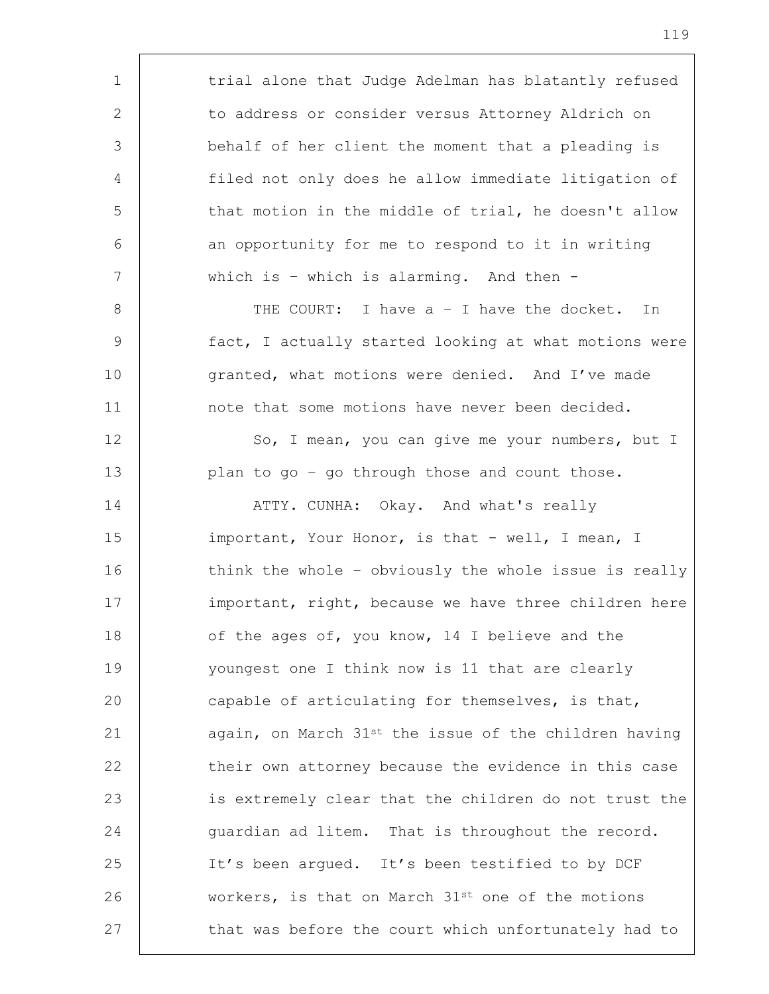1 | trial alone that Judge Adelman has blatantly refused 2 to address or consider versus Attorney Aldrich on 3 behalf of her client the moment that a pleading is 4 filed not only does he allow immediate litigation of 5 that motion in the middle of trial, he doesn't allow 6 an opportunity for me to respond to it in writing 7 which is – which is alarming. And then - 8 | THE COURT: I have a - I have the docket. In 9 fact, I actually started looking at what motions were 10 granted, what motions were denied. And I've made 11 | note that some motions have never been decided. 12 So, I mean, you can give me your numbers, but I 13 plan to go - go through those and count those. 14 | ATTY. CUNHA: Okay. And what's really 15 | important, Your Honor, is that - well, I mean, I 16 think the whole – obviously the whole issue is really 17 important, right, because we have three children here 18 of the ages of, you know, 14 I believe and the 19 youngest one I think now is 11 that are clearly 20 capable of articulating for themselves, is that, 21  $\vert$  again, on March 31st the issue of the children having 22 their own attorney because the evidence in this case 23 is extremely clear that the children do not trust the 24 guardian ad litem. That is throughout the record. 25 It's been argued. It's been testified to by DCF 26 workers, is that on March 31<sup>st</sup> one of the motions 27 | that was before the court which unfortunately had to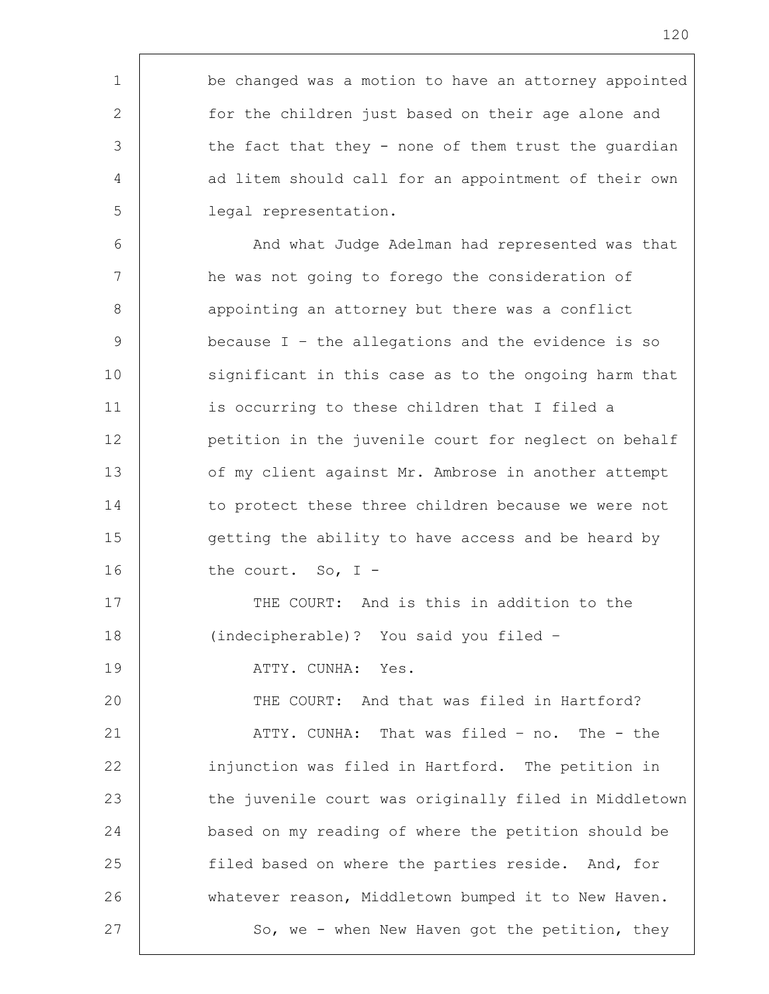1 be changed was a motion to have an attorney appointed 2 for the children just based on their age alone and  $3$  the fact that they - none of them trust the quardian 4 ad litem should call for an appointment of their own 5 legal representation. 6 | And what Judge Adelman had represented was that 7 he was not going to forego the consideration of 8 | appointing an attorney but there was a conflict 9 because I – the allegations and the evidence is so 10 significant in this case as to the ongoing harm that 11 is occurring to these children that I filed a 12 petition in the juvenile court for neglect on behalf 13 of my client against Mr. Ambrose in another attempt 14 to protect these three children because we were not 15 | Getting the ability to have access and be heard by 16 the court. So, I -17 | THE COURT: And is this in addition to the 18 (indecipherable)? You said you filed – 19 | ATTY. CUNHA: Yes. 20 THE COURT: And that was filed in Hartford? 21 | ATTY. CUNHA: That was filed - no. The - the 22 injunction was filed in Hartford. The petition in 23 the juvenile court was originally filed in Middletown 24 based on my reading of where the petition should be 25 filed based on where the parties reside. And, for 26 whatever reason, Middletown bumped it to New Haven. 27 So, we - when New Haven got the petition, they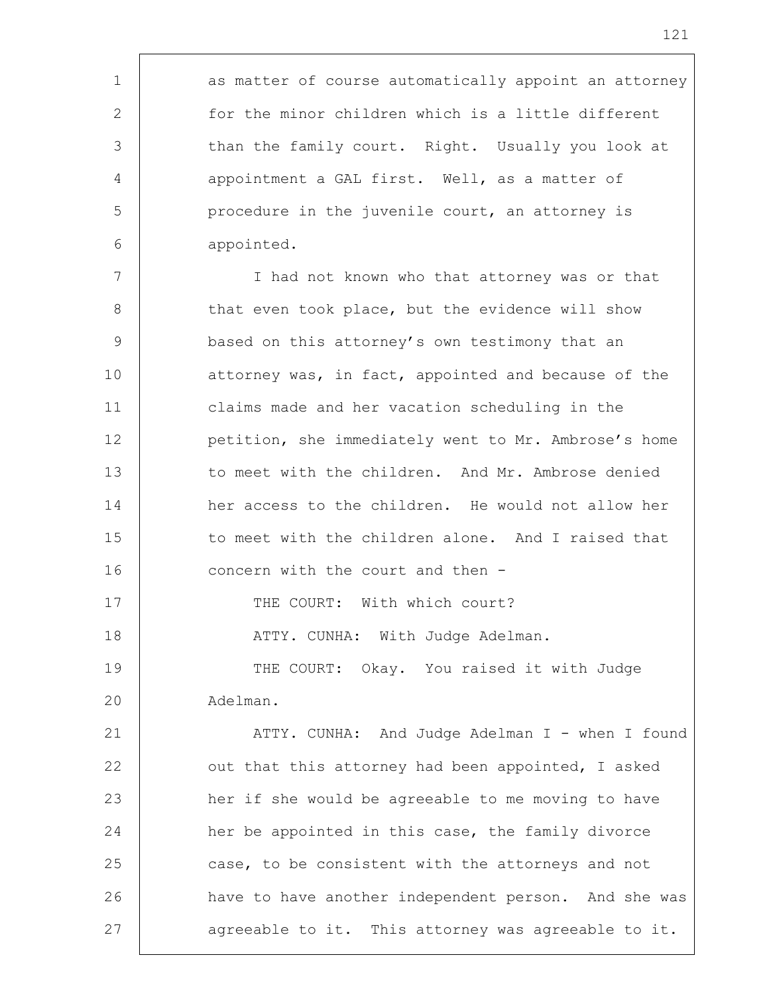1 as matter of course automatically appoint an attorney 2 for the minor children which is a little different 3 than the family court. Right. Usually you look at 4 | appointment a GAL first. Well, as a matter of 5 procedure in the juvenile court, an attorney is 6 appointed. 7 I had not known who that attorney was or that 8 | that even took place, but the evidence will show 9 based on this attorney's own testimony that an 10 **attorney was, in fact, appointed and because of the** 11 claims made and her vacation scheduling in the 12 petition, she immediately went to Mr. Ambrose's home 13 to meet with the children. And Mr. Ambrose denied 14 her access to the children. He would not allow her 15 to meet with the children alone. And I raised that 16 **concern with the court and then -**17 | THE COURT: With which court? 18 | THE ATTY. CUNHA: With Judge Adelman. 19 | THE COURT: Okay. You raised it with Judge 20 Adelman. 21 | ATTY. CUNHA: And Judge Adelman I - when I found 22 | out that this attorney had been appointed, I asked 23 her if she would be agreeable to me moving to have 24 her be appointed in this case, the family divorce 25 case, to be consistent with the attorneys and not 26 have to have another independent person. And she was 27 agreeable to it. This attorney was agreeable to it.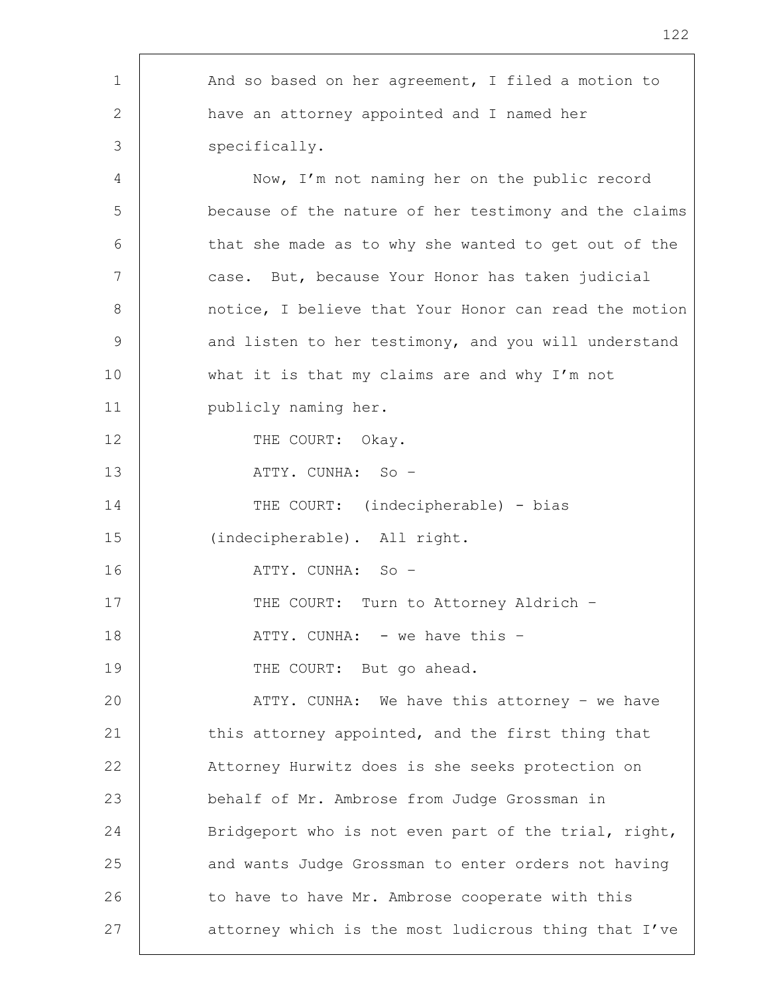| $\mathbf 1$ | And so based on her agreement, I filed a motion to    |
|-------------|-------------------------------------------------------|
| 2           | have an attorney appointed and I named her            |
| 3           | specifically.                                         |
| 4           | Now, I'm not naming her on the public record          |
| 5           | because of the nature of her testimony and the claims |
| 6           | that she made as to why she wanted to get out of the  |
| 7           | case. But, because Your Honor has taken judicial      |
| 8           | notice, I believe that Your Honor can read the motion |
| $\mathsf 9$ | and listen to her testimony, and you will understand  |
| 10          | what it is that my claims are and why I'm not         |
| 11          | publicly naming her.                                  |
| 12          | THE COURT: Okay.                                      |
| 13          | ATTY. CUNHA: So -                                     |
| 14          | THE COURT: (indecipherable) - bias                    |
| 15          | (indecipherable). All right.                          |
| 16          | ATTY. CUNHA: So -                                     |
| 17          | THE COURT: Turn to Attorney Aldrich -                 |
| 18          | ATTY. CUNHA: - we have this -                         |
| 19          | THE COURT: But go ahead.                              |
| 20          | ATTY. CUNHA: We have this attorney - we have          |
| 21          | this attorney appointed, and the first thing that     |
| 22          | Attorney Hurwitz does is she seeks protection on      |
| 23          | behalf of Mr. Ambrose from Judge Grossman in          |
| 24          | Bridgeport who is not even part of the trial, right,  |
| 25          | and wants Judge Grossman to enter orders not having   |
| 26          | to have to have Mr. Ambrose cooperate with this       |
| 27          | attorney which is the most ludicrous thing that I've  |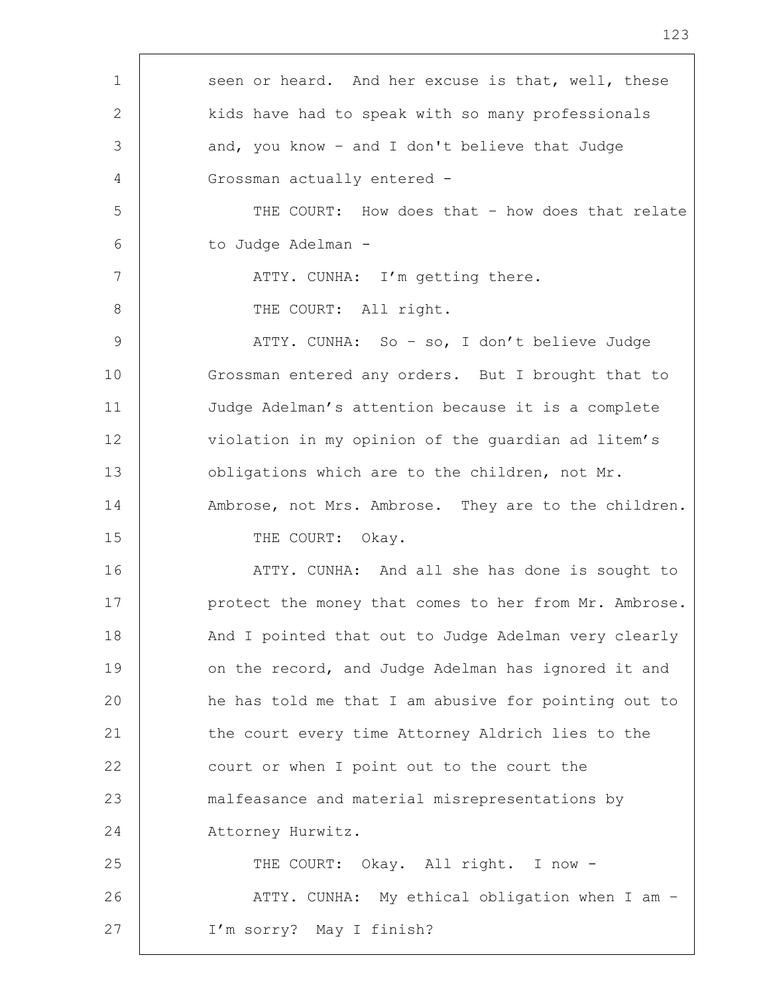| $\mathbf 1$ | seen or heard. And her excuse is that, well, these    |
|-------------|-------------------------------------------------------|
| 2           | kids have had to speak with so many professionals     |
| 3           | and, you know - and I don't believe that Judge        |
| 4           | Grossman actually entered -                           |
| 5           | THE COURT: How does that - how does that relate       |
| 6           | to Judge Adelman -                                    |
| 7           | ATTY. CUNHA: I'm getting there.                       |
| 8           | THE COURT: All right.                                 |
| $\mathsf 9$ | ATTY. CUNHA: So - so, I don't believe Judge           |
| 10          | Grossman entered any orders. But I brought that to    |
| 11          | Judge Adelman's attention because it is a complete    |
| 12          | violation in my opinion of the guardian ad litem's    |
| 13          | obligations which are to the children, not Mr.        |
| 14          | Ambrose, not Mrs. Ambrose. They are to the children.  |
| 15          | THE COURT: Okay.                                      |
| 16          | ATTY. CUNHA: And all she has done is sought to        |
| 17          | protect the money that comes to her from Mr. Ambrose. |
| 18          | And I pointed that out to Judge Adelman very clearly  |
| 19          | on the record, and Judge Adelman has ignored it and   |
| 20          | he has told me that I am abusive for pointing out to  |
| 21          | the court every time Attorney Aldrich lies to the     |
| 22          | court or when I point out to the court the            |
| 23          | malfeasance and material misrepresentations by        |
| 24          | Attorney Hurwitz.                                     |
| 25          | THE COURT: Okay. All right. I now -                   |
| 26          | ATTY. CUNHA: My ethical obligation when I am -        |
| 27          | I'm sorry? May I finish?                              |

'n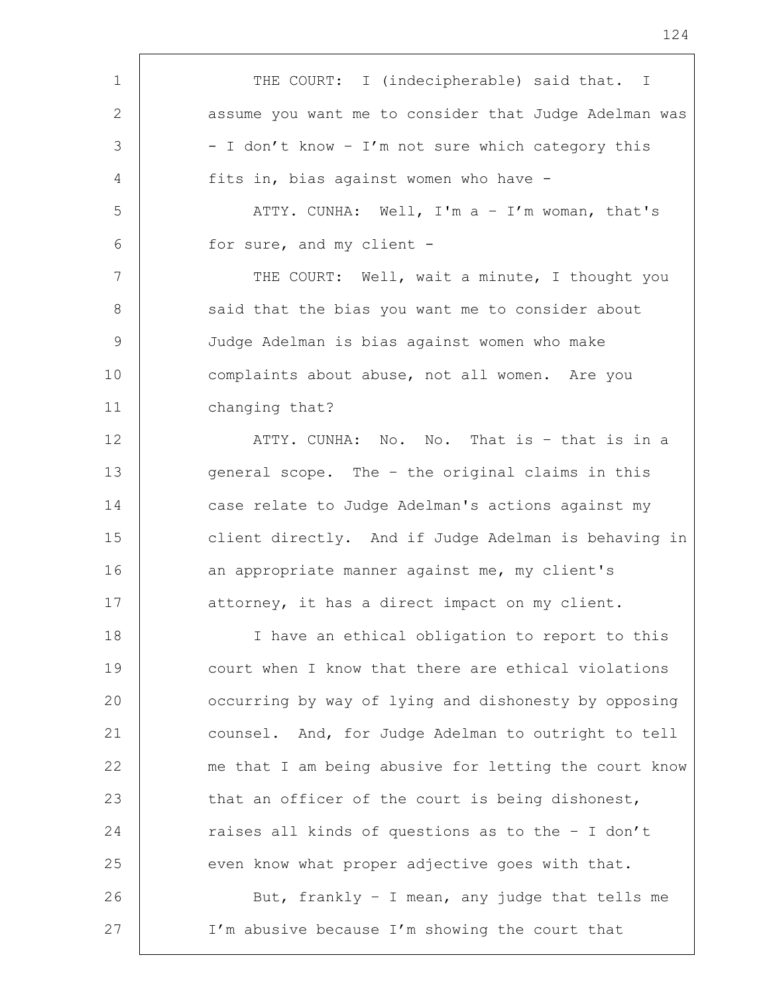1 | THE COURT: I (indecipherable) said that. I 2 assume you want me to consider that Judge Adelman was  $3$   $-$  I don't know  $-$  I'm not sure which category this 4 fits in, bias against women who have - 5 ATTY. CUNHA: Well, I'm a – I'm woman, that's 6 for sure, and my client - 7 | THE COURT: Well, wait a minute, I thought you 8 | said that the bias you want me to consider about 9 Judge Adelman is bias against women who make 10 complaints about abuse, not all women. Are you 11 changing that? 12 ATTY. CUNHA: No. No. That is - that is in a 13 general scope. The - the original claims in this 14 case relate to Judge Adelman's actions against my 15 client directly. And if Judge Adelman is behaving in 16 an appropriate manner against me, my client's 17 attorney, it has a direct impact on my client. 18 I have an ethical obligation to report to this 19 court when I know that there are ethical violations 20 **call occurring by way of lying and dishonesty by opposing** 21 counsel. And, for Judge Adelman to outright to tell 22 me that I am being abusive for letting the court know 23 | that an officer of the court is being dishonest, 24 Taises all kinds of questions as to the - I don't 25 even know what proper adjective goes with that. 26 | But, frankly - I mean, any judge that tells me 27 | I'm abusive because I'm showing the court that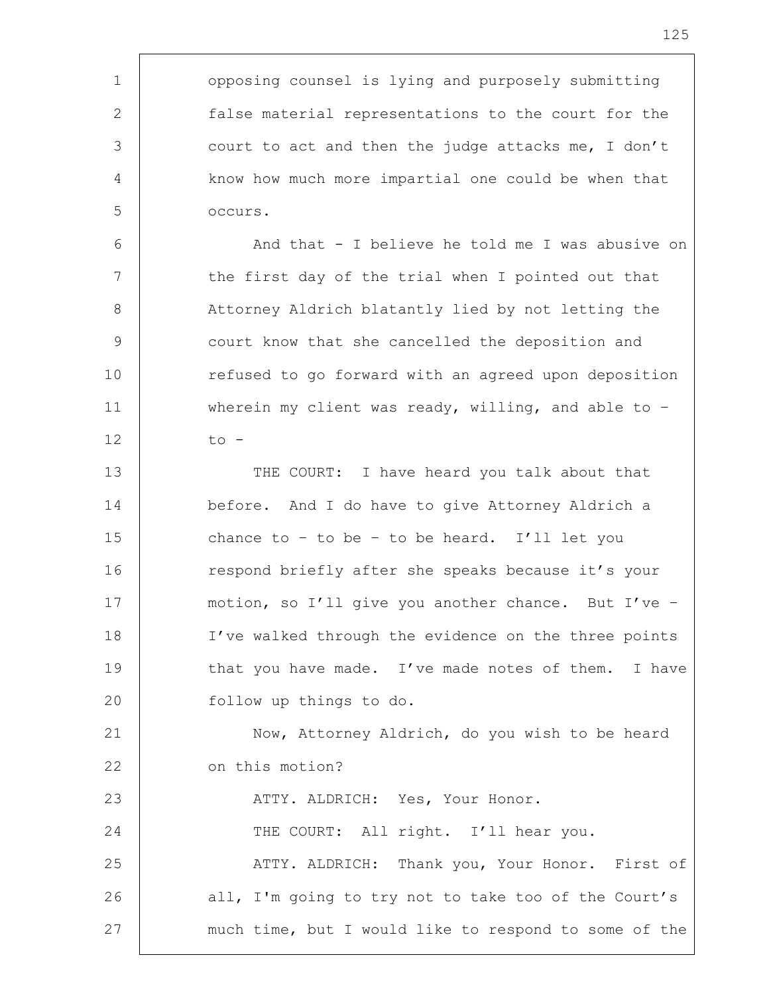| $\mathbf 1$ | opposing counsel is lying and purposely submitting    |
|-------------|-------------------------------------------------------|
| 2           | false material representations to the court for the   |
| 3           | court to act and then the judge attacks me, I don't   |
| 4           | know how much more impartial one could be when that   |
| 5           | occurs.                                               |
| 6           | And that - I believe he told me I was abusive on      |
| 7           | the first day of the trial when I pointed out that    |
| 8           | Attorney Aldrich blatantly lied by not letting the    |
| 9           | court know that she cancelled the deposition and      |
| 10          | refused to go forward with an agreed upon deposition  |
| 11          | wherein my client was ready, willing, and able to $-$ |
| 12          | $\circ$ -                                             |
| 13          | THE COURT: I have heard you talk about that           |
| 14          | before. And I do have to give Attorney Aldrich a      |
| 15          | chance to - to be - to be heard. I'll let you         |
| 16          | respond briefly after she speaks because it's your    |
| 17          | motion, so I'll give you another chance. But I've -   |
| 18          | I've walked through the evidence on the three points  |
| 19          | that you have made. I've made notes of them. I have   |
| 20          | follow up things to do.                               |
| 21          | Now, Attorney Aldrich, do you wish to be heard        |
| 22          | on this motion?                                       |
| 23          | ATTY. ALDRICH: Yes, Your Honor.                       |
| 24          | THE COURT: All right. I'll hear you.                  |
| 25          | ATTY. ALDRICH: Thank you, Your Honor. First of        |
| 26          | all, I'm going to try not to take too of the Court's  |
| 27          | much time, but I would like to respond to some of the |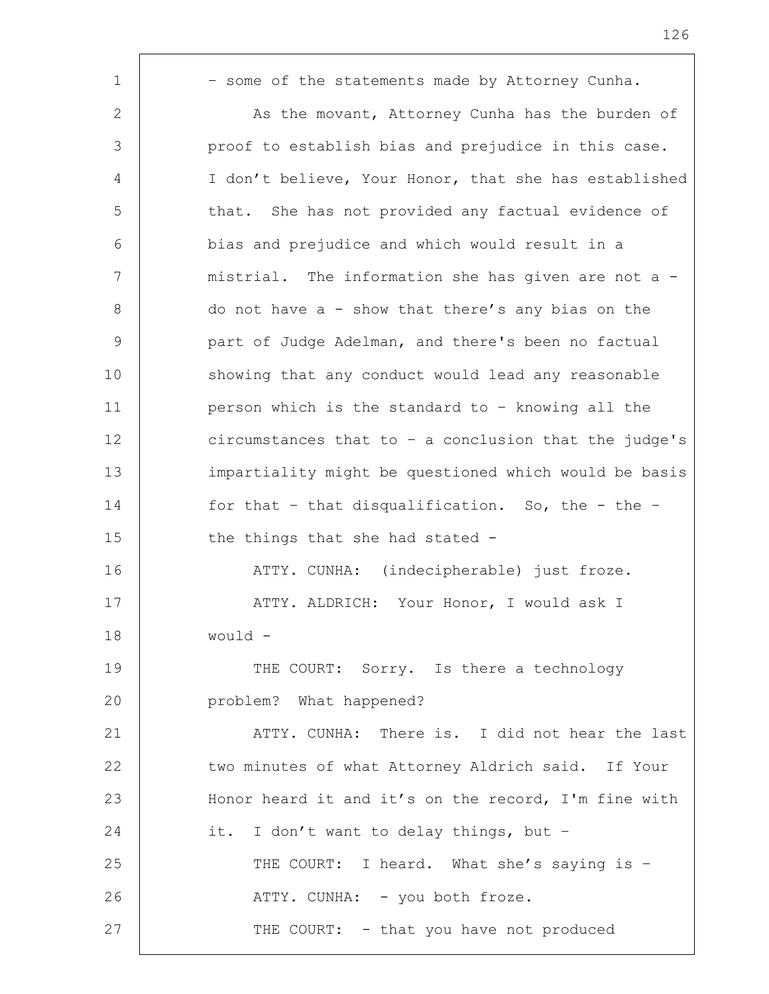| $\mathbf 1$    | - some of the statements made by Attorney Cunha.        |
|----------------|---------------------------------------------------------|
| 2              | As the movant, Attorney Cunha has the burden of         |
| 3              | proof to establish bias and prejudice in this case.     |
| $\overline{4}$ | I don't believe, Your Honor, that she has established   |
| 5              | that. She has not provided any factual evidence of      |
| 6              | bias and prejudice and which would result in a          |
| 7              | mistrial. The information she has given are not a -     |
| 8              | do not have $a - show that there's any bias on the$     |
| $\overline{9}$ | part of Judge Adelman, and there's been no factual      |
| 10             | showing that any conduct would lead any reasonable      |
| 11             | person which is the standard to - knowing all the       |
| 12             | circumstances that to $-$ a conclusion that the judge's |
| 13             | impartiality might be questioned which would be basis   |
| 14             | for that - that disqualification. So, the - the -       |
| 15             | the things that she had stated -                        |
| 16             | ATTY. CUNHA: (indecipherable) just froze.               |
| 17             | ATTY. ALDRICH: Your Honor, I would ask I                |
| 18             | would -                                                 |
| 19             | THE COURT: Sorry. Is there a technology                 |
| 20             | problem? What happened?                                 |
| 21             | ATTY. CUNHA: There is. I did not hear the last          |
| 22             | two minutes of what Attorney Aldrich said. If Your      |
| 23             | Honor heard it and it's on the record, I'm fine with    |
| 24             | it. I don't want to delay things, but -                 |
| 25             | THE COURT: I heard. What she's saying is -              |
| 26             | ATTY. CUNHA: - you both froze.                          |
| 27             | THE COURT: - that you have not produced                 |
|                |                                                         |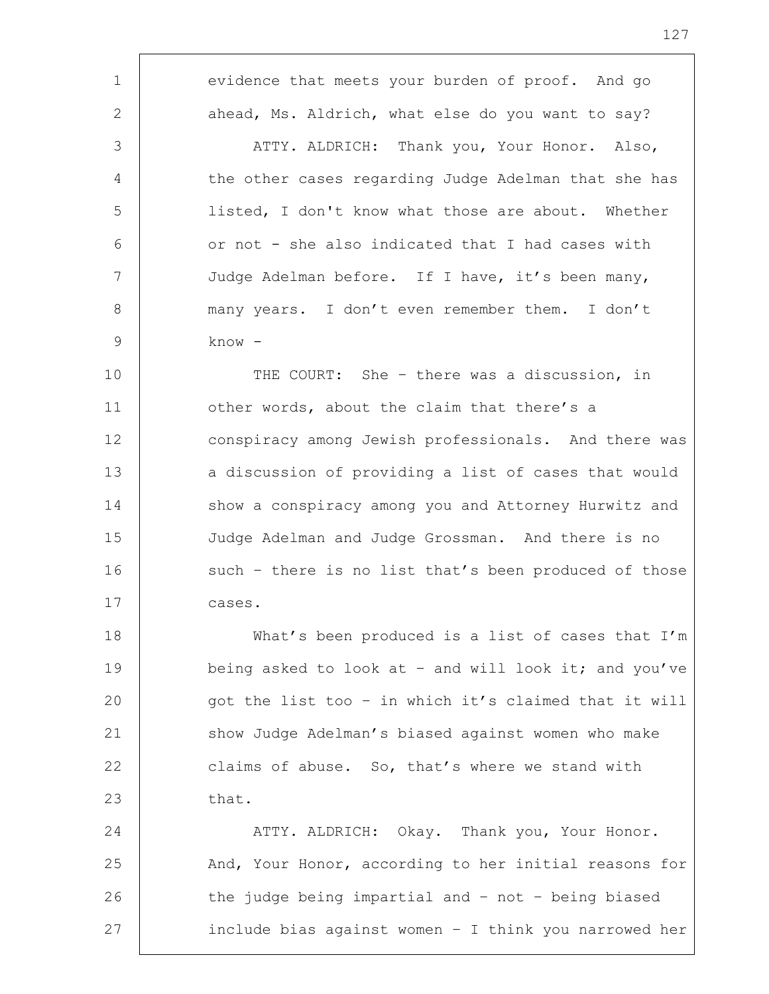1 evidence that meets your burden of proof. And go 2 ahead, Ms. Aldrich, what else do you want to say? 3 ATTY. ALDRICH: Thank you, Your Honor. Also, 4 the other cases regarding Judge Adelman that she has 5 listed, I don't know what those are about. Whether  $6$  | or not - she also indicated that I had cases with 7 Judge Adelman before. If I have, it's been many, 8 | many years. I don't even remember them. I don't 9 know - 10 THE COURT: She – there was a discussion, in 11 **b** other words, about the claim that there's a 12 conspiracy among Jewish professionals. And there was 13 a discussion of providing a list of cases that would 14 show a conspiracy among you and Attorney Hurwitz and 15 Judge Adelman and Judge Grossman. And there is no 16 such - there is no list that's been produced of those 17 cases. 18 What's been produced is a list of cases that I'm 19 being asked to look at - and will look it; and you've 20 got the list too – in which it's claimed that it will 21 show Judge Adelman's biased against women who make 22 claims of abuse. So, that's where we stand with  $23$  that.

24 ATTY. ALDRICH: Okay. Thank you, Your Honor. 25 And, Your Honor, according to her initial reasons for 26 the judge being impartial and - not - being biased 27 include bias against women – I think you narrowed her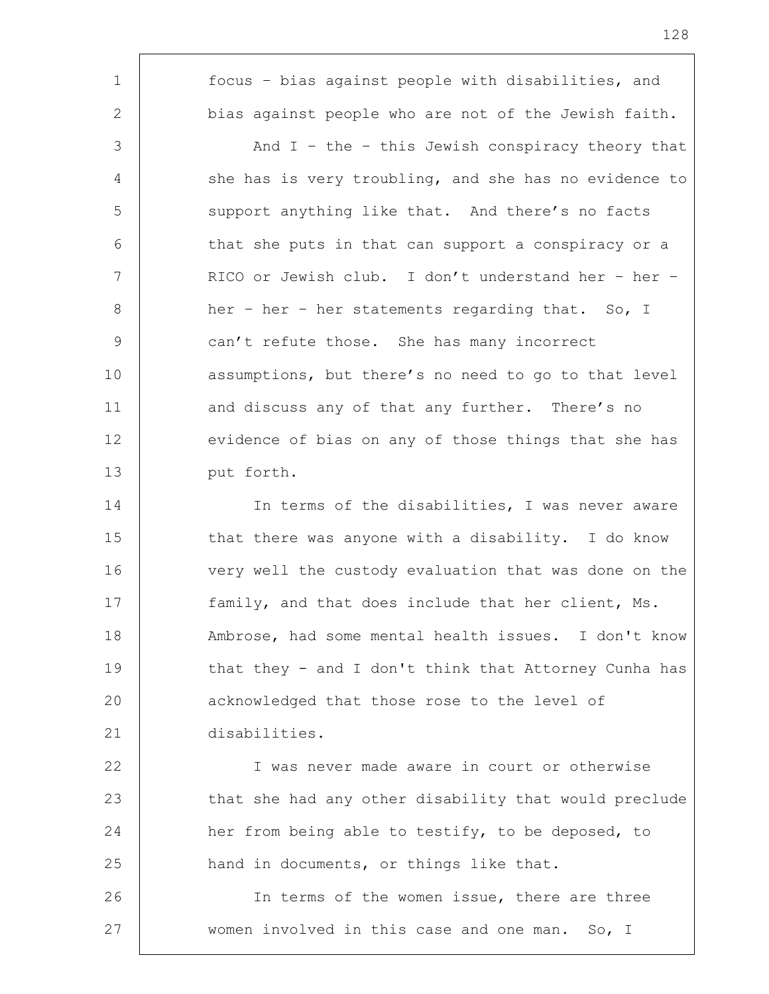1 focus – bias against people with disabilities, and 2 bias against people who are not of the Jewish faith. 3 And I - the - this Jewish conspiracy theory that 4 | she has is very troubling, and she has no evidence to 5 support anything like that. And there's no facts 6 that she puts in that can support a conspiracy or a 7 RICO or Jewish club. I don't understand her – her – 8 her – her – her statements regarding that. So, I 9 can't refute those. She has many incorrect 10 assumptions, but there's no need to go to that level 11 | and discuss any of that any further. There's no 12 evidence of bias on any of those things that she has 13 | put forth. 14 In terms of the disabilities, I was never aware 15 that there was anyone with a disability. I do know 16 very well the custody evaluation that was done on the 17 family, and that does include that her client, Ms. 18 Ambrose, had some mental health issues. I don't know 19 that they - and I don't think that Attorney Cunha has 20 acknowledged that those rose to the level of 21 disabilities. 22 I was never made aware in court or otherwise 23 that she had any other disability that would preclude 24 her from being able to testify, to be deposed, to 25 hand in documents, or things like that. 26 In terms of the women issue, there are three 27 | women involved in this case and one man. So, I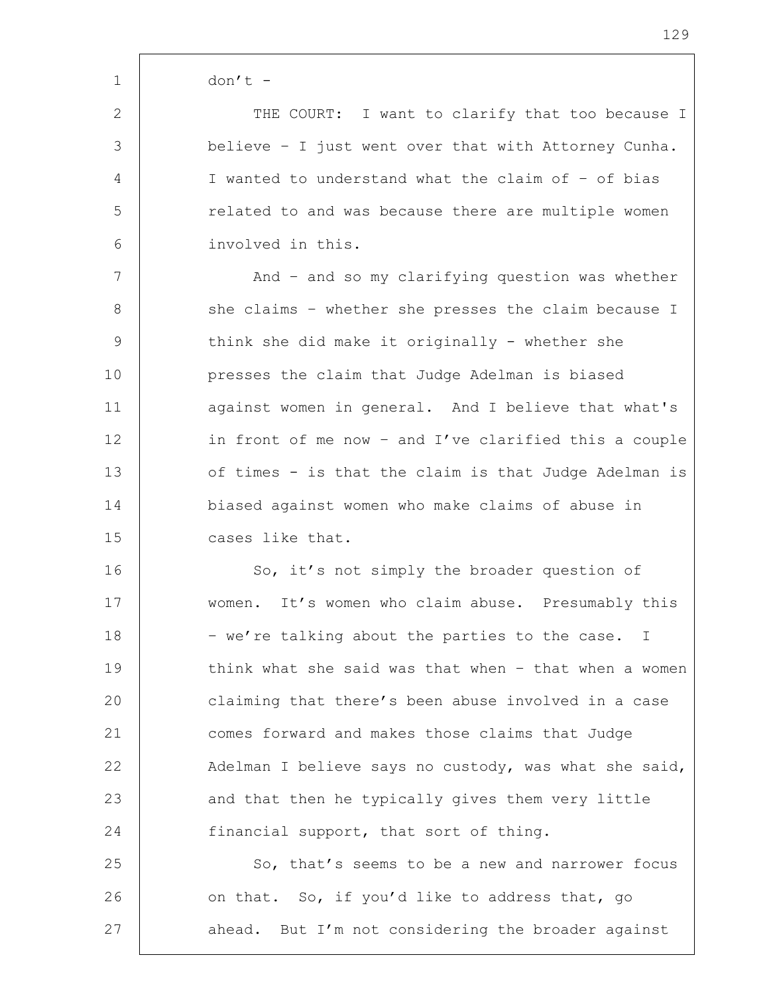1 don't -

2 | THE COURT: I want to clarify that too because I 3 believe – I just went over that with Attorney Cunha. 4 I wanted to understand what the claim of – of bias 5 The stated to and was because there are multiple women 6 involved in this.

7 | And – and so my clarifying question was whether 8 | she claims - whether she presses the claim because I 9 | think she did make it originally - whether she 10 presses the claim that Judge Adelman is biased 11 | against women in general. And I believe that what's 12 in front of me now - and I've clarified this a couple 13 of times - is that the claim is that Judge Adelman is 14 biased against women who make claims of abuse in 15 cases like that.

16 So, it's not simply the broader question of 17 women. It's women who claim abuse. Presumably this 18 | - we're talking about the parties to the case. I 19 think what she said was that when - that when a women 20 claiming that there's been abuse involved in a case 21 comes forward and makes those claims that Judge 22 Adelman I believe says no custody, was what she said, 23 and that then he typically gives them very little 24 financial support, that sort of thing.

25 So, that's seems to be a new and narrower focus 26 on that. So, if you'd like to address that, go 27 ahead. But I'm not considering the broader against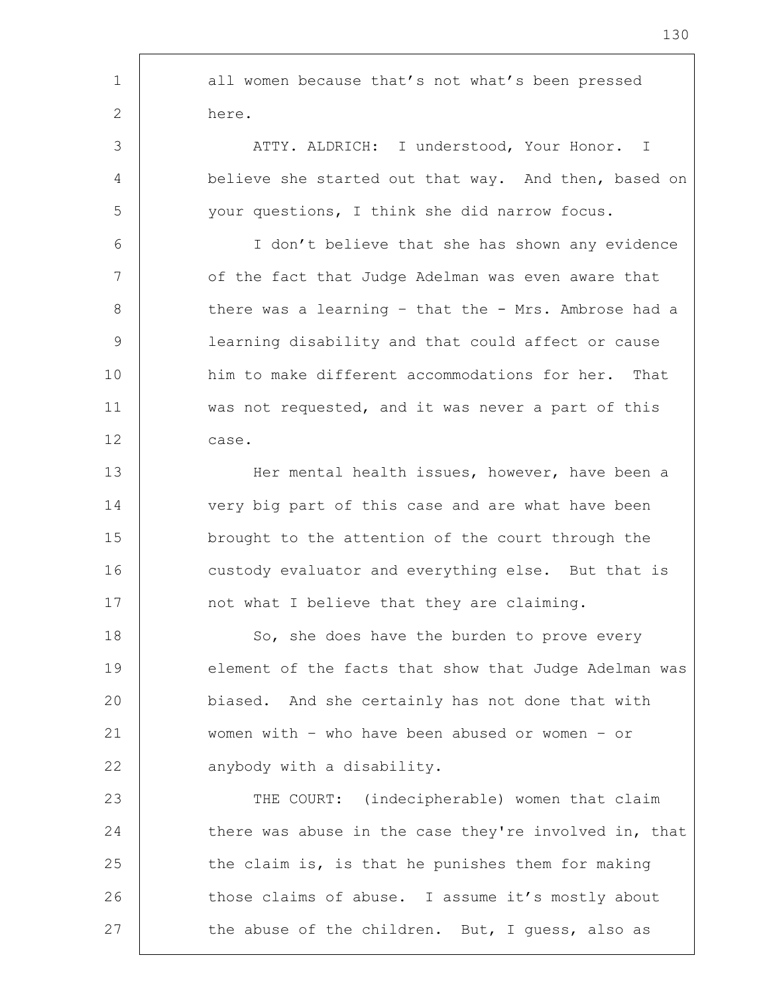| $\mathbf 1$ | all women because that's not what's been pressed      |
|-------------|-------------------------------------------------------|
| 2           | here.                                                 |
| 3           | ATTY. ALDRICH: I understood, Your Honor. I            |
| 4           | believe she started out that way. And then, based on  |
| 5           | your questions, I think she did narrow focus.         |
| 6           | I don't believe that she has shown any evidence       |
| 7           | of the fact that Judge Adelman was even aware that    |
| 8           | there was a learning - that the - Mrs. Ambrose had a  |
| 9           | learning disability and that could affect or cause    |
| 10          | him to make different accommodations for her. That    |
| 11          | was not requested, and it was never a part of this    |
| 12          | case.                                                 |
| 13          | Her mental health issues, however, have been a        |
| 14          | very big part of this case and are what have been     |
| 15          | brought to the attention of the court through the     |
| 16          | custody evaluator and everything else. But that is    |
| 17          | not what I believe that they are claiming.            |
| 18          | So, she does have the burden to prove every           |
| 19          | element of the facts that show that Judge Adelman was |
| 20          | biased. And she certainly has not done that with      |
| 21          | women with - who have been abused or women - or       |
| 22          | anybody with a disability.                            |
| 23          | THE COURT: (indecipherable) women that claim          |
| 24          | there was abuse in the case they're involved in, that |
| 25          | the claim is, is that he punishes them for making     |
| 26          | those claims of abuse. I assume it's mostly about     |
| 27          | the abuse of the children. But, I guess, also as      |

r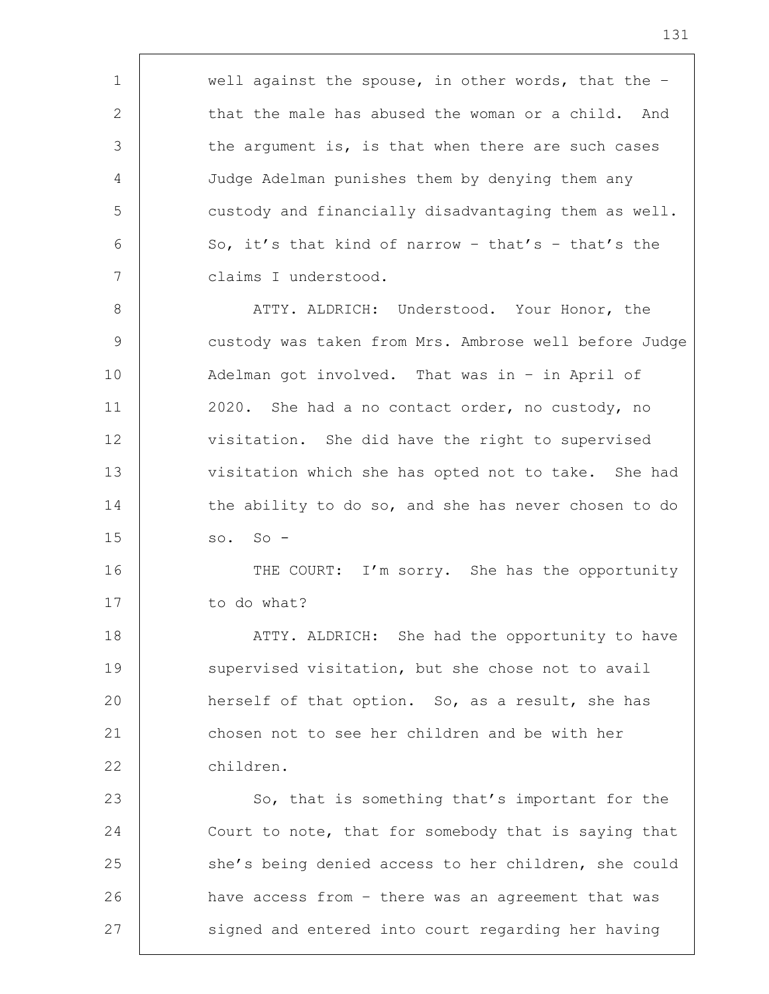1 well against the spouse, in other words, that the -2 that the male has abused the woman or a child. And 3 the argument is, is that when there are such cases 4 Judge Adelman punishes them by denying them any 5 custody and financially disadvantaging them as well. 6 So, it's that kind of narrow - that's - that's the 7 claims I understood. 8 ATTY. ALDRICH: Understood. Your Honor, the 9 custody was taken from Mrs. Ambrose well before Judge 10 Adelman got involved. That was in – in April of 11 | 2020. She had a no contact order, no custody, no 12 | visitation. She did have the right to supervised 13 visitation which she has opted not to take. She had 14 the ability to do so, and she has never chosen to do  $15$  so. So -16 THE COURT: I'm sorry. She has the opportunity 17 to do what? 18 | ATTY. ALDRICH: She had the opportunity to have 19 supervised visitation, but she chose not to avail 20 **herself of that option.** So, as a result, she has 21 chosen not to see her children and be with her 22 children. 23 So, that is something that's important for the 24 Court to note, that for somebody that is saying that 25 she's being denied access to her children, she could 26 have access from – there was an agreement that was 27 signed and entered into court regarding her having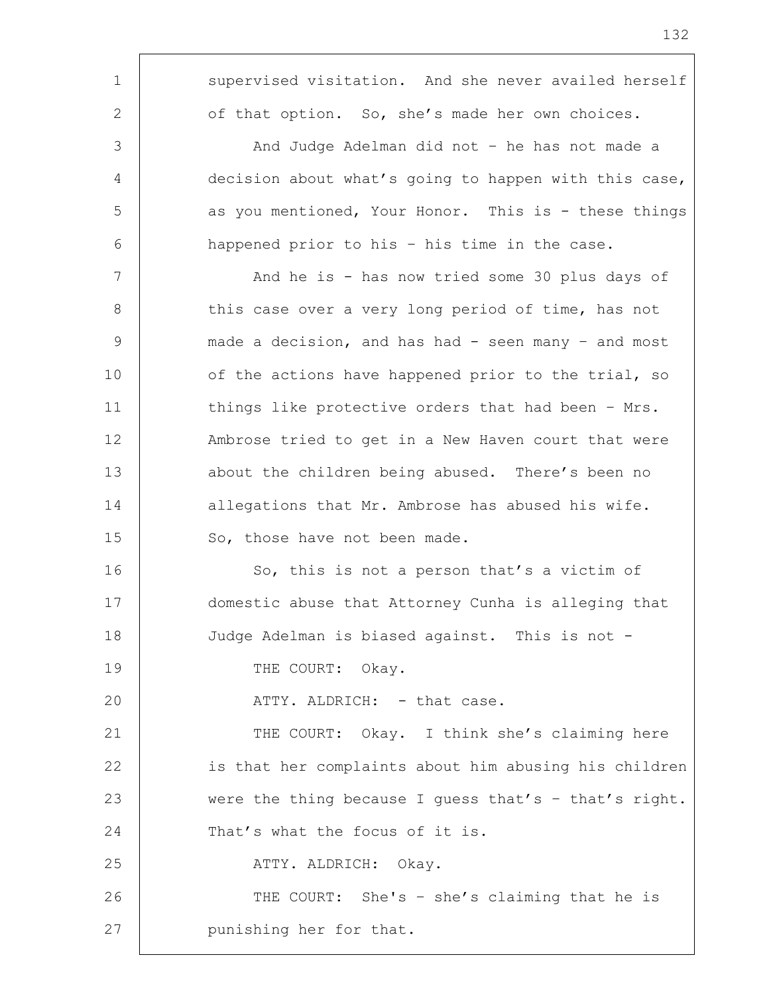| $\mathbf 1$    | supervised visitation. And she never availed herself  |
|----------------|-------------------------------------------------------|
| 2              | of that option. So, she's made her own choices.       |
| 3              | And Judge Adelman did not - he has not made a         |
| $\overline{4}$ | decision about what's going to happen with this case, |
| 5              | as you mentioned, Your Honor. This is - these things  |
| 6              | happened prior to his - his time in the case.         |
| 7              | And he is - has now tried some 30 plus days of        |
| 8              | this case over a very long period of time, has not    |
| 9              | made a decision, and has had - seen many - and most   |
| 10             | of the actions have happened prior to the trial, so   |
| 11             | things like protective orders that had been - Mrs.    |
| 12             | Ambrose tried to get in a New Haven court that were   |
| 13             | about the children being abused. There's been no      |
| 14             | allegations that Mr. Ambrose has abused his wife.     |
| 15             | So, those have not been made.                         |
| 16             | So, this is not a person that's a victim of           |
| 17             | domestic abuse that Attorney Cunha is alleging that   |
| 18             | Judge Adelman is biased against. This is not -        |
| 19             | THE COURT: Okay.                                      |
| 20             | ATTY. ALDRICH: - that case.                           |
| 21             | THE COURT: Okay. I think she's claiming here          |
| 22             | is that her complaints about him abusing his children |
| 23             | were the thing because I guess that's - that's right. |
| 24             | That's what the focus of it is.                       |
| 25             | ATTY. ALDRICH: Okay.                                  |
| 26             | THE COURT: She's - she's claiming that he is          |
| 27             | punishing her for that.                               |
|                |                                                       |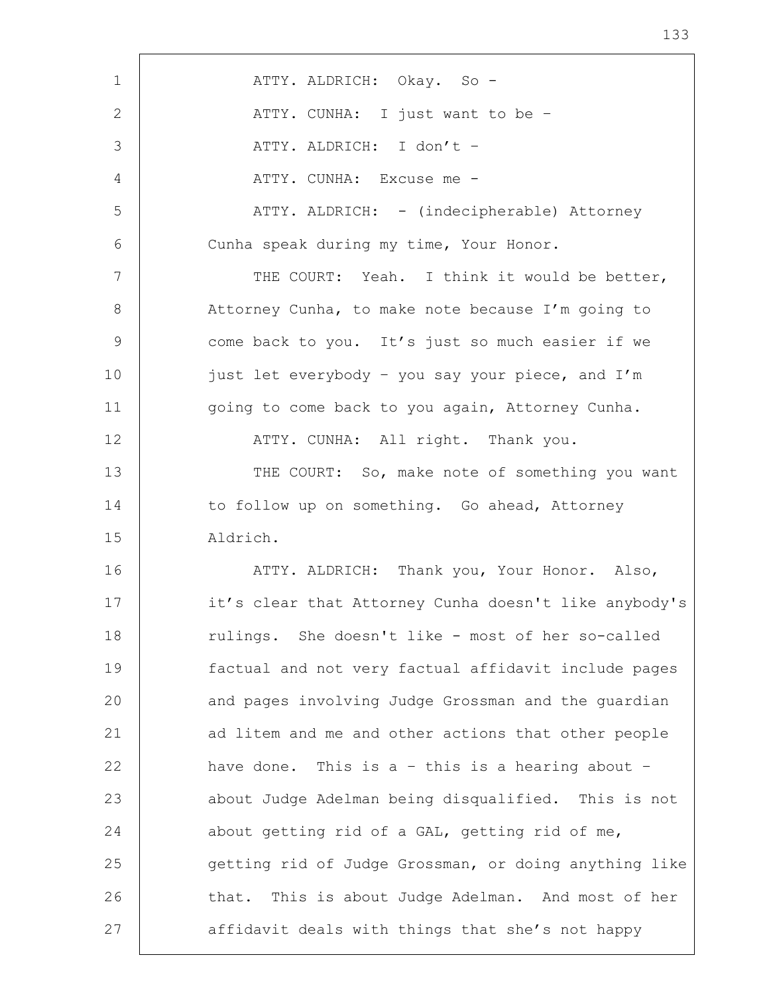| $\mathbf 1$  | ATTY. ALDRICH: Okay. So -                             |
|--------------|-------------------------------------------------------|
| $\mathbf{2}$ | ATTY. CUNHA: I just want to be -                      |
| 3            | ATTY. ALDRICH: I don't -                              |
| 4            | ATTY. CUNHA: Excuse me -                              |
| 5            | ATTY. ALDRICH: - (indecipherable) Attorney            |
| 6            | Cunha speak during my time, Your Honor.               |
| 7            | THE COURT: Yeah. I think it would be better,          |
| $8\,$        | Attorney Cunha, to make note because I'm going to     |
| $\mathsf 9$  | come back to you. It's just so much easier if we      |
| 10           | just let everybody - you say your piece, and I'm      |
| 11           | going to come back to you again, Attorney Cunha.      |
| 12           | ATTY. CUNHA: All right. Thank you.                    |
| 13           | THE COURT: So, make note of something you want        |
| 14           | to follow up on something. Go ahead, Attorney         |
| 15           | Aldrich.                                              |
| 16           | ATTY. ALDRICH: Thank you, Your Honor. Also,           |
| 17           | it's clear that Attorney Cunha doesn't like anybody's |
| 18           | rulings. She doesn't like - most of her so-called     |
| 19           | factual and not very factual affidavit include pages  |
| 20           | and pages involving Judge Grossman and the quardian   |
| 21           | ad litem and me and other actions that other people   |
| 22           | have done. This is $a - thi s$ is a hearing about -   |
| 23           | about Judge Adelman being disqualified. This is not   |
| 24           | about getting rid of a GAL, getting rid of me,        |
| 25           | getting rid of Judge Grossman, or doing anything like |
| 26           | that. This is about Judge Adelman. And most of her    |
| 27           | affidavit deals with things that she's not happy      |

r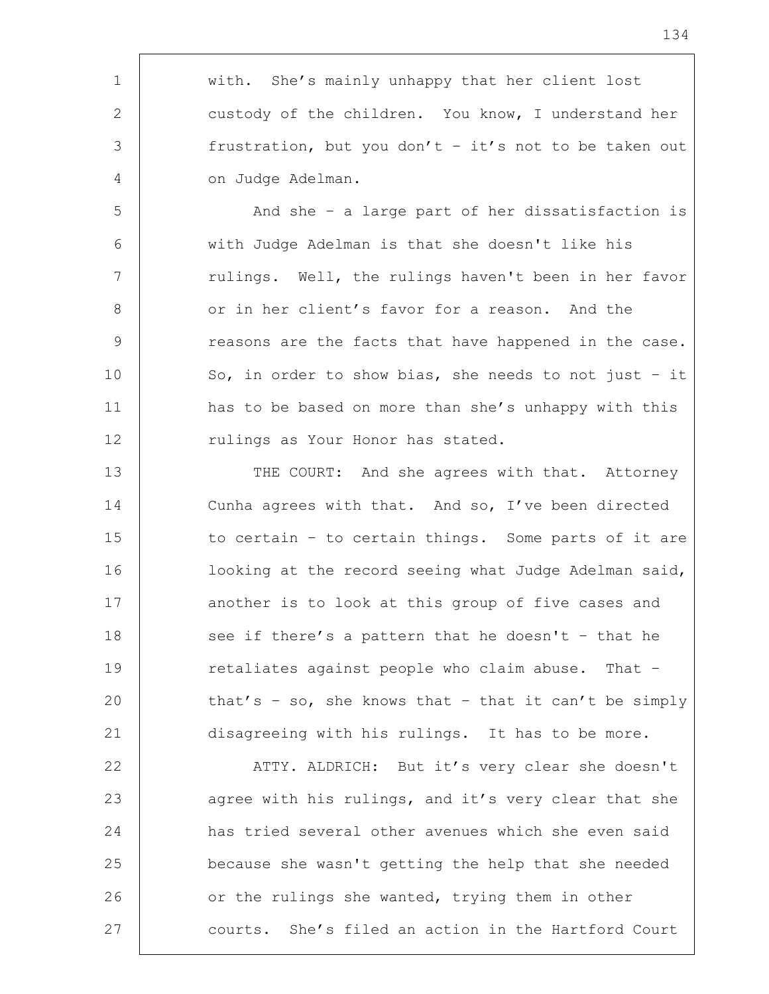1 | with. She's mainly unhappy that her client lost 2 custody of the children. You know, I understand her 3 frustration, but you don't – it's not to be taken out 4 on Judge Adelman.

5 And she – a large part of her dissatisfaction is 6 with Judge Adelman is that she doesn't like his 7 | rulings. Well, the rulings haven't been in her favor 8 or in her client's favor for a reason. And the 9 The seasons are the facts that have happened in the case. 10 So, in order to show bias, she needs to not just - it 11 | has to be based on more than she's unhappy with this 12 | Tulings as Your Honor has stated.

13 | THE COURT: And she agrees with that. Attorney 14 Cunha agrees with that. And so, I've been directed 15 to certain - to certain things. Some parts of it are 16 | looking at the record seeing what Judge Adelman said, 17 another is to look at this group of five cases and 18 see if there's a pattern that he doesn't - that he 19 Tetaliates against people who claim abuse. That -20 that's - so, she knows that - that it can't be simply 21 disagreeing with his rulings. It has to be more.

22 | ATTY. ALDRICH: But it's very clear she doesn't 23 agree with his rulings, and it's very clear that she 24 has tried several other avenues which she even said 25 because she wasn't getting the help that she needed 26 or the rulings she wanted, trying them in other 27 courts. She's filed an action in the Hartford Court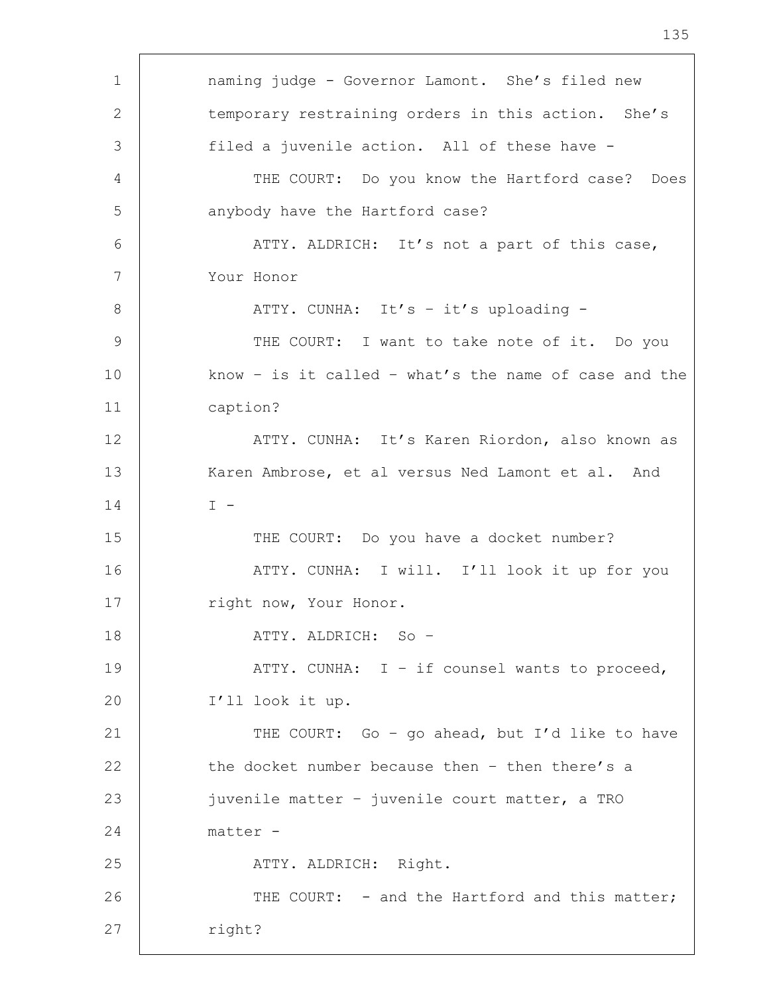1 naming judge - Governor Lamont. She's filed new 2 temporary restraining orders in this action. She's 3 filed a juvenile action. All of these have -4 | THE COURT: Do you know the Hartford case? Does 5 anybody have the Hartford case? 6 ATTY. ALDRICH: It's not a part of this case, 7 Your Honor 8 | ATTY. CUNHA: It's - it's uploading -9 | THE COURT: I want to take note of it. Do you 10 know - is it called - what's the name of case and the 11 caption? 12 ATTY. CUNHA: It's Karen Riordon, also known as 13 Karen Ambrose, et al versus Ned Lamont et al. And  $14$  I -15 | THE COURT: Do you have a docket number? 16 | THE ATTY. CUNHA: I will. I'll look it up for you 17 | right now, Your Honor. 18 ATTY. ALDRICH: So – 19 | ATTY. CUNHA: I - if counsel wants to proceed, 20 I'll look it up. 21 | THE COURT: Go - go ahead, but I'd like to have 22  $\vert$  the docket number because then  $-$  then there's a 23 juvenile matter – juvenile court matter, a TRO 24 matter - 25 ATTY. ALDRICH: Right. 26 THE COURT: - and the Hartford and this matter; 27 | right?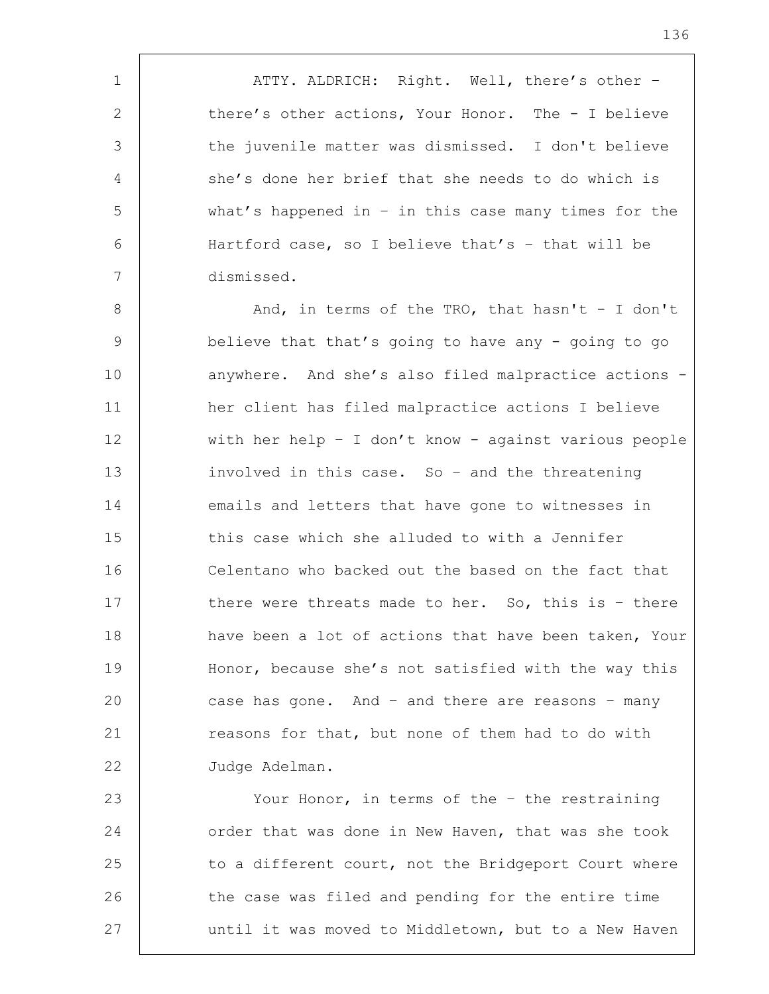1 | ATTY. ALDRICH: Right. Well, there's other -2 there's other actions, Your Honor. The - I believe 3 the juvenile matter was dismissed. I don't believe 4 she's done her brief that she needs to do which is 5 what's happened in – in this case many times for the 6 Hartford case, so I believe that's – that will be 7 dismissed.

 $8$  |  $3$  And, in terms of the TRO, that hasn't - I don't 9 believe that that's going to have any - going to go 10 anywhere. And she's also filed malpractice actions -11 her client has filed malpractice actions I believe 12 with her help – I don't know - against various people 13 involved in this case. So – and the threatening 14 emails and letters that have gone to witnesses in 15 this case which she alluded to with a Jennifer 16 Celentano who backed out the based on the fact that 17 there were threats made to her. So, this is - there 18 | have been a lot of actions that have been taken, Your 19 Honor, because she's not satisfied with the way this 20 case has gone. And – and there are reasons – many 21 **reasons for that, but none of them had to do with** 22 Judge Adelman.

23 Your Honor, in terms of the - the restraining 24 order that was done in New Haven, that was she took 25 to a different court, not the Bridgeport Court where 26 the case was filed and pending for the entire time 27 | until it was moved to Middletown, but to a New Haven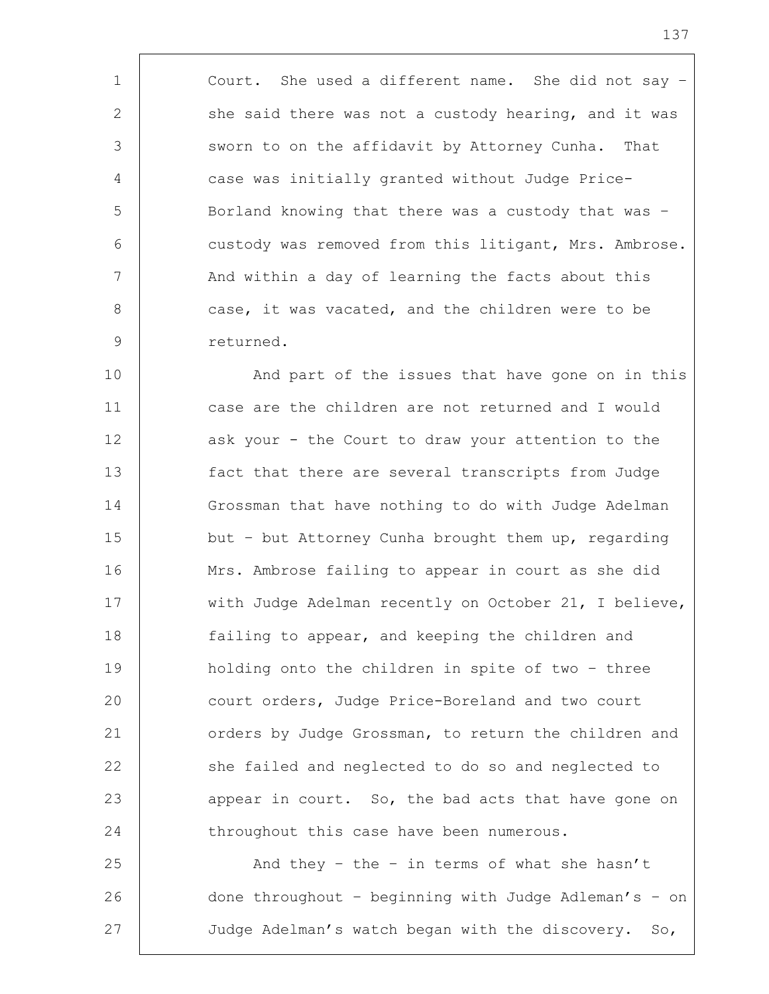1 | Court. She used a different name. She did not say -2 she said there was not a custody hearing, and it was 3 Sworn to on the affidavit by Attorney Cunha. That 4 case was initially granted without Judge Price-5 Borland knowing that there was a custody that was – 6 custody was removed from this litigant, Mrs. Ambrose. 7 | And within a day of learning the facts about this 8 case, it was vacated, and the children were to be 9 returned.

10 | And part of the issues that have gone on in this 11 case are the children are not returned and I would 12 ask your - the Court to draw your attention to the 13 fact that there are several transcripts from Judge 14 Grossman that have nothing to do with Judge Adelman 15 but - but Attorney Cunha brought them up, regarding 16 Mrs. Ambrose failing to appear in court as she did 17 | with Judge Adelman recently on October 21, I believe, 18 | failing to appear, and keeping the children and 19 holding onto the children in spite of two – three 20 court orders, Judge Price-Boreland and two court 21 | orders by Judge Grossman, to return the children and 22 she failed and neglected to do so and neglected to 23 end appear in court. So, the bad acts that have gone on 24 throughout this case have been numerous.

25  $\vert$  and they - the - in terms of what she hasn't 26 done throughout – beginning with Judge Adleman's – on 27 Judge Adelman's watch began with the discovery. So,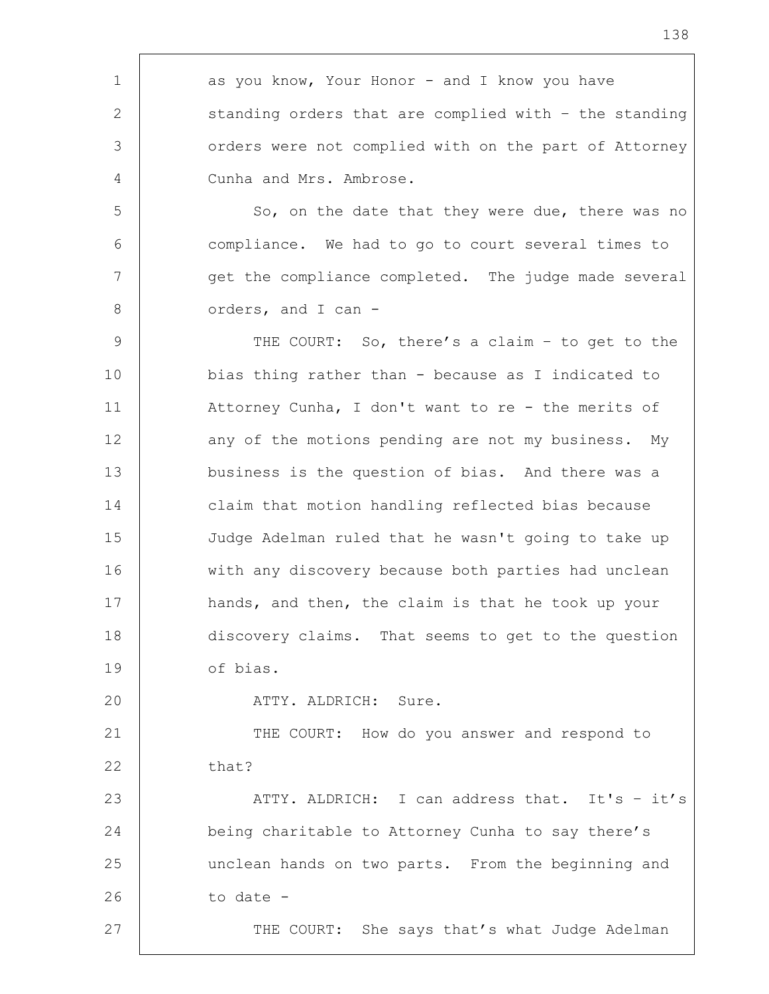1 as you know, Your Honor - and I know you have 2 Standing orders that are complied with - the standing 3 orders were not complied with on the part of Attorney 4 Cunha and Mrs. Ambrose. 5 So, on the date that they were due, there was no 6 compliance. We had to go to court several times to 7 | get the compliance completed. The judge made several 8 orders, and I can -9 THE COURT: So, there's a claim - to get to the 10 bias thing rather than - because as I indicated to 11 Attorney Cunha, I don't want to re - the merits of 12 any of the motions pending are not my business. My 13 business is the question of bias. And there was a 14 claim that motion handling reflected bias because 15 Judge Adelman ruled that he wasn't going to take up 16 with any discovery because both parties had unclean 17 hands, and then, the claim is that he took up your 18 discovery claims. That seems to get to the question 19 of bias. 20 | ATTY. ALDRICH: Sure. 21 | THE COURT: How do you answer and respond to  $22$  that? 23 | ATTY. ALDRICH: I can address that. It's - it's 24 being charitable to Attorney Cunha to say there's 25 unclean hands on two parts. From the beginning and  $26$  to date  $-$ 27 | THE COURT: She says that's what Judge Adelman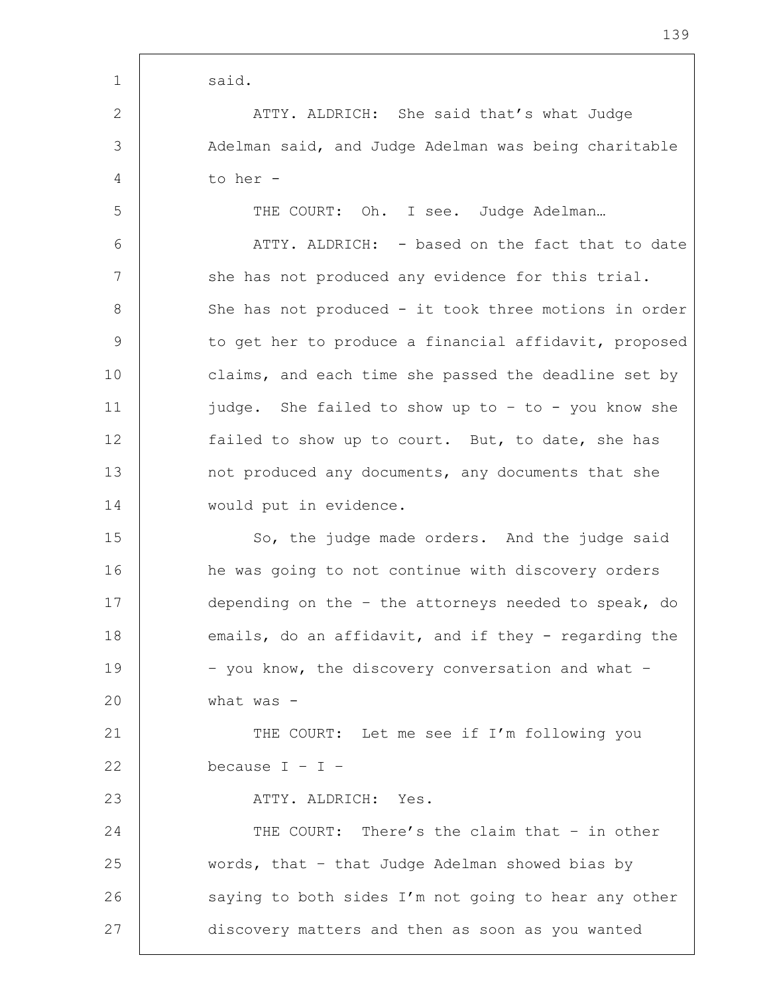1 said. 2 | ATTY. ALDRICH: She said that's what Judge 3 Adelman said, and Judge Adelman was being charitable 4 to her - 5 THE COURT: Oh. I see. Judge Adelman... 6 ATTY. ALDRICH: - based on the fact that to date 7 | she has not produced any evidence for this trial. 8 | She has not produced - it took three motions in order 9 to get her to produce a financial affidavit, proposed 10 claims, and each time she passed the deadline set by 11 judge. She failed to show up to – to - you know she 12 failed to show up to court. But, to date, she has 13 not produced any documents, any documents that she 14 would put in evidence. 15 So, the judge made orders. And the judge said 16 he was going to not continue with discovery orders 17 depending on the – the attorneys needed to speak, do 18 emails, do an affidavit, and if they - regarding the 19 | - you know, the discovery conversation and what -20 what was - 21 | THE COURT: Let me see if I'm following you 22 because  $I - I -$ 23 | ATTY. ALDRICH: Yes. 24 THE COURT: There's the claim that - in other 25 words, that – that Judge Adelman showed bias by 26 saying to both sides I'm not going to hear any other 27 discovery matters and then as soon as you wanted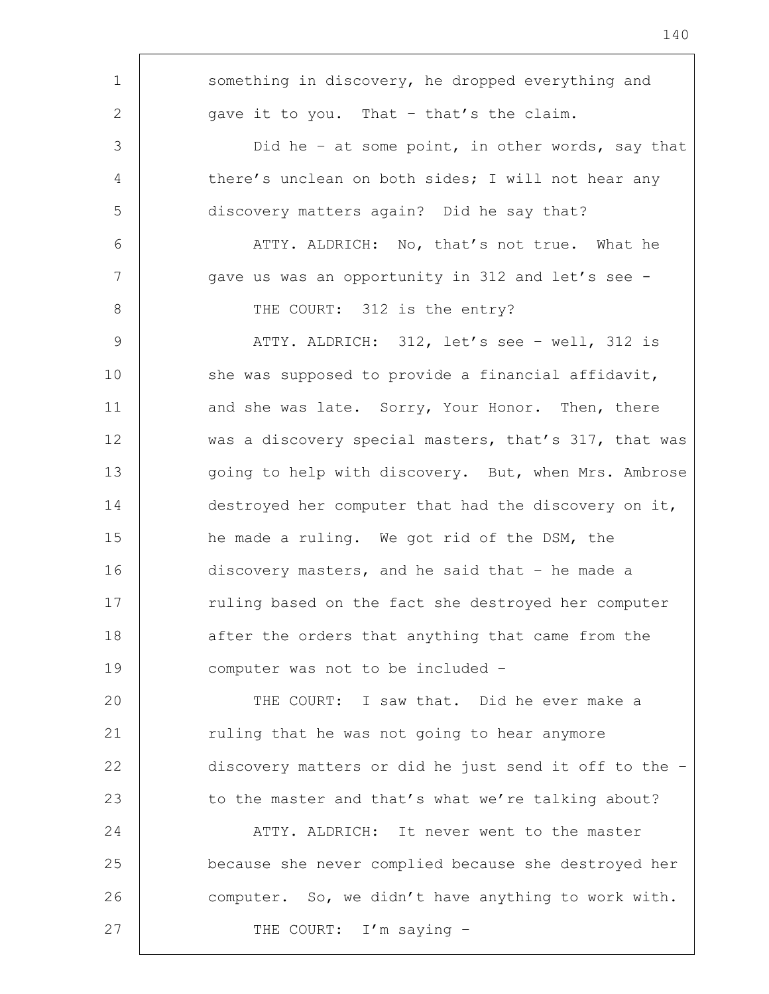| $\mathbf 1$    | something in discovery, he dropped everything and     |
|----------------|-------------------------------------------------------|
| 2              | gave it to you. That - that's the claim.              |
| 3              | Did he - at some point, in other words, say that      |
| $\overline{4}$ | there's unclean on both sides; I will not hear any    |
| 5              | discovery matters again? Did he say that?             |
| 6              | ATTY. ALDRICH: No, that's not true. What he           |
| 7              | gave us was an opportunity in 312 and let's see -     |
| 8              | THE COURT: 312 is the entry?                          |
| $\overline{9}$ | ATTY. ALDRICH: 312, let's see - well, 312 is          |
| 10             | she was supposed to provide a financial affidavit,    |
| 11             | and she was late. Sorry, Your Honor. Then, there      |
| 12             | was a discovery special masters, that's 317, that was |
| 13             | going to help with discovery. But, when Mrs. Ambrose  |
| 14             | destroyed her computer that had the discovery on it,  |
| 15             | he made a ruling. We got rid of the DSM, the          |
| 16             | discovery masters, and he said that $-$ he made a     |
| 17             | ruling based on the fact she destroyed her computer   |
| 18             | after the orders that anything that came from the     |
| 19             | computer was not to be included -                     |
| 20             | THE COURT: I saw that. Did he ever make a             |
| 21             | ruling that he was not going to hear anymore          |
| 22             | discovery matters or did he just send it off to the - |
| 23             | to the master and that's what we're talking about?    |
| 24             | ATTY. ALDRICH: It never went to the master            |
| 25             | because she never complied because she destroyed her  |
| 26             | computer. So, we didn't have anything to work with.   |
| 27             | THE COURT: I'm saying -                               |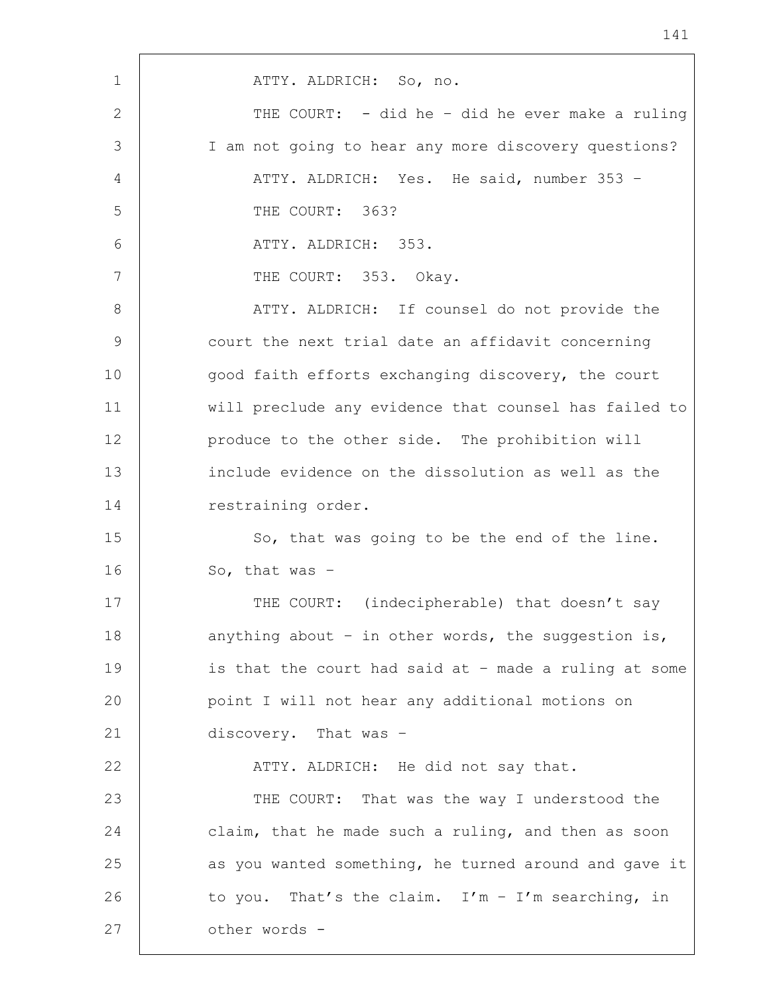1 | ATTY. ALDRICH: So, no. 2 THE COURT: - did he – did he ever make a ruling 3 I am not going to hear any more discovery questions? 4 | ATTY. ALDRICH: Yes. He said, number 353 -5 THE COURT: 363? 6 ATTY. ALDRICH: 353. 7 | THE COURT: 353. Okay. 8 | ATTY. ALDRICH: If counsel do not provide the 9 court the next trial date an affidavit concerning 10 good faith efforts exchanging discovery, the court 11 will preclude any evidence that counsel has failed to 12 | produce to the other side. The prohibition will 13 include evidence on the dissolution as well as the 14 restraining order. 15 | So, that was going to be the end of the line. 16 So, that was -17 | THE COURT: (indecipherable) that doesn't say 18  $\vert$  anything about - in other words, the suggestion is, 19 | is that the court had said at - made a ruling at some 20 point I will not hear any additional motions on 21 discovery. That was -22 | ATTY. ALDRICH: He did not say that. 23 THE COURT: That was the way I understood the 24 claim, that he made such a ruling, and then as soon 25 as you wanted something, he turned around and gave it 26 to you. That's the claim. I'm  $-$  I'm searching, in 27 | other words -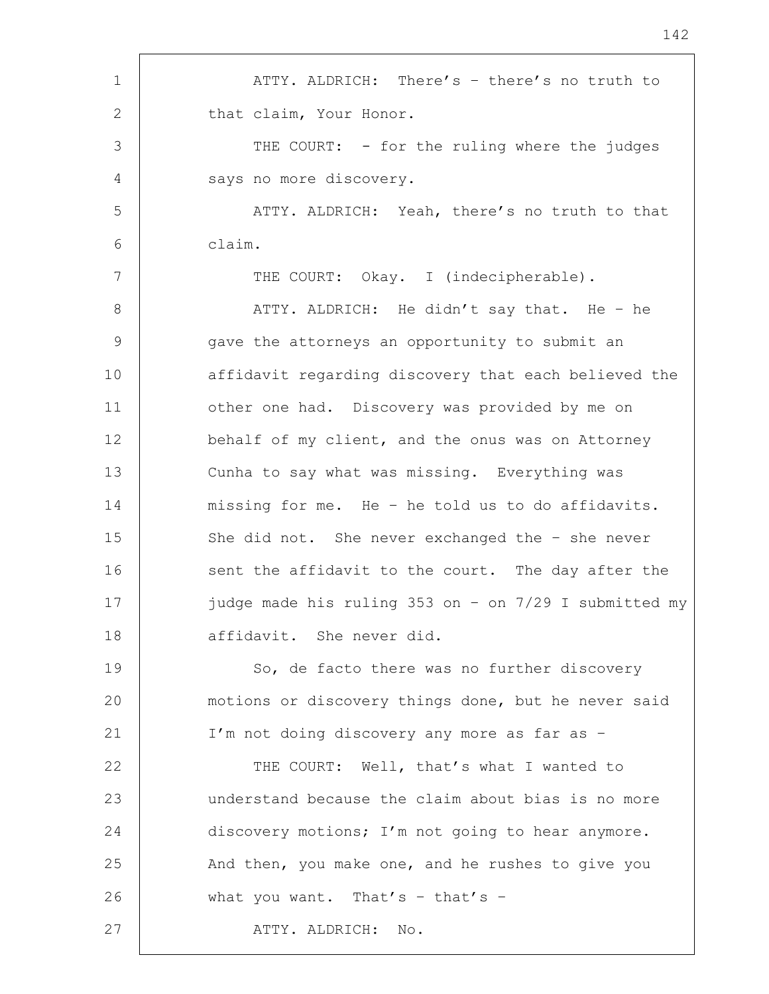1 | ATTY. ALDRICH: There's - there's no truth to 2 that claim, Your Honor. 3 THE COURT: - for the ruling where the judges 4 says no more discovery. 5 ATTY. ALDRICH: Yeah, there's no truth to that 6 claim. 7 | THE COURT: Okay. I (indecipherable). 8 | ATTY. ALDRICH: He didn't say that. He – he 9 gave the attorneys an opportunity to submit an 10 | affidavit regarding discovery that each believed the 11 | other one had. Discovery was provided by me on 12 behalf of my client, and the onus was on Attorney 13 Cunha to say what was missing. Everything was 14 missing for me. He – he told us to do affidavits. 15 She did not. She never exchanged the - she never 16 sent the affidavit to the court. The day after the 17 judge made his ruling 353 on – on 7/29 I submitted my 18 affidavit. She never did. 19 So, de facto there was no further discovery 20 | motions or discovery things done, but he never said 21 I'm not doing discovery any more as far as – 22 | THE COURT: Well, that's what I wanted to 23 understand because the claim about bias is no more 24 discovery motions; I'm not going to hear anymore. 25 And then, you make one, and he rushes to give you 26 what you want. That's - that's -27 ATTY. ALDRICH: No.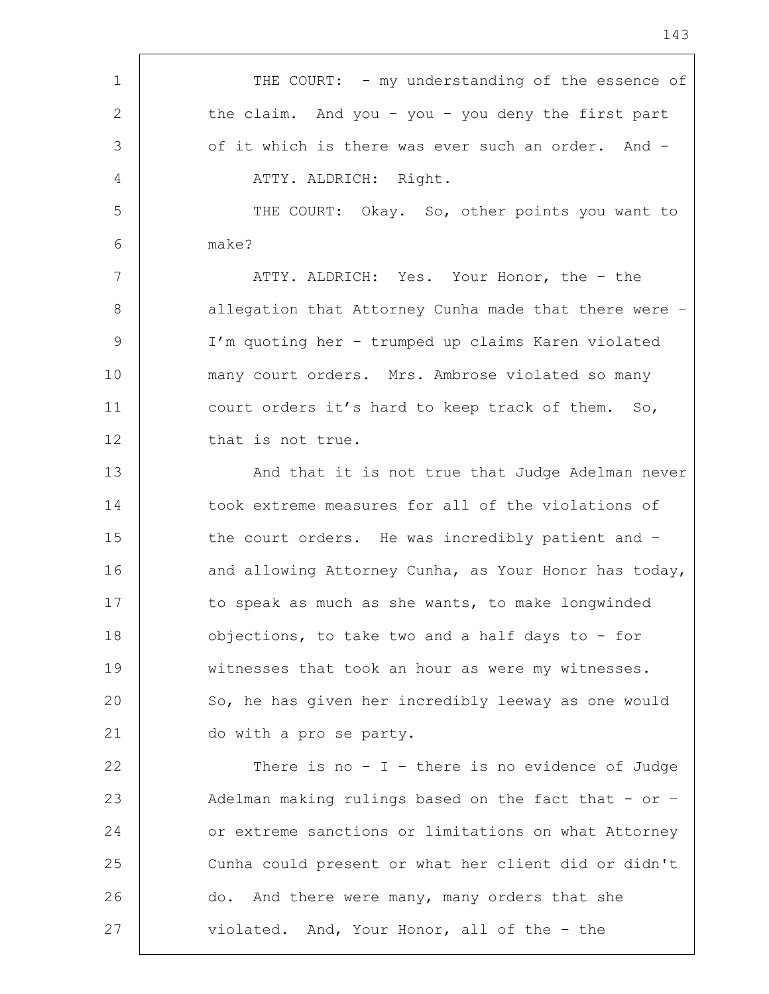1 THE COURT: - my understanding of the essence of 2 the claim. And you - you - you deny the first part 3 of it which is there was ever such an order. And -4 | ATTY. ALDRICH: Right. 5 THE COURT: Okay. So, other points you want to 6 make? 7 ATTY. ALDRICH: Yes. Your Honor, the – the 8 | allegation that Attorney Cunha made that there were -9 I'm quoting her – trumped up claims Karen violated 10 many court orders. Mrs. Ambrose violated so many 11 court orders it's hard to keep track of them. So, 12 that is not true. 13 | And that it is not true that Judge Adelman never 14 took extreme measures for all of the violations of 15 the court orders. He was incredibly patient and -16 and allowing Attorney Cunha, as Your Honor has today, 17 to speak as much as she wants, to make longwinded 18 | objections, to take two and a half days to - for 19 witnesses that took an hour as were my witnesses. 20 So, he has given her incredibly leeway as one would 21 do with a pro se party. 22  $\vert$  There is no - I - there is no evidence of Judge 23 | Adelman making rulings based on the fact that - or -24 or extreme sanctions or limitations on what Attorney 25 Cunha could present or what her client did or didn't 26 do. And there were many, many orders that she 27 violated. And, Your Honor, all of the - the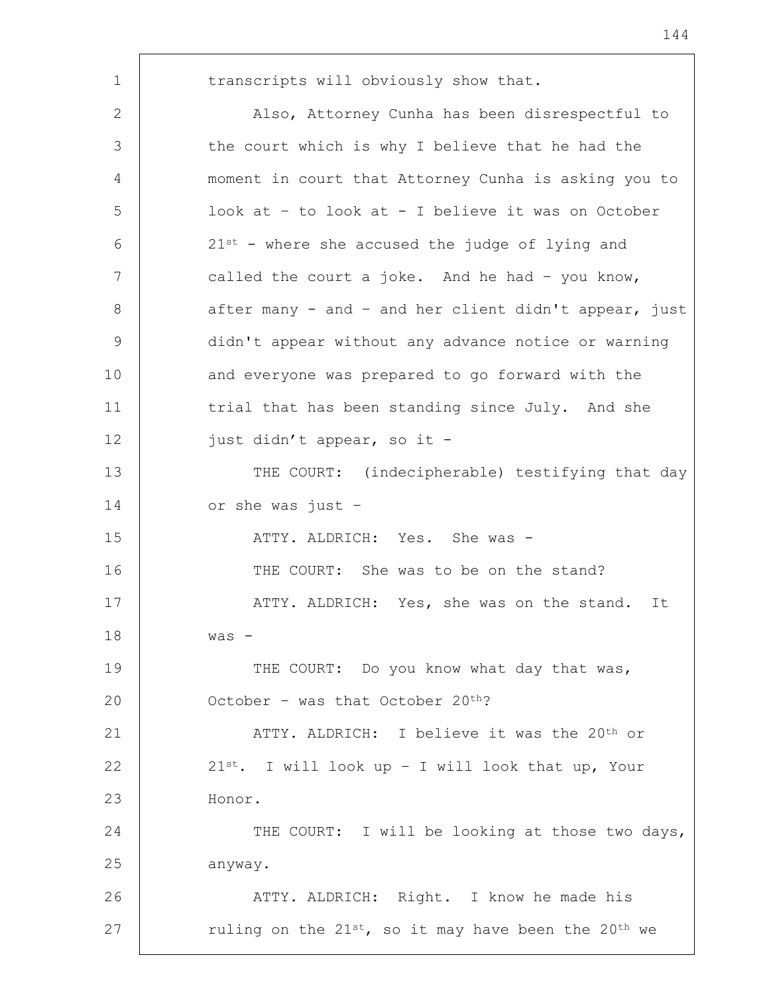1 | transcripts will obviously show that. 2 | Also, Attorney Cunha has been disrespectful to 3 the court which is why I believe that he had the 4 moment in court that Attorney Cunha is asking you to 5 look at – to look at - I believe it was on October  $6 \mid 21^{st}$  - where she accused the judge of lying and 7 called the court a joke. And he had - you know, 8 after many - and - and her client didn't appear, just 9 didn't appear without any advance notice or warning 10 and everyone was prepared to go forward with the 11 | trial that has been standing since July. And she 12 | just didn't appear, so it -13 THE COURT: (indecipherable) testifying that day 14 or she was just – 15 ATTY. ALDRICH: Yes. She was -16 THE COURT: She was to be on the stand? 17 | ATTY. ALDRICH: Yes, she was on the stand. It 18 was - 19 THE COURT: Do you know what day that was, 20  $\vert$  0ctober – was that October 20<sup>th</sup>? 21 | ATTY. ALDRICH: I believe it was the 20<sup>th</sup> or 22  $\vert$  21st. I will look up - I will look that up, Your 23 Honor. 24 THE COURT: I will be looking at those two days, 25 anyway. 26 | ATTY. ALDRICH: Right. I know he made his 27  $\vert$  ruling on the 21st, so it may have been the 20<sup>th</sup> we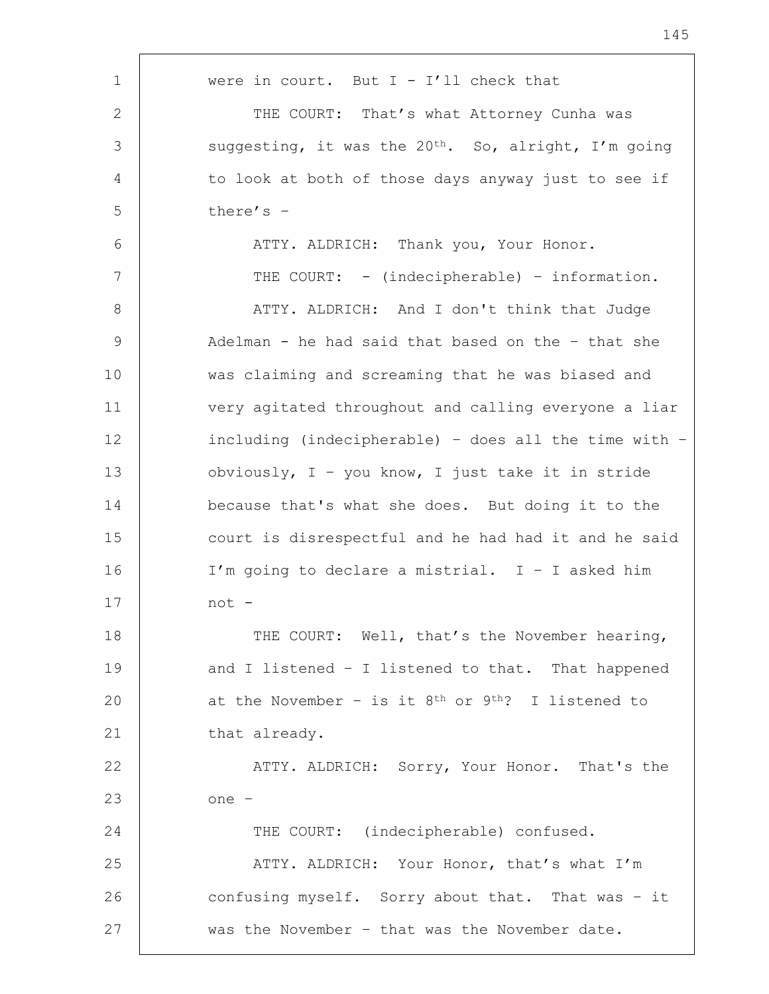| were in court. But $I - I'11$ check that                         |
|------------------------------------------------------------------|
| THE COURT: That's what Attorney Cunha was                        |
| suggesting, it was the 20 <sup>th</sup> . So, alright, I'm going |
| to look at both of those days anyway just to see if              |
| there's $-$                                                      |
| ATTY. ALDRICH: Thank you, Your Honor.                            |
| THE COURT: - (indecipherable) - information.                     |
| ATTY. ALDRICH: And I don't think that Judge                      |
| Adelman - he had said that based on the - that she               |
| was claiming and screaming that he was biased and                |
| very agitated throughout and calling everyone a liar             |
| including (indecipherable) - does all the time with $-$          |
| obviously, $I - you know, I just take it in stride$              |
| because that's what she does. But doing it to the                |
| court is disrespectful and he had had it and he said             |
| I'm going to declare a mistrial. $I - I$ asked him               |
| not -                                                            |
| THE COURT: Well, that's the November hearing,                    |
| and I listened - I listened to that. That happened               |
| at the November - is it $8th$ or $9th$ ? I listened to           |
| that already.                                                    |
| ATTY. ALDRICH: Sorry, Your Honor. That's the                     |
| one -                                                            |
| THE COURT: (indecipherable) confused.                            |
| ATTY. ALDRICH: Your Honor, that's what I'm                       |
| confusing myself. Sorry about that. That was - it                |
| was the November - that was the November date.                   |
|                                                                  |

h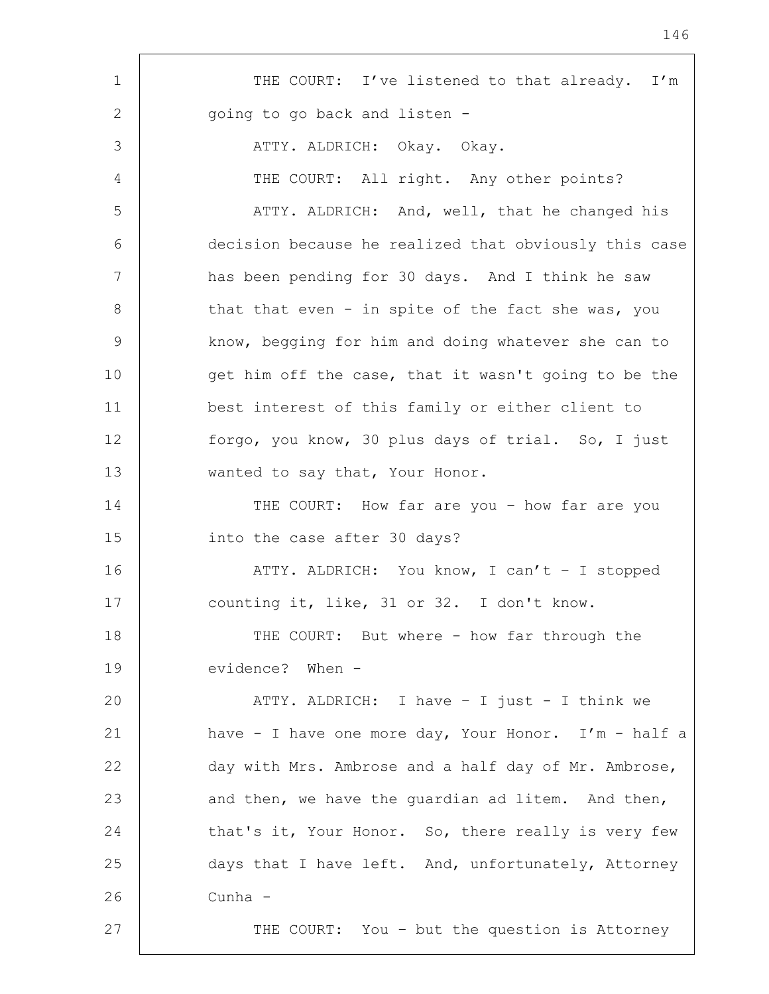| $\mathbf 1$ | THE COURT: I've listened to that already. I'm          |
|-------------|--------------------------------------------------------|
| 2           | going to go back and listen -                          |
| 3           | ATTY. ALDRICH: Okay. Okay.                             |
| 4           | THE COURT: All right. Any other points?                |
| 5           | ATTY. ALDRICH: And, well, that he changed his          |
| 6           | decision because he realized that obviously this case  |
| 7           | has been pending for 30 days. And I think he saw       |
| 8           | that that even - in spite of the fact she was, you     |
| 9           | know, begging for him and doing whatever she can to    |
| 10          | get him off the case, that it wasn't going to be the   |
| 11          | best interest of this family or either client to       |
| 12          | forgo, you know, 30 plus days of trial. So, I just     |
| 13          | wanted to say that, Your Honor.                        |
| 14          | THE COURT: How far are you - how far are you           |
| 15          | into the case after 30 days?                           |
| 16          | ATTY. ALDRICH: You know, I can't - I stopped           |
| 17          | counting it, like, 31 or 32. I don't know.             |
| 18          | THE COURT: But where - how far through the             |
| 19          | evidence? When -                                       |
| 20          | ATTY. ALDRICH: I have - I just - I think we            |
| 21          | have - I have one more day, Your Honor. $I'm - half a$ |
| 22          | day with Mrs. Ambrose and a half day of Mr. Ambrose,   |
| 23          | and then, we have the guardian ad litem. And then,     |
| 24          | that's it, Your Honor. So, there really is very few    |
| 25          | days that I have left. And, unfortunately, Attorney    |
| 26          | Cunha -                                                |
| 27          | THE COURT: You - but the question is Attorney          |
|             |                                                        |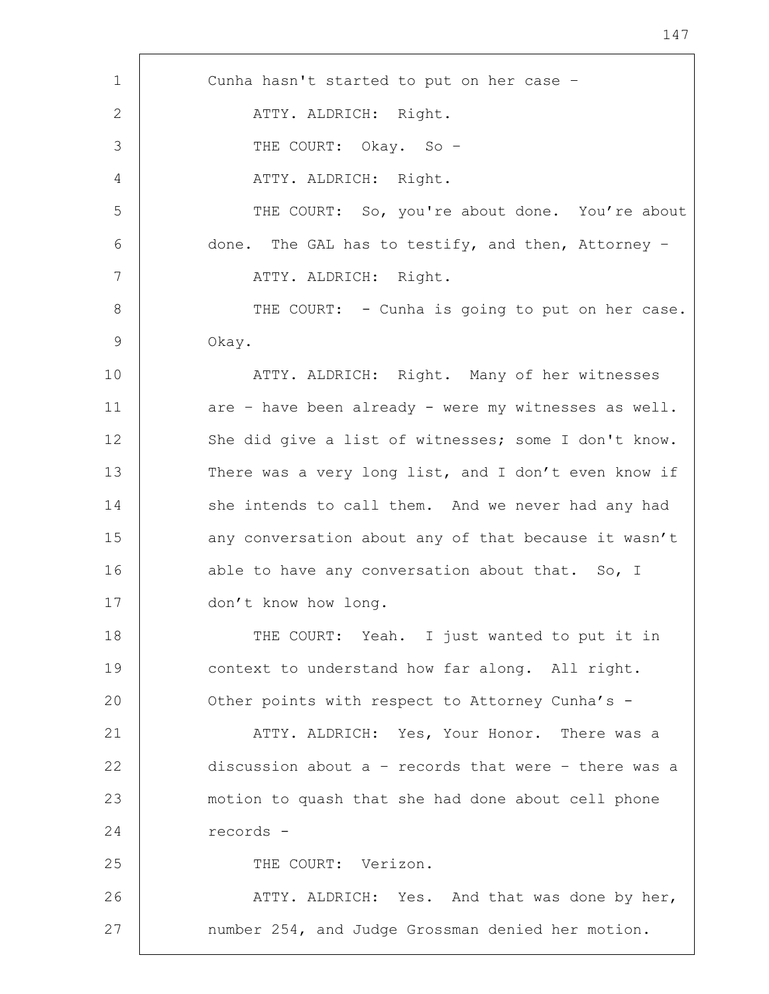1 Cunha hasn't started to put on her case – 2 | ATTY. ALDRICH: Right. 3 THE COURT: Okay. So – 4 | ATTY. ALDRICH: Right. 5 THE COURT: So, you're about done. You're about 6 done. The GAL has to testify, and then, Attorney – 7 | ATTY. ALDRICH: Right. 8 | THE COURT: - Cunha is going to put on her case. 9 Okay. 10 ATTY. ALDRICH: Right. Many of her witnesses 11 are – have been already – were my witnesses as well. 12 She did give a list of witnesses; some I don't know. 13 There was a very long list, and I don't even know if 14 she intends to call them. And we never had any had 15 | any conversation about any of that because it wasn't 16 able to have any conversation about that. So, I 17 don't know how long. 18 THE COURT: Yeah. I just wanted to put it in 19 context to understand how far along. All right. 20 **Other points with respect to Attorney Cunha's -**21 | ATTY. ALDRICH: Yes, Your Honor. There was a 22 discussion about a – records that were – there was a 23 motion to quash that she had done about cell phone 24 records - 25 THE COURT: Verizon. 26 | ATTY. ALDRICH: Yes. And that was done by her, 27 | number 254, and Judge Grossman denied her motion.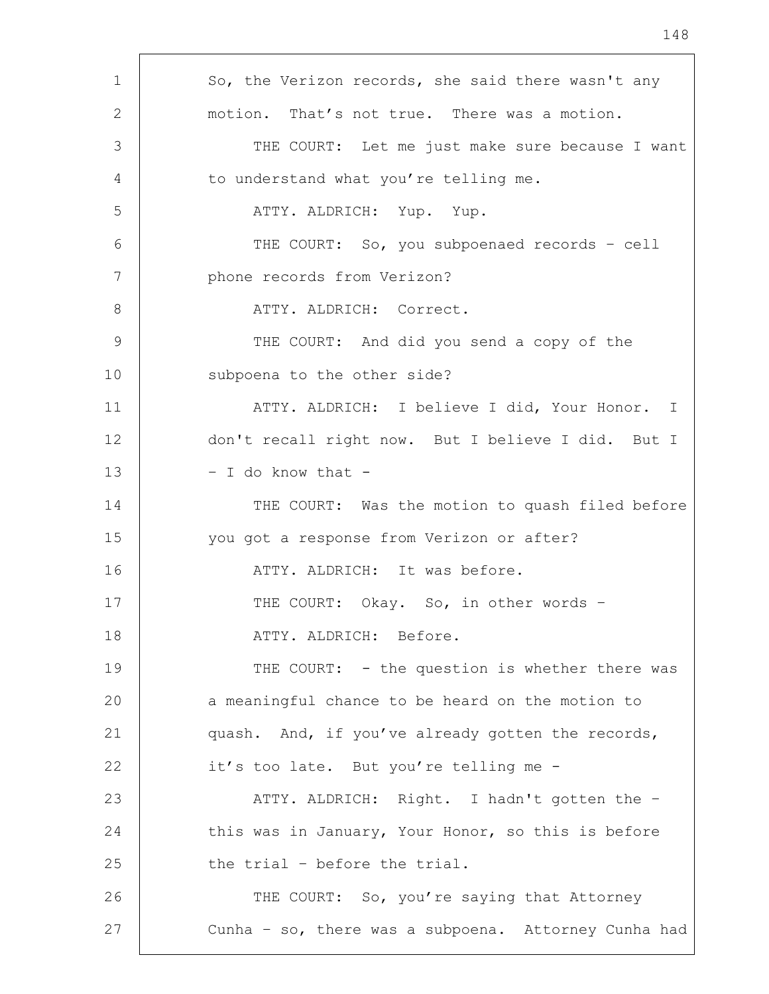| 1  | So, the Verizon records, she said there wasn't any   |
|----|------------------------------------------------------|
| 2  | motion. That's not true. There was a motion.         |
| 3  | THE COURT: Let me just make sure because I want      |
| 4  | to understand what you're telling me.                |
| 5  | ATTY. ALDRICH: Yup. Yup.                             |
| 6  | THE COURT: So, you subpoenaed records - cell         |
| 7  | phone records from Verizon?                          |
| 8  | ATTY. ALDRICH: Correct.                              |
| 9  | THE COURT: And did you send a copy of the            |
| 10 | subpoena to the other side?                          |
| 11 | ATTY. ALDRICH: I believe I did, Your Honor. I        |
| 12 | don't recall right now. But I believe I did. But I   |
| 13 | - I do know that -                                   |
| 14 | THE COURT: Was the motion to quash filed before      |
| 15 | you got a response from Verizon or after?            |
| 16 | ATTY. ALDRICH: It was before.                        |
| 17 | THE COURT: Okay. So, in other words -                |
| 18 | ATTY. ALDRICH: Before.                               |
| 19 | THE COURT: - the question is whether there was       |
| 20 | a meaningful chance to be heard on the motion to     |
| 21 | quash. And, if you've already gotten the records,    |
| 22 | it's too late. But you're telling me -               |
| 23 | ATTY. ALDRICH: Right. I hadn't gotten the -          |
| 24 | this was in January, Your Honor, so this is before   |
| 25 | the trial - before the trial.                        |
| 26 | THE COURT: So, you're saying that Attorney           |
| 27 | Cunha - so, there was a subpoena. Attorney Cunha had |
|    |                                                      |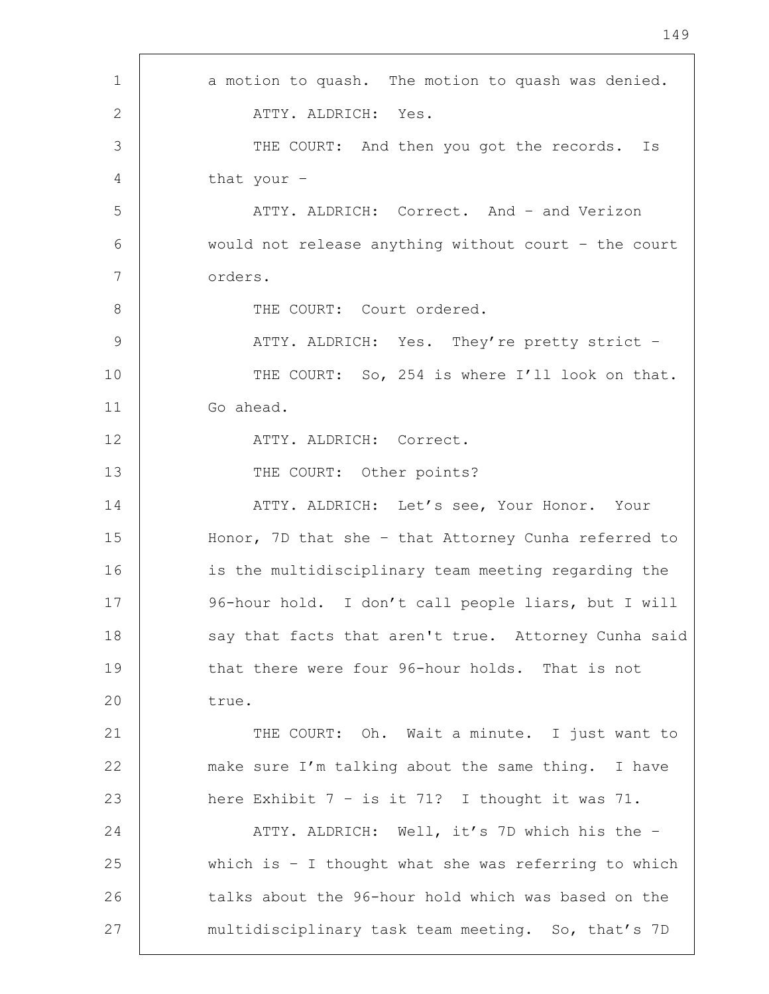| $\mathbf 1$   | a motion to quash. The motion to quash was denied.      |
|---------------|---------------------------------------------------------|
| $\mathbf{2}$  | ATTY. ALDRICH: Yes.                                     |
| 3             | THE COURT: And then you got the records.<br>Is          |
| 4             | that your -                                             |
| 5             | ATTY. ALDRICH: Correct. And - and Verizon               |
| 6             | would not release anything without court - the court    |
| 7             | orders.                                                 |
| $8\,$         | THE COURT: Court ordered.                               |
| $\mathcal{G}$ | ATTY. ALDRICH: Yes. They're pretty strict -             |
| 10            | THE COURT: So, 254 is where I'll look on that.          |
| 11            | Go ahead.                                               |
| 12            | ATTY. ALDRICH: Correct.                                 |
| 13            | THE COURT: Other points?                                |
| 14            | ATTY. ALDRICH: Let's see, Your Honor. Your              |
| 15            | Honor, 7D that she - that Attorney Cunha referred to    |
| 16            | is the multidisciplinary team meeting regarding the     |
| 17            | 96-hour hold. I don't call people liars, but I will     |
| 18            | say that facts that aren't true. Attorney Cunha said    |
| 19            | that there were four 96-hour holds. That is not         |
| 20            | true.                                                   |
| 21            | THE COURT: Oh. Wait a minute. I just want to            |
| 22            | make sure I'm talking about the same thing. I have      |
| 23            | here Exhibit $7 - is$ it $71$ ? I thought it was $71$ . |
| 24            | ATTY. ALDRICH: Well, it's 7D which his the -            |
| 25            | which is $-$ I thought what she was referring to which  |
| 26            | talks about the 96-hour hold which was based on the     |
| 27            | multidisciplinary task team meeting. So, that's 7D      |

'n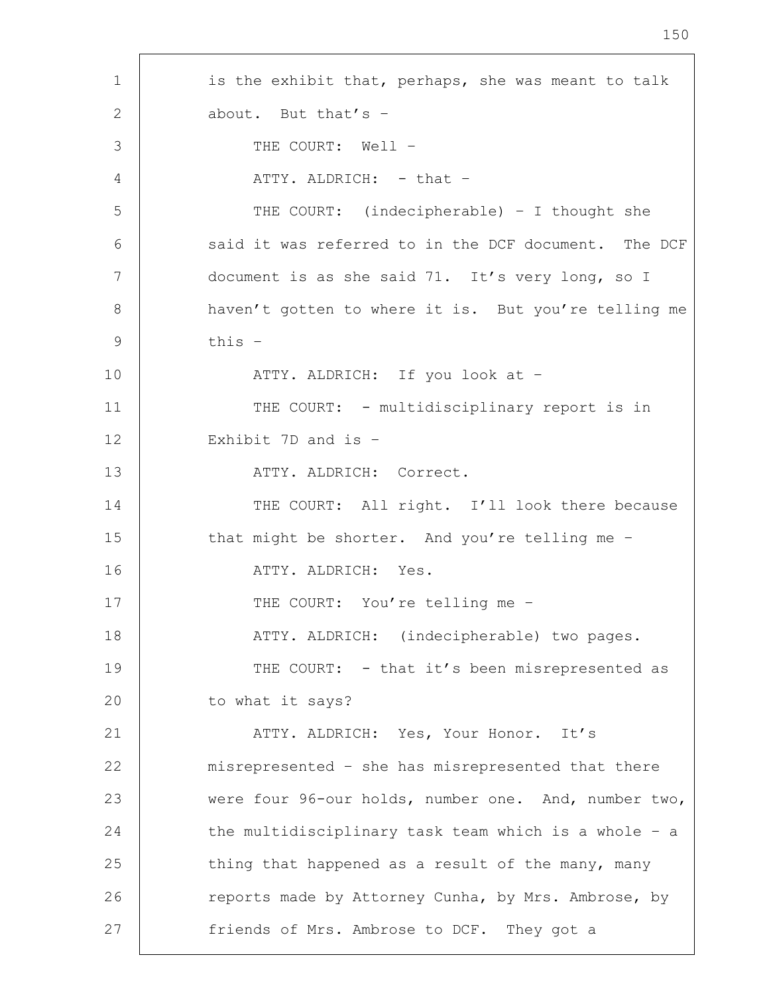1 is the exhibit that, perhaps, she was meant to talk 2 about. But that's -3 THE COURT: Well -4 ATTY. ALDRICH: - that -5 THE COURT: (indecipherable) – I thought she 6 said it was referred to in the DCF document. The DCF 7 document is as she said 71. It's very long, so I 8 | haven't gotten to where it is. But you're telling me 9  $\vert$  this  $-$ 10 | ATTY. ALDRICH: If you look at -11 | THE COURT: - multidisciplinary report is in 12 Exhibit 7D and is – 13 | ATTY. ALDRICH: Correct. 14 THE COURT: All right. I'll look there because 15 that might be shorter. And you're telling me -16 ATTY. ALDRICH: Yes. 17 | THE COURT: You're telling me -18 | THY. ALDRICH: (indecipherable) two pages. 19 THE COURT: - that it's been misrepresented as 20 to what it says? 21 ATTY. ALDRICH: Yes, Your Honor. It's 22 misrepresented – she has misrepresented that there 23 were four 96-our holds, number one. And, number two, 24 the multidisciplinary task team which is a whole - a 25 thing that happened as a result of the many, many 26 Teports made by Attorney Cunha, by Mrs. Ambrose, by 27 **friends of Mrs. Ambrose to DCF.** They got a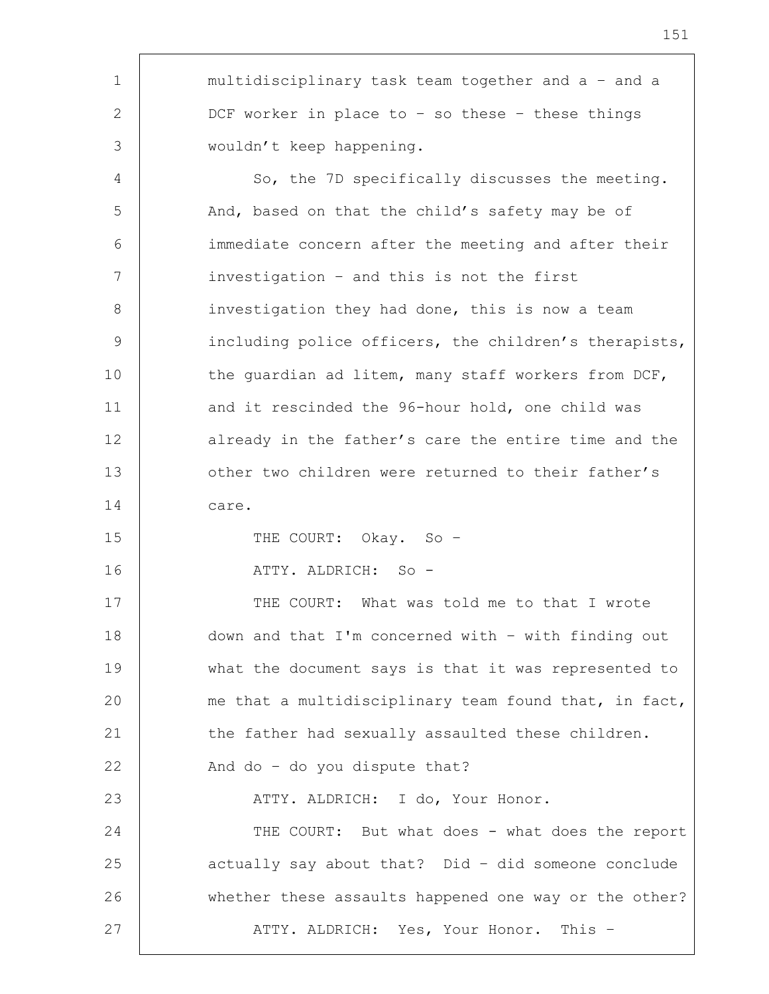| 1              | multidisciplinary task team together and a - and a    |
|----------------|-------------------------------------------------------|
| $\overline{2}$ | DCF worker in place to - so these - these things      |
| 3              | wouldn't keep happening.                              |
| 4              | So, the 7D specifically discusses the meeting.        |
| 5              | And, based on that the child's safety may be of       |
| 6              | immediate concern after the meeting and after their   |
| 7              | investigation - and this is not the first             |
| 8              | investigation they had done, this is now a team       |
| 9              | including police officers, the children's therapists, |
| 10             | the quardian ad litem, many staff workers from DCF,   |
| 11             | and it rescinded the 96-hour hold, one child was      |
| 12             | already in the father's care the entire time and the  |
| 13             | other two children were returned to their father's    |
| 14             | care.                                                 |
| 15             | THE COURT: Okay. So -                                 |
| 16             | ATTY. ALDRICH: So -                                   |
| 17             | THE COURT: What was told me to that I wrote           |
| 18             | down and that I'm concerned with - with finding out   |
| 19             | what the document says is that it was represented to  |
| 20             | me that a multidisciplinary team found that, in fact, |
| 21             | the father had sexually assaulted these children.     |
| 22             | And do - do you dispute that?                         |
| 23             | ATTY. ALDRICH: I do, Your Honor.                      |
| 24             | THE COURT: But what does - what does the report       |
| 25             | actually say about that? Did - did someone conclude   |
| 26             | whether these assaults happened one way or the other? |
| 27             | ATTY. ALDRICH: Yes, Your Honor. This -                |
|                |                                                       |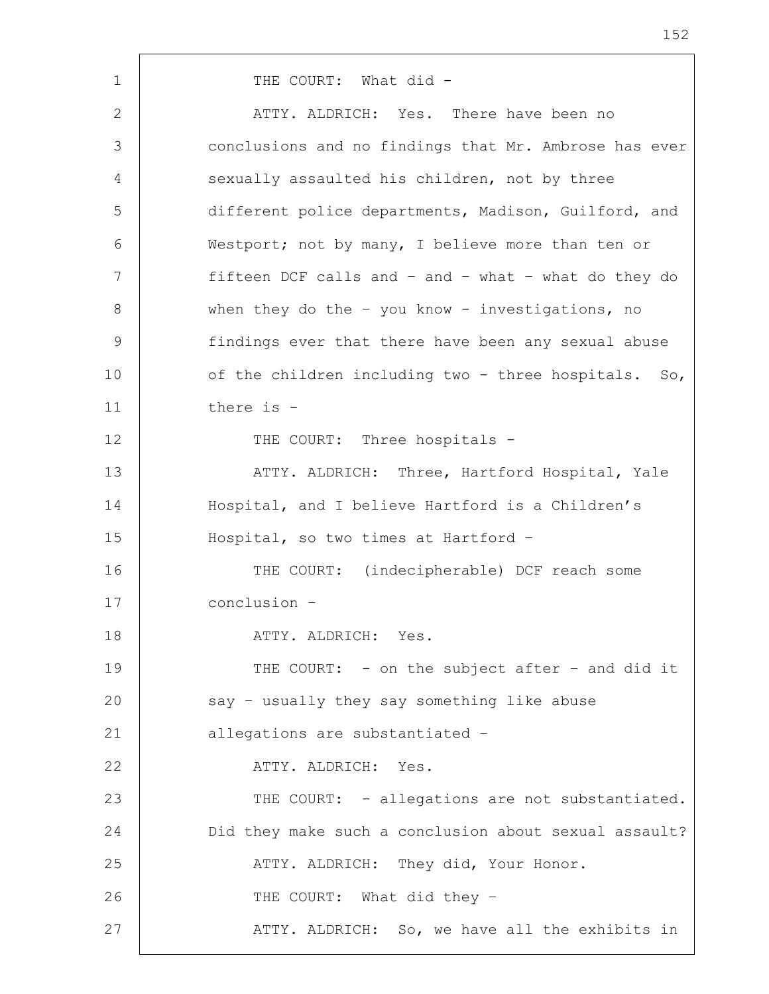1 | THE COURT: What did -2 | ATTY. ALDRICH: Yes. There have been no 3 conclusions and no findings that Mr. Ambrose has ever 4 sexually assaulted his children, not by three 5 different police departments, Madison, Guilford, and 6 Westport; not by many, I believe more than ten or 7 fifteen DCF calls and – and – what – what do they do 8 when they do the - you know - investigations, no 9 findings ever that there have been any sexual abuse 10 of the children including two - three hospitals. So, 11 there is - 12 | THE COURT: Three hospitals -13 | ATTY. ALDRICH: Three, Hartford Hospital, Yale 14 Hospital, and I believe Hartford is a Children's 15 Hospital, so two times at Hartford – 16 THE COURT: (indecipherable) DCF reach some 17 conclusion – 18 ATTY. ALDRICH: Yes. 19 THE COURT: - on the subject after - and did it 20 say - usually they say something like abuse 21 | allegations are substantiated -22 ATTY. ALDRICH: Yes. 23 | THE COURT: - allegations are not substantiated. 24 Did they make such a conclusion about sexual assault? 25 ATTY. ALDRICH: They did, Your Honor. 26 THE COURT: What did they -27 | ATTY. ALDRICH: So, we have all the exhibits in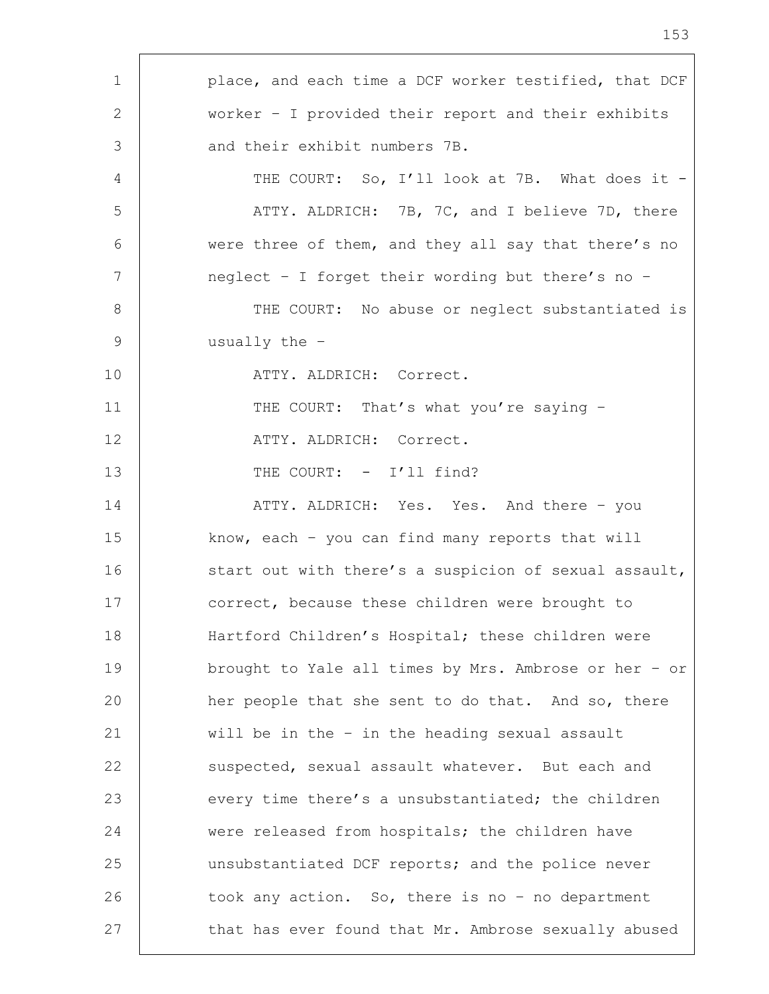| 1               | place, and each time a DCF worker testified, that DCF |
|-----------------|-------------------------------------------------------|
| 2               | worker $-$ I provided their report and their exhibits |
| 3               | and their exhibit numbers 7B.                         |
| 4               | THE COURT: So, I'll look at 7B. What does it -        |
| 5               | ATTY. ALDRICH: 7B, 7C, and I believe 7D, there        |
| 6               | were three of them, and they all say that there's no  |
| $7\phantom{.0}$ | neglect - I forget their wording but there's no -     |
| 8               | THE COURT: No abuse or neglect substantiated is       |
| 9               | usually the -                                         |
| 10              | ATTY. ALDRICH: Correct.                               |
| 11              | THE COURT: That's what you're saying -                |
| 12              | ATTY. ALDRICH: Correct.                               |
| 13              | THE COURT: - I'll find?                               |
| 14              | ATTY. ALDRICH: Yes. Yes. And there - you              |
| 15              | know, each $-$ you can find many reports that will    |
| 16              | start out with there's a suspicion of sexual assault, |
| 17              | correct, because these children were brought to       |
| 18              | Hartford Children's Hospital; these children were     |
| 19              | brought to Yale all times by Mrs. Ambrose or her - or |
| 20              | her people that she sent to do that. And so, there    |
| 21              | will be in the - in the heading sexual assault        |
| 22              | suspected, sexual assault whatever. But each and      |
| 23              | every time there's a unsubstantiated; the children    |
| 24              | were released from hospitals; the children have       |
| 25              | unsubstantiated DCF reports; and the police never     |
| 26              | took any action. So, there is no - no department      |
| 27              | that has ever found that Mr. Ambrose sexually abused  |
|                 |                                                       |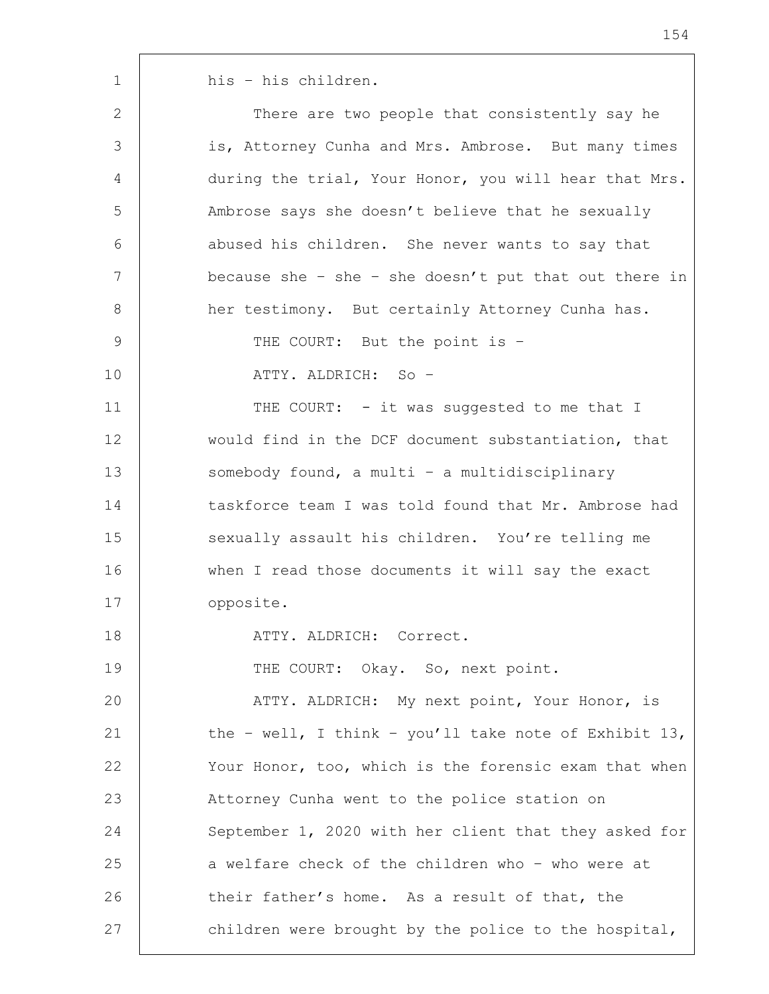| 2  | There are two people that consistently say he         |
|----|-------------------------------------------------------|
| 3  | is, Attorney Cunha and Mrs. Ambrose. But many times   |
| 4  | during the trial, Your Honor, you will hear that Mrs. |
| 5  | Ambrose says she doesn't believe that he sexually     |
| 6  | abused his children. She never wants to say that      |
| 7  | because she - she - she doesn't put that out there in |
| 8  | her testimony. But certainly Attorney Cunha has.      |
| 9  | THE COURT: But the point is -                         |
| 10 | ATTY. ALDRICH: So -                                   |
| 11 | THE COURT: - it was suggested to me that I            |
| 12 | would find in the DCF document substantiation, that   |
| 13 | somebody found, a multi - a multidisciplinary         |
| 14 | taskforce team I was told found that Mr. Ambrose had  |
| 15 | sexually assault his children. You're telling me      |
| 16 | when I read those documents it will say the exact     |
| 17 | opposite.                                             |
| 18 | ATTY. ALDRICH: Correct.                               |
| 19 | THE COURT: Okay. So, next point.                      |
| 20 | ATTY. ALDRICH: My next point, Your Honor, is          |
| 21 | the - well, I think - you'll take note of Exhibit 13, |
| 22 | Your Honor, too, which is the forensic exam that when |
| 23 | Attorney Cunha went to the police station on          |
| 24 | September 1, 2020 with her client that they asked for |
| 25 | a welfare check of the children who - who were at     |
| 26 | their father's home. As a result of that, the         |
| 27 | children were brought by the police to the hospital,  |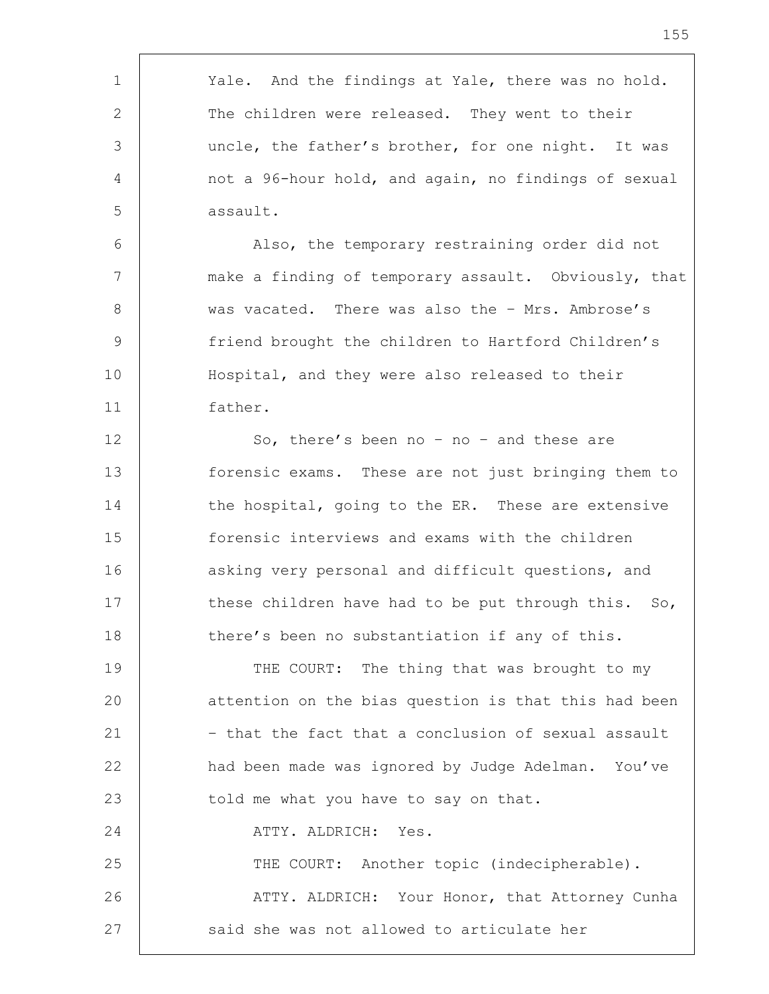| 1           | Yale. And the findings at Yale, there was no hold.   |
|-------------|------------------------------------------------------|
| 2           | The children were released. They went to their       |
| 3           | uncle, the father's brother, for one night. It was   |
| 4           | not a 96-hour hold, and again, no findings of sexual |
| 5           | assault.                                             |
| 6           | Also, the temporary restraining order did not        |
| 7           | make a finding of temporary assault. Obviously, that |
| 8           | was vacated. There was also the - Mrs. Ambrose's     |
| $\mathsf 9$ | friend brought the children to Hartford Children's   |
| 10          | Hospital, and they were also released to their       |
| 11          | father.                                              |
| 12          | So, there's been no - no - and these are             |
| 13          | forensic exams. These are not just bringing them to  |
| 14          | the hospital, going to the ER. These are extensive   |
| 15          | forensic interviews and exams with the children      |
| 16          | asking very personal and difficult questions, and    |
| 17          | these children have had to be put through this. So,  |
| 18          | there's been no substantiation if any of this.       |
| 19          | THE COURT: The thing that was brought to my          |
| 20          | attention on the bias question is that this had been |
| 21          | - that the fact that a conclusion of sexual assault  |
| 22          | had been made was ignored by Judge Adelman. You've   |
| 23          | told me what you have to say on that.                |
| 24          | ATTY. ALDRICH:<br>Yes.                               |
| 25          | THE COURT: Another topic (indecipherable).           |
| 26          | ATTY. ALDRICH: Your Honor, that Attorney Cunha       |
| 27          | said she was not allowed to articulate her           |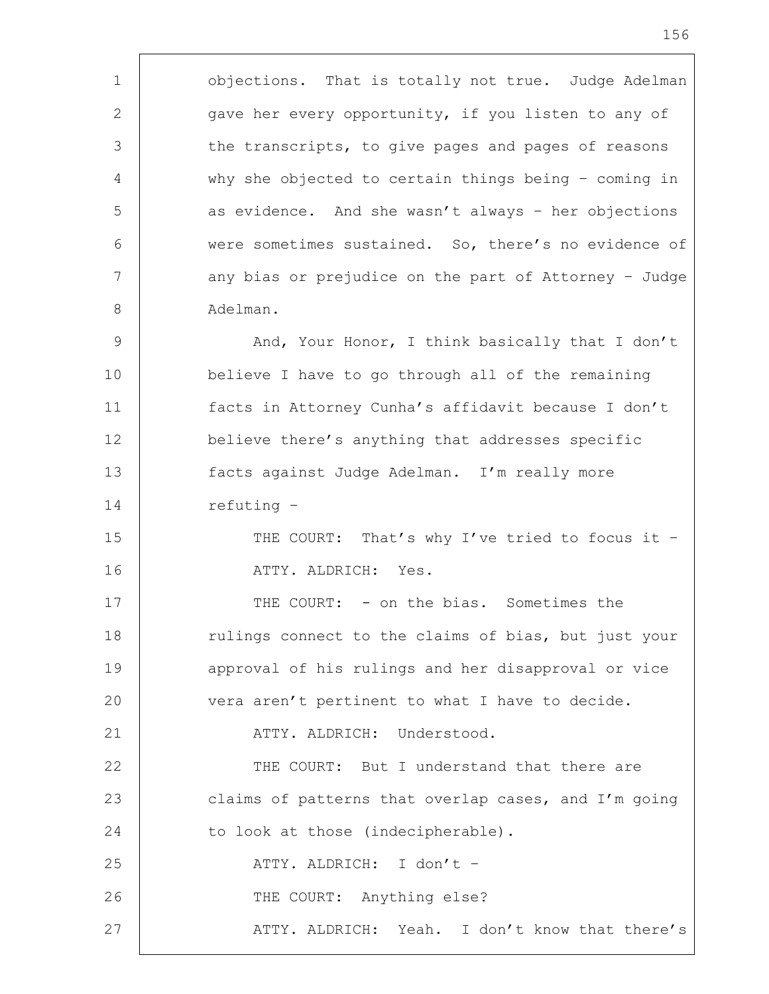1 | objections. That is totally not true. Judge Adelman 2 qave her every opportunity, if you listen to any of 3 the transcripts, to give pages and pages of reasons 4 why she objected to certain things being – coming in 5 as evidence. And she wasn't always - her objections 6 were sometimes sustained. So, there's no evidence of 7 | any bias or prejudice on the part of Attorney - Judge 8 Adelman.

9 | And, Your Honor, I think basically that I don't believe I have to go through all of the remaining facts in Attorney Cunha's affidavit because I don't believe there's anything that addresses specific facts against Judge Adelman. I'm really more 14 | refuting -

15 THE COURT: That's why I've tried to focus it -16 ATTY. ALDRICH: Yes.

17 THE COURT: - on the bias. Sometimes the 18 Tulings connect to the claims of bias, but just your 19 | approval of his rulings and her disapproval or vice 20 vera aren't pertinent to what I have to decide. 21 | ATTY. ALDRICH: Understood.

22 THE COURT: But I understand that there are 23 claims of patterns that overlap cases, and I'm going 24 to look at those (indecipherable). 25 | ATTY. ALDRICH: I don't -26 THE COURT: Anything else?

27 | ATTY. ALDRICH: Yeah. I don't know that there's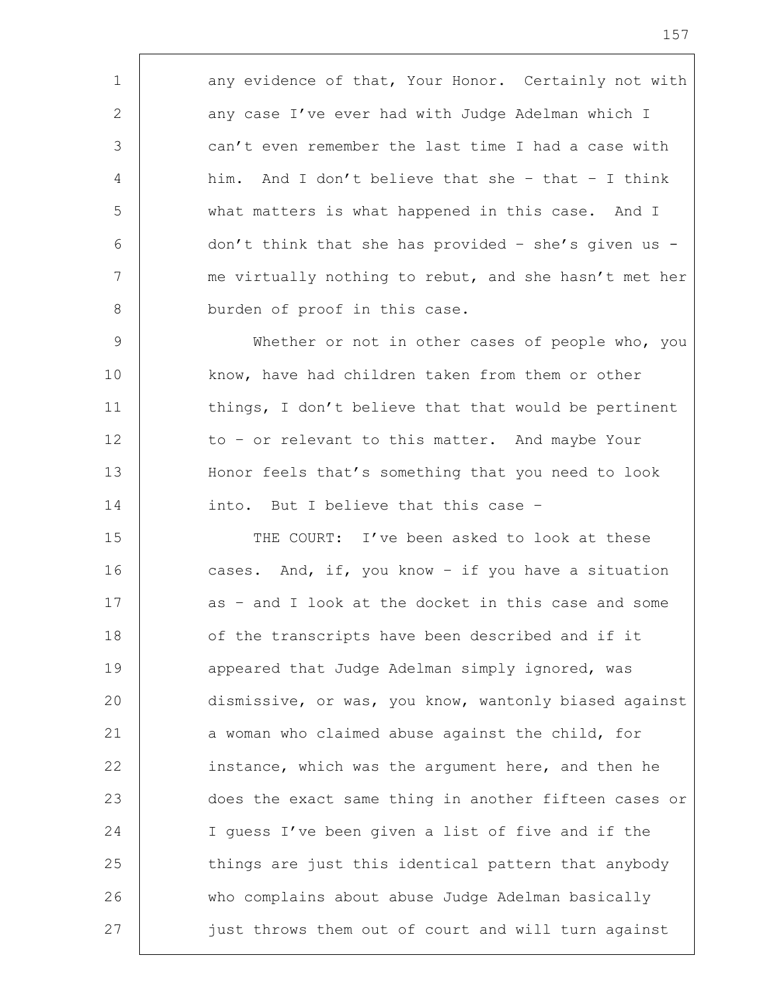1 any evidence of that, Your Honor. Certainly not with 2 any case I've ever had with Judge Adelman which I 3 can't even remember the last time I had a case with 4 him. And I don't believe that she – that – I think 5 what matters is what happened in this case. And I 6 don't think that she has provided - she's given us -7 | me virtually nothing to rebut, and she hasn't met her 8 burden of proof in this case.

9 Whether or not in other cases of people who, you 10 know, have had children taken from them or other 11 | things, I don't believe that that would be pertinent 12 to - or relevant to this matter. And maybe Your 13 Honor feels that's something that you need to look 14 into. But I believe that this case -

15 THE COURT: I've been asked to look at these 16 cases. And, if, you know - if you have a situation 17 as – and I look at the docket in this case and some 18 of the transcripts have been described and if it 19 **appeared that Judge Adelman simply ignored, was** 20 dismissive, or was, you know, wantonly biased against 21 a woman who claimed abuse against the child, for 22 instance, which was the argument here, and then he 23 does the exact same thing in another fifteen cases or 24 I guess I've been given a list of five and if the 25 things are just this identical pattern that anybody 26 who complains about abuse Judge Adelman basically 27 just throws them out of court and will turn against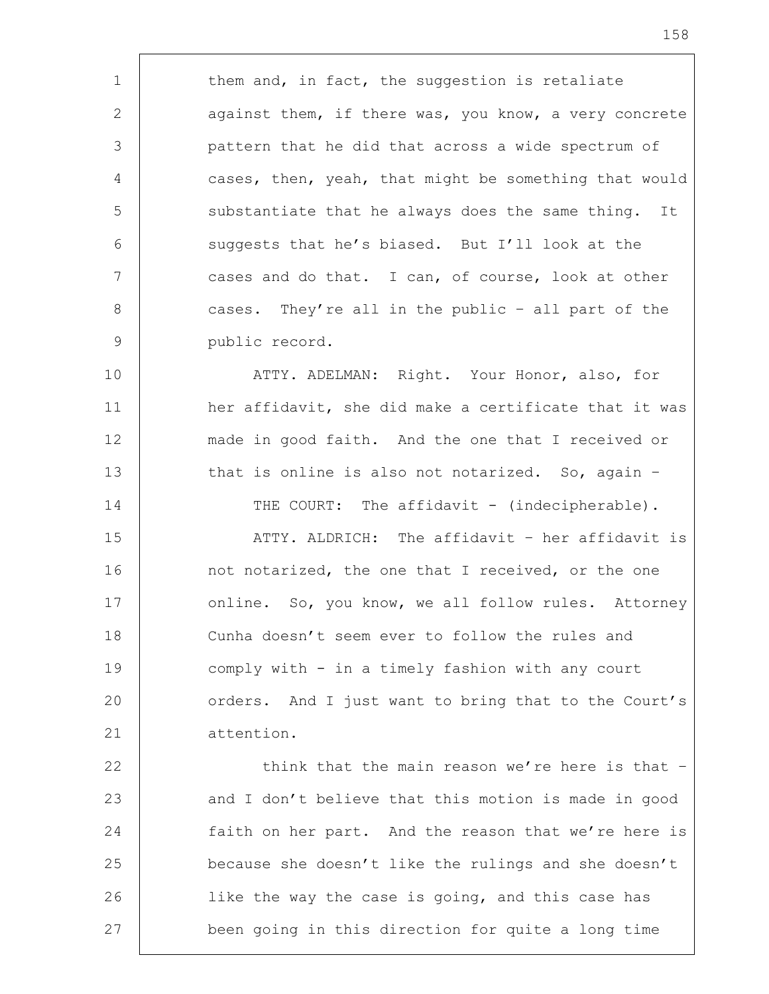1 them and, in fact, the suggestion is retaliate 2 against them, if there was, you know, a very concrete 3 pattern that he did that across a wide spectrum of 4 cases, then, yeah, that might be something that would 5 substantiate that he always does the same thing. It  $6$  suggests that he's biased. But I'll look at the 7 | cases and do that. I can, of course, look at other 8 cases. They're all in the public - all part of the 9 public record.

10 ATTY. ADELMAN: Right. Your Honor, also, for 11 | her affidavit, she did make a certificate that it was 12 made in good faith. And the one that I received or 13 that is online is also not notarized. So, again -

14 THE COURT: The affidavit - (indecipherable).

15 ATTY. ALDRICH: The affidavit – her affidavit is 16 not notarized, the one that I received, or the one 17 | online. So, you know, we all follow rules. Attorney 18 Cunha doesn't seem ever to follow the rules and 19 comply with - in a timely fashion with any court 20 orders. And I just want to bring that to the Court's 21 attention.

22 | think that the main reason we're here is that -23 | and I don't believe that this motion is made in good 24 faith on her part. And the reason that we're here is 25 because she doesn't like the rulings and she doesn't 26 | like the way the case is going, and this case has 27 been going in this direction for quite a long time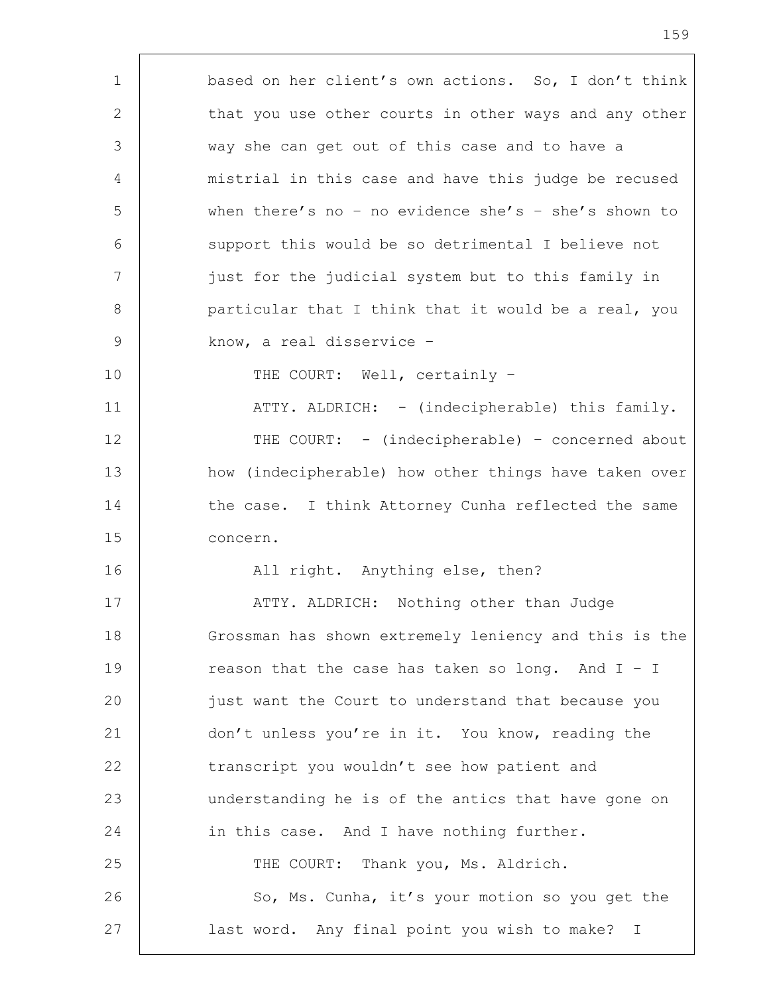1 based on her client's own actions. So, I don't think 2 that you use other courts in other ways and any other 3 way she can get out of this case and to have a 4 | mistrial in this case and have this judge be recused 5 when there's no – no evidence she's – she's shown to 6 support this would be so detrimental I believe not 7 just for the judicial system but to this family in 8 | particular that I think that it would be a real, you 9 know, a real disservice – 10 THE COURT: Well, certainly -11 | ATTY. ALDRICH: - (indecipherable) this family. 12 THE COURT: - (indecipherable) - concerned about 13 how (indecipherable) how other things have taken over 14 the case. I think Attorney Cunha reflected the same 15 concern. 16 | Rail right. Anything else, then? 17 | ATTY. ALDRICH: Nothing other than Judge 18 Grossman has shown extremely leniency and this is the 19 Teason that the case has taken so long. And I - I 20 | just want the Court to understand that because you 21 don't unless you're in it. You know, reading the 22 transcript you wouldn't see how patient and 23 understanding he is of the antics that have gone on 24 in this case. And I have nothing further. 25 THE COURT: Thank you, Ms. Aldrich. 26 | So, Ms. Cunha, it's your motion so you get the 27 last word. Any final point you wish to make? I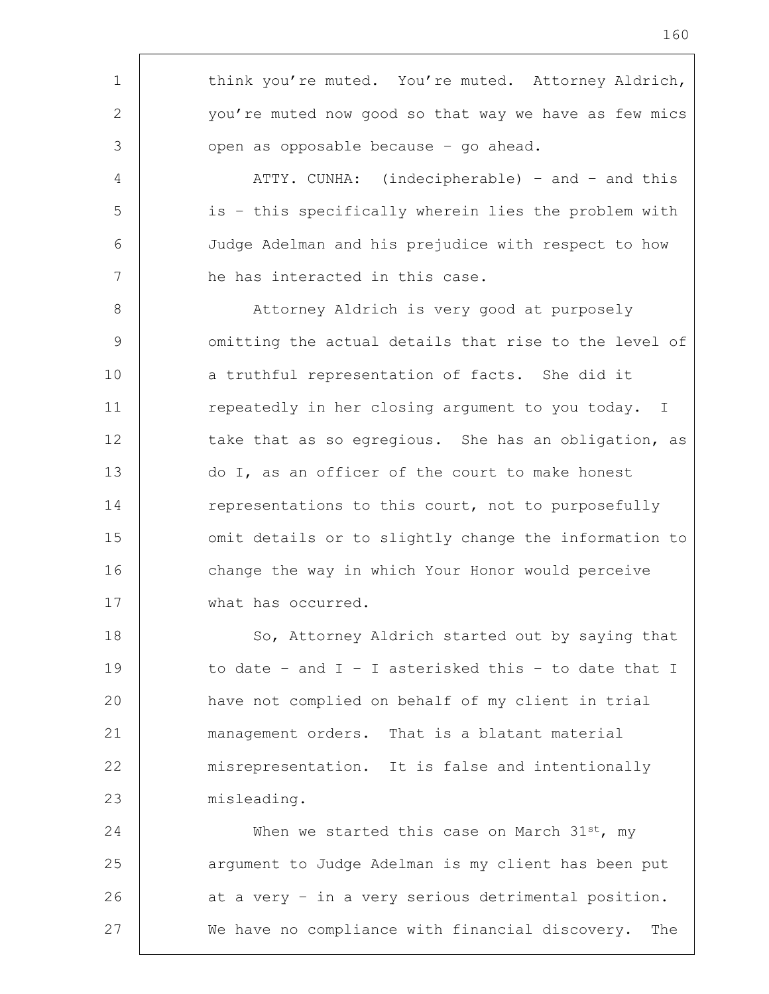1 think you're muted. You're muted. Attorney Aldrich, 2 you're muted now good so that way we have as few mics 3 open as opposable because - go ahead. 4 | ATTY. CUNHA: (indecipherable) - and - and this 5 is – this specifically wherein lies the problem with 6 Judge Adelman and his prejudice with respect to how 7 he has interacted in this case. 8 | Attorney Aldrich is very good at purposely 9 | omitting the actual details that rise to the level of 10 a truthful representation of facts. She did it 11 | repeatedly in her closing argument to you today. I 12 take that as so egregious. She has an obligation, as 13 do I, as an officer of the court to make honest 14 representations to this court, not to purposefully 15 | omit details or to slightly change the information to 16 change the way in which Your Honor would perceive 17 what has occurred. 18 So, Attorney Aldrich started out by saying that 19 to date – and I – I asterisked this – to date that I 20 have not complied on behalf of my client in trial 21 management orders. That is a blatant material 22 misrepresentation. It is false and intentionally 23 misleading. 24 When we started this case on March  $31^{st}$ , my 25 argument to Judge Adelman is my client has been put 26 | at a very - in a very serious detrimental position. 27 We have no compliance with financial discovery. The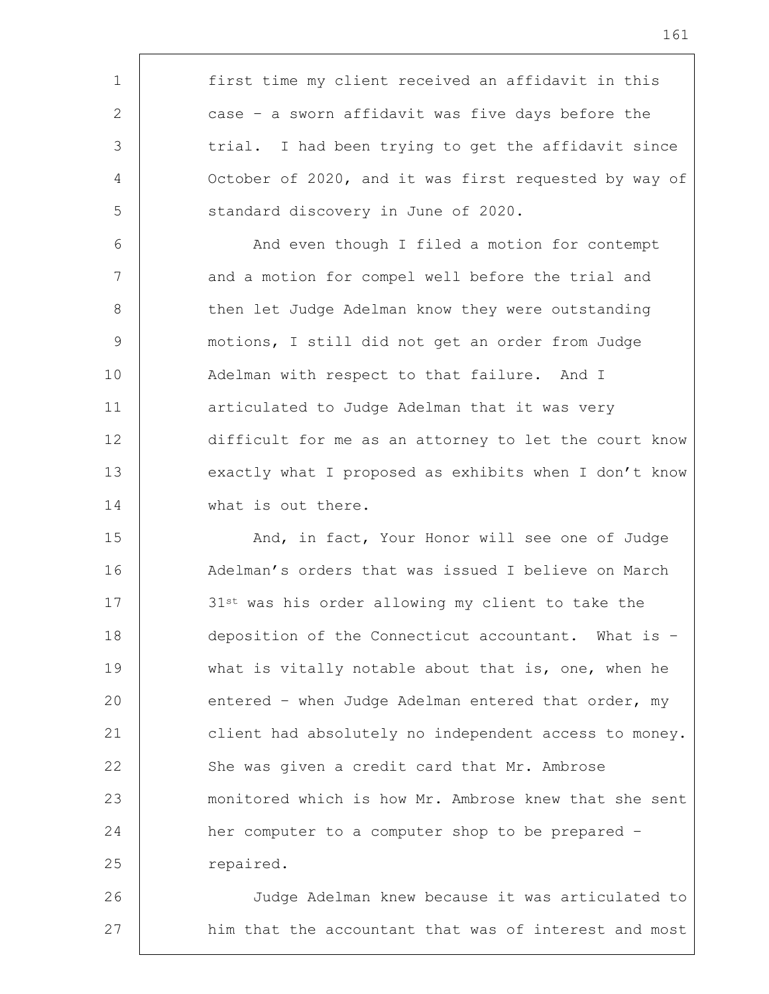1 first time my client received an affidavit in this 2 case – a sworn affidavit was five days before the 3 trial. I had been trying to get the affidavit since 4 October of 2020, and it was first requested by way of 5 Standard discovery in June of 2020. 6 | And even though I filed a motion for contempt 7 and a motion for compel well before the trial and 8 | then let Judge Adelman know they were outstanding 9 motions, I still did not get an order from Judge 10 | Adelman with respect to that failure. And I 11 | articulated to Judge Adelman that it was very 12 difficult for me as an attorney to let the court know 13 exactly what I proposed as exhibits when I don't know 14 What is out there. 15 | And, in fact, Your Honor will see one of Judge 16 | Adelman's orders that was issued I believe on March 17 31st was his order allowing my client to take the 18 deposition of the Connecticut accountant. What is – 19 what is vitally notable about that is, one, when he 20 entered - when Judge Adelman entered that order, my 21 client had absolutely no independent access to money. 22 She was given a credit card that Mr. Ambrose 23 monitored which is how Mr. Ambrose knew that she sent 24 her computer to a computer shop to be prepared – 25 repaired. 26 Judge Adelman knew because it was articulated to

27 | him that the accountant that was of interest and most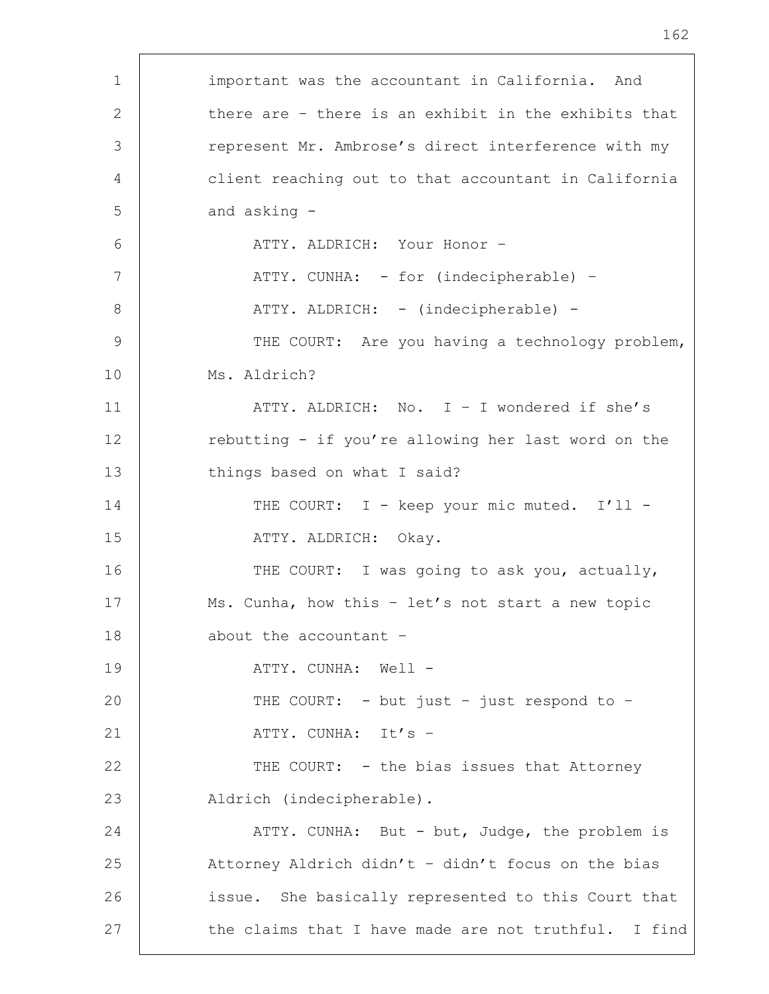| $\mathbf 1$ | important was the accountant in California. And      |
|-------------|------------------------------------------------------|
| 2           | there are - there is an exhibit in the exhibits that |
| 3           | represent Mr. Ambrose's direct interference with my  |
| 4           | client reaching out to that accountant in California |
| 5           | and asking -                                         |
| 6           | ATTY. ALDRICH: Your Honor -                          |
| 7           | ATTY. CUNHA: - for (indecipherable) -                |
| 8           | ATTY. ALDRICH: - (indecipherable) -                  |
| 9           | THE COURT: Are you having a technology problem,      |
| 10          | Ms. Aldrich?                                         |
| 11          | ATTY. ALDRICH: No. I - I wondered if she's           |
| 12          | rebutting - if you're allowing her last word on the  |
| 13          | things based on what I said?                         |
| 14          | THE COURT: I - keep your mic muted. I'll -           |
| 15          | ATTY. ALDRICH: Okay.                                 |
| 16          | THE COURT: I was going to ask you, actually,         |
| 17          | Ms. Cunha, how this - let's not start a new topic    |
| 18          | about the accountant -                               |
| 19          | ATTY. CUNHA: Well -                                  |
| 20          | THE COURT: - but just - just respond to -            |
| 21          | ATTY. CUNHA: It's -                                  |
| 22          | THE COURT: - the bias issues that Attorney           |
| 23          | Aldrich (indecipherable).                            |
| 24          | ATTY. CUNHA: But - but, Judge, the problem is        |
| 25          | Attorney Aldrich didn't - didn't focus on the bias   |
| 26          | issue. She basically represented to this Court that  |
| 27          | the claims that I have made are not truthful. I find |
|             |                                                      |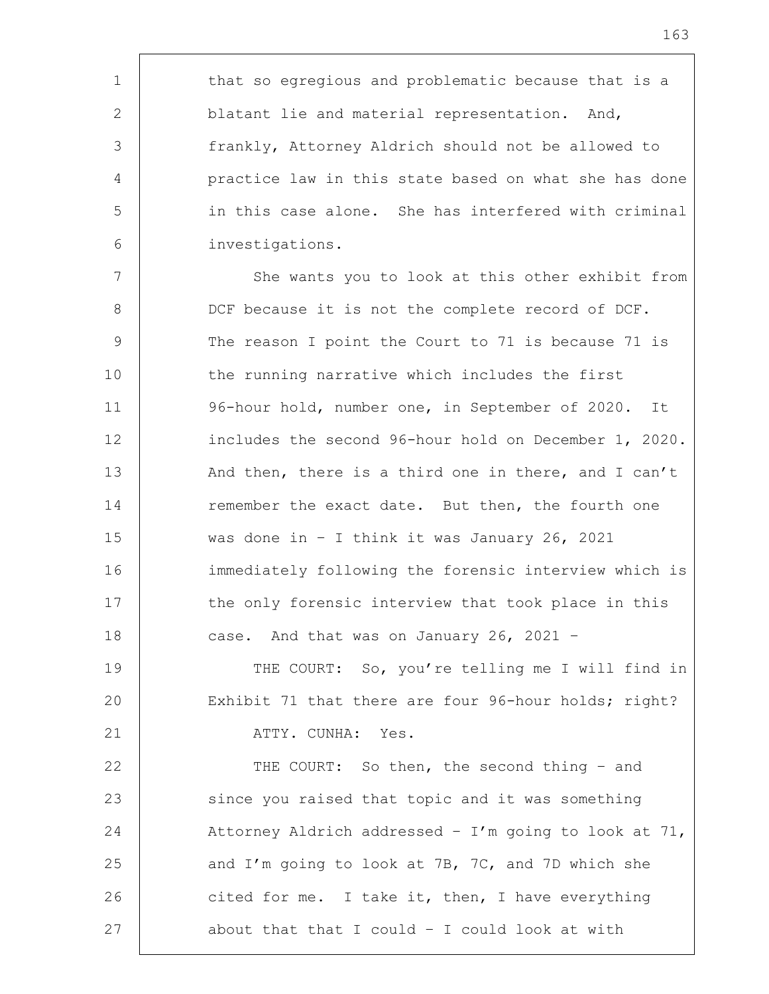1 | that so egregious and problematic because that is a 2 blatant lie and material representation. And, frankly, Attorney Aldrich should not be allowed to practice law in this state based on what she has done in this case alone. She has interfered with criminal investigations.

7 | She wants you to look at this other exhibit from 8 DCF because it is not the complete record of DCF. 9 The reason I point the Court to 71 is because 71 is 10 the running narrative which includes the first 11 96-hour hold, number one, in September of 2020. It 12 | includes the second 96-hour hold on December 1, 2020. 13 And then, there is a third one in there, and I can't 14 remember the exact date. But then, the fourth one 15 was done in – I think it was January 26, 2021 16 immediately following the forensic interview which is 17 the only forensic interview that took place in this 18 case. And that was on January 26, 2021 -

19 THE COURT: So, you're telling me I will find in 20 Exhibit 71 that there are four 96-hour holds; right? 21 | ATTY. CUNHA: Yes.

22 THE COURT: So then, the second thing - and 23 since you raised that topic and it was something 24 Attorney Aldrich addressed - I'm going to look at 71, 25 and I'm going to look at 7B, 7C, and 7D which she 26 cited for me. I take it, then, I have everything 27 about that that I could - I could look at with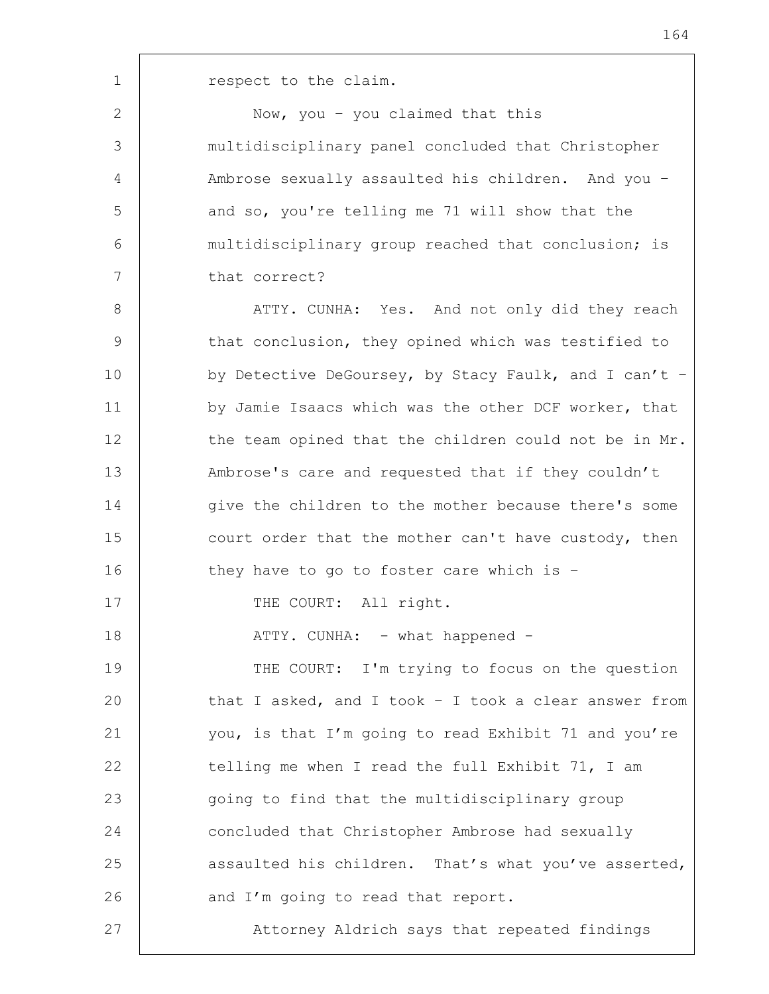2 | Now, you - you claimed that this 3 multidisciplinary panel concluded that Christopher 4 Ambrose sexually assaulted his children. And you – 5 and so, you're telling me 71 will show that the 6 multidisciplinary group reached that conclusion; is 7 that correct?

8 | ATTY. CUNHA: Yes. And not only did they reach 9 that conclusion, they opined which was testified to 10 by Detective DeGoursey, by Stacy Faulk, and I can't -11 | by Jamie Isaacs which was the other DCF worker, that 12 the team opined that the children could not be in Mr. 13 | Mambrose's care and requested that if they couldn't 14 give the children to the mother because there's some 15 court order that the mother can't have custody, then 16 they have to go to foster care which is -17 | THE COURT: All right. 18 | ATTY. CUNHA: - what happened -19 THE COURT: I'm trying to focus on the question

20 that I asked, and I took - I took a clear answer from 21 you, is that I'm going to read Exhibit 71 and you're 22 telling me when I read the full Exhibit 71, I am 23 | going to find that the multidisciplinary group 24 concluded that Christopher Ambrose had sexually 25 assaulted his children. That's what you've asserted, 26 and I'm going to read that report. 27 | Attorney Aldrich says that repeated findings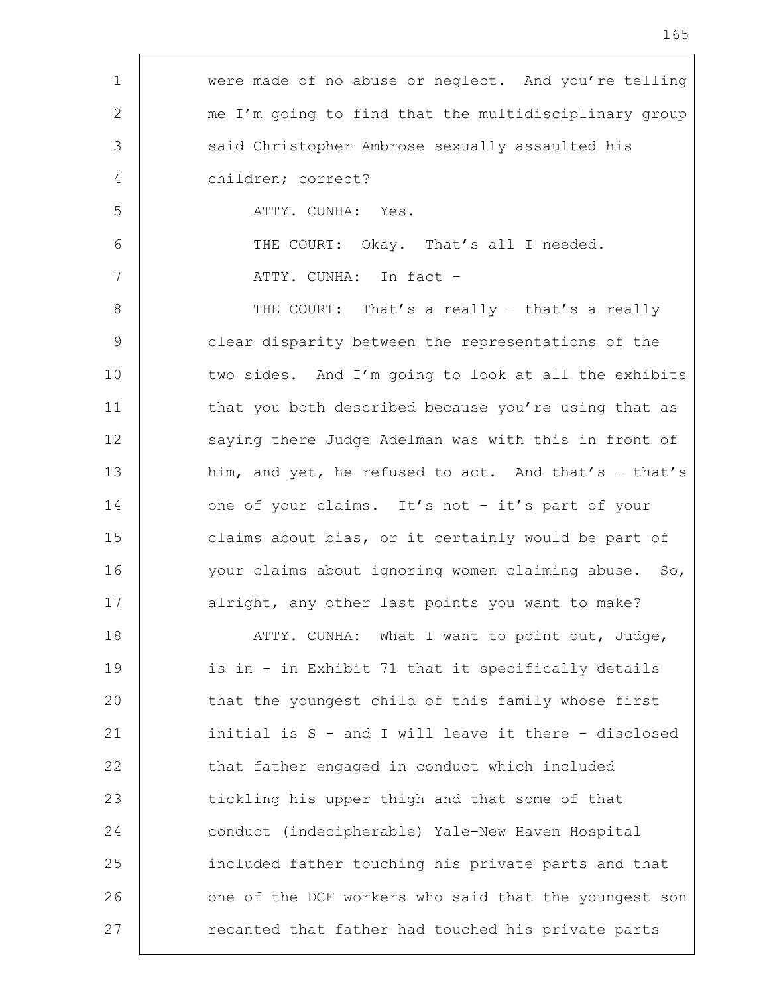| $\mathbf 1$    | were made of no abuse or neglect. And you're telling  |
|----------------|-------------------------------------------------------|
| 2              | me I'm going to find that the multidisciplinary group |
| 3              | said Christopher Ambrose sexually assaulted his       |
| 4              | children; correct?                                    |
| 5              | ATTY. CUNHA: Yes.                                     |
| 6              | THE COURT: Okay. That's all I needed.                 |
| 7              | ATTY. CUNHA: In fact -                                |
| 8              | THE COURT: That's a really - that's a really          |
| $\overline{9}$ | clear disparity between the representations of the    |
| 10             | two sides. And I'm going to look at all the exhibits  |
| 11             | that you both described because you're using that as  |
| 12             | saying there Judge Adelman was with this in front of  |
| 13             | him, and yet, he refused to act. And that's - that's  |
| 14             | one of your claims. It's not - it's part of your      |
| 15             | claims about bias, or it certainly would be part of   |
| 16             | your claims about ignoring women claiming abuse. So,  |
| 17             | alright, any other last points you want to make?      |
| 18             | ATTY. CUNHA: What I want to point out, Judge,         |
| 19             | is in - in Exhibit 71 that it specifically details    |
| 20             | that the youngest child of this family whose first    |
| 21             | initial is S - and I will leave it there - disclosed  |
| 22             | that father engaged in conduct which included         |
| 23             | tickling his upper thigh and that some of that        |
| 24             | conduct (indecipherable) Yale-New Haven Hospital      |
| 25             | included father touching his private parts and that   |
| 26             | one of the DCF workers who said that the youngest son |
| 27             | recanted that father had touched his private parts    |

r

I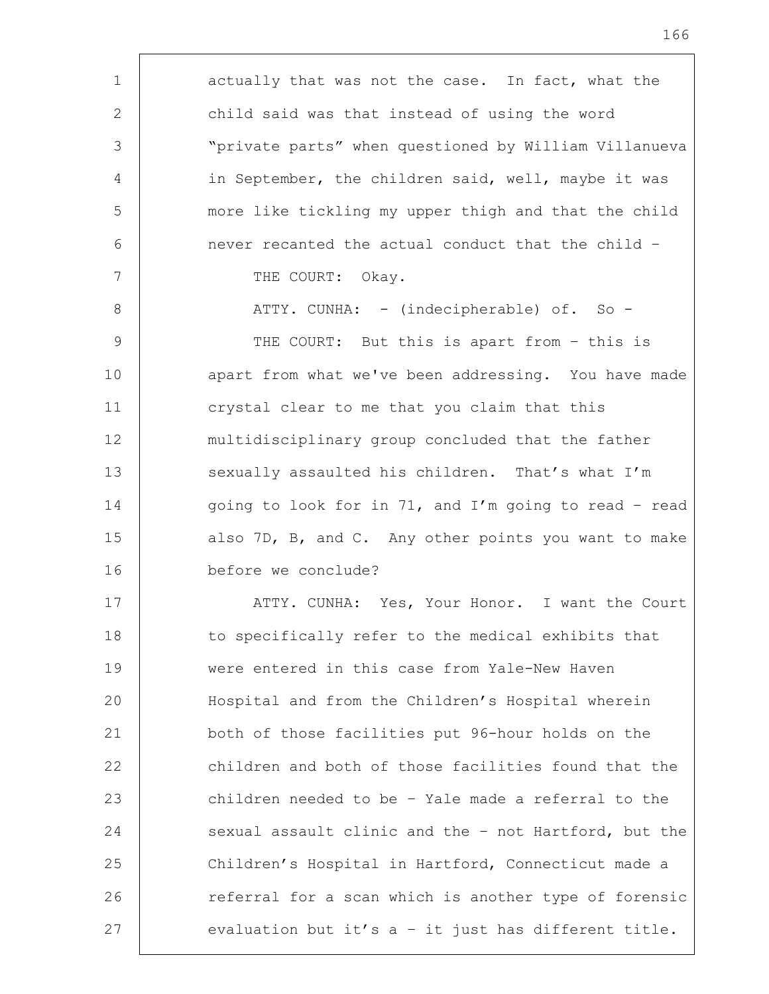| $\mathbf 1$     | actually that was not the case. In fact, what the     |
|-----------------|-------------------------------------------------------|
| 2               | child said was that instead of using the word         |
| 3               | "private parts" when questioned by William Villanueva |
| 4               | in September, the children said, well, maybe it was   |
| 5               | more like tickling my upper thigh and that the child  |
| 6               | never recanted the actual conduct that the child -    |
| $7\phantom{.0}$ | THE COURT: Okay.                                      |
| 8               | ATTY. CUNHA: - (indecipherable) of. So -              |
| 9               | THE COURT: But this is apart from - this is           |
| 10              | apart from what we've been addressing. You have made  |
| 11              | crystal clear to me that you claim that this          |
| 12              | multidisciplinary group concluded that the father     |
| 13              | sexually assaulted his children. That's what I'm      |
| 14              | going to look for in 71, and I'm going to read - read |
| 15              | also 7D, B, and C. Any other points you want to make  |
| 16              | before we conclude?                                   |
| 17              | ATTY. CUNHA: Yes, Your Honor. I want the Court        |
| 18              | to specifically refer to the medical exhibits that    |
| 19              | were entered in this case from Yale-New Haven         |
| 20              | Hospital and from the Children's Hospital wherein     |
| 21              | both of those facilities put 96-hour holds on the     |
| 22              | children and both of those facilities found that the  |
| 23              | children needed to be - Yale made a referral to the   |
| 24              | sexual assault clinic and the - not Hartford, but the |
| 25              | Children's Hospital in Hartford, Connecticut made a   |
| 26              | referral for a scan which is another type of forensic |
| 27              | evaluation but it's a - it just has different title.  |
|                 |                                                       |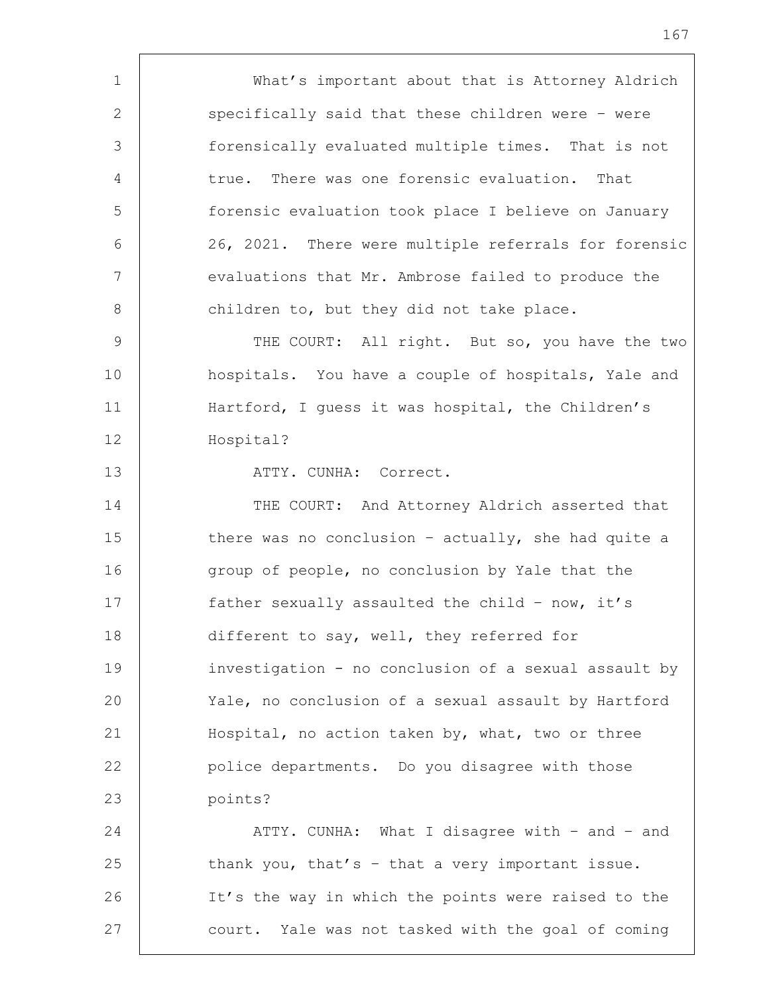1 What's important about that is Attorney Aldrich 2 specifically said that these children were - were 3 forensically evaluated multiple times. That is not 4 true. There was one forensic evaluation. That 5 forensic evaluation took place I believe on January 6 26, 2021. There were multiple referrals for forensic 7 | evaluations that Mr. Ambrose failed to produce the 8 children to, but they did not take place. 9 | THE COURT: All right. But so, you have the two 10 | hospitals. You have a couple of hospitals, Yale and 11 Hartford, I guess it was hospital, the Children's 12 Hospital? 13 | ATTY. CUNHA: Correct. 14 THE COURT: And Attorney Aldrich asserted that 15 there was no conclusion - actually, she had quite a 16 group of people, no conclusion by Yale that the 17 father sexually assaulted the child – now, it's 18 different to say, well, they referred for 19 investigation - no conclusion of a sexual assault by 20 Yale, no conclusion of a sexual assault by Hartford 21 Hospital, no action taken by, what, two or three 22 **police departments.** Do you disagree with those 23 points? 24 | ATTY. CUNHA: What I disagree with - and - and 25  $\vert$  thank you, that's - that a very important issue. 26 | It's the way in which the points were raised to the 27 court. Yale was not tasked with the goal of coming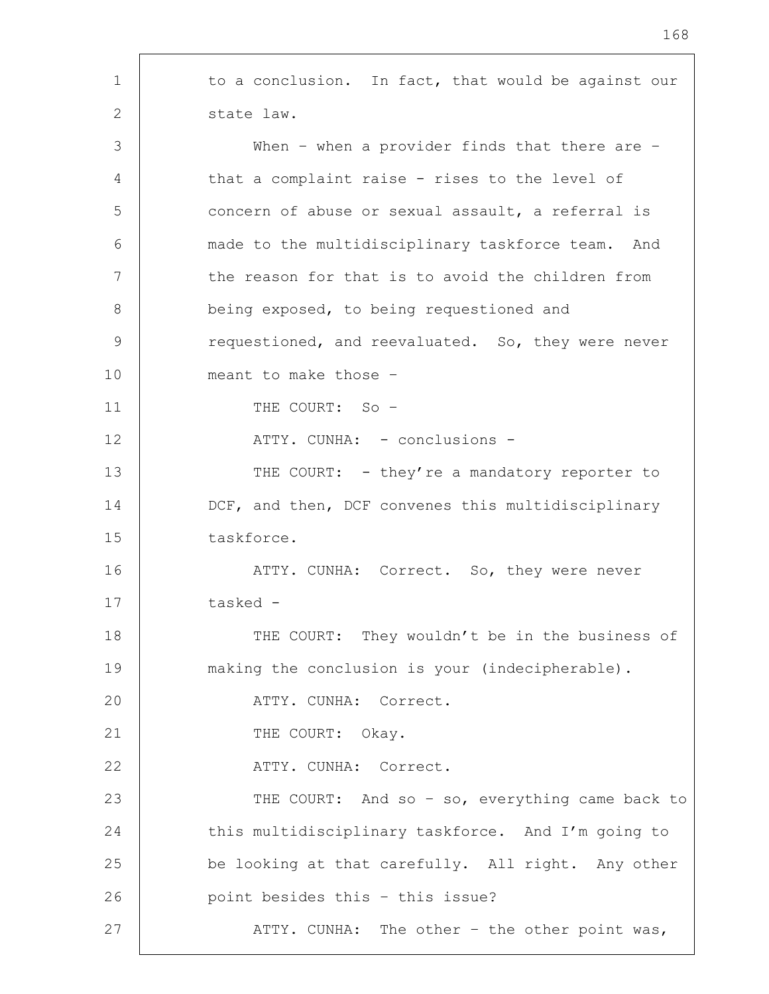1 to a conclusion. In fact, that would be against our 2 state law. 3 When – when a provider finds that there are – 4 | that a complaint raise - rises to the level of 5 concern of abuse or sexual assault, a referral is 6 made to the multidisciplinary taskforce team. And 7 | the reason for that is to avoid the children from 8 being exposed, to being requestioned and 9 Tequestioned, and reevaluated. So, they were never 10 meant to make those – 11 THE COURT: So – 12 | ATTY. CUNHA: - conclusions -13 THE COURT: - they're a mandatory reporter to 14 DCF, and then, DCF convenes this multidisciplinary 15 taskforce. 16 | THE ATTY. CUNHA: Correct. So, they were never 17 tasked - 18 THE COURT: They wouldn't be in the business of 19 making the conclusion is your (indecipherable). 20 ATTY. CUNHA: Correct. 21 THE COURT: Okay. 22 ATTY. CUNHA: Correct. 23 | THE COURT: And so - so, everything came back to 24 this multidisciplinary taskforce. And I'm going to 25 be looking at that carefully. All right. Any other 26 **point besides this - this issue?** 27 | ATTY. CUNHA: The other – the other point was,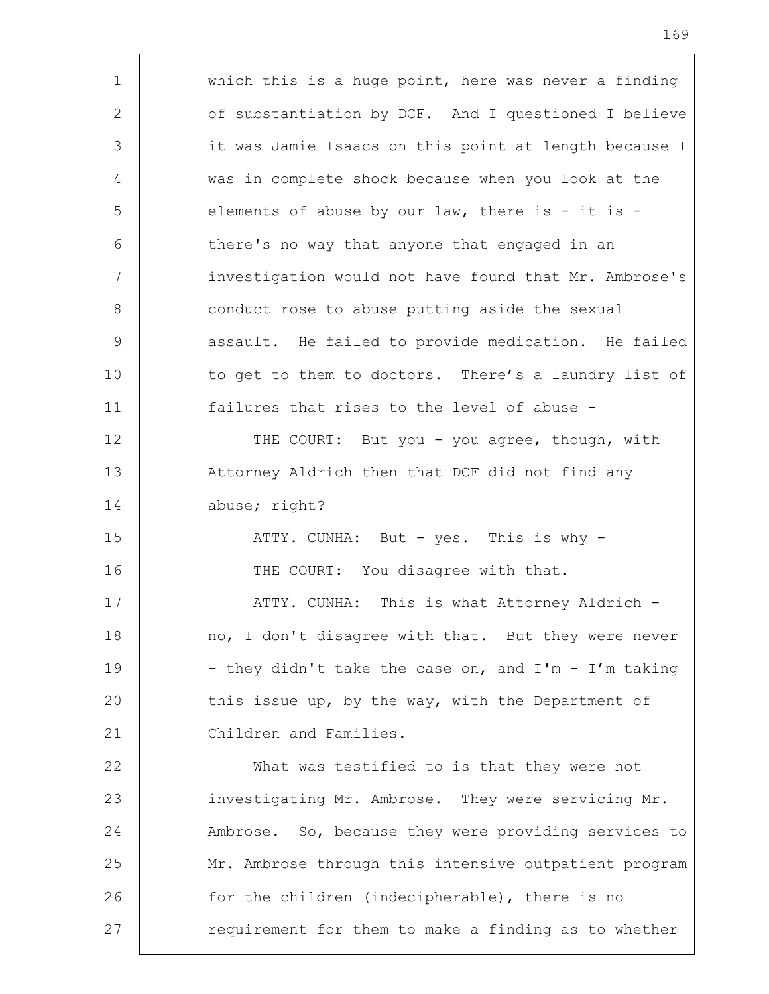1 which this is a huge point, here was never a finding 2 of substantiation by DCF. And I questioned I believe 3 it was Jamie Isaacs on this point at length because I 4 was in complete shock because when you look at the 5 elements of abuse by our law, there is - it is -6 there's no way that anyone that engaged in an 7 investigation would not have found that Mr. Ambrose's 8 | conduct rose to abuse putting aside the sexual 9 | assault. He failed to provide medication. He failed 10 to get to them to doctors. There's a laundry list of 11 failures that rises to the level of abuse - 12 THE COURT: But you - you agree, though, with 13 | Attorney Aldrich then that DCF did not find any 14 abuse; right? 15 | ATTY. CUNHA: But - yes. This is why -16 THE COURT: You disagree with that. 17 | ATTY. CUNHA: This is what Attorney Aldrich -18 | no, I don't disagree with that. But they were never 19  $\vert$  - they didn't take the case on, and I'm - I'm taking 20 this issue up, by the way, with the Department of 21 Children and Families. 22 What was testified to is that they were not 23 investigating Mr. Ambrose. They were servicing Mr. 24 Ambrose. So, because they were providing services to 25 | Mr. Ambrose through this intensive outpatient program 26 for the children (indecipherable), there is no 27 The requirement for them to make a finding as to whether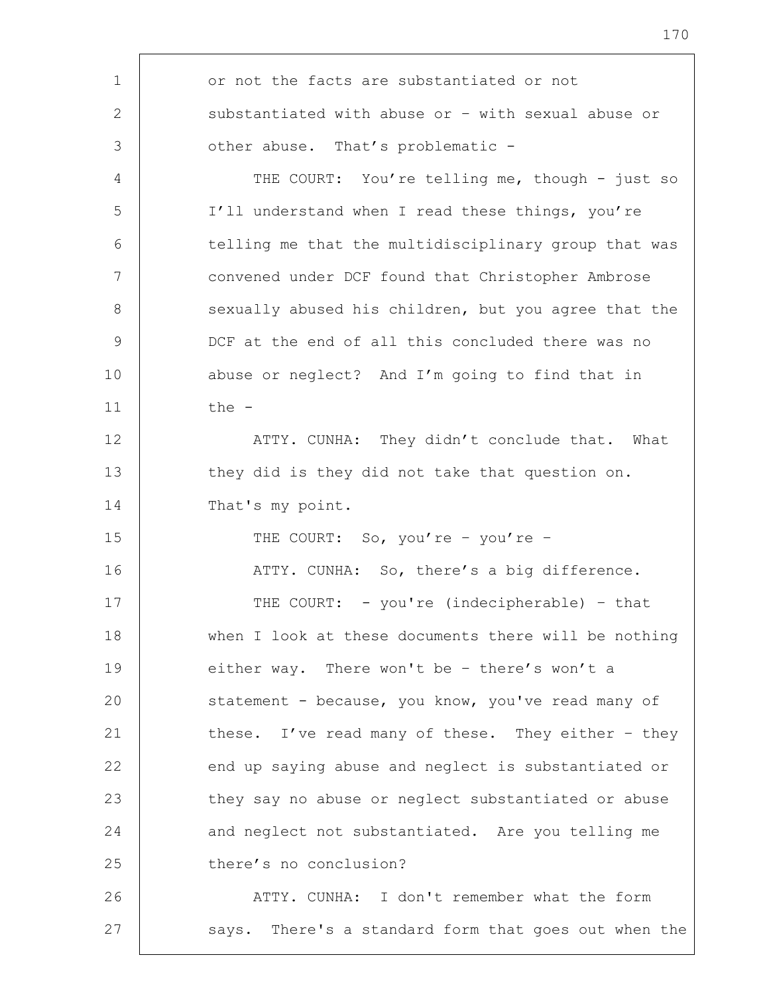| 1  | or not the facts are substantiated or not            |
|----|------------------------------------------------------|
| 2  | substantiated with abuse or - with sexual abuse or   |
| 3  | other abuse. That's problematic -                    |
| 4  | THE COURT: You're telling me, though - just so       |
| 5  | I'll understand when I read these things, you're     |
| 6  | telling me that the multidisciplinary group that was |
| 7  | convened under DCF found that Christopher Ambrose    |
| 8  | sexually abused his children, but you agree that the |
| 9  | DCF at the end of all this concluded there was no    |
| 10 | abuse or neglect? And I'm going to find that in      |
| 11 | the -                                                |
| 12 | ATTY. CUNHA: They didn't conclude that. What         |
| 13 | they did is they did not take that question on.      |
| 14 | That's my point.                                     |
| 15 | THE COURT: So, you're - you're -                     |
| 16 | ATTY. CUNHA: So, there's a big difference.           |
| 17 | THE COURT: - you're (indecipherable) - that          |
| 18 | when I look at these documents there will be nothing |
| 19 | either way. There won't be - there's won't a         |
| 20 | statement - because, you know, you've read many of   |
| 21 | these. I've read many of these. They either - they   |
| 22 | end up saying abuse and neglect is substantiated or  |
| 23 | they say no abuse or neglect substantiated or abuse  |
| 24 | and neglect not substantiated. Are you telling me    |
| 25 | there's no conclusion?                               |
| 26 | ATTY. CUNHA: I don't remember what the form          |
| 27 | says. There's a standard form that goes out when the |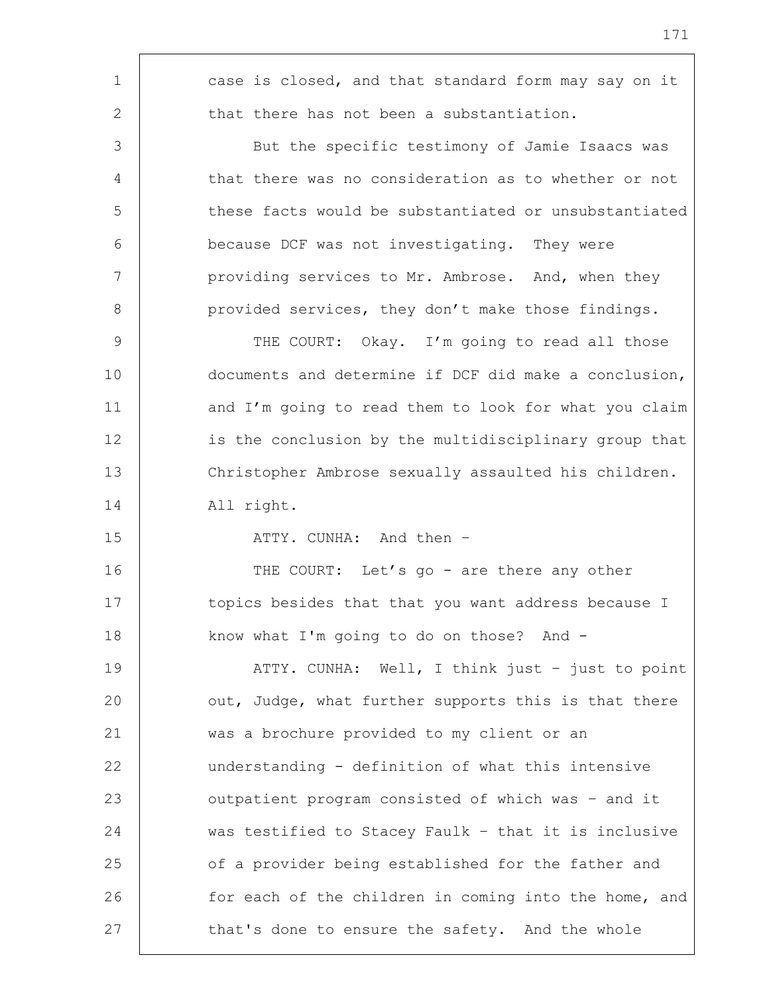| 1  | case is closed, and that standard form may say on it  |
|----|-------------------------------------------------------|
| 2  | that there has not been a substantiation.             |
| 3  | But the specific testimony of Jamie Isaacs was        |
| 4  | that there was no consideration as to whether or not  |
| 5  | these facts would be substantiated or unsubstantiated |
| 6  | because DCF was not investigating. They were          |
| 7  | providing services to Mr. Ambrose. And, when they     |
| 8  | provided services, they don't make those findings.    |
| 9  | THE COURT: Okay. I'm going to read all those          |
| 10 | documents and determine if DCF did make a conclusion, |
| 11 | and I'm going to read them to look for what you claim |
| 12 | is the conclusion by the multidisciplinary group that |
| 13 | Christopher Ambrose sexually assaulted his children.  |
| 14 | All right.                                            |
| 15 | ATTY. CUNHA: And then -                               |
| 16 | THE COURT: Let's go - are there any other             |
| 17 | topics besides that that you want address because I   |
| 18 | know what I'm going to do on those? And -             |
| 19 | ATTY. CUNHA: Well, I think just - just to point       |
| 20 | out, Judge, what further supports this is that there  |
| 21 | was a brochure provided to my client or an            |
| 22 | understanding - definition of what this intensive     |
| 23 | outpatient program consisted of which was - and it    |
| 24 | was testified to Stacey Faulk - that it is inclusive  |
| 25 | of a provider being established for the father and    |
| 26 | for each of the children in coming into the home, and |
| 27 | that's done to ensure the safety. And the whole       |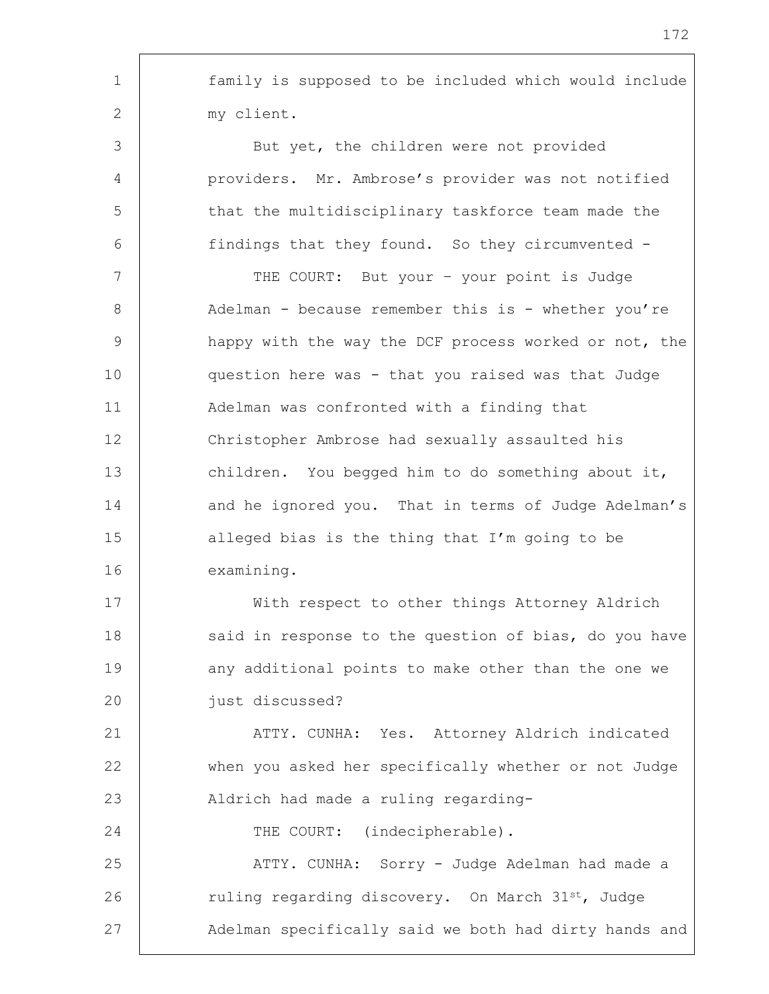| family is supposed to be included which would include |
|-------------------------------------------------------|
| my client.                                            |
| But yet, the children were not provided               |
| providers. Mr. Ambrose's provider was not notified    |
| that the multidisciplinary taskforce team made the    |
| findings that they found. So they circumvented -      |
| THE COURT: But your - your point is Judge             |
| Adelman - because remember this is - whether you're   |
| happy with the way the DCF process worked or not, the |
| question here was - that you raised was that Judge    |
| Adelman was confronted with a finding that            |
| Christopher Ambrose had sexually assaulted his        |
| children. You begged him to do something about it,    |
| and he ignored you. That in terms of Judge Adelman's  |
| alleged bias is the thing that I'm going to be        |
| examining.                                            |
| With respect to other things Attorney Aldrich         |
| said in response to the question of bias, do you have |
| any additional points to make other than the one we   |
| just discussed?                                       |
| ATTY. CUNHA: Yes. Attorney Aldrich indicated          |
| when you asked her specifically whether or not Judge  |
| Aldrich had made a ruling regarding-                  |
| THE COURT: (indecipherable).                          |
| ATTY. CUNHA: Sorry - Judge Adelman had made a         |
| ruling regarding discovery. On March 31st, Judge      |
| Adelman specifically said we both had dirty hands and |
|                                                       |

'n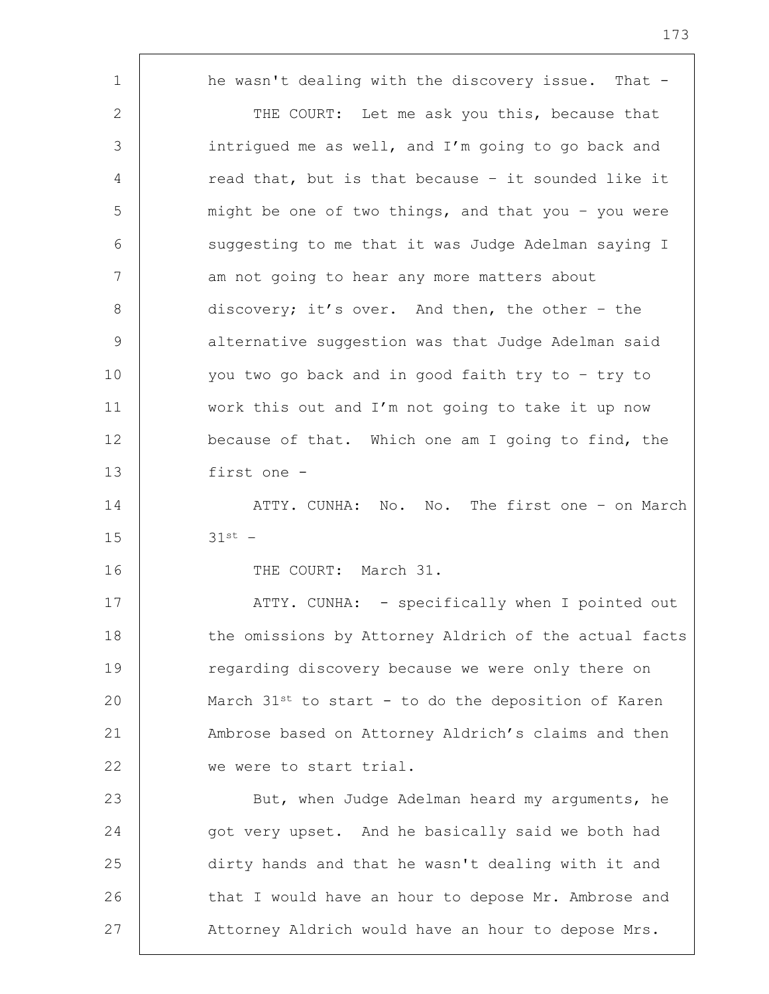| $\mathbf 1$ | he wasn't dealing with the discovery issue. That -              |
|-------------|-----------------------------------------------------------------|
| 2           | THE COURT: Let me ask you this, because that                    |
| 3           | intrigued me as well, and I'm going to go back and              |
| 4           | read that, but is that because - it sounded like it             |
| 5           | might be one of two things, and that you - you were             |
| 6           | suggesting to me that it was Judge Adelman saying I             |
| 7           | am not going to hear any more matters about                     |
| 8           | discovery; it's over. And then, the other - the                 |
| 9           | alternative suggestion was that Judge Adelman said              |
| 10          | you two go back and in good faith try to - try to               |
| 11          | work this out and I'm not going to take it up now               |
| 12          | because of that. Which one am I going to find, the              |
| 13          | first one -                                                     |
| 14          | ATTY. CUNHA: No. No. The first one - on March                   |
| 15          | $31st -$                                                        |
| 16          | THE COURT: March 31.                                            |
| 17          | ATTY. CUNHA: - specifically when I pointed out                  |
| 18          | the omissions by Attorney Aldrich of the actual facts           |
| 19          | regarding discovery because we were only there on               |
| 20          | March 31 <sup>st</sup> to start - to do the deposition of Karen |
| 21          | Ambrose based on Attorney Aldrich's claims and then             |
| 22          | we were to start trial.                                         |
| 23          | But, when Judge Adelman heard my arguments, he                  |
| 24          | got very upset. And he basically said we both had               |
| 25          | dirty hands and that he wasn't dealing with it and              |
| 26          | that I would have an hour to depose Mr. Ambrose and             |
| 27          | Attorney Aldrich would have an hour to depose Mrs.              |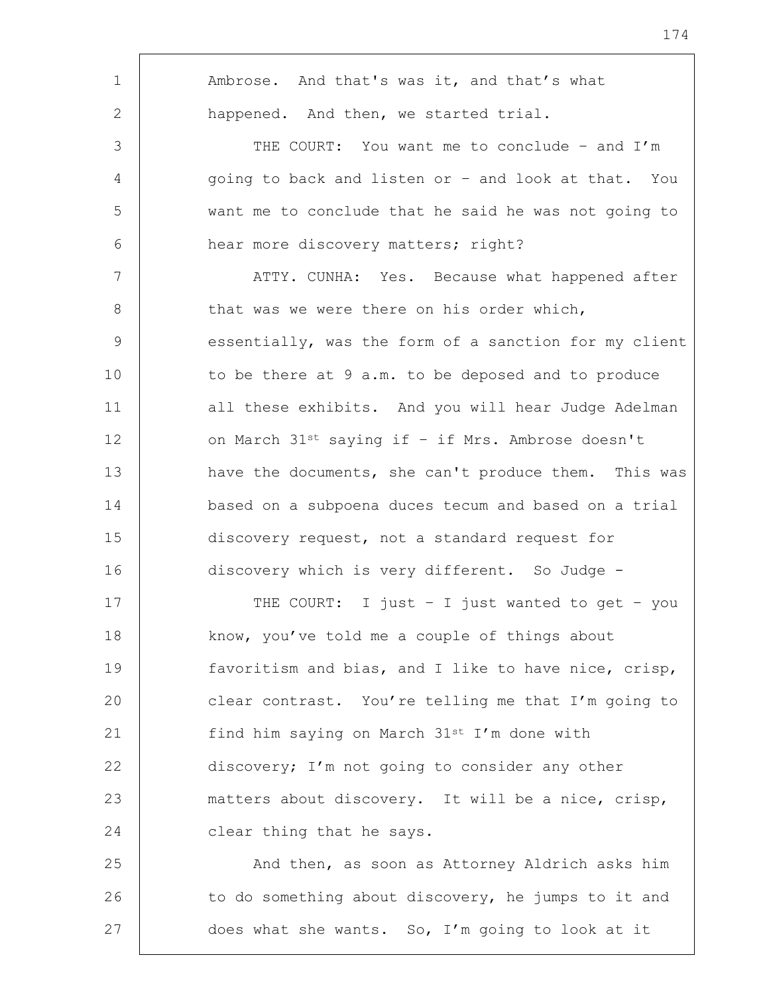| $\mathbf 1$     | Ambrose. And that's was it, and that's what           |
|-----------------|-------------------------------------------------------|
| 2               | happened. And then, we started trial.                 |
| 3               | THE COURT: You want me to conclude - and I'm          |
| 4               | going to back and listen or - and look at that. You   |
| 5               | want me to conclude that he said he was not going to  |
| 6               | hear more discovery matters; right?                   |
| $7\phantom{.0}$ | ATTY. CUNHA: Yes. Because what happened after         |
| 8               | that was we were there on his order which,            |
| 9               | essentially, was the form of a sanction for my client |
| 10              | to be there at 9 a.m. to be deposed and to produce    |
| 11              | all these exhibits. And you will hear Judge Adelman   |
| 12              | on March 31st saying if - if Mrs. Ambrose doesn't     |
| 13              | have the documents, she can't produce them. This was  |
| 14              | based on a subpoena duces tecum and based on a trial  |
| 15              | discovery request, not a standard request for         |
| 16              | discovery which is very different. So Judge -         |
| 17              | THE COURT: I just - I just wanted to get - you        |
| 18              | know, you've told me a couple of things about         |
| 19              | favoritism and bias, and I like to have nice, crisp,  |
| 20              | clear contrast. You're telling me that I'm going to   |
| 21              | find him saying on March 31st I'm done with           |
| 22              | discovery; I'm not going to consider any other        |
| 23              | matters about discovery. It will be a nice, crisp,    |
| 24              | clear thing that he says.                             |
| 25              | And then, as soon as Attorney Aldrich asks him        |
| 26              | to do something about discovery, he jumps to it and   |
| 27              | does what she wants. So, I'm going to look at it      |
|                 |                                                       |

h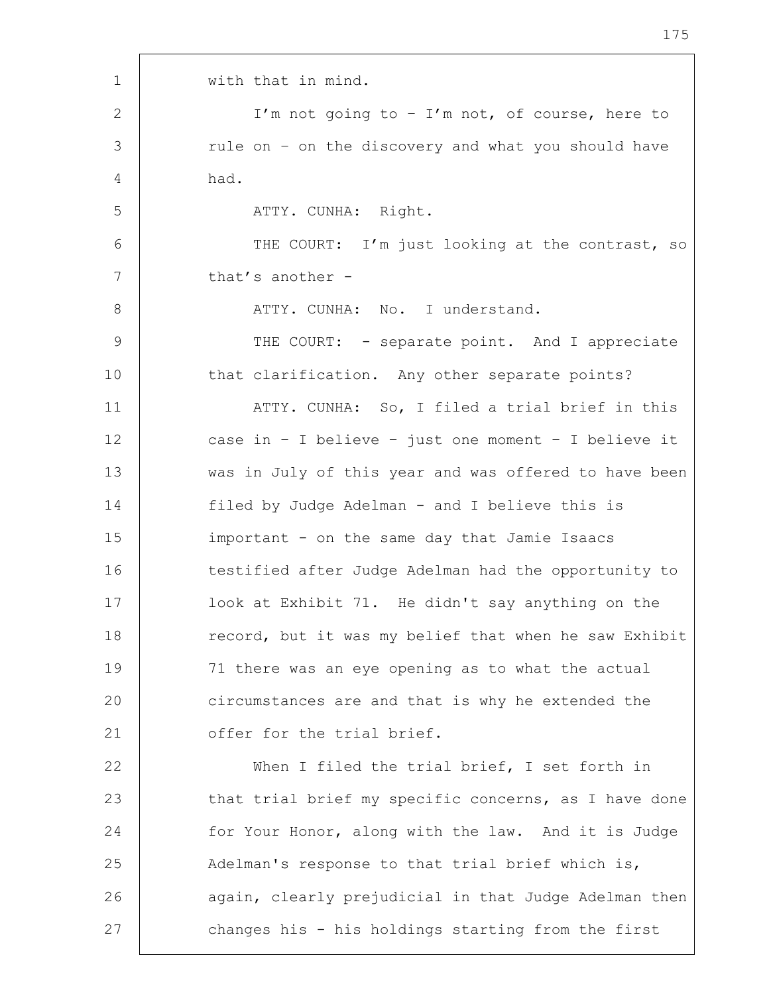1 with that in mind. 2 | I'm not going to - I'm not, of course, here to 3 xule on - on the discovery and what you should have 4 had. 5 | ATTY. CUNHA: Right. 6 | THE COURT: I'm just looking at the contrast, so 7 that's another -8 | ATTY. CUNHA: No. I understand. 9 THE COURT: - separate point. And I appreciate 10 that clarification. Any other separate points? 11 | ATTY. CUNHA: So, I filed a trial brief in this 12 case in – I believe – just one moment – I believe it 13 was in July of this year and was offered to have been 14 filed by Judge Adelman - and I believe this is 15 important - on the same day that Jamie Isaacs 16 testified after Judge Adelman had the opportunity to 17 look at Exhibit 71. He didn't say anything on the 18 **record, but it was my belief that when he saw Exhibit** 19 71 there was an eye opening as to what the actual 20 circumstances are and that is why he extended the 21 | cffer for the trial brief. 22 When I filed the trial brief, I set forth in 23 that trial brief my specific concerns, as I have done 24 for Your Honor, along with the law. And it is Judge 25 Adelman's response to that trial brief which is, 26 | again, clearly prejudicial in that Judge Adelman then 27 changes his - his holdings starting from the first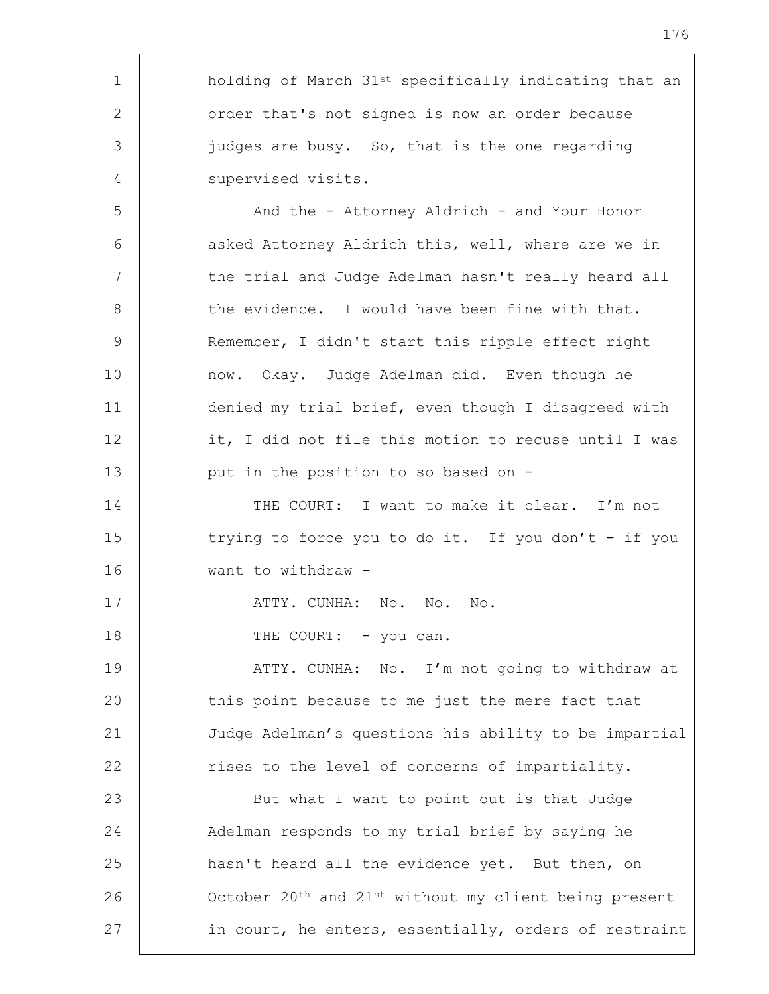| $\mathbf 1$ | holding of March 31 <sup>st</sup> specifically indicating that an |
|-------------|-------------------------------------------------------------------|
| 2           | order that's not signed is now an order because                   |
| 3           | judges are busy. So, that is the one regarding                    |
| 4           | supervised visits.                                                |
| 5           | And the - Attorney Aldrich - and Your Honor                       |
| 6           | asked Attorney Aldrich this, well, where are we in                |
| 7           | the trial and Judge Adelman hasn't really heard all               |
| 8           | the evidence. I would have been fine with that.                   |
| 9           | Remember, I didn't start this ripple effect right                 |
| 10          | now. Okay. Judge Adelman did. Even though he                      |
| 11          | denied my trial brief, even though I disagreed with               |
| 12          | it, I did not file this motion to recuse until I was              |
| 13          | put in the position to so based on -                              |
| 14          | THE COURT: I want to make it clear. I'm not                       |
| 15          | trying to force you to do it. If you don't - if you               |
| 16          | want to withdraw -                                                |
| 17          | ATTY. CUNHA: No. No. No.                                          |
| 18          | THE COURT: - you can.                                             |
| 19          | ATTY. CUNHA: No. I'm not going to withdraw at                     |
| 20          | this point because to me just the mere fact that                  |
| 21          | Judge Adelman's questions his ability to be impartial             |
| 22          | rises to the level of concerns of impartiality.                   |
| 23          | But what I want to point out is that Judge                        |
| 24          | Adelman responds to my trial brief by saying he                   |
| 25          | hasn't heard all the evidence yet. But then, on                   |
| 26          | October 20th and 21st without my client being present             |
| 27          | in court, he enters, essentially, orders of restraint             |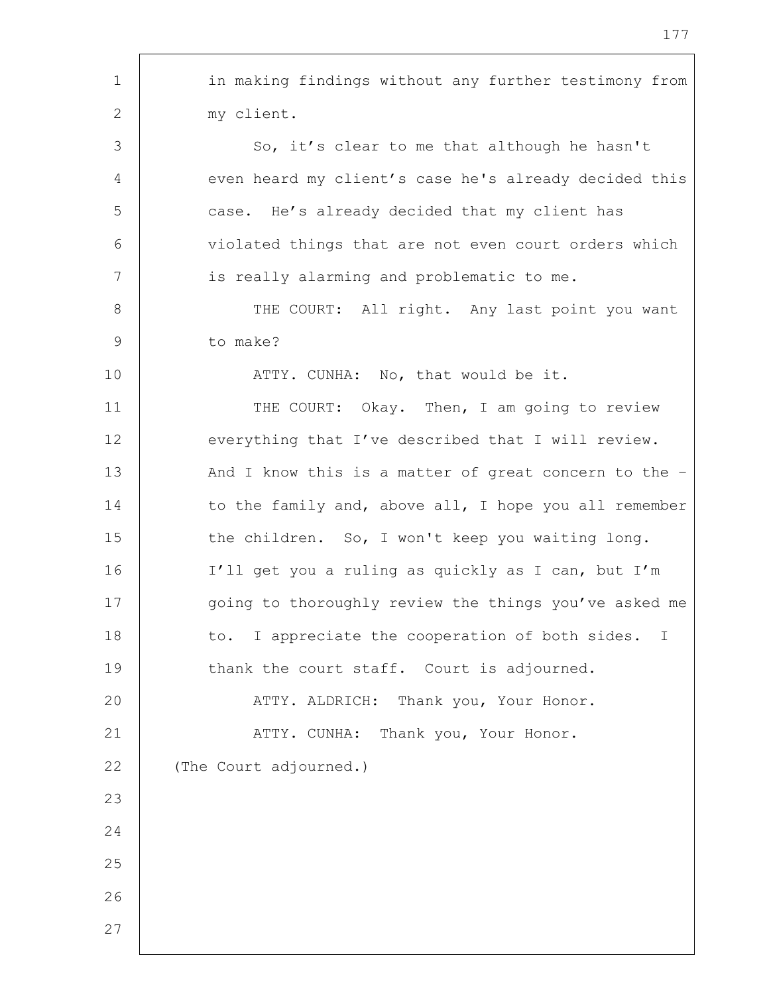1 in making findings without any further testimony from 2 | my client. 3 So, it's clear to me that although he hasn't 4 even heard my client's case he's already decided this 5 case. He's already decided that my client has 6 | violated things that are not even court orders which 7 | is really alarming and problematic to me. 8 | THE COURT: All right. Any last point you want 9 to make? 10 | THE ATTY. CUNHA: No, that would be it. 11 | THE COURT: Okay. Then, I am going to review 12 everything that I've described that I will review. 13 And I know this is a matter of great concern to the -14 to the family and, above all, I hope you all remember 15 | the children. So, I won't keep you waiting long. 16 I'll get you a ruling as quickly as I can, but I'm 17 qoing to thoroughly review the things you've asked me 18 to. I appreciate the cooperation of both sides. I 19 thank the court staff. Court is adjourned. 20 | ATTY. ALDRICH: Thank you, Your Honor. 21 | ATTY. CUNHA: Thank you, Your Honor. 22 The Court adjourned.) 23 24 25 26 27